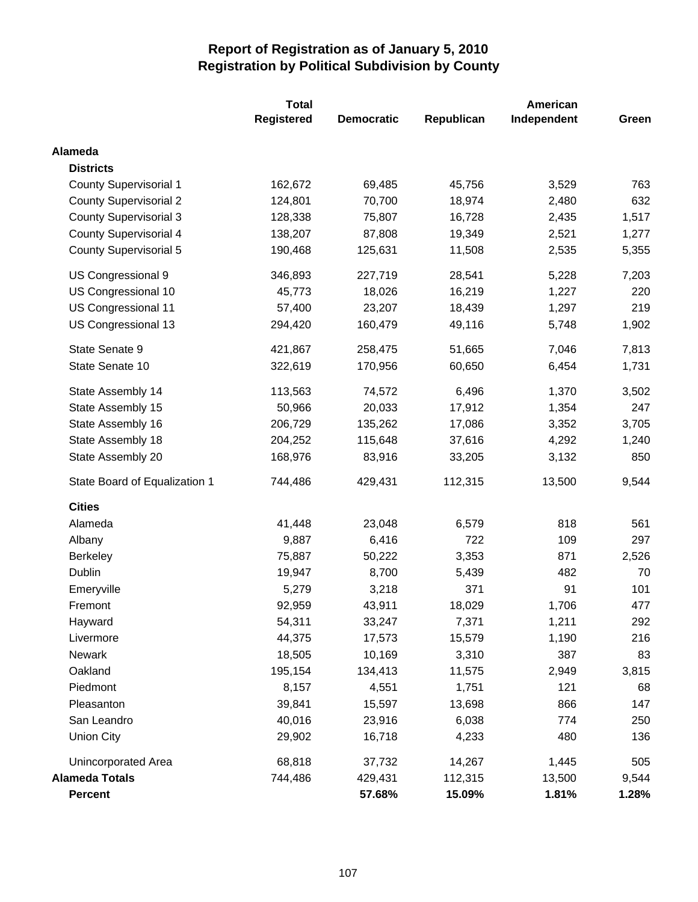|                               | <b>Total</b>      |                   | American   |             |       |  |
|-------------------------------|-------------------|-------------------|------------|-------------|-------|--|
|                               | <b>Registered</b> | <b>Democratic</b> | Republican | Independent | Green |  |
| <b>Alameda</b>                |                   |                   |            |             |       |  |
| <b>Districts</b>              |                   |                   |            |             |       |  |
| <b>County Supervisorial 1</b> | 162,672           | 69,485            | 45,756     | 3,529       | 763   |  |
| <b>County Supervisorial 2</b> | 124,801           | 70,700            | 18,974     | 2,480       | 632   |  |
| <b>County Supervisorial 3</b> | 128,338           | 75,807            | 16,728     | 2,435       | 1,517 |  |
| <b>County Supervisorial 4</b> | 138,207           | 87,808            | 19,349     | 2,521       | 1,277 |  |
| <b>County Supervisorial 5</b> | 190,468           | 125,631           | 11,508     | 2,535       | 5,355 |  |
| US Congressional 9            | 346,893           | 227,719           | 28,541     | 5,228       | 7,203 |  |
| US Congressional 10           | 45,773            | 18,026            | 16,219     | 1,227       | 220   |  |
| US Congressional 11           | 57,400            | 23,207            | 18,439     | 1,297       | 219   |  |
| US Congressional 13           | 294,420           | 160,479           | 49,116     | 5,748       | 1,902 |  |
| State Senate 9                | 421,867           | 258,475           | 51,665     | 7,046       | 7,813 |  |
| State Senate 10               | 322,619           | 170,956           | 60,650     | 6,454       | 1,731 |  |
| State Assembly 14             | 113,563           | 74,572            | 6,496      | 1,370       | 3,502 |  |
| State Assembly 15             | 50,966            | 20,033            | 17,912     | 1,354       | 247   |  |
| State Assembly 16             | 206,729           | 135,262           | 17,086     | 3,352       | 3,705 |  |
| State Assembly 18             | 204,252           | 115,648           | 37,616     | 4,292       | 1,240 |  |
| State Assembly 20             | 168,976           | 83,916            | 33,205     | 3,132       | 850   |  |
| State Board of Equalization 1 | 744,486           | 429,431           | 112,315    | 13,500      | 9,544 |  |
| <b>Cities</b>                 |                   |                   |            |             |       |  |
| Alameda                       | 41,448            | 23,048            | 6,579      | 818         | 561   |  |
| Albany                        | 9,887             | 6,416             | 722        | 109         | 297   |  |
| <b>Berkeley</b>               | 75,887            | 50,222            | 3,353      | 871         | 2,526 |  |
| Dublin                        | 19,947            | 8,700             | 5,439      | 482         | 70    |  |
| Emeryville                    | 5,279             | 3,218             | 371        | 91          | 101   |  |
| Fremont                       | 92,959            | 43,911            | 18,029     | 1,706       | 477   |  |
| Hayward                       | 54,311            | 33,247            | 7,371      | 1,211       | 292   |  |
| Livermore                     | 44,375            | 17,573            | 15,579     | 1,190       | 216   |  |
| Newark                        | 18,505            | 10,169            | 3,310      | 387         | 83    |  |
| Oakland                       | 195,154           | 134,413           | 11,575     | 2,949       | 3,815 |  |
| Piedmont                      | 8,157             | 4,551             | 1,751      | 121         | 68    |  |
| Pleasanton                    | 39,841            | 15,597            | 13,698     | 866         | 147   |  |
| San Leandro                   | 40,016            | 23,916            | 6,038      | 774         | 250   |  |
| <b>Union City</b>             | 29,902            | 16,718            | 4,233      | 480         | 136   |  |
| Unincorporated Area           | 68,818            | 37,732            | 14,267     | 1,445       | 505   |  |
| <b>Alameda Totals</b>         | 744,486           | 429,431           | 112,315    | 13,500      | 9,544 |  |
| <b>Percent</b>                |                   | 57.68%            | 15.09%     | 1.81%       | 1.28% |  |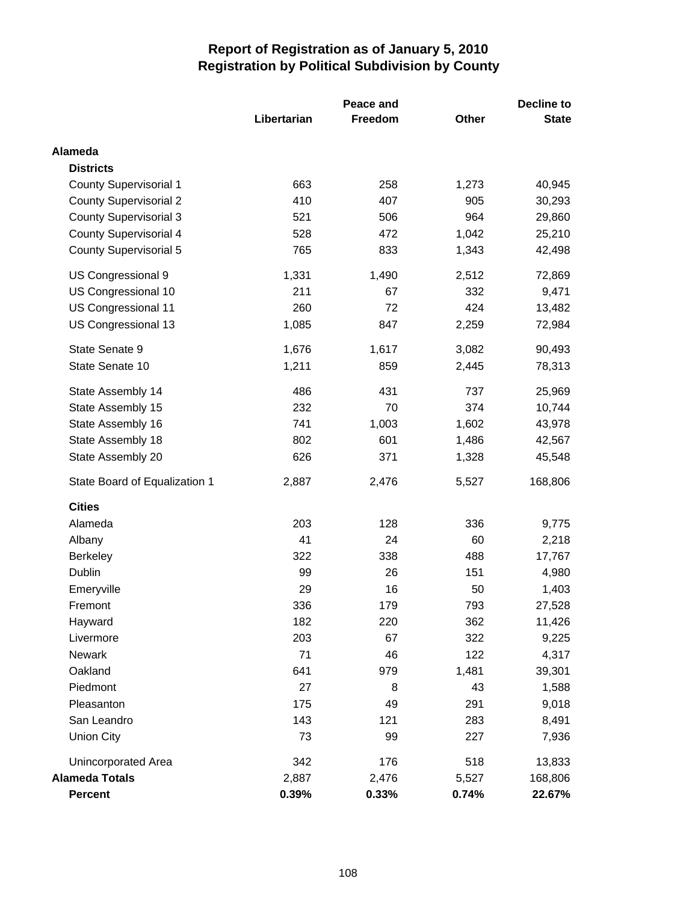|                               |             | Peace and | <b>Decline to</b> |              |
|-------------------------------|-------------|-----------|-------------------|--------------|
|                               | Libertarian | Freedom   | Other             | <b>State</b> |
| <b>Alameda</b>                |             |           |                   |              |
| <b>Districts</b>              |             |           |                   |              |
| <b>County Supervisorial 1</b> | 663         | 258       | 1,273             | 40,945       |
| <b>County Supervisorial 2</b> | 410         | 407       | 905               | 30,293       |
| <b>County Supervisorial 3</b> | 521         | 506       | 964               | 29,860       |
| <b>County Supervisorial 4</b> | 528         | 472       | 1,042             | 25,210       |
| <b>County Supervisorial 5</b> | 765         | 833       | 1,343             | 42,498       |
| US Congressional 9            | 1,331       | 1,490     | 2,512             | 72,869       |
| US Congressional 10           | 211         | 67        | 332               | 9,471        |
| US Congressional 11           | 260         | 72        | 424               | 13,482       |
| US Congressional 13           | 1,085       | 847       | 2,259             | 72,984       |
| State Senate 9                | 1,676       | 1,617     | 3,082             | 90,493       |
| State Senate 10               | 1,211       | 859       | 2,445             | 78,313       |
| State Assembly 14             | 486         | 431       | 737               | 25,969       |
| State Assembly 15             | 232         | 70        | 374               | 10,744       |
| State Assembly 16             | 741         | 1,003     | 1,602             | 43,978       |
| State Assembly 18             | 802         | 601       | 1,486             | 42,567       |
| State Assembly 20             | 626         | 371       | 1,328             | 45,548       |
| State Board of Equalization 1 | 2,887       | 2,476     | 5,527             | 168,806      |
| <b>Cities</b>                 |             |           |                   |              |
| Alameda                       | 203         | 128       | 336               | 9,775        |
| Albany                        | 41          | 24        | 60                | 2,218        |
| <b>Berkeley</b>               | 322         | 338       | 488               | 17,767       |
| Dublin                        | 99          | 26        | 151               | 4,980        |
| Emeryville                    | 29          | 16        | 50                | 1,403        |
| Fremont                       | 336         | 179       | 793               | 27,528       |
| Hayward                       | 182         | 220       | 362               | 11,426       |
| Livermore                     | 203         | 67        | 322               | 9,225        |
| <b>Newark</b>                 | 71          | 46        | 122               | 4,317        |
| Oakland                       | 641         | 979       | 1,481             | 39,301       |
| Piedmont                      | 27          | 8         | 43                | 1,588        |
| Pleasanton                    | 175         | 49        | 291               | 9,018        |
| San Leandro                   | 143         | 121       | 283               | 8,491        |
| <b>Union City</b>             | 73          | 99        | 227               | 7,936        |
| Unincorporated Area           | 342         | 176       | 518               | 13,833       |
| <b>Alameda Totals</b>         | 2,887       | 2,476     | 5,527             | 168,806      |
| <b>Percent</b>                | 0.39%       | 0.33%     | 0.74%             | 22.67%       |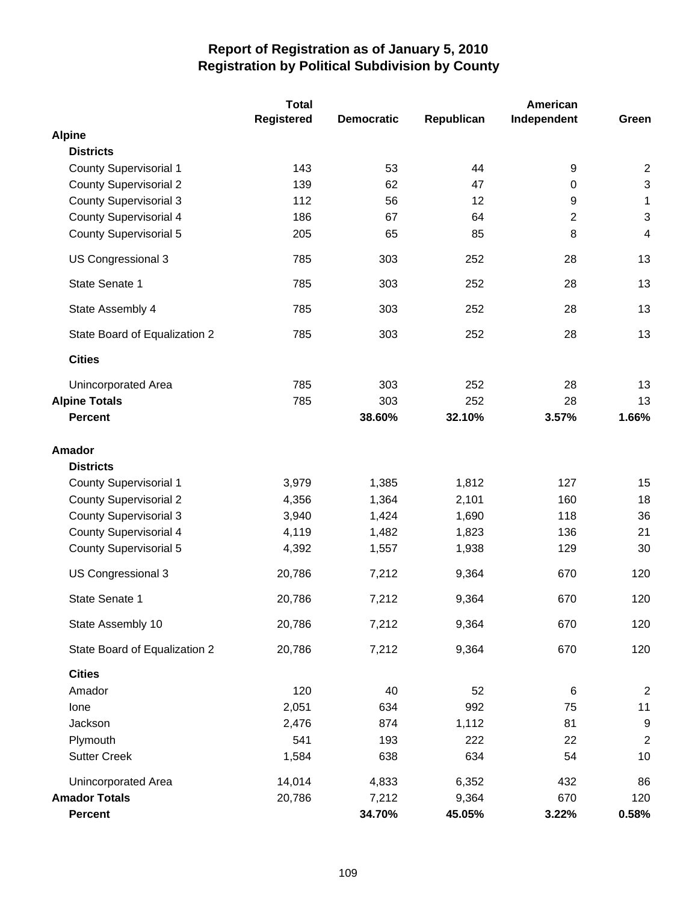|                               | <b>Total</b>      |                   | American   |                |                |
|-------------------------------|-------------------|-------------------|------------|----------------|----------------|
|                               | <b>Registered</b> | <b>Democratic</b> | Republican | Independent    | Green          |
| <b>Alpine</b>                 |                   |                   |            |                |                |
| <b>Districts</b>              |                   |                   |            |                |                |
| <b>County Supervisorial 1</b> | 143               | 53                | 44         | 9              | $\overline{2}$ |
| <b>County Supervisorial 2</b> | 139               | 62                | 47         | 0              | $\sqrt{3}$     |
| <b>County Supervisorial 3</b> | 112               | 56                | 12         | 9              | 1              |
| County Supervisorial 4        | 186               | 67                | 64         | $\overline{2}$ | $\mathfrak{B}$ |
| <b>County Supervisorial 5</b> | 205               | 65                | 85         | 8              | $\overline{4}$ |
| US Congressional 3            | 785               | 303               | 252        | 28             | 13             |
| State Senate 1                | 785               | 303               | 252        | 28             | 13             |
| State Assembly 4              | 785               | 303               | 252        | 28             | 13             |
| State Board of Equalization 2 | 785               | 303               | 252        | 28             | 13             |
| <b>Cities</b>                 |                   |                   |            |                |                |
| Unincorporated Area           | 785               | 303               | 252        | 28             | 13             |
| <b>Alpine Totals</b>          | 785               | 303               | 252        | 28             | 13             |
| <b>Percent</b>                |                   | 38.60%            | 32.10%     | 3.57%          | 1.66%          |
| <b>Amador</b>                 |                   |                   |            |                |                |
| <b>Districts</b>              |                   |                   |            |                |                |
| <b>County Supervisorial 1</b> | 3,979             | 1,385             | 1,812      | 127            | 15             |
| <b>County Supervisorial 2</b> | 4,356             | 1,364             | 2,101      | 160            | 18             |
| <b>County Supervisorial 3</b> | 3,940             | 1,424             | 1,690      | 118            | 36             |
| <b>County Supervisorial 4</b> | 4,119             | 1,482             | 1,823      | 136            | 21             |
| <b>County Supervisorial 5</b> | 4,392             | 1,557             | 1,938      | 129            | 30             |
| US Congressional 3            | 20,786            | 7,212             | 9,364      | 670            | 120            |
| State Senate 1                | 20,786            | 7,212             | 9,364      | 670            | 120            |
| State Assembly 10             | 20,786            | 7,212             | 9,364      | 670            | 120            |
| State Board of Equalization 2 | 20,786            | 7,212             | 9,364      | 670            | 120            |
| <b>Cities</b>                 |                   |                   |            |                |                |
| Amador                        | 120               | 40                | 52         | 6              | $\overline{c}$ |
| lone                          | 2,051             | 634               | 992        | 75             | 11             |
| Jackson                       | 2,476             | 874               | 1,112      | 81             | 9              |
| Plymouth                      | 541               | 193               | 222        | 22             | $\overline{2}$ |
| <b>Sutter Creek</b>           | 1,584             | 638               | 634        | 54             | 10             |
| Unincorporated Area           | 14,014            | 4,833             | 6,352      | 432            | 86             |
| <b>Amador Totals</b>          | 20,786            | 7,212             | 9,364      | 670            | 120            |
| <b>Percent</b>                |                   | 34.70%            | 45.05%     | 3.22%          | 0.58%          |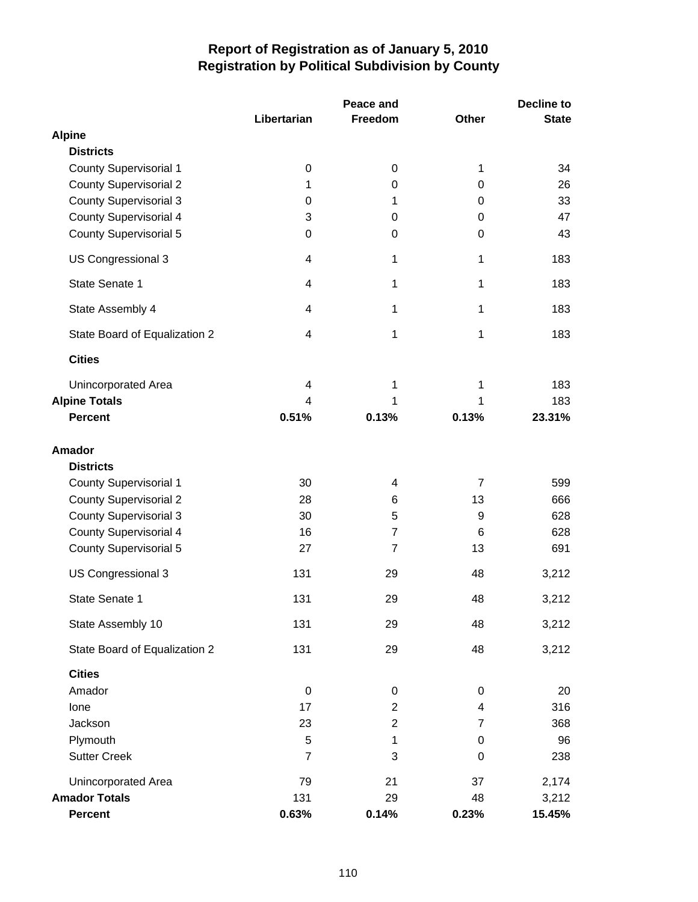|                               |                         | Peace and      |                | <b>Decline to</b> |  |
|-------------------------------|-------------------------|----------------|----------------|-------------------|--|
|                               | Libertarian             | Freedom        | <b>Other</b>   | <b>State</b>      |  |
| <b>Alpine</b>                 |                         |                |                |                   |  |
| <b>Districts</b>              |                         |                |                |                   |  |
| <b>County Supervisorial 1</b> | $\pmb{0}$               | $\pmb{0}$      | 1              | 34                |  |
| <b>County Supervisorial 2</b> | 1                       | 0              | 0              | 26                |  |
| <b>County Supervisorial 3</b> | 0                       | 1              | 0              | 33                |  |
| <b>County Supervisorial 4</b> | 3                       | 0              | 0              | 47                |  |
| <b>County Supervisorial 5</b> | $\mathbf 0$             | 0              | 0              | 43                |  |
| US Congressional 3            | 4                       | 1              | 1              | 183               |  |
| State Senate 1                | 4                       | 1              | 1              | 183               |  |
| State Assembly 4              | 4                       | 1              | 1              | 183               |  |
| State Board of Equalization 2 | 4                       | 1              | 1              | 183               |  |
| <b>Cities</b>                 |                         |                |                |                   |  |
| Unincorporated Area           | 4                       | 1              | 1              | 183               |  |
| <b>Alpine Totals</b>          | $\overline{\mathbf{4}}$ | 1              | 1              | 183               |  |
| <b>Percent</b>                | 0.51%                   | 0.13%          | 0.13%          | 23.31%            |  |
|                               |                         |                |                |                   |  |
| <b>Amador</b>                 |                         |                |                |                   |  |
| <b>Districts</b>              |                         |                |                |                   |  |
| <b>County Supervisorial 1</b> | 30                      | 4              | $\overline{7}$ | 599               |  |
| <b>County Supervisorial 2</b> | 28                      | 6              | 13             | 666               |  |
| <b>County Supervisorial 3</b> | 30                      | 5              | 9              | 628               |  |
| <b>County Supervisorial 4</b> | 16                      | 7              | 6              | 628               |  |
| <b>County Supervisorial 5</b> | 27                      | $\overline{7}$ | 13             | 691               |  |
| US Congressional 3            | 131                     | 29             | 48             | 3,212             |  |
| State Senate 1                | 131                     | 29             | 48             | 3,212             |  |
| State Assembly 10             | 131                     | 29             | 48             | 3,212             |  |
| State Board of Equalization 2 | 131                     | 29             | 48             | 3,212             |  |
| <b>Cities</b>                 |                         |                |                |                   |  |
| Amador                        | 0                       | 0              | 0              | 20                |  |
| lone                          | 17                      | $\overline{2}$ | 4              | 316               |  |
| Jackson                       | 23                      | $\overline{2}$ | 7              | 368               |  |
| Plymouth                      | 5                       | 1              | 0              | 96                |  |
| <b>Sutter Creek</b>           | $\overline{7}$          | 3              | 0              | 238               |  |
| Unincorporated Area           | 79                      | 21             | 37             | 2,174             |  |
| <b>Amador Totals</b>          | 131                     | 29             | 48             | 3,212             |  |
| <b>Percent</b>                | 0.63%                   | 0.14%          | 0.23%          | 15.45%            |  |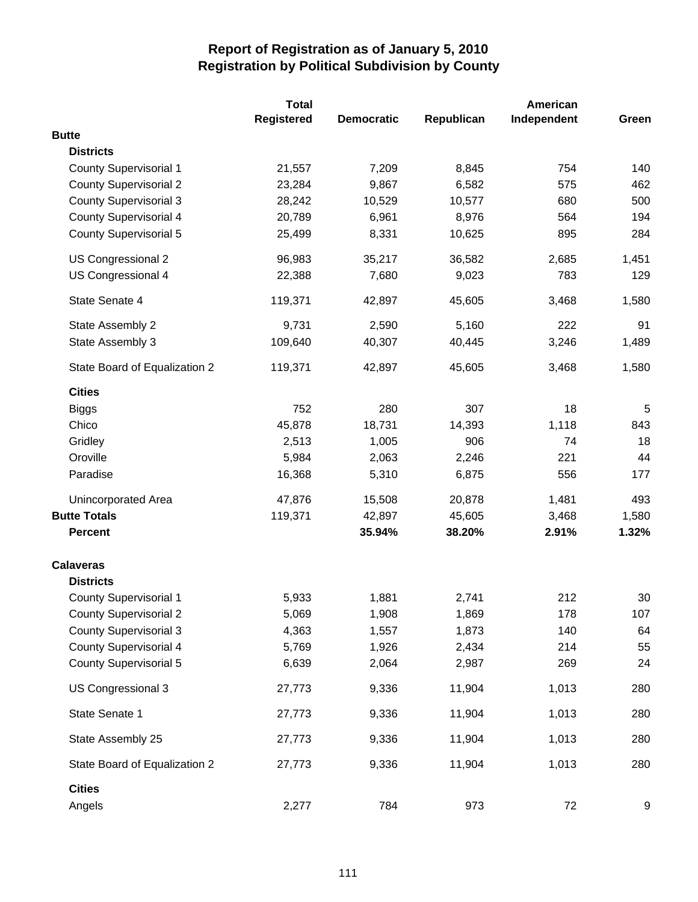|                               | <b>Total</b> |                   |            | American    |       |  |
|-------------------------------|--------------|-------------------|------------|-------------|-------|--|
|                               | Registered   | <b>Democratic</b> | Republican | Independent | Green |  |
| <b>Butte</b>                  |              |                   |            |             |       |  |
| <b>Districts</b>              |              |                   |            |             |       |  |
| <b>County Supervisorial 1</b> | 21,557       | 7,209             | 8,845      | 754         | 140   |  |
| <b>County Supervisorial 2</b> | 23,284       | 9,867             | 6,582      | 575         | 462   |  |
| <b>County Supervisorial 3</b> | 28,242       | 10,529            | 10,577     | 680         | 500   |  |
| County Supervisorial 4        | 20,789       | 6,961             | 8,976      | 564         | 194   |  |
| <b>County Supervisorial 5</b> | 25,499       | 8,331             | 10,625     | 895         | 284   |  |
| US Congressional 2            | 96,983       | 35,217            | 36,582     | 2,685       | 1,451 |  |
| US Congressional 4            | 22,388       | 7,680             | 9,023      | 783         | 129   |  |
| State Senate 4                | 119,371      | 42,897            | 45,605     | 3,468       | 1,580 |  |
| State Assembly 2              | 9,731        | 2,590             | 5,160      | 222         | 91    |  |
| State Assembly 3              | 109,640      | 40,307            | 40,445     | 3,246       | 1,489 |  |
| State Board of Equalization 2 | 119,371      | 42,897            | 45,605     | 3,468       | 1,580 |  |
| <b>Cities</b>                 |              |                   |            |             |       |  |
| <b>Biggs</b>                  | 752          | 280               | 307        | 18          | 5     |  |
| Chico                         | 45,878       | 18,731            | 14,393     | 1,118       | 843   |  |
| Gridley                       | 2,513        | 1,005             | 906        | 74          | 18    |  |
| Oroville                      | 5,984        | 2,063             | 2,246      | 221         | 44    |  |
| Paradise                      | 16,368       | 5,310             | 6,875      | 556         | 177   |  |
| Unincorporated Area           | 47,876       | 15,508            | 20,878     | 1,481       | 493   |  |
| <b>Butte Totals</b>           | 119,371      | 42,897            | 45,605     | 3,468       | 1,580 |  |
| <b>Percent</b>                |              | 35.94%            | 38.20%     | 2.91%       | 1.32% |  |
| <b>Calaveras</b>              |              |                   |            |             |       |  |
| <b>Districts</b>              |              |                   |            |             |       |  |
| <b>County Supervisorial 1</b> | 5,933        | 1,881             | 2,741      | 212         | 30    |  |
| <b>County Supervisorial 2</b> | 5,069        | 1,908             | 1,869      | 178         | 107   |  |
| <b>County Supervisorial 3</b> | 4,363        | 1,557             | 1,873      | 140         | 64    |  |
| <b>County Supervisorial 4</b> | 5,769        | 1,926             | 2,434      | 214         | 55    |  |
| <b>County Supervisorial 5</b> | 6,639        | 2,064             | 2,987      | 269         | 24    |  |
| US Congressional 3            | 27,773       | 9,336             | 11,904     | 1,013       | 280   |  |
| State Senate 1                | 27,773       | 9,336             | 11,904     | 1,013       | 280   |  |
| State Assembly 25             | 27,773       | 9,336             | 11,904     | 1,013       | 280   |  |
| State Board of Equalization 2 | 27,773       | 9,336             | 11,904     | 1,013       | 280   |  |
| <b>Cities</b>                 |              |                   |            |             |       |  |
| Angels                        | 2,277        | 784               | 973        | 72          | 9     |  |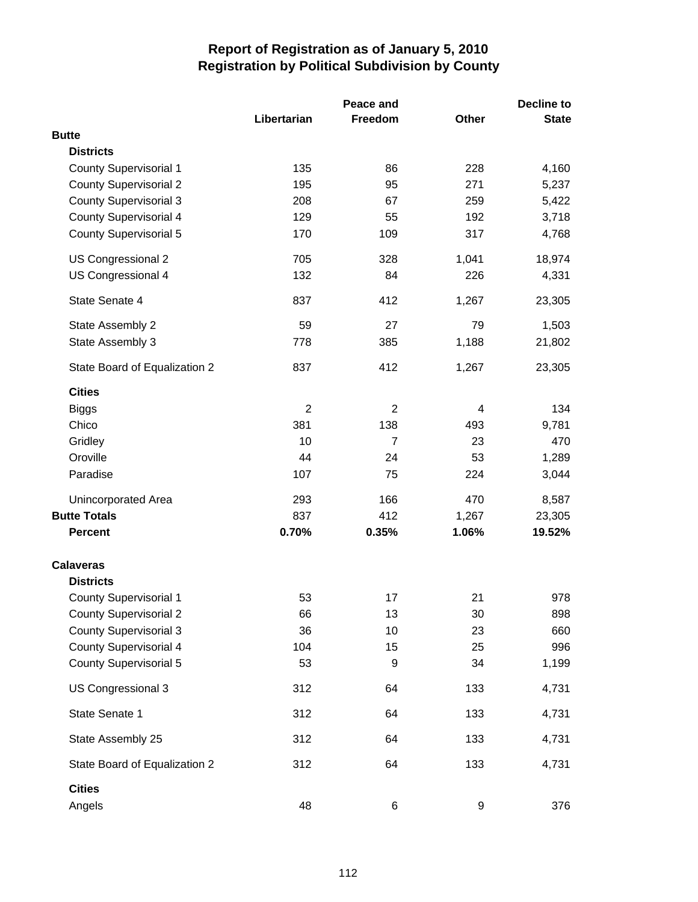|                               |                | Peace and      |              | Decline to   |  |
|-------------------------------|----------------|----------------|--------------|--------------|--|
|                               | Libertarian    | Freedom        | <b>Other</b> | <b>State</b> |  |
| <b>Butte</b>                  |                |                |              |              |  |
| <b>Districts</b>              |                |                |              |              |  |
| <b>County Supervisorial 1</b> | 135            | 86             | 228          | 4,160        |  |
| <b>County Supervisorial 2</b> | 195            | 95             | 271          | 5,237        |  |
| <b>County Supervisorial 3</b> | 208            | 67             | 259          | 5,422        |  |
| <b>County Supervisorial 4</b> | 129            | 55             | 192          | 3,718        |  |
| <b>County Supervisorial 5</b> | 170            | 109            | 317          | 4,768        |  |
| US Congressional 2            | 705            | 328            | 1,041        | 18,974       |  |
| US Congressional 4            | 132            | 84             | 226          | 4,331        |  |
| State Senate 4                | 837            | 412            | 1,267        | 23,305       |  |
| State Assembly 2              | 59             | 27             | 79           | 1,503        |  |
| State Assembly 3              | 778            | 385            | 1,188        | 21,802       |  |
| State Board of Equalization 2 | 837            | 412            | 1,267        | 23,305       |  |
| <b>Cities</b>                 |                |                |              |              |  |
| <b>Biggs</b>                  | $\overline{2}$ | $\overline{2}$ | 4            | 134          |  |
| Chico                         | 381            | 138            | 493          | 9,781        |  |
| Gridley                       | 10             | 7              | 23           | 470          |  |
| Oroville                      | 44             | 24             | 53           | 1,289        |  |
| Paradise                      | 107            | 75             | 224          | 3,044        |  |
| Unincorporated Area           | 293            | 166            | 470          | 8,587        |  |
| <b>Butte Totals</b>           | 837            | 412            | 1,267        | 23,305       |  |
| <b>Percent</b>                | 0.70%          | 0.35%          | 1.06%        | 19.52%       |  |
| <b>Calaveras</b>              |                |                |              |              |  |
| <b>Districts</b>              |                |                |              |              |  |
| <b>County Supervisorial 1</b> | 53             | 17             | 21           | 978          |  |
| <b>County Supervisorial 2</b> | 66             | 13             | 30           | 898          |  |
| <b>County Supervisorial 3</b> | 36             | 10             | 23           | 660          |  |
| <b>County Supervisorial 4</b> | 104            | 15             | 25           | 996          |  |
| <b>County Supervisorial 5</b> | 53             | 9              | 34           | 1,199        |  |
| US Congressional 3            | 312            | 64             | 133          | 4,731        |  |
| State Senate 1                | 312            | 64             | 133          | 4,731        |  |
| State Assembly 25             | 312            | 64             | 133          | 4,731        |  |
| State Board of Equalization 2 | 312            | 64             | 133          | 4,731        |  |
| <b>Cities</b><br>Angels       | 48             | 6              | 9            | 376          |  |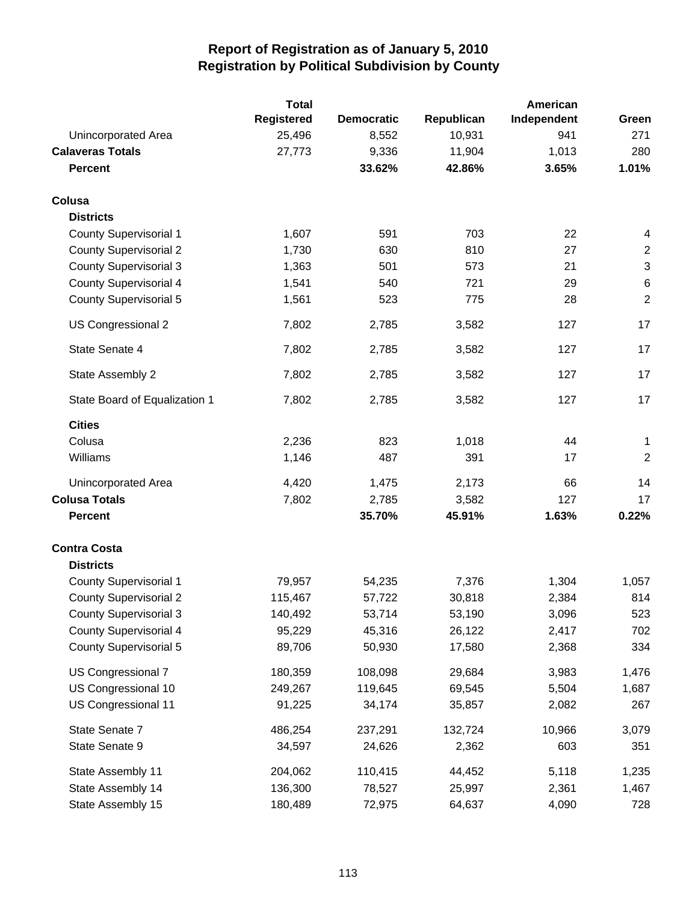|                               | <b>Total</b>      |                   |            | American    |                           |
|-------------------------------|-------------------|-------------------|------------|-------------|---------------------------|
|                               | <b>Registered</b> | <b>Democratic</b> | Republican | Independent | Green                     |
| Unincorporated Area           | 25,496            | 8,552             | 10,931     | 941         | 271                       |
| <b>Calaveras Totals</b>       | 27,773            | 9,336             | 11,904     | 1,013       | 280                       |
| <b>Percent</b>                |                   | 33.62%            | 42.86%     | 3.65%       | 1.01%                     |
| Colusa                        |                   |                   |            |             |                           |
| <b>Districts</b>              |                   |                   |            |             |                           |
| County Supervisorial 1        | 1,607             | 591               | 703        | 22          | 4                         |
| <b>County Supervisorial 2</b> | 1,730             | 630               | 810        | 27          | $\mathbf{2}$              |
| <b>County Supervisorial 3</b> | 1,363             | 501               | 573        | 21          | $\ensuremath{\mathsf{3}}$ |
| County Supervisorial 4        | 1,541             | 540               | 721        | 29          | $\,6$                     |
| <b>County Supervisorial 5</b> | 1,561             | 523               | 775        | 28          | $\mathbf 2$               |
| US Congressional 2            | 7,802             | 2,785             | 3,582      | 127         | 17                        |
| State Senate 4                | 7,802             | 2,785             | 3,582      | 127         | 17                        |
| State Assembly 2              | 7,802             | 2,785             | 3,582      | 127         | 17                        |
| State Board of Equalization 1 | 7,802             | 2,785             | 3,582      | 127         | 17                        |
| <b>Cities</b>                 |                   |                   |            |             |                           |
| Colusa                        | 2,236             | 823               | 1,018      | 44          | 1                         |
| Williams                      | 1,146             | 487               | 391        | 17          | $\overline{c}$            |
| Unincorporated Area           | 4,420             | 1,475             | 2,173      | 66          | 14                        |
| <b>Colusa Totals</b>          | 7,802             | 2,785             | 3,582      | 127         | 17                        |
| <b>Percent</b>                |                   | 35.70%            | 45.91%     | 1.63%       | 0.22%                     |
| <b>Contra Costa</b>           |                   |                   |            |             |                           |
| <b>Districts</b>              |                   |                   |            |             |                           |
| <b>County Supervisorial 1</b> | 79,957            | 54,235            | 7,376      | 1,304       | 1,057                     |
| <b>County Supervisorial 2</b> | 115,467           | 57,722            | 30,818     | 2,384       | 814                       |
| <b>County Supervisorial 3</b> | 140,492           | 53,714            | 53,190     | 3,096       | 523                       |
| <b>County Supervisorial 4</b> | 95,229            | 45,316            | 26,122     | 2,417       | 702                       |
| <b>County Supervisorial 5</b> | 89,706            | 50,930            | 17,580     | 2,368       | 334                       |
| US Congressional 7            | 180,359           | 108,098           | 29,684     | 3,983       | 1,476                     |
| US Congressional 10           | 249,267           | 119,645           | 69,545     | 5,504       | 1,687                     |
| US Congressional 11           | 91,225            | 34,174            | 35,857     | 2,082       | 267                       |
| State Senate 7                | 486,254           | 237,291           | 132,724    | 10,966      | 3,079                     |
| State Senate 9                | 34,597            | 24,626            | 2,362      | 603         | 351                       |
| State Assembly 11             | 204,062           | 110,415           | 44,452     | 5,118       | 1,235                     |
| State Assembly 14             | 136,300           | 78,527            | 25,997     | 2,361       | 1,467                     |
| State Assembly 15             | 180,489           | 72,975            | 64,637     | 4,090       | 728                       |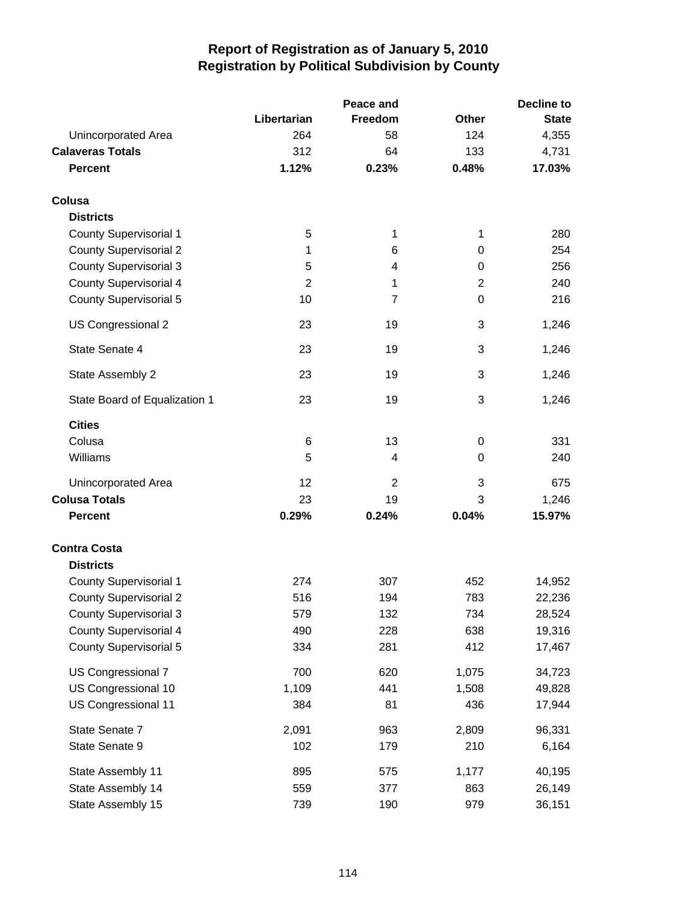|                               |                | Peace and | <b>Decline to</b> |              |  |
|-------------------------------|----------------|-----------|-------------------|--------------|--|
|                               | Libertarian    | Freedom   | <b>Other</b>      | <b>State</b> |  |
| Unincorporated Area           | 264            | 58        | 124               | 4,355        |  |
| <b>Calaveras Totals</b>       | 312            | 64        | 133               | 4,731        |  |
| <b>Percent</b>                | 1.12%          | 0.23%     | 0.48%             | 17.03%       |  |
| Colusa                        |                |           |                   |              |  |
| <b>Districts</b>              |                |           |                   |              |  |
| <b>County Supervisorial 1</b> | 5              | 1         | 1                 | 280          |  |
| <b>County Supervisorial 2</b> | 1              | 6         | 0                 | 254          |  |
| <b>County Supervisorial 3</b> | 5              | 4         | 0                 | 256          |  |
| <b>County Supervisorial 4</b> | $\overline{2}$ | 1         | $\overline{2}$    | 240          |  |
| <b>County Supervisorial 5</b> | 10             | 7         | 0                 | 216          |  |
| US Congressional 2            | 23             | 19        | 3                 | 1,246        |  |
| State Senate 4                | 23             | 19        | 3                 | 1,246        |  |
| State Assembly 2              | 23             | 19        | 3                 | 1,246        |  |
| State Board of Equalization 1 | 23             | 19        | 3                 | 1,246        |  |
| <b>Cities</b>                 |                |           |                   |              |  |
| Colusa                        | 6              | 13        | 0                 | 331          |  |
| Williams                      | 5              | 4         | 0                 | 240          |  |
| <b>Unincorporated Area</b>    | 12             | 2         | 3                 | 675          |  |
| <b>Colusa Totals</b>          | 23             | 19        | 3                 | 1,246        |  |
| <b>Percent</b>                | 0.29%          | 0.24%     | 0.04%             | 15.97%       |  |
| <b>Contra Costa</b>           |                |           |                   |              |  |
| <b>Districts</b>              |                |           |                   |              |  |
| <b>County Supervisorial 1</b> | 274            | 307       | 452               | 14,952       |  |
| <b>County Supervisorial 2</b> | 516            | 194       | 783               | 22,236       |  |
| <b>County Supervisorial 3</b> | 579            | 132       | 734               | 28,524       |  |
| <b>County Supervisorial 4</b> | 490            | 228       | 638               | 19,316       |  |
| <b>County Supervisorial 5</b> | 334            | 281       | 412               | 17,467       |  |
| US Congressional 7            | 700            | 620       | 1,075             | 34,723       |  |
| US Congressional 10           | 1,109          | 441       | 1,508             | 49,828       |  |
| US Congressional 11           | 384            | 81        | 436               | 17,944       |  |
| State Senate 7                | 2,091          | 963       | 2,809             | 96,331       |  |
| State Senate 9                | 102            | 179       | 210               | 6,164        |  |
| State Assembly 11             | 895            | 575       | 1,177             | 40,195       |  |
| State Assembly 14             | 559            | 377       | 863               | 26,149       |  |
| State Assembly 15             | 739            | 190       | 979               | 36,151       |  |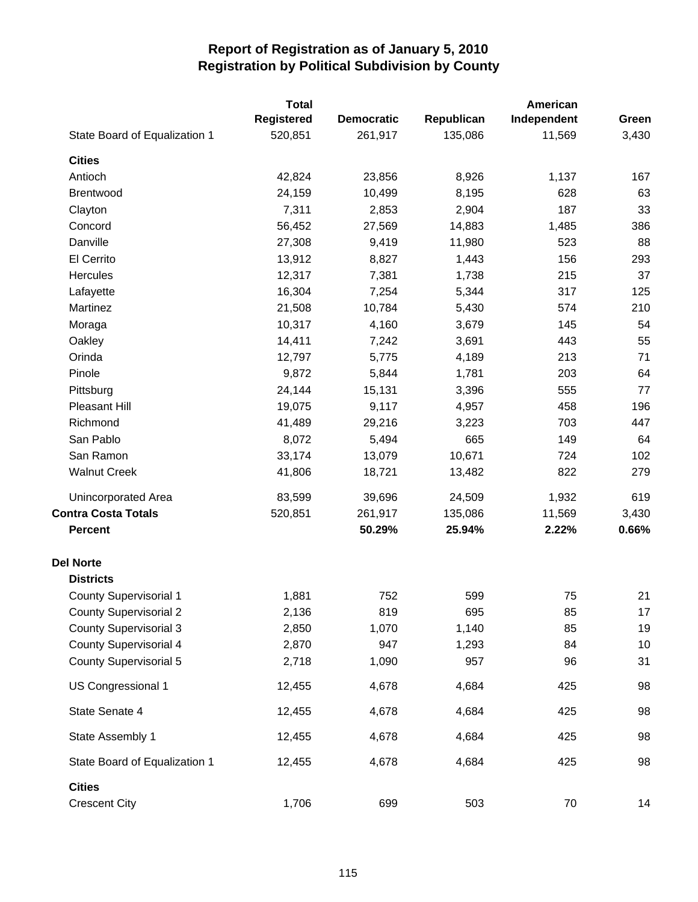|                               | <b>Total</b>      |                   |            | American    |       |
|-------------------------------|-------------------|-------------------|------------|-------------|-------|
|                               | <b>Registered</b> | <b>Democratic</b> | Republican | Independent | Green |
| State Board of Equalization 1 | 520,851           | 261,917           | 135,086    | 11,569      | 3,430 |
| <b>Cities</b>                 |                   |                   |            |             |       |
| Antioch                       | 42,824            | 23,856            | 8,926      | 1,137       | 167   |
| Brentwood                     | 24,159            | 10,499            | 8,195      | 628         | 63    |
| Clayton                       | 7,311             | 2,853             | 2,904      | 187         | 33    |
| Concord                       | 56,452            | 27,569            | 14,883     | 1,485       | 386   |
| Danville                      | 27,308            | 9,419             | 11,980     | 523         | 88    |
| El Cerrito                    | 13,912            | 8,827             | 1,443      | 156         | 293   |
| Hercules                      | 12,317            | 7,381             | 1,738      | 215         | 37    |
| Lafayette                     | 16,304            | 7,254             | 5,344      | 317         | 125   |
| Martinez                      | 21,508            | 10,784            | 5,430      | 574         | 210   |
| Moraga                        | 10,317            | 4,160             | 3,679      | 145         | 54    |
| Oakley                        | 14,411            | 7,242             | 3,691      | 443         | 55    |
| Orinda                        | 12,797            | 5,775             | 4,189      | 213         | 71    |
| Pinole                        | 9,872             | 5,844             | 1,781      | 203         | 64    |
| Pittsburg                     | 24,144            | 15,131            | 3,396      | 555         | 77    |
| Pleasant Hill                 | 19,075            | 9,117             | 4,957      | 458         | 196   |
| Richmond                      | 41,489            | 29,216            | 3,223      | 703         | 447   |
| San Pablo                     | 8,072             | 5,494             | 665        | 149         | 64    |
| San Ramon                     | 33,174            | 13,079            | 10,671     | 724         | 102   |
| <b>Walnut Creek</b>           | 41,806            | 18,721            | 13,482     | 822         | 279   |
| Unincorporated Area           | 83,599            | 39,696            | 24,509     | 1,932       | 619   |
| <b>Contra Costa Totals</b>    | 520,851           | 261,917           | 135,086    | 11,569      | 3,430 |
| <b>Percent</b>                |                   | 50.29%            | 25.94%     | 2.22%       | 0.66% |
| <b>Del Norte</b>              |                   |                   |            |             |       |
| <b>Districts</b>              |                   |                   |            |             |       |
| <b>County Supervisorial 1</b> | 1,881             | 752               | 599        | 75          | 21    |
| <b>County Supervisorial 2</b> | 2,136             | 819               | 695        | 85          | 17    |
| <b>County Supervisorial 3</b> | 2,850             | 1,070             | 1,140      | 85          | 19    |
| <b>County Supervisorial 4</b> | 2,870             | 947               | 1,293      | 84          | 10    |
| <b>County Supervisorial 5</b> | 2,718             | 1,090             | 957        | 96          | 31    |
| US Congressional 1            | 12,455            | 4,678             | 4,684      | 425         | 98    |
| State Senate 4                | 12,455            | 4,678             | 4,684      | 425         | 98    |
| State Assembly 1              | 12,455            | 4,678             | 4,684      | 425         | 98    |
| State Board of Equalization 1 | 12,455            | 4,678             | 4,684      | 425         | 98    |
| <b>Cities</b>                 |                   |                   |            |             |       |
| <b>Crescent City</b>          | 1,706             | 699               | 503        | 70          | 14    |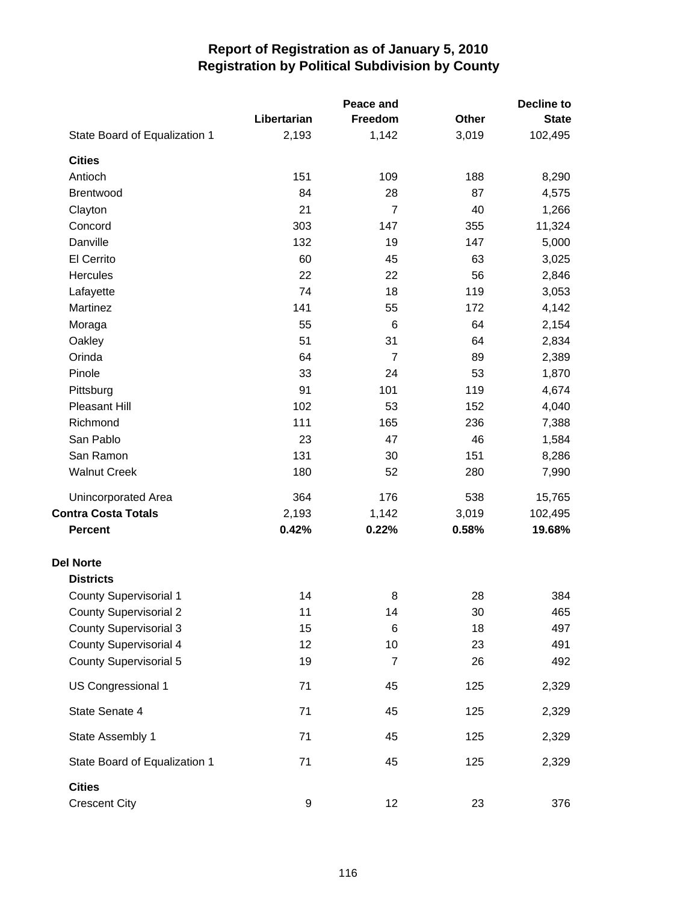|                                       | Peace and   |                |       |              |
|---------------------------------------|-------------|----------------|-------|--------------|
|                                       | Libertarian | Freedom        | Other | <b>State</b> |
| State Board of Equalization 1         | 2,193       | 1,142          | 3,019 | 102,495      |
| <b>Cities</b>                         |             |                |       |              |
| Antioch                               | 151         | 109            | 188   | 8,290        |
| Brentwood                             | 84          | 28             | 87    | 4,575        |
| Clayton                               | 21          | 7              | 40    | 1,266        |
| Concord                               | 303         | 147            | 355   | 11,324       |
| Danville                              | 132         | 19             | 147   | 5,000        |
| El Cerrito                            | 60          | 45             | 63    | 3,025        |
| Hercules                              | 22          | 22             | 56    | 2,846        |
| Lafayette                             | 74          | 18             | 119   | 3,053        |
| Martinez                              | 141         | 55             | 172   | 4,142        |
| Moraga                                | 55          | 6              | 64    | 2,154        |
| Oakley                                | 51          | 31             | 64    | 2,834        |
| Orinda                                | 64          | $\overline{7}$ | 89    | 2,389        |
| Pinole                                | 33          | 24             | 53    | 1,870        |
| Pittsburg                             | 91          | 101            | 119   | 4,674        |
| Pleasant Hill                         | 102         | 53             | 152   | 4,040        |
| Richmond                              | 111         | 165            | 236   | 7,388        |
| San Pablo                             | 23          | 47             | 46    | 1,584        |
| San Ramon                             | 131         | 30             | 151   | 8,286        |
| <b>Walnut Creek</b>                   | 180         | 52             | 280   | 7,990        |
| Unincorporated Area                   | 364         | 176            | 538   | 15,765       |
| <b>Contra Costa Totals</b>            | 2,193       | 1,142          | 3,019 | 102,495      |
| <b>Percent</b>                        | 0.42%       | 0.22%          | 0.58% | 19.68%       |
| <b>Del Norte</b>                      |             |                |       |              |
| <b>Districts</b>                      |             |                |       |              |
| <b>County Supervisorial 1</b>         | 14          | 8              | 28    | 384          |
| <b>County Supervisorial 2</b>         | 11          | 14             | 30    | 465          |
| <b>County Supervisorial 3</b>         | 15          | 6              | 18    | 497          |
| <b>County Supervisorial 4</b>         | 12          | 10             | 23    | 491          |
| <b>County Supervisorial 5</b>         | 19          | 7              | 26    | 492          |
| US Congressional 1                    | 71          | 45             | 125   | 2,329        |
| State Senate 4                        | 71          | 45             | 125   | 2,329        |
| State Assembly 1                      | 71          | 45             | 125   | 2,329        |
| State Board of Equalization 1         | 71          | 45             | 125   | 2,329        |
| <b>Cities</b><br><b>Crescent City</b> | 9           | 12             | 23    | 376          |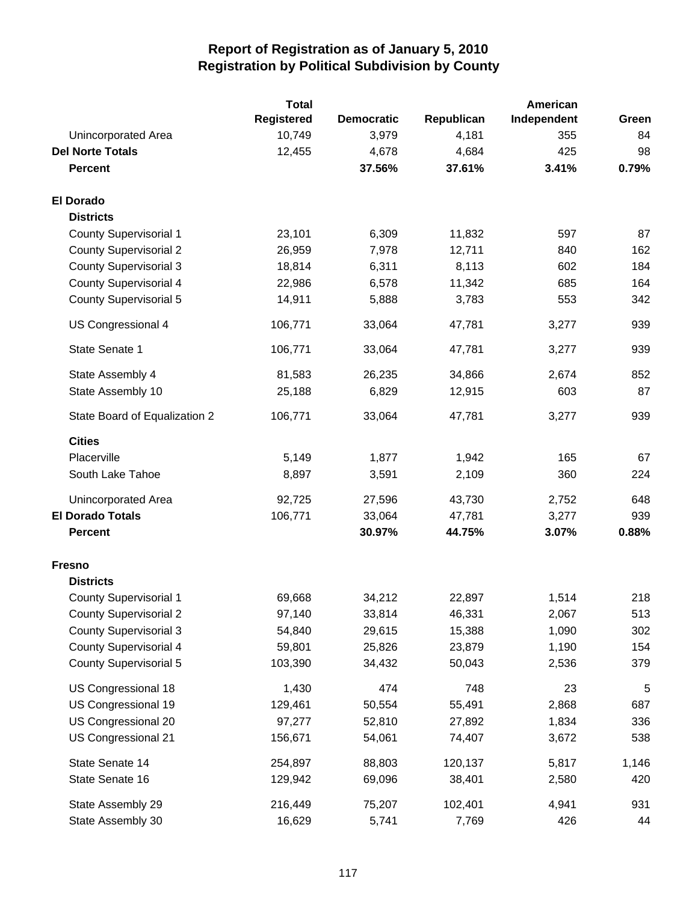|                               | <b>Total</b>      |                   |            | American    |       |
|-------------------------------|-------------------|-------------------|------------|-------------|-------|
|                               | <b>Registered</b> | <b>Democratic</b> | Republican | Independent | Green |
| Unincorporated Area           | 10,749            | 3,979             | 4,181      | 355         | 84    |
| <b>Del Norte Totals</b>       | 12,455            | 4,678             | 4,684      | 425         | 98    |
| <b>Percent</b>                |                   | 37.56%            | 37.61%     | 3.41%       | 0.79% |
| <b>El Dorado</b>              |                   |                   |            |             |       |
| <b>Districts</b>              |                   |                   |            |             |       |
| <b>County Supervisorial 1</b> | 23,101            | 6,309             | 11,832     | 597         | 87    |
| <b>County Supervisorial 2</b> | 26,959            | 7,978             | 12,711     | 840         | 162   |
| <b>County Supervisorial 3</b> | 18,814            | 6,311             | 8,113      | 602         | 184   |
| <b>County Supervisorial 4</b> | 22,986            | 6,578             | 11,342     | 685         | 164   |
| <b>County Supervisorial 5</b> | 14,911            | 5,888             | 3,783      | 553         | 342   |
| <b>US Congressional 4</b>     | 106,771           | 33,064            | 47,781     | 3,277       | 939   |
| State Senate 1                | 106,771           | 33,064            | 47,781     | 3,277       | 939   |
| State Assembly 4              | 81,583            | 26,235            | 34,866     | 2,674       | 852   |
| State Assembly 10             | 25,188            | 6,829             | 12,915     | 603         | 87    |
| State Board of Equalization 2 | 106,771           | 33,064            | 47,781     | 3,277       | 939   |
| <b>Cities</b>                 |                   |                   |            |             |       |
| Placerville                   | 5,149             | 1,877             | 1,942      | 165         | 67    |
| South Lake Tahoe              | 8,897             | 3,591             | 2,109      | 360         | 224   |
| Unincorporated Area           | 92,725            | 27,596            | 43,730     | 2,752       | 648   |
| <b>El Dorado Totals</b>       | 106,771           | 33,064            | 47,781     | 3,277       | 939   |
| <b>Percent</b>                |                   | 30.97%            | 44.75%     | 3.07%       | 0.88% |
| <b>Fresno</b>                 |                   |                   |            |             |       |
| <b>Districts</b>              |                   |                   |            |             |       |
| <b>County Supervisorial 1</b> | 69,668            | 34,212            | 22,897     | 1,514       | 218   |
| <b>County Supervisorial 2</b> | 97,140            | 33,814            | 46,331     | 2,067       | 513   |
| <b>County Supervisorial 3</b> | 54,840            | 29,615            | 15,388     | 1,090       | 302   |
| <b>County Supervisorial 4</b> | 59,801            | 25,826            | 23,879     | 1,190       | 154   |
| <b>County Supervisorial 5</b> | 103,390           | 34,432            | 50,043     | 2,536       | 379   |
| US Congressional 18           | 1,430             | 474               | 748        | 23          | 5     |
| US Congressional 19           | 129,461           | 50,554            | 55,491     | 2,868       | 687   |
| US Congressional 20           | 97,277            | 52,810            | 27,892     | 1,834       | 336   |
| US Congressional 21           | 156,671           | 54,061            | 74,407     | 3,672       | 538   |
| State Senate 14               | 254,897           | 88,803            | 120,137    | 5,817       | 1,146 |
| State Senate 16               | 129,942           | 69,096            | 38,401     | 2,580       | 420   |
| State Assembly 29             | 216,449           | 75,207            | 102,401    | 4,941       | 931   |
| State Assembly 30             | 16,629            | 5,741             | 7,769      | 426         | 44    |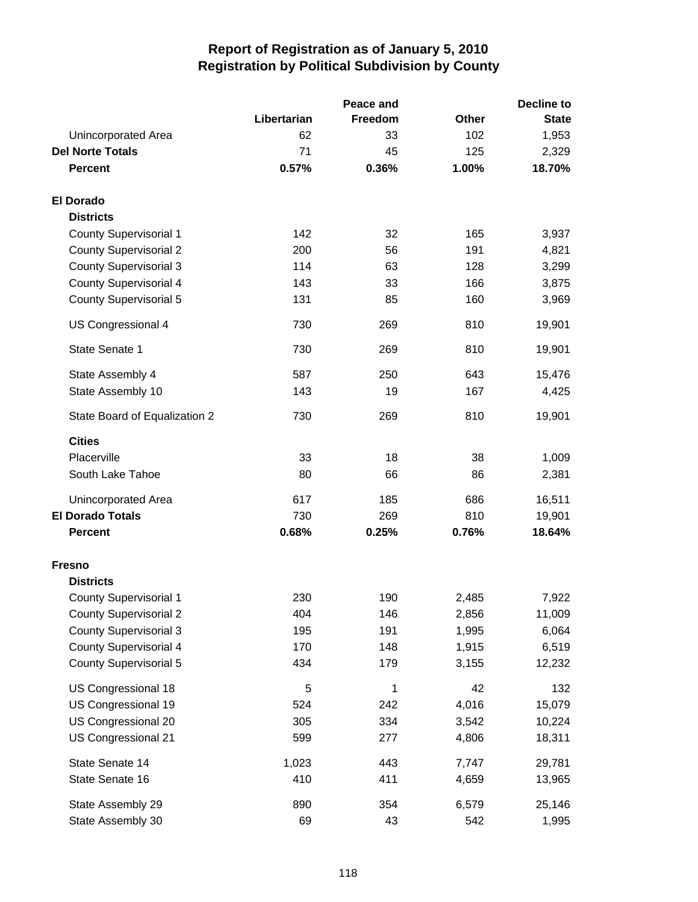|                               |             | Peace and |              | <b>Decline to</b> |
|-------------------------------|-------------|-----------|--------------|-------------------|
|                               | Libertarian | Freedom   | <b>Other</b> | <b>State</b>      |
| Unincorporated Area           | 62          | 33        | 102          | 1,953             |
| <b>Del Norte Totals</b>       | 71          | 45        | 125          | 2,329             |
| <b>Percent</b>                | 0.57%       | 0.36%     | 1.00%        | 18.70%            |
| <b>El Dorado</b>              |             |           |              |                   |
| <b>Districts</b>              |             |           |              |                   |
| <b>County Supervisorial 1</b> | 142         | 32        | 165          | 3,937             |
| <b>County Supervisorial 2</b> | 200         | 56        | 191          | 4,821             |
| <b>County Supervisorial 3</b> | 114         | 63        | 128          | 3,299             |
| <b>County Supervisorial 4</b> | 143         | 33        | 166          | 3,875             |
| <b>County Supervisorial 5</b> | 131         | 85        | 160          | 3,969             |
| US Congressional 4            | 730         | 269       | 810          | 19,901            |
| State Senate 1                | 730         | 269       | 810          | 19,901            |
| State Assembly 4              | 587         | 250       | 643          | 15,476            |
| State Assembly 10             | 143         | 19        | 167          | 4,425             |
| State Board of Equalization 2 | 730         | 269       | 810          | 19,901            |
| <b>Cities</b>                 |             |           |              |                   |
| Placerville                   | 33          | 18        | 38           | 1,009             |
| South Lake Tahoe              | 80          | 66        | 86           | 2,381             |
| Unincorporated Area           | 617         | 185       | 686          | 16,511            |
| <b>El Dorado Totals</b>       | 730         | 269       | 810          | 19,901            |
| <b>Percent</b>                | 0.68%       | 0.25%     | 0.76%        | 18.64%            |
| <b>Fresno</b>                 |             |           |              |                   |
| <b>Districts</b>              |             |           |              |                   |
| <b>County Supervisorial 1</b> | 230         | 190       | 2,485        | 7,922             |
| <b>County Supervisorial 2</b> | 404         | 146       | 2,856        | 11,009            |
| <b>County Supervisorial 3</b> | 195         | 191       | 1,995        | 6,064             |
| County Supervisorial 4        | 170         | 148       | 1,915        | 6,519             |
| <b>County Supervisorial 5</b> | 434         | 179       | 3,155        | 12,232            |
| US Congressional 18           | 5           | 1         | 42           | 132               |
| US Congressional 19           | 524         | 242       | 4,016        | 15,079            |
| US Congressional 20           | 305         | 334       | 3,542        | 10,224            |
| US Congressional 21           | 599         | 277       | 4,806        | 18,311            |
| State Senate 14               | 1,023       | 443       | 7,747        | 29,781            |
| State Senate 16               | 410         | 411       | 4,659        | 13,965            |
| State Assembly 29             | 890         | 354       | 6,579        | 25,146            |
| State Assembly 30             | 69          | 43        | 542          | 1,995             |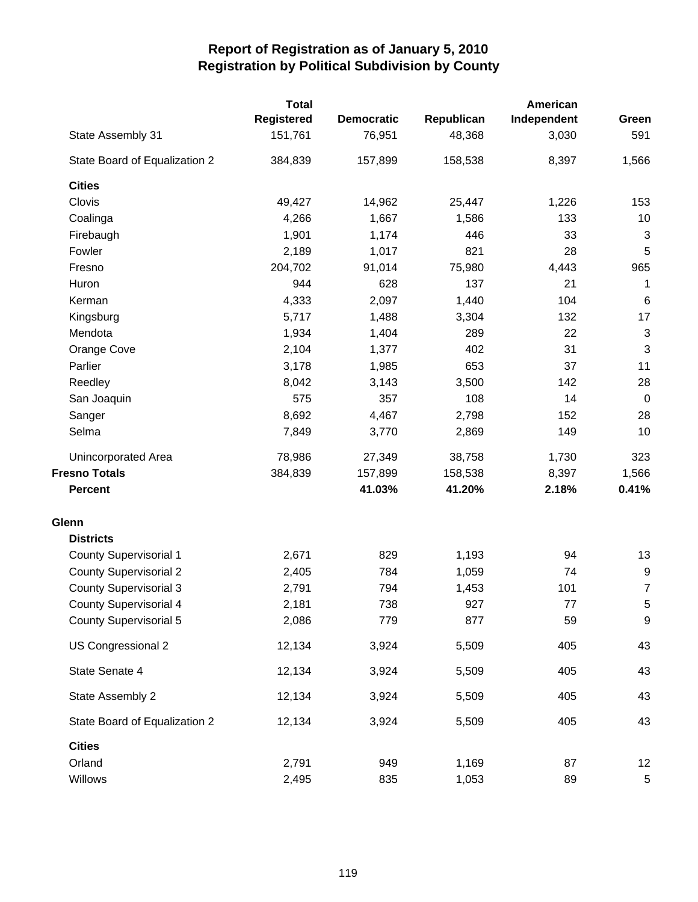|                               | <b>Total</b>      |                   |            |             | American                  |  |
|-------------------------------|-------------------|-------------------|------------|-------------|---------------------------|--|
|                               | <b>Registered</b> | <b>Democratic</b> | Republican | Independent | Green                     |  |
| State Assembly 31             | 151,761           | 76,951            | 48,368     | 3,030       | 591                       |  |
| State Board of Equalization 2 | 384,839           | 157,899           | 158,538    | 8,397       | 1,566                     |  |
| <b>Cities</b>                 |                   |                   |            |             |                           |  |
| Clovis                        | 49,427            | 14,962            | 25,447     | 1,226       | 153                       |  |
| Coalinga                      | 4,266             | 1,667             | 1,586      | 133         | 10                        |  |
| Firebaugh                     | 1,901             | 1,174             | 446        | 33          | $\sqrt{3}$                |  |
| Fowler                        | 2,189             | 1,017             | 821        | 28          | 5                         |  |
| Fresno                        | 204,702           | 91,014            | 75,980     | 4,443       | 965                       |  |
| Huron                         | 944               | 628               | 137        | 21          | 1                         |  |
| Kerman                        | 4,333             | 2,097             | 1,440      | 104         | $\,6$                     |  |
| Kingsburg                     | 5,717             | 1,488             | 3,304      | 132         | 17                        |  |
| Mendota                       | 1,934             | 1,404             | 289        | 22          | 3                         |  |
| Orange Cove                   | 2,104             | 1,377             | 402        | 31          | $\ensuremath{\mathsf{3}}$ |  |
| Parlier                       | 3,178             | 1,985             | 653        | 37          | 11                        |  |
| Reedley                       | 8,042             | 3,143             | 3,500      | 142         | 28                        |  |
| San Joaquin                   | 575               | 357               | 108        | 14          | $\mathbf 0$               |  |
| Sanger                        | 8,692             | 4,467             | 2,798      | 152         | 28                        |  |
| Selma                         | 7,849             | 3,770             | 2,869      | 149         | 10                        |  |
| Unincorporated Area           | 78,986            | 27,349            | 38,758     | 1,730       | 323                       |  |
| <b>Fresno Totals</b>          | 384,839           | 157,899           | 158,538    | 8,397       | 1,566                     |  |
| <b>Percent</b>                |                   | 41.03%            | 41.20%     | 2.18%       | 0.41%                     |  |
| Glenn                         |                   |                   |            |             |                           |  |
| <b>Districts</b>              |                   |                   |            |             |                           |  |
| <b>County Supervisorial 1</b> | 2,671             | 829               | 1,193      | 94          | 13                        |  |
| <b>County Supervisorial 2</b> | 2,405             | 784               | 1,059      | 74          | $\boldsymbol{9}$          |  |
| <b>County Supervisorial 3</b> | 2,791             | 794               | 1,453      | 101         | $\overline{7}$            |  |
| <b>County Supervisorial 4</b> | 2,181             | 738               | 927        | 77          | 5                         |  |
| <b>County Supervisorial 5</b> | 2,086             | 779               | 877        | 59          | 9                         |  |
| US Congressional 2            | 12,134            | 3,924             | 5,509      | 405         | 43                        |  |
| State Senate 4                | 12,134            | 3,924             | 5,509      | 405         | 43                        |  |
| State Assembly 2              | 12,134            | 3,924             | 5,509      | 405         | 43                        |  |
| State Board of Equalization 2 | 12,134            | 3,924             | 5,509      | 405         | 43                        |  |
| <b>Cities</b>                 |                   |                   |            |             |                           |  |
| Orland                        | 2,791             | 949               | 1,169      | 87          | 12                        |  |
| Willows                       | 2,495             | 835               | 1,053      | 89          | 5                         |  |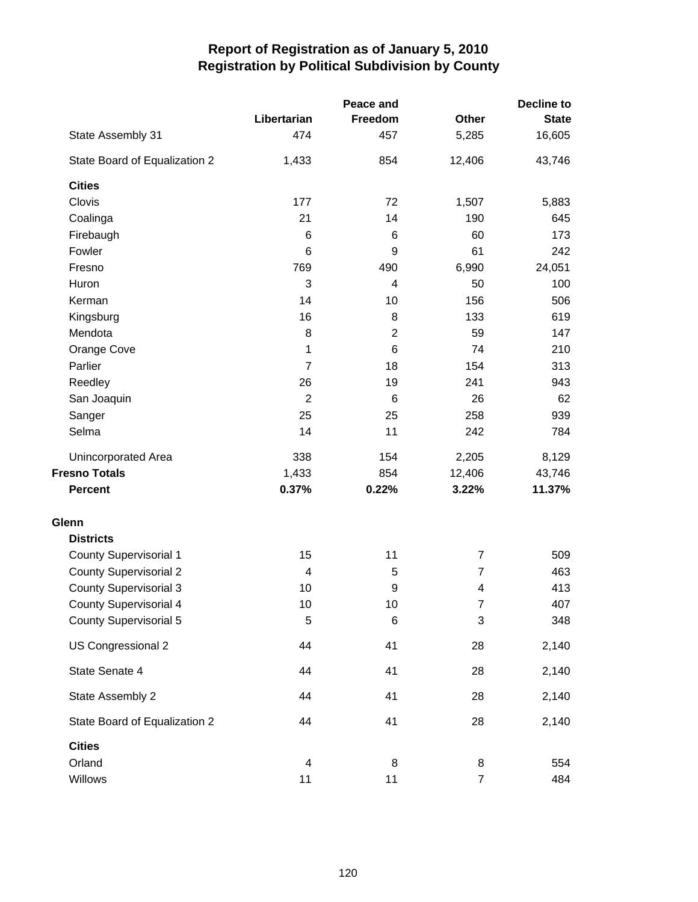|                               | Peace and      | <b>Decline to</b>       |                          |              |  |
|-------------------------------|----------------|-------------------------|--------------------------|--------------|--|
|                               | Libertarian    | Freedom                 | <b>Other</b>             | <b>State</b> |  |
| State Assembly 31             | 474            | 457                     | 5,285                    | 16,605       |  |
| State Board of Equalization 2 | 1,433          | 854                     | 12,406                   | 43,746       |  |
| <b>Cities</b>                 |                |                         |                          |              |  |
| Clovis                        | 177            | 72                      | 1,507                    | 5,883        |  |
| Coalinga                      | 21             | 14                      | 190                      | 645          |  |
| Firebaugh                     | 6              | 6                       | 60                       | 173          |  |
| Fowler                        | 6              | 9                       | 61                       | 242          |  |
| Fresno                        | 769            | 490                     | 6,990                    | 24,051       |  |
| Huron                         | 3              | 4                       | 50                       | 100          |  |
| Kerman                        | 14             | 10                      | 156                      | 506          |  |
| Kingsburg                     | 16             | 8                       | 133                      | 619          |  |
| Mendota                       | 8              | $\overline{\mathbf{c}}$ | 59                       | 147          |  |
| Orange Cove                   | 1              | 6                       | 74                       | 210          |  |
| Parlier                       | 7              | 18                      | 154                      | 313          |  |
| Reedley                       | 26             | 19                      | 241                      | 943          |  |
| San Joaquin                   | $\overline{2}$ | 6                       | 26                       | 62           |  |
| Sanger                        | 25             | 25                      | 258                      | 939          |  |
| Selma                         | 14             | 11                      | 242                      | 784          |  |
| Unincorporated Area           | 338            | 154                     | 2,205                    | 8,129        |  |
| <b>Fresno Totals</b>          | 1,433          | 854                     | 12,406                   | 43,746       |  |
| <b>Percent</b>                | 0.37%          | 0.22%                   | 3.22%                    | 11.37%       |  |
| Glenn                         |                |                         |                          |              |  |
| <b>Districts</b>              |                |                         |                          |              |  |
| <b>County Supervisorial 1</b> | 15             | 11                      | $\overline{7}$           | 509          |  |
| <b>County Supervisorial 2</b> | 4              | 5                       | 7                        | 463          |  |
| <b>County Supervisorial 3</b> | 10             | 9                       | $\overline{\mathcal{A}}$ | 413          |  |
| <b>County Supervisorial 4</b> | 10             | 10                      | $\overline{7}$           | 407          |  |
| <b>County Supervisorial 5</b> | 5              | 6                       | 3                        | 348          |  |
| US Congressional 2            | 44             | 41                      | 28                       | 2,140        |  |
| State Senate 4                | 44             | 41                      | 28                       | 2,140        |  |
| State Assembly 2              | 44             | 41                      | 28                       | 2,140        |  |
| State Board of Equalization 2 | 44             | 41                      | 28                       | 2,140        |  |
| <b>Cities</b>                 |                |                         |                          |              |  |
| Orland                        | 4              | 8                       | 8                        | 554          |  |
| Willows                       | 11             | 11                      | $\overline{7}$           | 484          |  |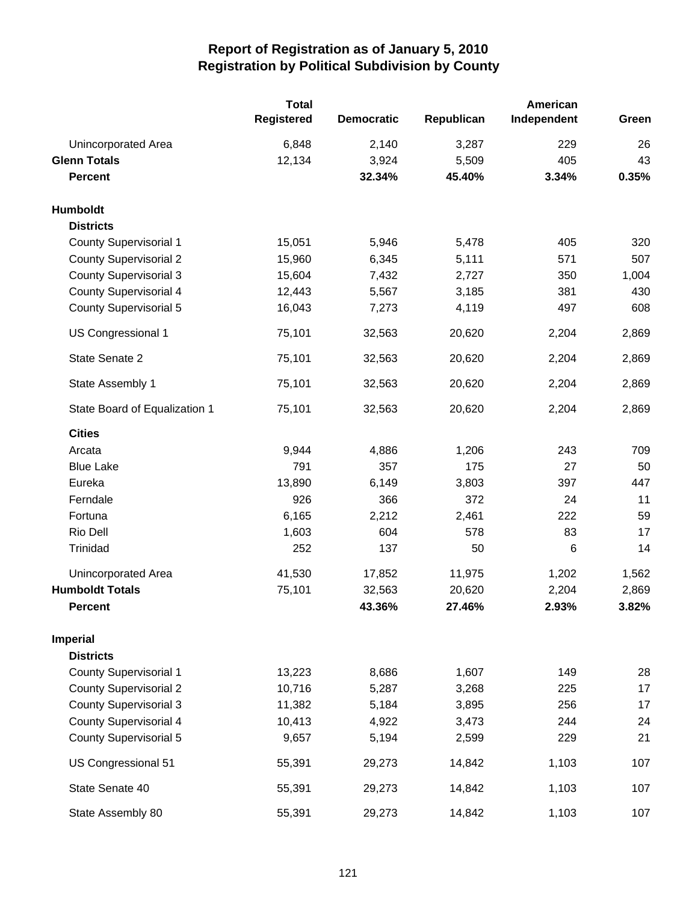|                               | <b>Total</b><br><b>Registered</b> | <b>Democratic</b> | Republican | American<br>Independent | Green |
|-------------------------------|-----------------------------------|-------------------|------------|-------------------------|-------|
| Unincorporated Area           | 6,848                             | 2,140             | 3,287      | 229                     | 26    |
| <b>Glenn Totals</b>           | 12,134                            | 3,924             | 5,509      | 405                     | 43    |
| <b>Percent</b>                |                                   | 32.34%            | 45.40%     | 3.34%                   | 0.35% |
| Humboldt                      |                                   |                   |            |                         |       |
| <b>Districts</b>              |                                   |                   |            |                         |       |
| <b>County Supervisorial 1</b> | 15,051                            | 5,946             | 5,478      | 405                     | 320   |
| <b>County Supervisorial 2</b> | 15,960                            | 6,345             | 5,111      | 571                     | 507   |
| <b>County Supervisorial 3</b> | 15,604                            | 7,432             | 2,727      | 350                     | 1,004 |
| <b>County Supervisorial 4</b> | 12,443                            | 5,567             | 3,185      | 381                     | 430   |
| <b>County Supervisorial 5</b> | 16,043                            | 7,273             | 4,119      | 497                     | 608   |
| US Congressional 1            | 75,101                            | 32,563            | 20,620     | 2,204                   | 2,869 |
| State Senate 2                | 75,101                            | 32,563            | 20,620     | 2,204                   | 2,869 |
| State Assembly 1              | 75,101                            | 32,563            | 20,620     | 2,204                   | 2,869 |
| State Board of Equalization 1 | 75,101                            | 32,563            | 20,620     | 2,204                   | 2,869 |
| <b>Cities</b>                 |                                   |                   |            |                         |       |
| Arcata                        | 9,944                             | 4,886             | 1,206      | 243                     | 709   |
| <b>Blue Lake</b>              | 791                               | 357               | 175        | 27                      | 50    |
| Eureka                        | 13,890                            | 6,149             | 3,803      | 397                     | 447   |
| Ferndale                      | 926                               | 366               | 372        | 24                      | 11    |
| Fortuna                       | 6,165                             | 2,212             | 2,461      | 222                     | 59    |
| Rio Dell                      | 1,603                             | 604               | 578        | 83                      | 17    |
| Trinidad                      | 252                               | 137               | 50         | 6                       | 14    |
| <b>Unincorporated Area</b>    | 41,530                            | 17,852            | 11,975     | 1,202                   | 1,562 |
| <b>Humboldt Totals</b>        | 75,101                            | 32,563            | 20,620     | 2,204                   | 2,869 |
| <b>Percent</b>                |                                   | 43.36%            | 27.46%     | 2.93%                   | 3.82% |
| <b>Imperial</b>               |                                   |                   |            |                         |       |
| <b>Districts</b>              |                                   |                   |            |                         |       |
| <b>County Supervisorial 1</b> | 13,223                            | 8,686             | 1,607      | 149                     | 28    |
| <b>County Supervisorial 2</b> | 10,716                            | 5,287             | 3,268      | 225                     | 17    |
| <b>County Supervisorial 3</b> | 11,382                            | 5,184             | 3,895      | 256                     | 17    |
| <b>County Supervisorial 4</b> | 10,413                            | 4,922             | 3,473      | 244                     | 24    |
| <b>County Supervisorial 5</b> | 9,657                             | 5,194             | 2,599      | 229                     | 21    |
| US Congressional 51           | 55,391                            | 29,273            | 14,842     | 1,103                   | 107   |
| State Senate 40               | 55,391                            | 29,273            | 14,842     | 1,103                   | 107   |
| State Assembly 80             | 55,391                            | 29,273            | 14,842     | 1,103                   | 107   |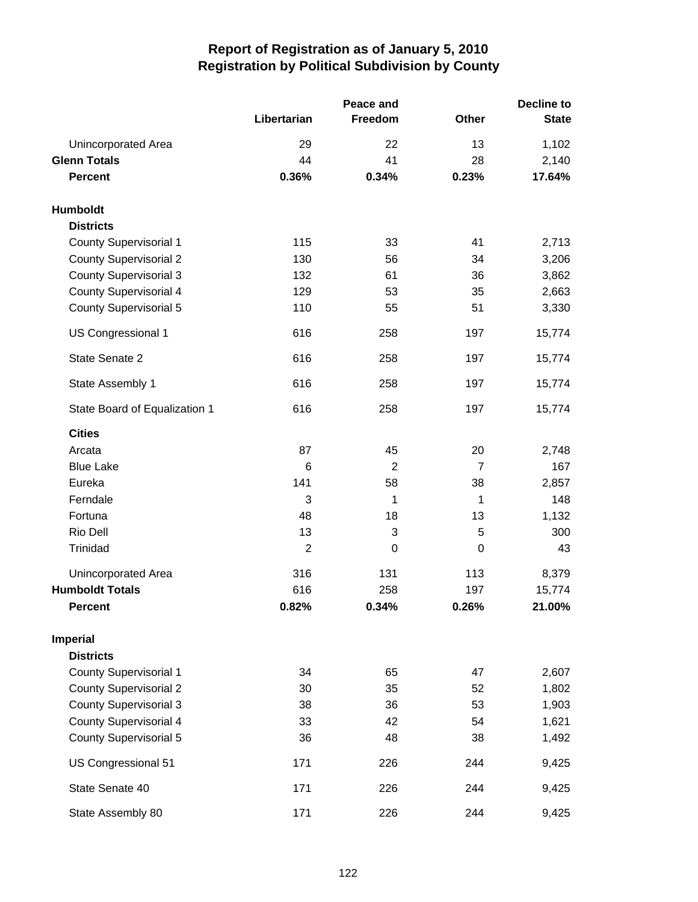|                               |                | Peace and      |                | <b>Decline to</b> |  |
|-------------------------------|----------------|----------------|----------------|-------------------|--|
|                               | Libertarian    | Freedom        | Other          | <b>State</b>      |  |
| Unincorporated Area           | 29             | 22             | 13             | 1,102             |  |
| <b>Glenn Totals</b>           | 44             | 41             | 28             | 2,140             |  |
| <b>Percent</b>                | 0.36%          | 0.34%          | 0.23%          | 17.64%            |  |
| Humboldt                      |                |                |                |                   |  |
| <b>Districts</b>              |                |                |                |                   |  |
| County Supervisorial 1        | 115            | 33             | 41             | 2,713             |  |
| <b>County Supervisorial 2</b> | 130            | 56             | 34             | 3,206             |  |
| <b>County Supervisorial 3</b> | 132            | 61             | 36             | 3,862             |  |
| <b>County Supervisorial 4</b> | 129            | 53             | 35             | 2,663             |  |
| County Supervisorial 5        | 110            | 55             | 51             | 3,330             |  |
| US Congressional 1            | 616            | 258            | 197            | 15,774            |  |
| State Senate 2                | 616            | 258            | 197            | 15,774            |  |
| State Assembly 1              | 616            | 258            | 197            | 15,774            |  |
| State Board of Equalization 1 | 616            | 258            | 197            | 15,774            |  |
| <b>Cities</b>                 |                |                |                |                   |  |
| Arcata                        | 87             | 45             | 20             | 2,748             |  |
| <b>Blue Lake</b>              | 6              | $\overline{c}$ | $\overline{7}$ | 167               |  |
| Eureka                        | 141            | 58             | 38             | 2,857             |  |
| Ferndale                      | 3              | 1              | 1              | 148               |  |
| Fortuna                       | 48             | 18             | 13             | 1,132             |  |
| Rio Dell                      | 13             | 3              | 5              | 300               |  |
| Trinidad                      | $\overline{2}$ | 0              | $\mathbf 0$    | 43                |  |
| Unincorporated Area           | 316            | 131            | 113            | 8,379             |  |
| <b>Humboldt Totals</b>        | 616            | 258            | 197            | 15,774            |  |
| <b>Percent</b>                | 0.82%          | 0.34%          | 0.26%          | 21.00%            |  |
| <b>Imperial</b>               |                |                |                |                   |  |
| <b>Districts</b>              |                |                |                |                   |  |
| <b>County Supervisorial 1</b> | 34             | 65             | 47             | 2,607             |  |
| <b>County Supervisorial 2</b> | 30             | 35             | 52             | 1,802             |  |
| <b>County Supervisorial 3</b> | 38             | 36             | 53             | 1,903             |  |
| <b>County Supervisorial 4</b> | 33             | 42             | 54             | 1,621             |  |
| <b>County Supervisorial 5</b> | 36             | 48             | 38             | 1,492             |  |
| US Congressional 51           | 171            | 226            | 244            | 9,425             |  |
| State Senate 40               | 171            | 226            | 244            | 9,425             |  |
| State Assembly 80             | 171            | 226            | 244            | 9,425             |  |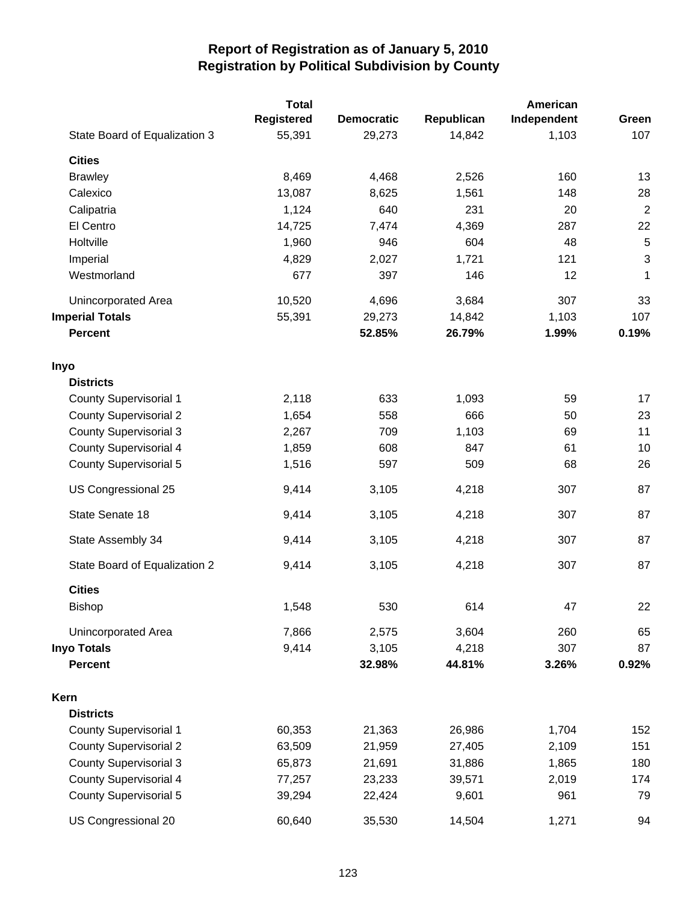|                               | <b>Total</b> |                   |            | American    |                |
|-------------------------------|--------------|-------------------|------------|-------------|----------------|
|                               | Registered   | <b>Democratic</b> | Republican | Independent | Green          |
| State Board of Equalization 3 | 55,391       | 29,273            | 14,842     | 1,103       | 107            |
| <b>Cities</b>                 |              |                   |            |             |                |
| <b>Brawley</b>                | 8,469        | 4,468             | 2,526      | 160         | 13             |
| Calexico                      | 13,087       | 8,625             | 1,561      | 148         | 28             |
| Calipatria                    | 1,124        | 640               | 231        | 20          | $\overline{2}$ |
| El Centro                     | 14,725       | 7,474             | 4,369      | 287         | 22             |
| Holtville                     | 1,960        | 946               | 604        | 48          | 5              |
| Imperial                      | 4,829        | 2,027             | 1,721      | 121         | $\sqrt{3}$     |
| Westmorland                   | 677          | 397               | 146        | 12          | 1              |
| Unincorporated Area           | 10,520       | 4,696             | 3,684      | 307         | 33             |
| <b>Imperial Totals</b>        | 55,391       | 29,273            | 14,842     | 1,103       | 107            |
| <b>Percent</b>                |              | 52.85%            | 26.79%     | 1.99%       | 0.19%          |
| Inyo                          |              |                   |            |             |                |
| <b>Districts</b>              |              |                   |            |             |                |
| <b>County Supervisorial 1</b> | 2,118        | 633               | 1,093      | 59          | 17             |
| <b>County Supervisorial 2</b> | 1,654        | 558               | 666        | 50          | 23             |
| <b>County Supervisorial 3</b> | 2,267        | 709               | 1,103      | 69          | 11             |
| <b>County Supervisorial 4</b> | 1,859        | 608               | 847        | 61          | 10             |
| <b>County Supervisorial 5</b> | 1,516        | 597               | 509        | 68          | 26             |
| US Congressional 25           | 9,414        | 3,105             | 4,218      | 307         | 87             |
| State Senate 18               | 9,414        | 3,105             | 4,218      | 307         | 87             |
| State Assembly 34             | 9,414        | 3,105             | 4,218      | 307         | 87             |
| State Board of Equalization 2 | 9,414        | 3,105             | 4,218      | 307         | 87             |
| <b>Cities</b>                 |              |                   |            |             |                |
| Bishop                        | 1,548        | 530               | 614        | 47          | 22             |
| Unincorporated Area           | 7,866        | 2,575             | 3,604      | 260         | 65             |
| <b>Inyo Totals</b>            | 9,414        | 3,105             | 4,218      | 307         | 87             |
| <b>Percent</b>                |              | 32.98%            | 44.81%     | 3.26%       | 0.92%          |
| Kern                          |              |                   |            |             |                |
| <b>Districts</b>              |              |                   |            |             |                |
| <b>County Supervisorial 1</b> | 60,353       | 21,363            | 26,986     | 1,704       | 152            |
| <b>County Supervisorial 2</b> | 63,509       | 21,959            | 27,405     | 2,109       | 151            |
| <b>County Supervisorial 3</b> | 65,873       | 21,691            | 31,886     | 1,865       | 180            |
| <b>County Supervisorial 4</b> | 77,257       | 23,233            | 39,571     | 2,019       | 174            |
| <b>County Supervisorial 5</b> | 39,294       | 22,424            | 9,601      | 961         | 79             |
| US Congressional 20           | 60,640       | 35,530            | 14,504     | 1,271       | 94             |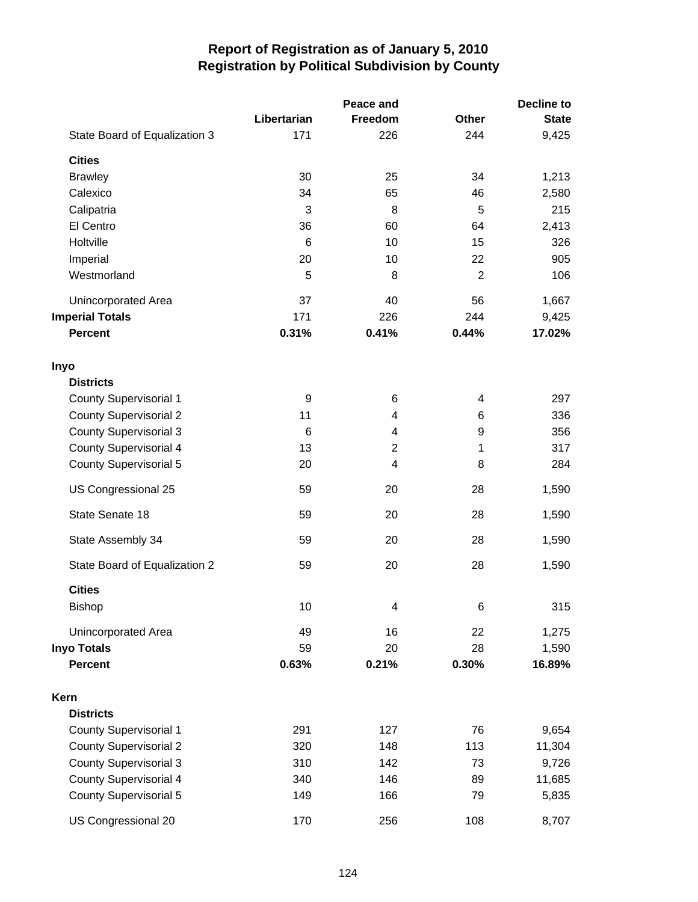|                               |                  | Peace and      | <b>Decline to</b> |              |  |
|-------------------------------|------------------|----------------|-------------------|--------------|--|
|                               | Libertarian      | Freedom        | <b>Other</b>      | <b>State</b> |  |
| State Board of Equalization 3 | 171              | 226            | 244               | 9,425        |  |
| <b>Cities</b>                 |                  |                |                   |              |  |
| <b>Brawley</b>                | 30               | 25             | 34                | 1,213        |  |
| Calexico                      | 34               | 65             | 46                | 2,580        |  |
| Calipatria                    | 3                | 8              | 5                 | 215          |  |
| El Centro                     | 36               | 60             | 64                | 2,413        |  |
| Holtville                     | 6                | 10             | 15                | 326          |  |
| Imperial                      | 20               | 10             | 22                | 905          |  |
| Westmorland                   | 5                | 8              | $\overline{2}$    | 106          |  |
| Unincorporated Area           | 37               | 40             | 56                | 1,667        |  |
| <b>Imperial Totals</b>        | 171              | 226            | 244               | 9,425        |  |
| <b>Percent</b>                | 0.31%            | 0.41%          | 0.44%             | 17.02%       |  |
| Inyo                          |                  |                |                   |              |  |
| <b>Districts</b>              |                  |                |                   |              |  |
| <b>County Supervisorial 1</b> | $\boldsymbol{9}$ | 6              | 4                 | 297          |  |
| <b>County Supervisorial 2</b> | 11               | 4              | 6                 | 336          |  |
| <b>County Supervisorial 3</b> | $6\phantom{1}6$  | 4              | $\boldsymbol{9}$  | 356          |  |
| <b>County Supervisorial 4</b> | 13               | $\overline{2}$ | 1                 | 317          |  |
| <b>County Supervisorial 5</b> | 20               | 4              | 8                 | 284          |  |
| US Congressional 25           | 59               | 20             | 28                | 1,590        |  |
| State Senate 18               | 59               | 20             | 28                | 1,590        |  |
| State Assembly 34             | 59               | 20             | 28                | 1,590        |  |
| State Board of Equalization 2 | 59               | 20             | 28                | 1,590        |  |
| <b>Cities</b>                 |                  |                |                   |              |  |
| <b>Bishop</b>                 | 10               | 4              | 6                 | 315          |  |
| Unincorporated Area           | 49               | 16             | 22                | 1,275        |  |
| <b>Inyo Totals</b>            | 59               | 20             | 28                | 1,590        |  |
| <b>Percent</b>                | 0.63%            | 0.21%          | 0.30%             | 16.89%       |  |
| Kern                          |                  |                |                   |              |  |
| <b>Districts</b>              |                  |                |                   |              |  |
| <b>County Supervisorial 1</b> | 291              | 127            | 76                | 9,654        |  |
| <b>County Supervisorial 2</b> | 320              | 148            | 113               | 11,304       |  |
| <b>County Supervisorial 3</b> | 310              | 142            | 73                | 9,726        |  |
| <b>County Supervisorial 4</b> | 340              | 146            | 89                | 11,685       |  |
| <b>County Supervisorial 5</b> | 149              | 166            | 79                | 5,835        |  |
| US Congressional 20           | 170              | 256            | 108               | 8,707        |  |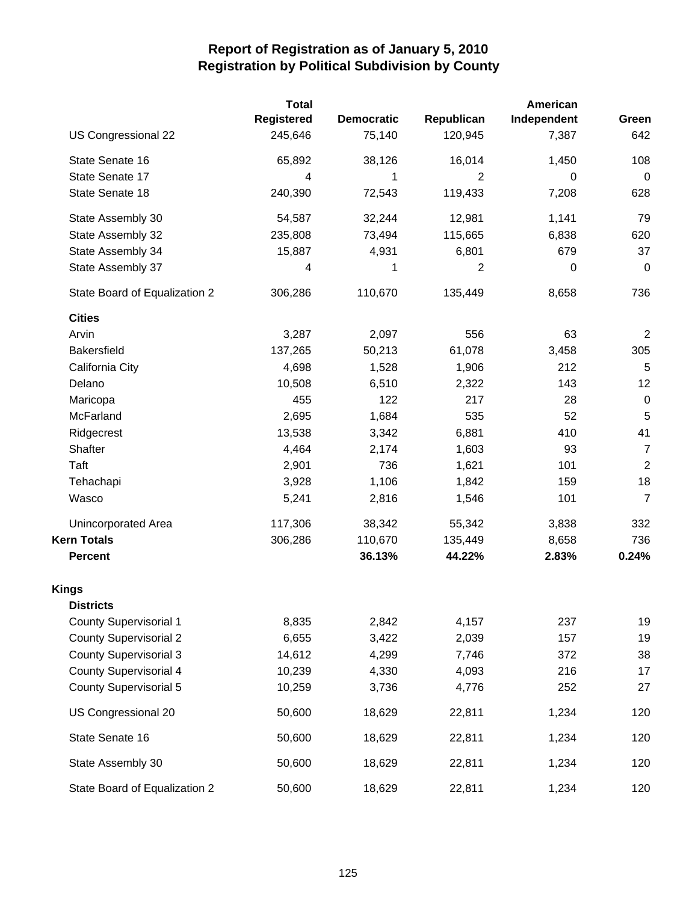|                               | <b>Total</b>      |                   |                | American    |                |
|-------------------------------|-------------------|-------------------|----------------|-------------|----------------|
|                               | <b>Registered</b> | <b>Democratic</b> | Republican     | Independent | Green          |
| US Congressional 22           | 245,646           | 75,140            | 120,945        | 7,387       | 642            |
| State Senate 16               | 65,892            | 38,126            | 16,014         | 1,450       | 108            |
| State Senate 17               | 4                 | 1                 | $\mathbf{2}$   | $\Omega$    | $\pmb{0}$      |
| State Senate 18               | 240,390           | 72,543            | 119,433        | 7,208       | 628            |
| State Assembly 30             | 54,587            | 32,244            | 12,981         | 1,141       | 79             |
| State Assembly 32             | 235,808           | 73,494            | 115,665        | 6,838       | 620            |
| State Assembly 34             | 15,887            | 4,931             | 6,801          | 679         | 37             |
| State Assembly 37             | 4                 | 1                 | $\overline{2}$ | 0           | $\pmb{0}$      |
| State Board of Equalization 2 | 306,286           | 110,670           | 135,449        | 8,658       | 736            |
| <b>Cities</b>                 |                   |                   |                |             |                |
| Arvin                         | 3,287             | 2,097             | 556            | 63          | $\overline{2}$ |
| <b>Bakersfield</b>            | 137,265           | 50,213            | 61,078         | 3,458       | 305            |
| California City               | 4,698             | 1,528             | 1,906          | 212         | 5              |
| Delano                        | 10,508            | 6,510             | 2,322          | 143         | 12             |
| Maricopa                      | 455               | 122               | 217            | 28          | $\pmb{0}$      |
| McFarland                     | 2,695             | 1,684             | 535            | 52          | 5              |
| Ridgecrest                    | 13,538            | 3,342             | 6,881          | 410         | 41             |
| Shafter                       | 4,464             | 2,174             | 1,603          | 93          | $\overline{7}$ |
| Taft                          | 2,901             | 736               | 1,621          | 101         | $\overline{2}$ |
| Tehachapi                     | 3,928             | 1,106             | 1,842          | 159         | 18             |
| Wasco                         | 5,241             | 2,816             | 1,546          | 101         | $\overline{7}$ |
| Unincorporated Area           | 117,306           | 38,342            | 55,342         | 3,838       | 332            |
| <b>Kern Totals</b>            | 306,286           | 110,670           | 135,449        | 8,658       | 736            |
| <b>Percent</b>                |                   | 36.13%            | 44.22%         | 2.83%       | 0.24%          |
| <b>Kings</b>                  |                   |                   |                |             |                |
| <b>Districts</b>              |                   |                   |                |             |                |
| <b>County Supervisorial 1</b> | 8,835             | 2,842             | 4,157          | 237         | 19             |
| <b>County Supervisorial 2</b> | 6,655             | 3,422             | 2,039          | 157         | 19             |
| <b>County Supervisorial 3</b> | 14,612            | 4,299             | 7,746          | 372         | 38             |
| <b>County Supervisorial 4</b> | 10,239            | 4,330             | 4,093          | 216         | 17             |
| <b>County Supervisorial 5</b> | 10,259            | 3,736             | 4,776          | 252         | 27             |
| US Congressional 20           | 50,600            | 18,629            | 22,811         | 1,234       | 120            |
| State Senate 16               | 50,600            | 18,629            | 22,811         | 1,234       | 120            |
| State Assembly 30             | 50,600            | 18,629            | 22,811         | 1,234       | 120            |
| State Board of Equalization 2 | 50,600            | 18,629            | 22,811         | 1,234       | 120            |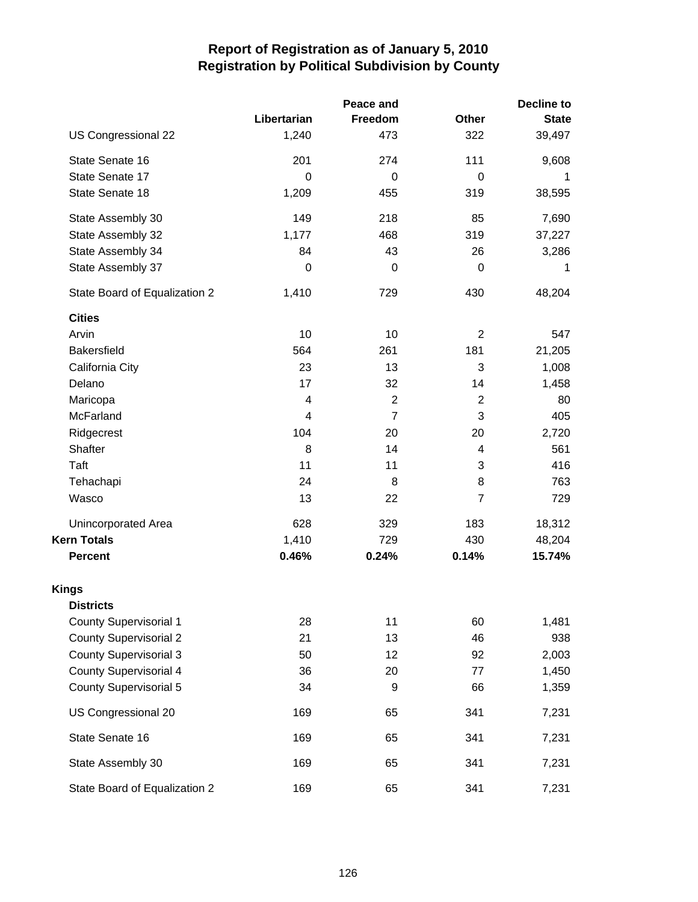| Peace and                     |             |                | <b>Decline to</b> |              |  |  |
|-------------------------------|-------------|----------------|-------------------|--------------|--|--|
|                               | Libertarian | Freedom        | <b>Other</b>      | <b>State</b> |  |  |
| US Congressional 22           | 1,240       | 473            | 322               | 39,497       |  |  |
| State Senate 16               | 201         | 274            | 111               | 9,608        |  |  |
| State Senate 17               | $\Omega$    | $\Omega$       | 0                 | 1            |  |  |
| State Senate 18               | 1,209       | 455            | 319               | 38,595       |  |  |
| State Assembly 30             | 149         | 218            | 85                | 7,690        |  |  |
| State Assembly 32             | 1,177       | 468            | 319               | 37,227       |  |  |
| State Assembly 34             | 84          | 43             | 26                | 3,286        |  |  |
| State Assembly 37             | $\mathbf 0$ | 0              | 0                 | 1            |  |  |
| State Board of Equalization 2 | 1,410       | 729            | 430               | 48,204       |  |  |
| <b>Cities</b>                 |             |                |                   |              |  |  |
| Arvin                         | 10          | 10             | $\overline{2}$    | 547          |  |  |
| <b>Bakersfield</b>            | 564         | 261            | 181               | 21,205       |  |  |
| California City               | 23          | 13             | 3                 | 1,008        |  |  |
| Delano                        | 17          | 32             | 14                | 1,458        |  |  |
| Maricopa                      | 4           | $\overline{2}$ | $\overline{2}$    | 80           |  |  |
| McFarland                     | 4           | $\overline{7}$ | $\mathbf{3}$      | 405          |  |  |
| Ridgecrest                    | 104         | 20             | 20                | 2,720        |  |  |
| Shafter                       | 8           | 14             | 4                 | 561          |  |  |
| Taft                          | 11          | 11             | 3                 | 416          |  |  |
| Tehachapi                     | 24          | 8              | 8                 | 763          |  |  |
| Wasco                         | 13          | 22             | $\overline{7}$    | 729          |  |  |
| Unincorporated Area           | 628         | 329            | 183               | 18,312       |  |  |
| <b>Kern Totals</b>            | 1,410       | 729            | 430               | 48,204       |  |  |
| <b>Percent</b>                | 0.46%       | 0.24%          | 0.14%             | 15.74%       |  |  |
| <b>Kings</b>                  |             |                |                   |              |  |  |
| <b>Districts</b>              |             |                |                   |              |  |  |
| <b>County Supervisorial 1</b> | 28          | 11             | 60                | 1,481        |  |  |
| <b>County Supervisorial 2</b> | 21          | 13             | 46                | 938          |  |  |
| <b>County Supervisorial 3</b> | 50          | 12             | 92                | 2,003        |  |  |
| <b>County Supervisorial 4</b> | 36          | 20             | 77                | 1,450        |  |  |
| <b>County Supervisorial 5</b> | 34          | 9              | 66                | 1,359        |  |  |
| US Congressional 20           | 169         | 65             | 341               | 7,231        |  |  |
| State Senate 16               | 169         | 65             | 341               | 7,231        |  |  |
| State Assembly 30             | 169         | 65             | 341               | 7,231        |  |  |
| State Board of Equalization 2 | 169         | 65             | 341               | 7,231        |  |  |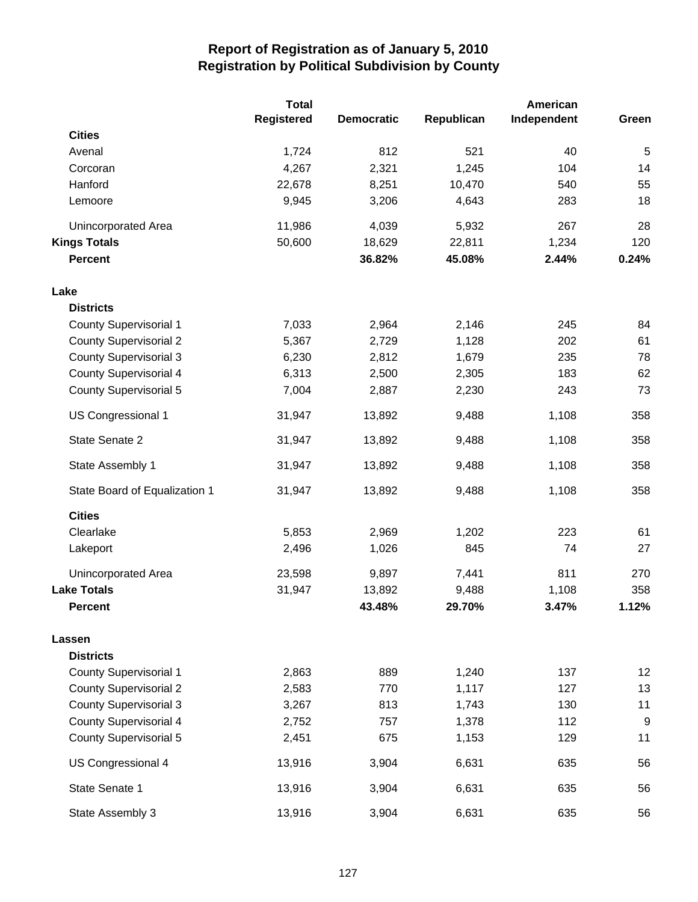|                               | <b>Total</b>      |                   |                 | American    |                |
|-------------------------------|-------------------|-------------------|-----------------|-------------|----------------|
|                               | <b>Registered</b> | <b>Democratic</b> | Republican      | Independent | Green          |
| <b>Cities</b>                 |                   |                   |                 |             |                |
| Avenal                        | 1,724             | 812               | 521             | 40          | $\overline{5}$ |
| Corcoran<br>Hanford           | 4,267<br>22,678   | 2,321             | 1,245           | 104<br>540  | 14<br>55       |
| Lemoore                       | 9,945             | 8,251<br>3,206    | 10,470<br>4,643 | 283         | 18             |
|                               |                   |                   |                 |             |                |
| Unincorporated Area           | 11,986            | 4,039             | 5,932           | 267         | 28             |
| <b>Kings Totals</b>           | 50,600            | 18,629            | 22,811          | 1,234       | 120            |
| <b>Percent</b>                |                   | 36.82%            | 45.08%          | 2.44%       | 0.24%          |
| Lake                          |                   |                   |                 |             |                |
| <b>Districts</b>              |                   |                   |                 |             |                |
| <b>County Supervisorial 1</b> | 7,033             | 2,964             | 2,146           | 245         | 84             |
| <b>County Supervisorial 2</b> | 5,367             | 2,729             | 1,128           | 202         | 61             |
| <b>County Supervisorial 3</b> | 6,230             | 2,812             | 1,679           | 235         | 78             |
| <b>County Supervisorial 4</b> | 6,313             | 2,500             | 2,305           | 183         | 62             |
| <b>County Supervisorial 5</b> | 7,004             | 2,887             | 2,230           | 243         | 73             |
| US Congressional 1            | 31,947            | 13,892            | 9,488           | 1,108       | 358            |
| State Senate 2                | 31,947            | 13,892            | 9,488           | 1,108       | 358            |
| State Assembly 1              | 31,947            | 13,892            | 9,488           | 1,108       | 358            |
| State Board of Equalization 1 | 31,947            | 13,892            | 9,488           | 1,108       | 358            |
| <b>Cities</b>                 |                   |                   |                 |             |                |
| Clearlake                     | 5,853             | 2,969             | 1,202           | 223         | 61             |
| Lakeport                      | 2,496             | 1,026             | 845             | 74          | 27             |
| Unincorporated Area           | 23,598            | 9,897             | 7,441           | 811         | 270            |
| <b>Lake Totals</b>            | 31,947            | 13,892            | 9,488           | 1,108       | 358            |
| <b>Percent</b>                |                   | 43.48%            | 29.70%          | 3.47%       | 1.12%          |
| Lassen                        |                   |                   |                 |             |                |
| <b>Districts</b>              |                   |                   |                 |             |                |
| <b>County Supervisorial 1</b> | 2,863             | 889               | 1,240           | 137         | 12             |
| <b>County Supervisorial 2</b> | 2,583             | 770               | 1,117           | 127         | 13             |
| <b>County Supervisorial 3</b> | 3,267             | 813               | 1,743           | 130         | 11             |
| County Supervisorial 4        | 2,752             | 757               | 1,378           | 112         | 9              |
| <b>County Supervisorial 5</b> | 2,451             | 675               | 1,153           | 129         | 11             |
| US Congressional 4            | 13,916            | 3,904             | 6,631           | 635         | 56             |
| State Senate 1                | 13,916            | 3,904             | 6,631           | 635         | 56             |
| State Assembly 3              | 13,916            | 3,904             | 6,631           | 635         | 56             |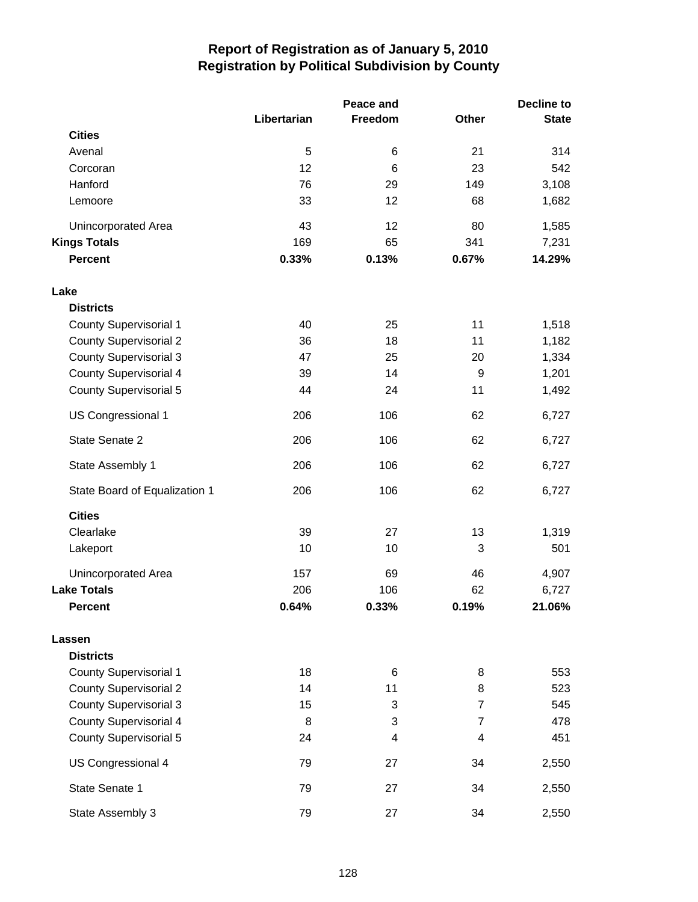|                               |             | Peace and |                | <b>Decline to</b> |  |
|-------------------------------|-------------|-----------|----------------|-------------------|--|
|                               | Libertarian | Freedom   | Other          | <b>State</b>      |  |
| <b>Cities</b>                 |             |           |                |                   |  |
| Avenal                        | 5           | 6         | 21             | 314               |  |
| Corcoran                      | 12          | 6         | 23             | 542               |  |
| Hanford                       | 76          | 29        | 149            | 3,108             |  |
| Lemoore                       | 33          | 12        | 68             | 1,682             |  |
| Unincorporated Area           | 43          | 12        | 80             | 1,585             |  |
| <b>Kings Totals</b>           | 169         | 65        | 341            | 7,231             |  |
| <b>Percent</b>                | 0.33%       | 0.13%     | 0.67%          | 14.29%            |  |
| Lake                          |             |           |                |                   |  |
| <b>Districts</b>              |             |           |                |                   |  |
| <b>County Supervisorial 1</b> | 40          | 25        | 11             | 1,518             |  |
| <b>County Supervisorial 2</b> | 36          | 18        | 11             | 1,182             |  |
| <b>County Supervisorial 3</b> | 47          | 25        | 20             | 1,334             |  |
| <b>County Supervisorial 4</b> | 39          | 14        | 9              | 1,201             |  |
| County Supervisorial 5        | 44          | 24        | 11             | 1,492             |  |
| US Congressional 1            | 206         | 106       | 62             | 6,727             |  |
| State Senate 2                | 206         | 106       | 62             | 6,727             |  |
| State Assembly 1              | 206         | 106       | 62             | 6,727             |  |
| State Board of Equalization 1 | 206         | 106       | 62             | 6,727             |  |
| <b>Cities</b>                 |             |           |                |                   |  |
| Clearlake                     | 39          | 27        | 13             | 1,319             |  |
| Lakeport                      | 10          | 10        | 3              | 501               |  |
| Unincorporated Area           | 157         | 69        | 46             | 4,907             |  |
| <b>Lake Totals</b>            | 206         | 106       | 62             | 6,727             |  |
| <b>Percent</b>                | 0.64%       | 0.33%     | 0.19%          | 21.06%            |  |
| Lassen                        |             |           |                |                   |  |
| <b>Districts</b>              |             |           |                |                   |  |
| <b>County Supervisorial 1</b> | 18          | 6         | 8              | 553               |  |
| <b>County Supervisorial 2</b> | 14          | 11        | 8              | 523               |  |
| <b>County Supervisorial 3</b> | 15          | 3         | $\overline{7}$ | 545               |  |
| <b>County Supervisorial 4</b> | 8           | 3         | $\overline{7}$ | 478               |  |
| <b>County Supervisorial 5</b> | 24          | 4         | 4              | 451               |  |
| US Congressional 4            | 79          | 27        | 34             | 2,550             |  |
| State Senate 1                | 79          | 27        | 34             | 2,550             |  |
| State Assembly 3              | 79          | 27        | 34             | 2,550             |  |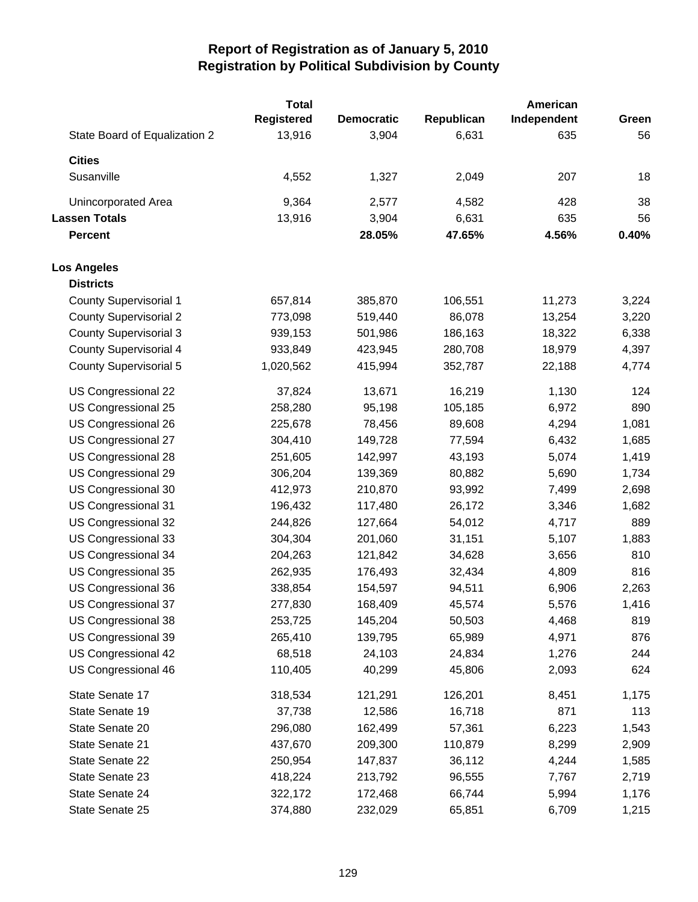|                               | <b>Total</b> |                   |            | American    |       |
|-------------------------------|--------------|-------------------|------------|-------------|-------|
|                               | Registered   | <b>Democratic</b> | Republican | Independent | Green |
| State Board of Equalization 2 | 13,916       | 3,904             | 6,631      | 635         | 56    |
| <b>Cities</b>                 |              |                   |            |             |       |
| Susanville                    | 4,552        | 1,327             | 2,049      | 207         | 18    |
| Unincorporated Area           | 9,364        | 2,577             | 4,582      | 428         | 38    |
| <b>Lassen Totals</b>          | 13,916       | 3,904             | 6,631      | 635         | 56    |
| <b>Percent</b>                |              | 28.05%            | 47.65%     | 4.56%       | 0.40% |
| <b>Los Angeles</b>            |              |                   |            |             |       |
| <b>Districts</b>              |              |                   |            |             |       |
| <b>County Supervisorial 1</b> | 657,814      | 385,870           | 106,551    | 11,273      | 3,224 |
| <b>County Supervisorial 2</b> | 773,098      | 519,440           | 86,078     | 13,254      | 3,220 |
| <b>County Supervisorial 3</b> | 939,153      | 501,986           | 186,163    | 18,322      | 6,338 |
| <b>County Supervisorial 4</b> | 933,849      | 423,945           | 280,708    | 18,979      | 4,397 |
| <b>County Supervisorial 5</b> | 1,020,562    | 415,994           | 352,787    | 22,188      | 4,774 |
| US Congressional 22           | 37,824       | 13,671            | 16,219     | 1,130       | 124   |
| US Congressional 25           | 258,280      | 95,198            | 105,185    | 6,972       | 890   |
| US Congressional 26           | 225,678      | 78,456            | 89,608     | 4,294       | 1,081 |
| US Congressional 27           | 304,410      | 149,728           | 77,594     | 6,432       | 1,685 |
| US Congressional 28           | 251,605      | 142,997           | 43,193     | 5,074       | 1,419 |
| US Congressional 29           | 306,204      | 139,369           | 80,882     | 5,690       | 1,734 |
| US Congressional 30           | 412,973      | 210,870           | 93,992     | 7,499       | 2,698 |
| US Congressional 31           | 196,432      | 117,480           | 26,172     | 3,346       | 1,682 |
| US Congressional 32           | 244,826      | 127,664           | 54,012     | 4,717       | 889   |
| US Congressional 33           | 304,304      | 201,060           | 31,151     | 5,107       | 1,883 |
| US Congressional 34           | 204,263      | 121,842           | 34,628     | 3,656       | 810   |
| US Congressional 35           | 262,935      | 176,493           | 32,434     | 4,809       | 816   |
| US Congressional 36           | 338,854      | 154,597           | 94,511     | 6,906       | 2,263 |
| US Congressional 37           | 277,830      | 168,409           | 45,574     | 5,576       | 1,416 |
| US Congressional 38           | 253,725      | 145,204           | 50,503     | 4,468       | 819   |
| US Congressional 39           | 265,410      | 139,795           | 65,989     | 4,971       | 876   |
| US Congressional 42           | 68,518       | 24,103            | 24,834     | 1,276       | 244   |
| US Congressional 46           | 110,405      | 40,299            | 45,806     | 2,093       | 624   |
| State Senate 17               | 318,534      | 121,291           | 126,201    | 8,451       | 1,175 |
| State Senate 19               | 37,738       | 12,586            | 16,718     | 871         | 113   |
| State Senate 20               | 296,080      | 162,499           | 57,361     | 6,223       | 1,543 |
| State Senate 21               | 437,670      | 209,300           | 110,879    | 8,299       | 2,909 |
| State Senate 22               | 250,954      | 147,837           | 36,112     | 4,244       | 1,585 |
| State Senate 23               | 418,224      | 213,792           | 96,555     | 7,767       | 2,719 |
| State Senate 24               | 322,172      | 172,468           | 66,744     | 5,994       | 1,176 |
| State Senate 25               | 374,880      | 232,029           | 65,851     | 6,709       | 1,215 |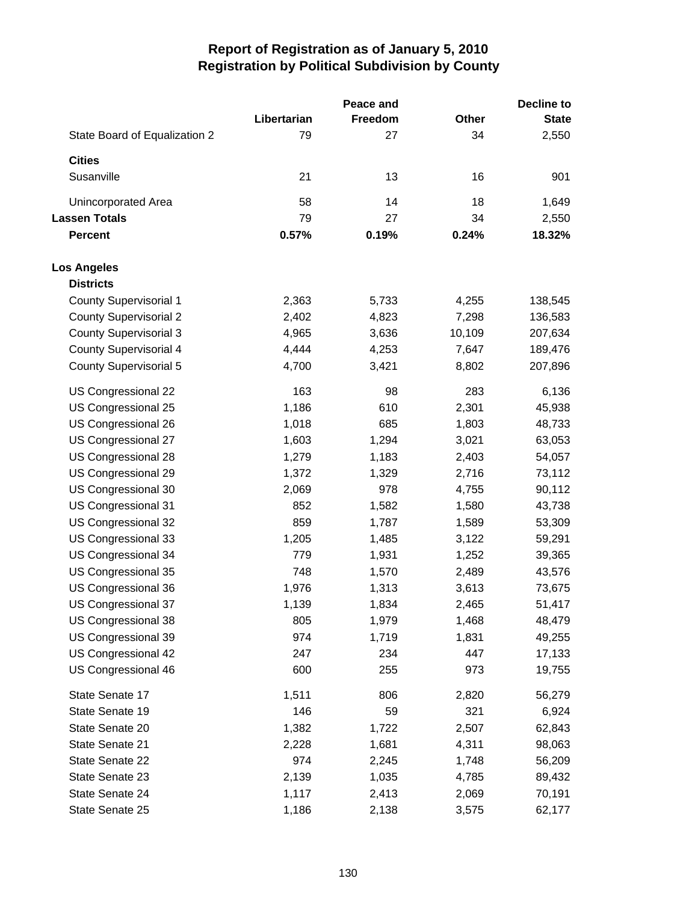|                               |             | Peace and |        | <b>Decline to</b> |
|-------------------------------|-------------|-----------|--------|-------------------|
|                               | Libertarian | Freedom   | Other  | <b>State</b>      |
| State Board of Equalization 2 | 79          | 27        | 34     | 2,550             |
| <b>Cities</b>                 |             |           |        |                   |
| Susanville                    | 21          | 13        | 16     | 901               |
| Unincorporated Area           | 58          | 14        | 18     | 1,649             |
| <b>Lassen Totals</b>          | 79          | 27        | 34     | 2,550             |
| <b>Percent</b>                | 0.57%       | 0.19%     | 0.24%  | 18.32%            |
| <b>Los Angeles</b>            |             |           |        |                   |
| <b>Districts</b>              |             |           |        |                   |
| <b>County Supervisorial 1</b> | 2,363       | 5,733     | 4,255  | 138,545           |
| <b>County Supervisorial 2</b> | 2,402       | 4,823     | 7,298  | 136,583           |
| <b>County Supervisorial 3</b> | 4,965       | 3,636     | 10,109 | 207,634           |
| <b>County Supervisorial 4</b> | 4,444       | 4,253     | 7,647  | 189,476           |
| <b>County Supervisorial 5</b> | 4,700       | 3,421     | 8,802  | 207,896           |
| US Congressional 22           | 163         | 98        | 283    | 6,136             |
| US Congressional 25           | 1,186       | 610       | 2,301  | 45,938            |
| US Congressional 26           | 1,018       | 685       | 1,803  | 48,733            |
| US Congressional 27           | 1,603       | 1,294     | 3,021  | 63,053            |
| US Congressional 28           | 1,279       | 1,183     | 2,403  | 54,057            |
| US Congressional 29           | 1,372       | 1,329     | 2,716  | 73,112            |
| US Congressional 30           | 2,069       | 978       | 4,755  | 90,112            |
| US Congressional 31           | 852         | 1,582     | 1,580  | 43,738            |
| US Congressional 32           | 859         | 1,787     | 1,589  | 53,309            |
| US Congressional 33           | 1,205       | 1,485     | 3,122  | 59,291            |
| US Congressional 34           | 779         | 1,931     | 1,252  | 39,365            |
| US Congressional 35           | 748         | 1,570     | 2,489  | 43,576            |
| US Congressional 36           | 1,976       | 1,313     | 3,613  | 73,675            |
| US Congressional 37           | 1,139       | 1,834     | 2,465  | 51,417            |
| US Congressional 38           | 805         | 1,979     | 1,468  | 48,479            |
| US Congressional 39           | 974         | 1,719     | 1,831  | 49,255            |
| US Congressional 42           | 247         | 234       | 447    | 17,133            |
| US Congressional 46           | 600         | 255       | 973    | 19,755            |
| State Senate 17               | 1,511       | 806       | 2,820  | 56,279            |
| State Senate 19               | 146         | 59        | 321    | 6,924             |
| State Senate 20               | 1,382       | 1,722     | 2,507  | 62,843            |
| State Senate 21               | 2,228       | 1,681     | 4,311  | 98,063            |
| State Senate 22               | 974         | 2,245     | 1,748  | 56,209            |
| State Senate 23               | 2,139       | 1,035     | 4,785  | 89,432            |
| State Senate 24               | 1,117       | 2,413     | 2,069  | 70,191            |
| State Senate 25               | 1,186       | 2,138     | 3,575  | 62,177            |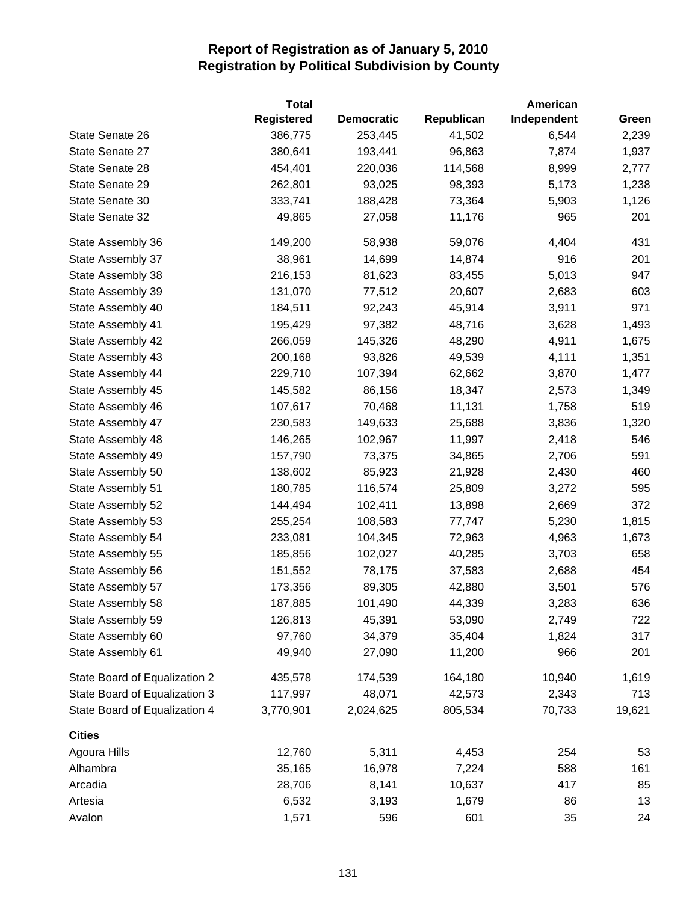|                               | <b>Total</b>      |                   |            | American    |        |
|-------------------------------|-------------------|-------------------|------------|-------------|--------|
|                               | <b>Registered</b> | <b>Democratic</b> | Republican | Independent | Green  |
| State Senate 26               | 386,775           | 253,445           | 41,502     | 6,544       | 2,239  |
| State Senate 27               | 380,641           | 193,441           | 96,863     | 7,874       | 1,937  |
| State Senate 28               | 454,401           | 220,036           | 114,568    | 8,999       | 2,777  |
| State Senate 29               | 262,801           | 93,025            | 98,393     | 5,173       | 1,238  |
| State Senate 30               | 333,741           | 188,428           | 73,364     | 5,903       | 1,126  |
| State Senate 32               | 49,865            | 27,058            | 11,176     | 965         | 201    |
| State Assembly 36             | 149,200           | 58,938            | 59,076     | 4,404       | 431    |
| State Assembly 37             | 38,961            | 14,699            | 14,874     | 916         | 201    |
| State Assembly 38             | 216,153           | 81,623            | 83,455     | 5,013       | 947    |
| State Assembly 39             | 131,070           | 77,512            | 20,607     | 2,683       | 603    |
| State Assembly 40             | 184,511           | 92,243            | 45,914     | 3,911       | 971    |
| State Assembly 41             | 195,429           | 97,382            | 48,716     | 3,628       | 1,493  |
| State Assembly 42             | 266,059           | 145,326           | 48,290     | 4,911       | 1,675  |
| State Assembly 43             | 200,168           | 93,826            | 49,539     | 4,111       | 1,351  |
| State Assembly 44             | 229,710           | 107,394           | 62,662     | 3,870       | 1,477  |
| State Assembly 45             | 145,582           | 86,156            | 18,347     | 2,573       | 1,349  |
| State Assembly 46             | 107,617           | 70,468            | 11,131     | 1,758       | 519    |
| State Assembly 47             | 230,583           | 149,633           | 25,688     | 3,836       | 1,320  |
| State Assembly 48             | 146,265           | 102,967           | 11,997     | 2,418       | 546    |
| State Assembly 49             | 157,790           | 73,375            | 34,865     | 2,706       | 591    |
| State Assembly 50             | 138,602           | 85,923            | 21,928     | 2,430       | 460    |
| State Assembly 51             | 180,785           | 116,574           | 25,809     | 3,272       | 595    |
| State Assembly 52             | 144,494           | 102,411           | 13,898     | 2,669       | 372    |
| State Assembly 53             | 255,254           | 108,583           | 77,747     | 5,230       | 1,815  |
| State Assembly 54             | 233,081           | 104,345           | 72,963     | 4,963       | 1,673  |
| State Assembly 55             | 185,856           | 102,027           | 40,285     | 3,703       | 658    |
| State Assembly 56             | 151,552           | 78,175            | 37,583     | 2,688       | 454    |
| State Assembly 57             | 173,356           | 89,305            | 42,880     | 3,501       | 576    |
| State Assembly 58             | 187,885           | 101,490           | 44,339     | 3,283       | 636    |
| State Assembly 59             | 126,813           | 45,391            | 53,090     | 2,749       | 722    |
| State Assembly 60             | 97,760            | 34,379            | 35,404     | 1,824       | 317    |
| State Assembly 61             | 49,940            | 27,090            | 11,200     | 966         | 201    |
| State Board of Equalization 2 | 435,578           | 174,539           | 164,180    | 10,940      | 1,619  |
| State Board of Equalization 3 | 117,997           | 48,071            | 42,573     | 2,343       | 713    |
| State Board of Equalization 4 | 3,770,901         | 2,024,625         | 805,534    | 70,733      | 19,621 |
| <b>Cities</b>                 |                   |                   |            |             |        |
| Agoura Hills                  | 12,760            | 5,311             | 4,453      | 254         | 53     |
| Alhambra                      | 35,165            | 16,978            | 7,224      | 588         | 161    |
| Arcadia                       | 28,706            | 8,141             | 10,637     | 417         | 85     |
| Artesia                       | 6,532             | 3,193             | 1,679      | 86          | 13     |
| Avalon                        | 1,571             | 596               | 601        | 35          | 24     |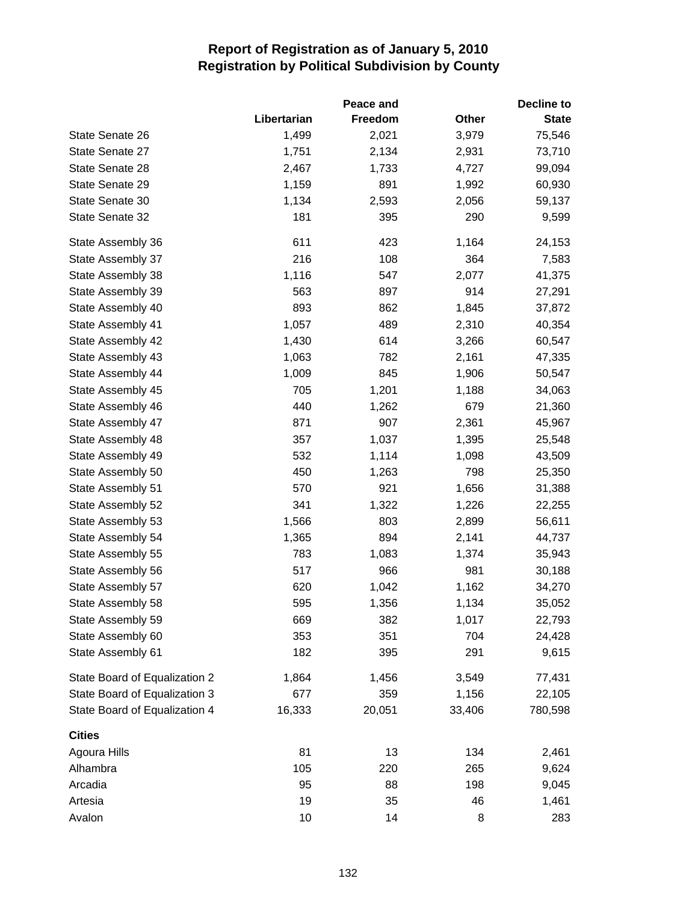|                               |             | Peace and |        | <b>Decline to</b> |
|-------------------------------|-------------|-----------|--------|-------------------|
|                               | Libertarian | Freedom   | Other  | <b>State</b>      |
| State Senate 26               | 1,499       | 2,021     | 3,979  | 75,546            |
| State Senate 27               | 1,751       | 2,134     | 2,931  | 73,710            |
| State Senate 28               | 2,467       | 1,733     | 4,727  | 99,094            |
| State Senate 29               | 1,159       | 891       | 1,992  | 60,930            |
| State Senate 30               | 1,134       | 2,593     | 2,056  | 59,137            |
| State Senate 32               | 181         | 395       | 290    | 9,599             |
| State Assembly 36             | 611         | 423       | 1,164  | 24,153            |
| State Assembly 37             | 216         | 108       | 364    | 7,583             |
| State Assembly 38             | 1,116       | 547       | 2,077  | 41,375            |
| State Assembly 39             | 563         | 897       | 914    | 27,291            |
| State Assembly 40             | 893         | 862       | 1,845  | 37,872            |
| State Assembly 41             | 1,057       | 489       | 2,310  | 40,354            |
| State Assembly 42             | 1,430       | 614       | 3,266  | 60,547            |
| State Assembly 43             | 1,063       | 782       | 2,161  | 47,335            |
| State Assembly 44             | 1,009       | 845       | 1,906  | 50,547            |
| State Assembly 45             | 705         | 1,201     | 1,188  | 34,063            |
| State Assembly 46             | 440         | 1,262     | 679    | 21,360            |
| State Assembly 47             | 871         | 907       | 2,361  | 45,967            |
| State Assembly 48             | 357         | 1,037     | 1,395  | 25,548            |
| State Assembly 49             | 532         | 1,114     | 1,098  | 43,509            |
| State Assembly 50             | 450         | 1,263     | 798    | 25,350            |
| State Assembly 51             | 570         | 921       | 1,656  | 31,388            |
| State Assembly 52             | 341         | 1,322     | 1,226  | 22,255            |
| State Assembly 53             | 1,566       | 803       | 2,899  | 56,611            |
| State Assembly 54             | 1,365       | 894       | 2,141  | 44,737            |
| State Assembly 55             | 783         | 1,083     | 1,374  | 35,943            |
| State Assembly 56             | 517         | 966       | 981    | 30,188            |
| State Assembly 57             | 620         | 1,042     | 1,162  | 34,270            |
| State Assembly 58             | 595         | 1,356     | 1,134  | 35,052            |
| State Assembly 59             | 669         | 382       | 1,017  | 22,793            |
| State Assembly 60             | 353         | 351       | 704    | 24,428            |
| State Assembly 61             | 182         | 395       | 291    | 9,615             |
| State Board of Equalization 2 | 1,864       | 1,456     | 3,549  | 77,431            |
| State Board of Equalization 3 | 677         | 359       | 1,156  | 22,105            |
| State Board of Equalization 4 | 16,333      | 20,051    | 33,406 | 780,598           |
| <b>Cities</b>                 |             |           |        |                   |
| Agoura Hills                  | 81          | 13        | 134    | 2,461             |
| Alhambra                      | 105         | 220       | 265    | 9,624             |
| Arcadia                       | 95          | 88        | 198    | 9,045             |
| Artesia                       | 19          | 35        | 46     | 1,461             |
| Avalon                        | 10          | 14        | 8      | 283               |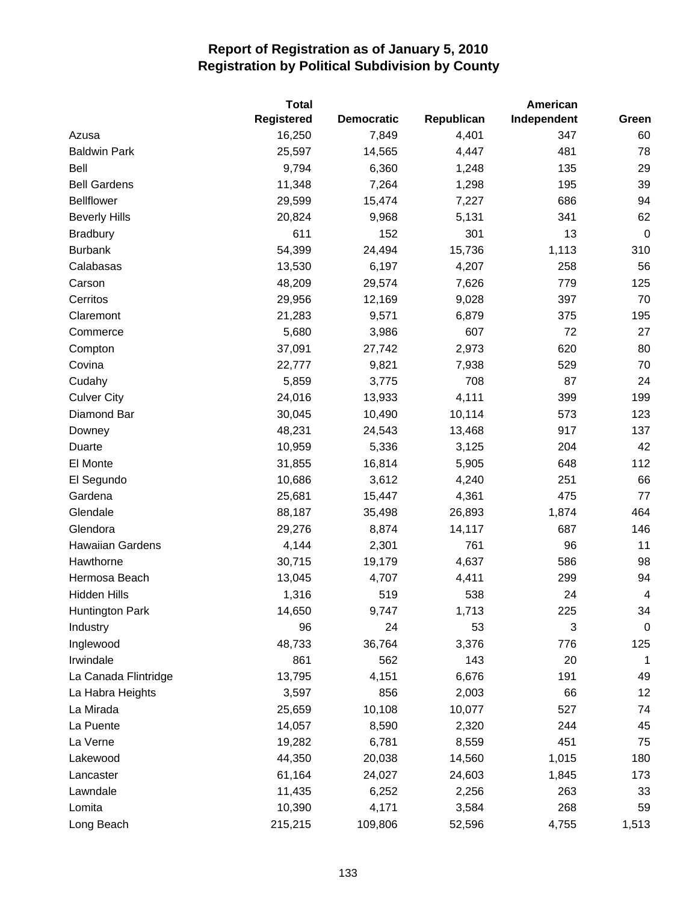|                      | <b>Total</b>      |                   |            | American    |                |
|----------------------|-------------------|-------------------|------------|-------------|----------------|
|                      | <b>Registered</b> | <b>Democratic</b> | Republican | Independent | Green          |
| Azusa                | 16,250            | 7,849             | 4,401      | 347         | 60             |
| <b>Baldwin Park</b>  | 25,597            | 14,565            | 4,447      | 481         | 78             |
| Bell                 | 9,794             | 6,360             | 1,248      | 135         | 29             |
| <b>Bell Gardens</b>  | 11,348            | 7,264             | 1,298      | 195         | 39             |
| <b>Bellflower</b>    | 29,599            | 15,474            | 7,227      | 686         | 94             |
| <b>Beverly Hills</b> | 20,824            | 9,968             | 5,131      | 341         | 62             |
| <b>Bradbury</b>      | 611               | 152               | 301        | 13          | $\mathbf 0$    |
| <b>Burbank</b>       | 54,399            | 24,494            | 15,736     | 1,113       | 310            |
| Calabasas            | 13,530            | 6,197             | 4,207      | 258         | 56             |
| Carson               | 48,209            | 29,574            | 7,626      | 779         | 125            |
| Cerritos             | 29,956            | 12,169            | 9,028      | 397         | 70             |
| Claremont            | 21,283            | 9,571             | 6,879      | 375         | 195            |
| Commerce             | 5,680             | 3,986             | 607        | 72          | 27             |
| Compton              | 37,091            | 27,742            | 2,973      | 620         | 80             |
| Covina               | 22,777            | 9,821             | 7,938      | 529         | 70             |
| Cudahy               | 5,859             | 3,775             | 708        | 87          | 24             |
| <b>Culver City</b>   | 24,016            | 13,933            | 4,111      | 399         | 199            |
| Diamond Bar          | 30,045            | 10,490            | 10,114     | 573         | 123            |
| Downey               | 48,231            | 24,543            | 13,468     | 917         | 137            |
| Duarte               | 10,959            | 5,336             | 3,125      | 204         | 42             |
| El Monte             | 31,855            | 16,814            | 5,905      | 648         | 112            |
| El Segundo           | 10,686            | 3,612             | 4,240      | 251         | 66             |
| Gardena              | 25,681            | 15,447            | 4,361      | 475         | 77             |
| Glendale             | 88,187            | 35,498            | 26,893     | 1,874       | 464            |
| Glendora             | 29,276            | 8,874             | 14,117     | 687         | 146            |
| Hawaiian Gardens     | 4,144             | 2,301             | 761        | 96          | 11             |
| Hawthorne            | 30,715            | 19,179            | 4,637      | 586         | 98             |
| Hermosa Beach        | 13,045            | 4,707             | 4,411      | 299         | 94             |
| <b>Hidden Hills</b>  | 1,316             | 519               | 538        | 24          | $\overline{4}$ |
| Huntington Park      | 14,650            | 9,747             | 1,713      | 225         | 34             |
| Industry             | 96                | 24                | 53         | 3           | $\mathbf 0$    |
| Inglewood            | 48,733            | 36,764            | 3,376      | 776         | 125            |
| Irwindale            | 861               | 562               | 143        | 20          | 1              |
| La Canada Flintridge | 13,795            | 4,151             | 6,676      | 191         | 49             |
| La Habra Heights     | 3,597             | 856               | 2,003      | 66          | 12             |
| La Mirada            | 25,659            | 10,108            | 10,077     | 527         | 74             |
| La Puente            | 14,057            | 8,590             | 2,320      | 244         | 45             |
| La Verne             | 19,282            | 6,781             | 8,559      | 451         | 75             |
| Lakewood             | 44,350            | 20,038            | 14,560     | 1,015       | 180            |
| Lancaster            | 61,164            | 24,027            | 24,603     | 1,845       | 173            |
| Lawndale             | 11,435            | 6,252             | 2,256      | 263         | 33             |
| Lomita               | 10,390            | 4,171             | 3,584      | 268         | 59             |
| Long Beach           | 215,215           | 109,806           | 52,596     | 4,755       | 1,513          |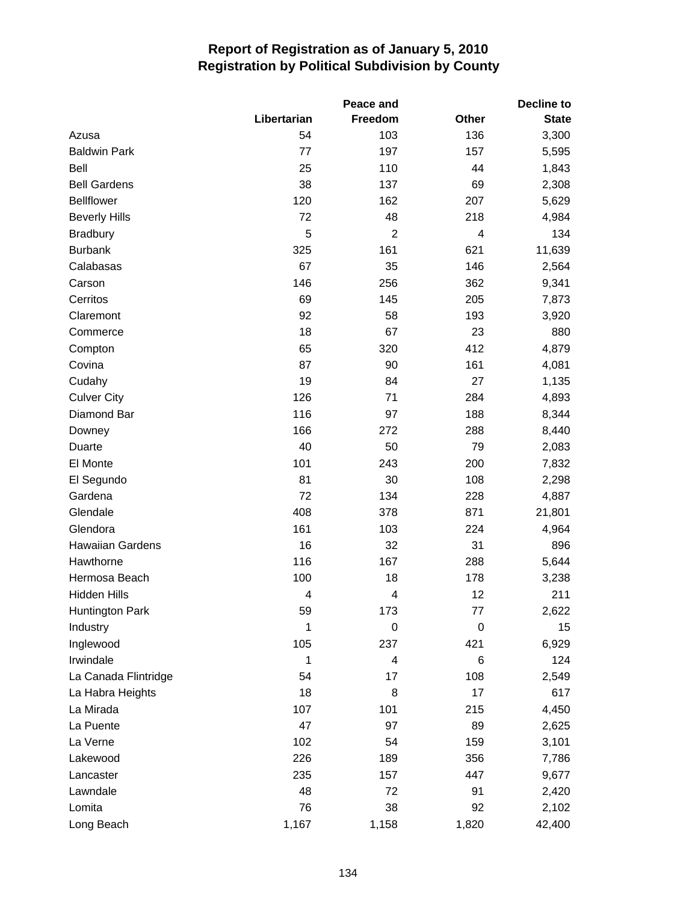|                      |             | Peace and               |       | <b>Decline to</b> |
|----------------------|-------------|-------------------------|-------|-------------------|
|                      | Libertarian | Freedom                 | Other | <b>State</b>      |
| Azusa                | 54          | 103                     | 136   | 3,300             |
| <b>Baldwin Park</b>  | 77          | 197                     | 157   | 5,595             |
| <b>Bell</b>          | 25          | 110                     | 44    | 1,843             |
| <b>Bell Gardens</b>  | 38          | 137                     | 69    | 2,308             |
| <b>Bellflower</b>    | 120         | 162                     | 207   | 5,629             |
| <b>Beverly Hills</b> | 72          | 48                      | 218   | 4,984             |
| <b>Bradbury</b>      | 5           | $\overline{2}$          | 4     | 134               |
| <b>Burbank</b>       | 325         | 161                     | 621   | 11,639            |
| Calabasas            | 67          | 35                      | 146   | 2,564             |
| Carson               | 146         | 256                     | 362   | 9,341             |
| Cerritos             | 69          | 145                     | 205   | 7,873             |
| Claremont            | 92          | 58                      | 193   | 3,920             |
| Commerce             | 18          | 67                      | 23    | 880               |
| Compton              | 65          | 320                     | 412   | 4,879             |
| Covina               | 87          | 90                      | 161   | 4,081             |
| Cudahy               | 19          | 84                      | 27    | 1,135             |
| <b>Culver City</b>   | 126         | 71                      | 284   | 4,893             |
| Diamond Bar          | 116         | 97                      | 188   | 8,344             |
| Downey               | 166         | 272                     | 288   | 8,440             |
| Duarte               | 40          | 50                      | 79    | 2,083             |
| El Monte             | 101         | 243                     | 200   | 7,832             |
| El Segundo           | 81          | 30                      | 108   | 2,298             |
| Gardena              | 72          | 134                     | 228   | 4,887             |
| Glendale             | 408         | 378                     | 871   | 21,801            |
| Glendora             | 161         | 103                     | 224   | 4,964             |
| Hawaiian Gardens     | 16          | 32                      | 31    | 896               |
| Hawthorne            | 116         | 167                     | 288   | 5,644             |
| Hermosa Beach        | 100         | 18                      | 178   | 3,238             |
| <b>Hidden Hills</b>  | 4           | 4                       | 12    | 211               |
| Huntington Park      | 59          | 173                     | 77    | 2,622             |
| Industry             | 1           | 0                       | 0     | 15                |
| Inglewood            | 105         | 237                     | 421   | 6,929             |
| Irwindale            | 1           | $\overline{\mathbf{4}}$ | 6     | 124               |
| La Canada Flintridge | 54          | 17                      | 108   | 2,549             |
| La Habra Heights     | 18          | 8                       | 17    | 617               |
| La Mirada            | 107         | 101                     | 215   | 4,450             |
| La Puente            | 47          | 97                      | 89    | 2,625             |
| La Verne             | 102         | 54                      | 159   | 3,101             |
| Lakewood             | 226         | 189                     | 356   | 7,786             |
| Lancaster            | 235         | 157                     | 447   | 9,677             |
| Lawndale             | 48          | 72                      | 91    | 2,420             |
| Lomita               | 76          | 38                      | 92    | 2,102             |
| Long Beach           | 1,167       | 1,158                   | 1,820 | 42,400            |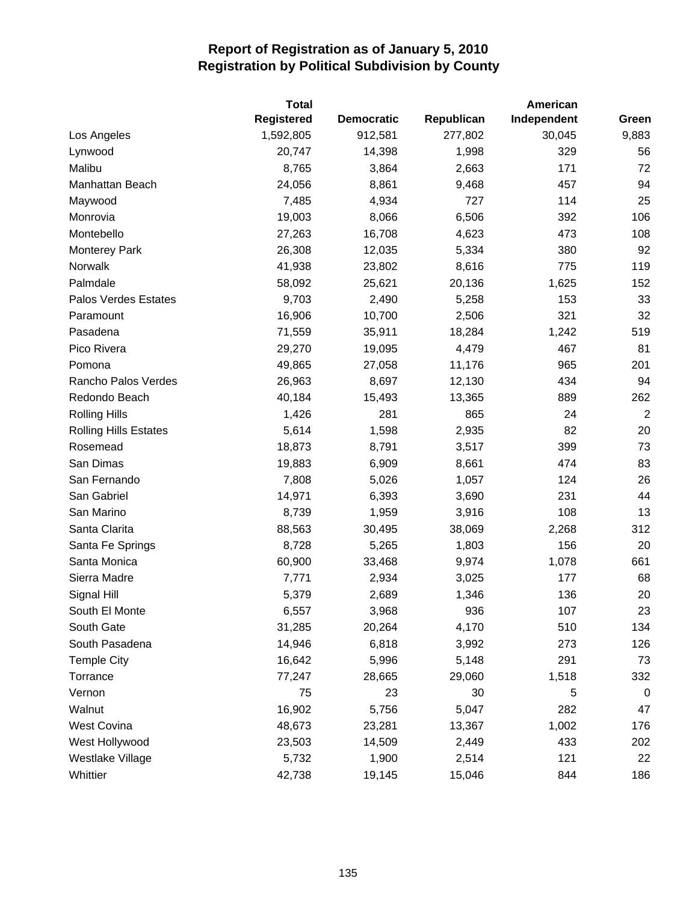|                              | <b>Total</b> |                   |            | American    |                |
|------------------------------|--------------|-------------------|------------|-------------|----------------|
|                              | Registered   | <b>Democratic</b> | Republican | Independent | Green          |
| Los Angeles                  | 1,592,805    | 912,581           | 277,802    | 30,045      | 9,883          |
| Lynwood                      | 20,747       | 14,398            | 1,998      | 329         | 56             |
| Malibu                       | 8,765        | 3,864             | 2,663      | 171         | 72             |
| Manhattan Beach              | 24,056       | 8,861             | 9,468      | 457         | 94             |
| Maywood                      | 7,485        | 4,934             | 727        | 114         | 25             |
| Monrovia                     | 19,003       | 8,066             | 6,506      | 392         | 106            |
| Montebello                   | 27,263       | 16,708            | 4,623      | 473         | 108            |
| <b>Monterey Park</b>         | 26,308       | 12,035            | 5,334      | 380         | 92             |
| Norwalk                      | 41,938       | 23,802            | 8,616      | 775         | 119            |
| Palmdale                     | 58,092       | 25,621            | 20,136     | 1,625       | 152            |
| Palos Verdes Estates         | 9,703        | 2,490             | 5,258      | 153         | 33             |
| Paramount                    | 16,906       | 10,700            | 2,506      | 321         | 32             |
| Pasadena                     | 71,559       | 35,911            | 18,284     | 1,242       | 519            |
| Pico Rivera                  | 29,270       | 19,095            | 4,479      | 467         | 81             |
| Pomona                       | 49,865       | 27,058            | 11,176     | 965         | 201            |
| Rancho Palos Verdes          | 26,963       | 8,697             | 12,130     | 434         | 94             |
| Redondo Beach                | 40,184       | 15,493            | 13,365     | 889         | 262            |
| <b>Rolling Hills</b>         | 1,426        | 281               | 865        | 24          | $\overline{2}$ |
| <b>Rolling Hills Estates</b> | 5,614        | 1,598             | 2,935      | 82          | 20             |
| Rosemead                     | 18,873       | 8,791             | 3,517      | 399         | 73             |
| San Dimas                    | 19,883       | 6,909             | 8,661      | 474         | 83             |
| San Fernando                 | 7,808        | 5,026             | 1,057      | 124         | 26             |
| San Gabriel                  | 14,971       | 6,393             | 3,690      | 231         | 44             |
| San Marino                   | 8,739        | 1,959             | 3,916      | 108         | 13             |
| Santa Clarita                | 88,563       | 30,495            | 38,069     | 2,268       | 312            |
| Santa Fe Springs             | 8,728        | 5,265             | 1,803      | 156         | 20             |
| Santa Monica                 | 60,900       | 33,468            | 9,974      | 1,078       | 661            |
| Sierra Madre                 | 7,771        | 2,934             | 3,025      | 177         | 68             |
| Signal Hill                  | 5,379        | 2,689             | 1,346      | 136         | 20             |
| South El Monte               | 6,557        | 3,968             | 936        | 107         | 23             |
| South Gate                   | 31,285       | 20,264            | 4,170      | 510         | 134            |
| South Pasadena               | 14,946       | 6,818             | 3,992      | 273         | 126            |
| <b>Temple City</b>           | 16,642       | 5,996             | 5,148      | 291         | 73             |
| Torrance                     | 77,247       | 28,665            | 29,060     | 1,518       | 332            |
| Vernon                       | 75           | 23                | 30         | 5           | 0              |
| Walnut                       | 16,902       | 5,756             | 5,047      | 282         | 47             |
| West Covina                  | 48,673       | 23,281            | 13,367     | 1,002       | 176            |
| West Hollywood               | 23,503       | 14,509            | 2,449      | 433         | 202            |
| Westlake Village             | 5,732        | 1,900             | 2,514      | 121         | 22             |
| Whittier                     | 42,738       | 19,145            | 15,046     | 844         | 186            |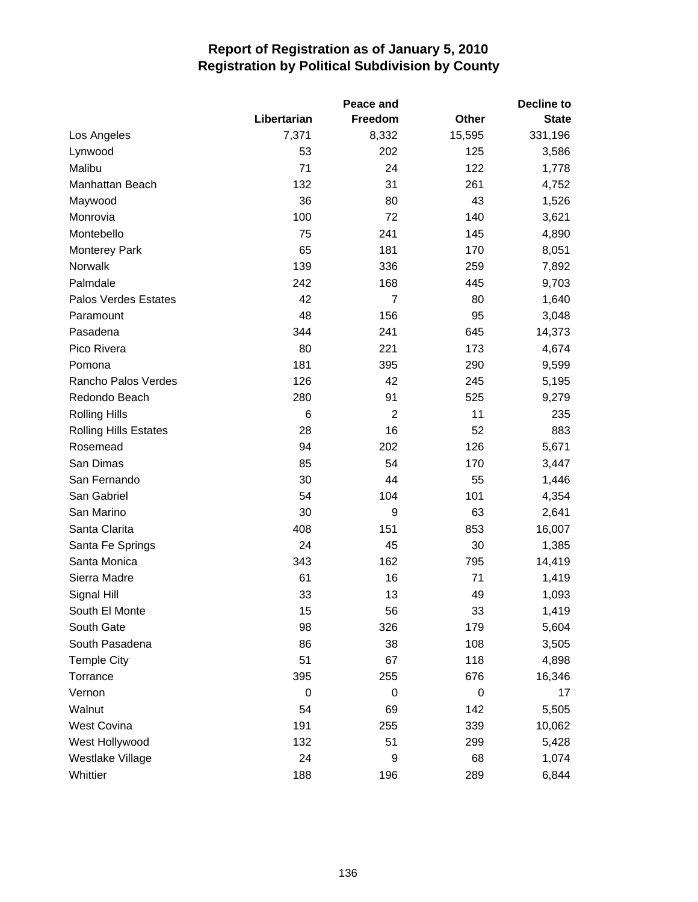|                              |             | Peace and      | <b>Decline to</b> |              |  |
|------------------------------|-------------|----------------|-------------------|--------------|--|
|                              | Libertarian | Freedom        | <b>Other</b>      | <b>State</b> |  |
| Los Angeles                  | 7,371       | 8,332          | 15,595            | 331,196      |  |
| Lynwood                      | 53          | 202            | 125               | 3,586        |  |
| Malibu                       | 71          | 24             | 122               | 1,778        |  |
| Manhattan Beach              | 132         | 31             | 261               | 4,752        |  |
| Maywood                      | 36          | 80             | 43                | 1,526        |  |
| Monrovia                     | 100         | 72             | 140               | 3,621        |  |
| Montebello                   | 75          | 241            | 145               | 4,890        |  |
| <b>Monterey Park</b>         | 65          | 181            | 170               | 8,051        |  |
| Norwalk                      | 139         | 336            | 259               | 7,892        |  |
| Palmdale                     | 242         | 168            | 445               | 9,703        |  |
| Palos Verdes Estates         | 42          | 7              | 80                | 1,640        |  |
| Paramount                    | 48          | 156            | 95                | 3,048        |  |
| Pasadena                     | 344         | 241            | 645               | 14,373       |  |
| Pico Rivera                  | 80          | 221            | 173               | 4,674        |  |
| Pomona                       | 181         | 395            | 290               | 9,599        |  |
| Rancho Palos Verdes          | 126         | 42             | 245               | 5,195        |  |
| Redondo Beach                | 280         | 91             | 525               | 9,279        |  |
| <b>Rolling Hills</b>         | 6           | $\overline{c}$ | 11                | 235          |  |
| <b>Rolling Hills Estates</b> | 28          | 16             | 52                | 883          |  |
| Rosemead                     | 94          | 202            | 126               | 5,671        |  |
| San Dimas                    | 85          | 54             | 170               | 3,447        |  |
| San Fernando                 | 30          | 44             | 55                | 1,446        |  |
| San Gabriel                  | 54          | 104            | 101               | 4,354        |  |
| San Marino                   | 30          | 9              | 63                | 2,641        |  |
| Santa Clarita                | 408         | 151            | 853               | 16,007       |  |
| Santa Fe Springs             | 24          | 45             | 30                | 1,385        |  |
| Santa Monica                 | 343         | 162            | 795               | 14,419       |  |
| Sierra Madre                 | 61          | 16             | 71                | 1,419        |  |
| Signal Hill                  | 33          | 13             | 49                | 1,093        |  |
| South El Monte               | 15          | 56             | 33                | 1,419        |  |
| South Gate                   | 98          | 326            | 179               | 5,604        |  |
| South Pasadena               | 86          | 38             | 108               | 3,505        |  |
| <b>Temple City</b>           | 51          | 67             | 118               | 4,898        |  |
| Torrance                     | 395         | 255            | 676               | 16,346       |  |
| Vernon                       | 0           | 0              | 0                 | 17           |  |
| Walnut                       | 54          | 69             | 142               | 5,505        |  |
| West Covina                  | 191         | 255            | 339               | 10,062       |  |
| West Hollywood               | 132         | 51             | 299               | 5,428        |  |
| Westlake Village             | 24          | 9              | 68                | 1,074        |  |
| Whittier                     | 188         | 196            | 289               | 6,844        |  |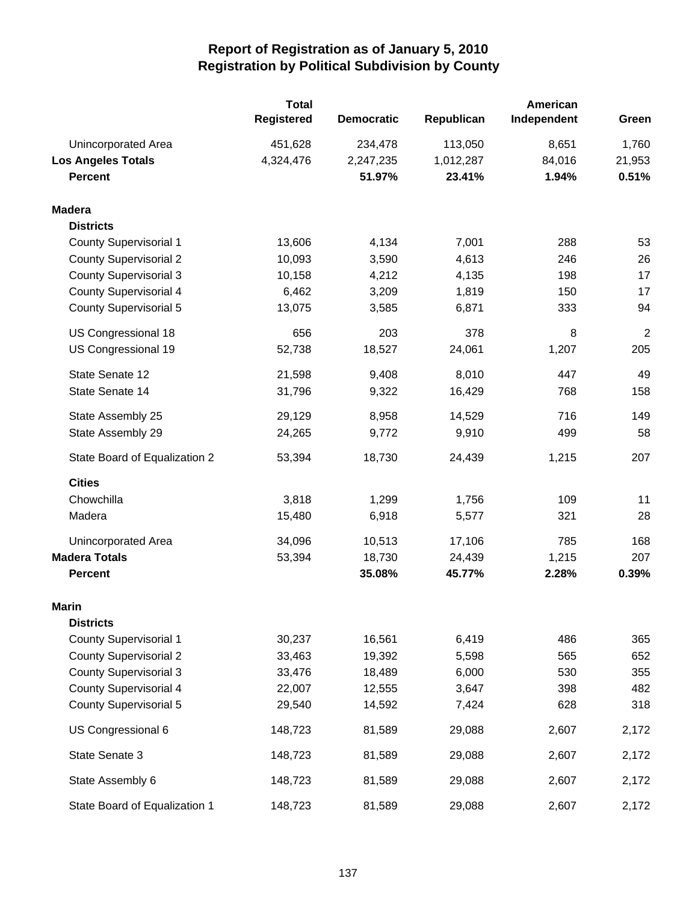|                               | <b>Total</b><br>Registered | <b>Democratic</b> | Republican | American<br>Independent | Green          |
|-------------------------------|----------------------------|-------------------|------------|-------------------------|----------------|
| Unincorporated Area           | 451,628                    | 234,478           | 113,050    | 8,651                   | 1,760          |
| <b>Los Angeles Totals</b>     | 4,324,476                  | 2,247,235         | 1,012,287  | 84,016                  | 21,953         |
| <b>Percent</b>                |                            | 51.97%            | 23.41%     | 1.94%                   | 0.51%          |
| <b>Madera</b>                 |                            |                   |            |                         |                |
| <b>Districts</b>              |                            |                   |            |                         |                |
| <b>County Supervisorial 1</b> | 13,606                     | 4,134             | 7,001      | 288                     | 53             |
| <b>County Supervisorial 2</b> | 10,093                     | 3,590             | 4,613      | 246                     | 26             |
| <b>County Supervisorial 3</b> | 10,158                     | 4,212             | 4,135      | 198                     | 17             |
| <b>County Supervisorial 4</b> | 6,462                      | 3,209             | 1,819      | 150                     | 17             |
| <b>County Supervisorial 5</b> | 13,075                     | 3,585             | 6,871      | 333                     | 94             |
| US Congressional 18           | 656                        | 203               | 378        | 8                       | $\overline{2}$ |
| US Congressional 19           | 52,738                     | 18,527            | 24,061     | 1,207                   | 205            |
| State Senate 12               | 21,598                     | 9,408             | 8,010      | 447                     | 49             |
| State Senate 14               | 31,796                     | 9,322             | 16,429     | 768                     | 158            |
| State Assembly 25             | 29,129                     | 8,958             | 14,529     | 716                     | 149            |
| State Assembly 29             | 24,265                     | 9,772             | 9,910      | 499                     | 58             |
| State Board of Equalization 2 | 53,394                     | 18,730            | 24,439     | 1,215                   | 207            |
| <b>Cities</b>                 |                            |                   |            |                         |                |
| Chowchilla                    | 3,818                      | 1,299             | 1,756      | 109                     | 11             |
| Madera                        | 15,480                     | 6,918             | 5,577      | 321                     | 28             |
| Unincorporated Area           | 34,096                     | 10,513            | 17,106     | 785                     | 168            |
| <b>Madera Totals</b>          | 53,394                     | 18,730            | 24,439     | 1,215                   | 207            |
| <b>Percent</b>                |                            | 35.08%            | 45.77%     | 2.28%                   | 0.39%          |
| Marin                         |                            |                   |            |                         |                |
| <b>Districts</b>              |                            |                   |            |                         |                |
| <b>County Supervisorial 1</b> | 30,237                     | 16,561            | 6,419      | 486                     | 365            |
| <b>County Supervisorial 2</b> | 33,463                     | 19,392            | 5,598      | 565                     | 652            |
| <b>County Supervisorial 3</b> | 33,476                     | 18,489            | 6,000      | 530                     | 355            |
| <b>County Supervisorial 4</b> | 22,007                     | 12,555            | 3,647      | 398                     | 482            |
| <b>County Supervisorial 5</b> | 29,540                     | 14,592            | 7,424      | 628                     | 318            |
| US Congressional 6            | 148,723                    | 81,589            | 29,088     | 2,607                   | 2,172          |
| State Senate 3                | 148,723                    | 81,589            | 29,088     | 2,607                   | 2,172          |
| State Assembly 6              | 148,723                    | 81,589            | 29,088     | 2,607                   | 2,172          |
| State Board of Equalization 1 | 148,723                    | 81,589            | 29,088     | 2,607                   | 2,172          |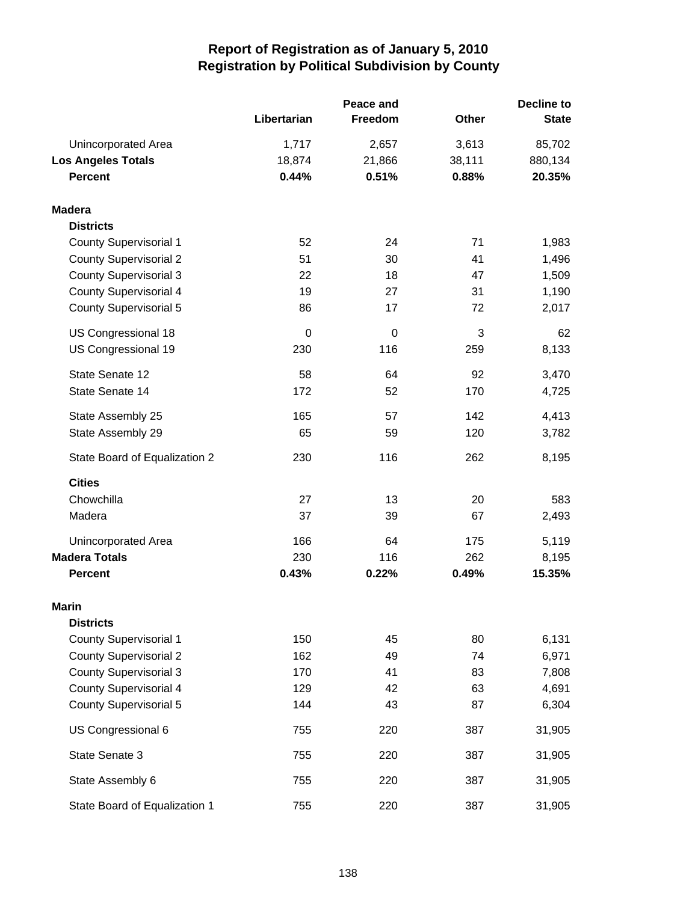|                               |             | Peace and |              | <b>Decline to</b> |  |
|-------------------------------|-------------|-----------|--------------|-------------------|--|
|                               | Libertarian | Freedom   | <b>Other</b> | <b>State</b>      |  |
| Unincorporated Area           | 1,717       | 2,657     | 3,613        | 85,702            |  |
| <b>Los Angeles Totals</b>     | 18,874      | 21,866    | 38,111       | 880,134           |  |
| <b>Percent</b>                | 0.44%       | 0.51%     | 0.88%        | 20.35%            |  |
| <b>Madera</b>                 |             |           |              |                   |  |
| <b>Districts</b>              |             |           |              |                   |  |
| <b>County Supervisorial 1</b> | 52          | 24        | 71           | 1,983             |  |
| <b>County Supervisorial 2</b> | 51          | 30        | 41           | 1,496             |  |
| <b>County Supervisorial 3</b> | 22          | 18        | 47           | 1,509             |  |
| <b>County Supervisorial 4</b> | 19          | 27        | 31           | 1,190             |  |
| <b>County Supervisorial 5</b> | 86          | 17        | 72           | 2,017             |  |
| US Congressional 18           | $\mathbf 0$ | 0         | 3            | 62                |  |
| US Congressional 19           | 230         | 116       | 259          | 8,133             |  |
| State Senate 12               | 58          | 64        | 92           | 3,470             |  |
| State Senate 14               | 172         | 52        | 170          | 4,725             |  |
| State Assembly 25             | 165         | 57        | 142          | 4,413             |  |
| State Assembly 29             | 65          | 59        | 120          | 3,782             |  |
| State Board of Equalization 2 | 230         | 116       | 262          | 8,195             |  |
| <b>Cities</b>                 |             |           |              |                   |  |
| Chowchilla                    | 27          | 13        | 20           | 583               |  |
| Madera                        | 37          | 39        | 67           | 2,493             |  |
| Unincorporated Area           | 166         | 64        | 175          | 5,119             |  |
| <b>Madera Totals</b>          | 230         | 116       | 262          | 8,195             |  |
| <b>Percent</b>                | 0.43%       | 0.22%     | 0.49%        | 15.35%            |  |
| Marin                         |             |           |              |                   |  |
| <b>Districts</b>              |             |           |              |                   |  |
| <b>County Supervisorial 1</b> | 150         | 45        | 80           | 6,131             |  |
| <b>County Supervisorial 2</b> | 162         | 49        | 74           | 6,971             |  |
| <b>County Supervisorial 3</b> | 170         | 41        | 83           | 7,808             |  |
| <b>County Supervisorial 4</b> | 129         | 42        | 63           | 4,691             |  |
| <b>County Supervisorial 5</b> | 144         | 43        | 87           | 6,304             |  |
| US Congressional 6            | 755         | 220       | 387          | 31,905            |  |
| State Senate 3                | 755         | 220       | 387          | 31,905            |  |
| State Assembly 6              | 755         | 220       | 387          | 31,905            |  |
| State Board of Equalization 1 | 755         | 220       | 387          | 31,905            |  |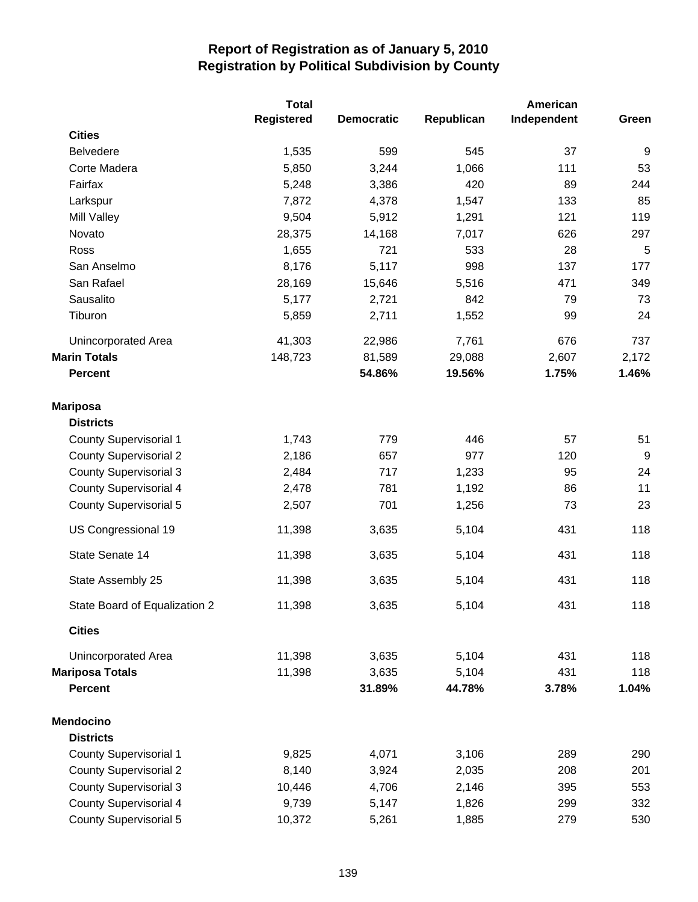|                               | <b>Total</b> |                   |            | American    |                  |
|-------------------------------|--------------|-------------------|------------|-------------|------------------|
|                               | Registered   | <b>Democratic</b> | Republican | Independent | Green            |
| <b>Cities</b>                 |              |                   |            |             |                  |
| <b>Belvedere</b>              | 1,535        | 599               | 545        | 37          | 9                |
| Corte Madera                  | 5,850        | 3,244             | 1,066      | 111         | 53               |
| Fairfax                       | 5,248        | 3,386             | 420        | 89          | 244              |
| Larkspur                      | 7,872        | 4,378             | 1,547      | 133         | 85               |
| <b>Mill Valley</b>            | 9,504        | 5,912             | 1,291      | 121         | 119              |
| Novato                        | 28,375       | 14,168            | 7,017      | 626         | 297              |
| Ross                          | 1,655        | 721               | 533        | 28          | $\overline{5}$   |
| San Anselmo                   | 8,176        | 5,117             | 998        | 137         | 177              |
| San Rafael                    | 28,169       | 15,646            | 5,516      | 471         | 349              |
| Sausalito                     | 5,177        | 2,721             | 842        | 79          | 73               |
| Tiburon                       | 5,859        | 2,711             | 1,552      | 99          | 24               |
| <b>Unincorporated Area</b>    | 41,303       | 22,986            | 7,761      | 676         | 737              |
| <b>Marin Totals</b>           | 148,723      | 81,589            | 29,088     | 2,607       | 2,172            |
| <b>Percent</b>                |              | 54.86%            | 19.56%     | 1.75%       | 1.46%            |
| <b>Mariposa</b>               |              |                   |            |             |                  |
| <b>Districts</b>              |              |                   |            |             |                  |
| <b>County Supervisorial 1</b> | 1,743        | 779               | 446        | 57          | 51               |
| <b>County Supervisorial 2</b> | 2,186        | 657               | 977        | 120         | $\boldsymbol{9}$ |
| <b>County Supervisorial 3</b> | 2,484        | 717               | 1,233      | 95          | 24               |
| <b>County Supervisorial 4</b> | 2,478        | 781               | 1,192      | 86          | 11               |
| <b>County Supervisorial 5</b> | 2,507        | 701               | 1,256      | 73          | 23               |
| US Congressional 19           | 11,398       | 3,635             | 5,104      | 431         | 118              |
| State Senate 14               | 11,398       | 3,635             | 5,104      | 431         | 118              |
| State Assembly 25             | 11,398       | 3,635             | 5,104      | 431         | 118              |
| State Board of Equalization 2 | 11,398       | 3,635             | 5,104      | 431         | 118              |
| <b>Cities</b>                 |              |                   |            |             |                  |
| Unincorporated Area           | 11,398       | 3,635             | 5,104      | 431         | 118              |
| <b>Mariposa Totals</b>        | 11,398       | 3,635             | 5,104      | 431         | 118              |
| <b>Percent</b>                |              | 31.89%            | 44.78%     | 3.78%       | 1.04%            |
| <b>Mendocino</b>              |              |                   |            |             |                  |
| <b>Districts</b>              |              |                   |            |             |                  |
| <b>County Supervisorial 1</b> | 9,825        | 4,071             | 3,106      | 289         | 290              |
| <b>County Supervisorial 2</b> | 8,140        | 3,924             | 2,035      | 208         | 201              |
| <b>County Supervisorial 3</b> | 10,446       | 4,706             | 2,146      | 395         | 553              |
| <b>County Supervisorial 4</b> | 9,739        | 5,147             | 1,826      | 299         | 332              |
| <b>County Supervisorial 5</b> | 10,372       | 5,261             | 1,885      | 279         | 530              |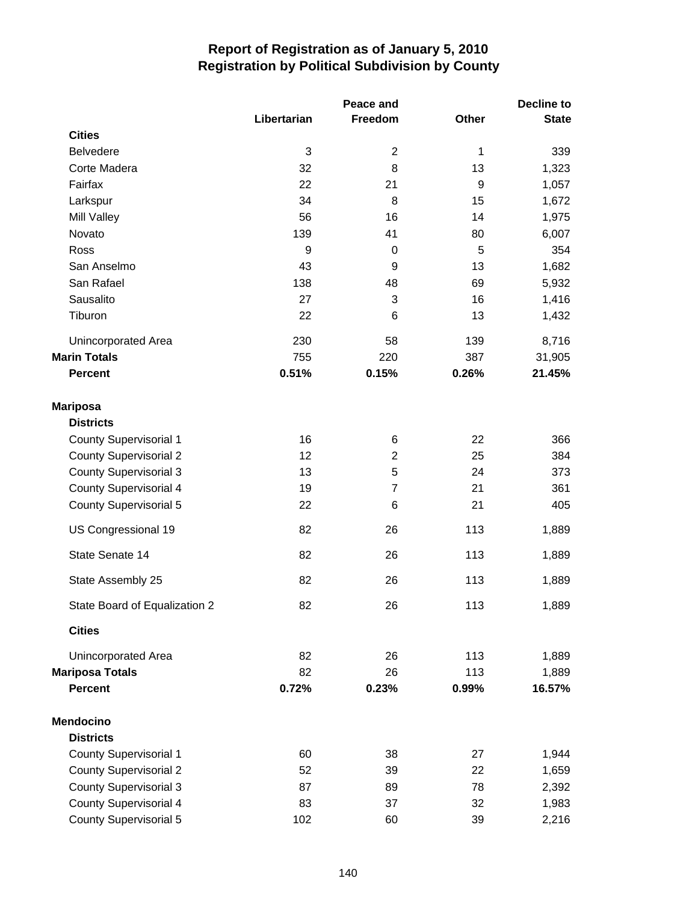|                               | Libertarian  | <b>Peace and</b><br>Freedom | Other            | <b>Decline to</b><br><b>State</b> |
|-------------------------------|--------------|-----------------------------|------------------|-----------------------------------|
| <b>Cities</b>                 |              |                             |                  |                                   |
| <b>Belvedere</b>              | $\mathbf{3}$ | $\mathbf 2$                 | 1                | 339                               |
| Corte Madera                  | 32           | 8                           | 13               | 1,323                             |
| Fairfax                       | 22           | 21                          | $\boldsymbol{9}$ | 1,057                             |
| Larkspur                      | 34           | 8                           | 15               | 1,672                             |
| Mill Valley                   | 56           | 16                          | 14               | 1,975                             |
| Novato                        | 139          | 41                          | 80               | 6,007                             |
| Ross                          | 9            | 0                           | 5                | 354                               |
| San Anselmo                   | 43           | $\boldsymbol{9}$            | 13               | 1,682                             |
| San Rafael                    | 138          | 48                          | 69               | 5,932                             |
| Sausalito                     | 27           | 3                           | 16               | 1,416                             |
| Tiburon                       | 22           | 6                           | 13               | 1,432                             |
| Unincorporated Area           | 230          | 58                          | 139              | 8,716                             |
| <b>Marin Totals</b>           | 755          | 220                         | 387              | 31,905                            |
| <b>Percent</b>                | 0.51%        | 0.15%                       | 0.26%            | 21.45%                            |
| <b>Mariposa</b>               |              |                             |                  |                                   |
| <b>Districts</b>              |              |                             |                  |                                   |
| <b>County Supervisorial 1</b> | 16           | 6                           | 22               | 366                               |
| <b>County Supervisorial 2</b> | 12           | $\overline{2}$              | 25               | 384                               |
| <b>County Supervisorial 3</b> | 13           | 5                           | 24               | 373                               |
| <b>County Supervisorial 4</b> | 19           | $\overline{7}$              | 21               | 361                               |
| <b>County Supervisorial 5</b> | 22           | 6                           | 21               | 405                               |
| US Congressional 19           | 82           | 26                          | 113              | 1,889                             |
| State Senate 14               | 82           | 26                          | 113              | 1,889                             |
| State Assembly 25             | 82           | 26                          | 113              | 1,889                             |
| State Board of Equalization 2 | 82           | 26                          | 113              | 1,889                             |
| <b>Cities</b>                 |              |                             |                  |                                   |
| Unincorporated Area           | 82           | 26                          | 113              | 1,889                             |
| <b>Mariposa Totals</b>        | 82           | 26                          | 113              | 1,889                             |
| <b>Percent</b>                | 0.72%        | 0.23%                       | 0.99%            | 16.57%                            |
| <b>Mendocino</b>              |              |                             |                  |                                   |
| <b>Districts</b>              |              |                             |                  |                                   |
| <b>County Supervisorial 1</b> | 60           | 38                          | 27               | 1,944                             |
| <b>County Supervisorial 2</b> | 52           | 39                          | 22               | 1,659                             |
| <b>County Supervisorial 3</b> | 87           | 89                          | 78               | 2,392                             |
| <b>County Supervisorial 4</b> | 83           | 37                          | 32               | 1,983                             |
| <b>County Supervisorial 5</b> | 102          | 60                          | 39               | 2,216                             |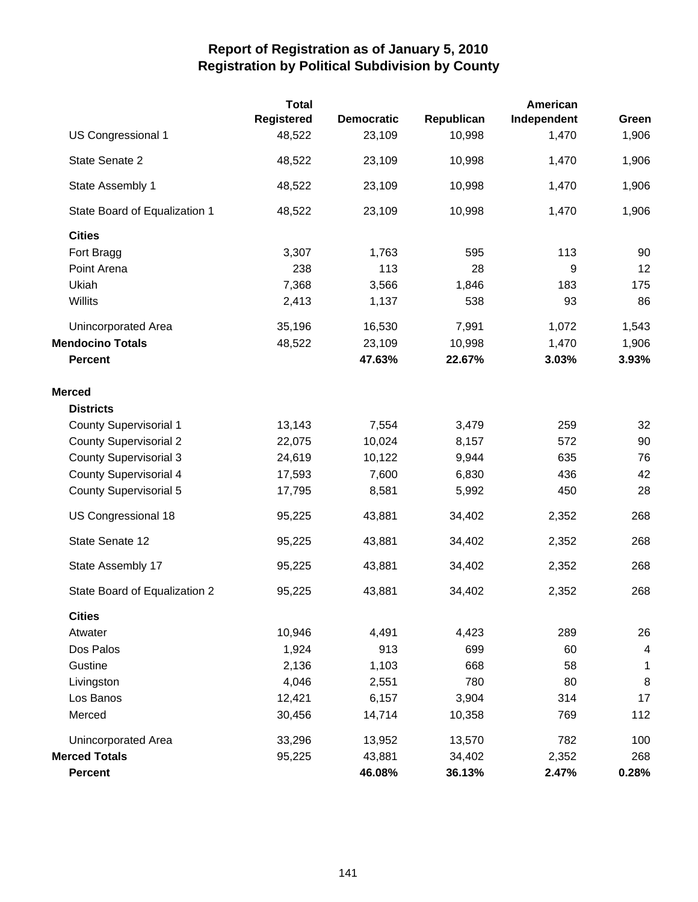|                               | <b>Total</b>      |                   |            | American    |                         |
|-------------------------------|-------------------|-------------------|------------|-------------|-------------------------|
|                               | <b>Registered</b> | <b>Democratic</b> | Republican | Independent | Green                   |
| US Congressional 1            | 48,522            | 23,109            | 10,998     | 1,470       | 1,906                   |
| State Senate 2                | 48,522            | 23,109            | 10,998     | 1,470       | 1,906                   |
| State Assembly 1              | 48,522            | 23,109            | 10,998     | 1,470       | 1,906                   |
| State Board of Equalization 1 | 48,522            | 23,109            | 10,998     | 1,470       | 1,906                   |
| <b>Cities</b>                 |                   |                   |            |             |                         |
| Fort Bragg                    | 3,307             | 1,763             | 595        | 113         | 90                      |
| Point Arena                   | 238               | 113               | 28         | 9           | 12                      |
| Ukiah                         | 7,368             | 3,566             | 1,846      | 183         | 175                     |
| Willits                       | 2,413             | 1,137             | 538        | 93          | 86                      |
| Unincorporated Area           | 35,196            | 16,530            | 7,991      | 1,072       | 1,543                   |
| <b>Mendocino Totals</b>       | 48,522            | 23,109            | 10,998     | 1,470       | 1,906                   |
| <b>Percent</b>                |                   | 47.63%            | 22.67%     | 3.03%       | 3.93%                   |
| <b>Merced</b>                 |                   |                   |            |             |                         |
| <b>Districts</b>              |                   |                   |            |             |                         |
| <b>County Supervisorial 1</b> | 13,143            | 7,554             | 3,479      | 259         | 32                      |
| <b>County Supervisorial 2</b> | 22,075            | 10,024            | 8,157      | 572         | 90                      |
| <b>County Supervisorial 3</b> | 24,619            | 10,122            | 9,944      | 635         | 76                      |
| <b>County Supervisorial 4</b> | 17,593            | 7,600             | 6,830      | 436         | 42                      |
| <b>County Supervisorial 5</b> | 17,795            | 8,581             | 5,992      | 450         | 28                      |
| US Congressional 18           | 95,225            | 43,881            | 34,402     | 2,352       | 268                     |
| State Senate 12               | 95,225            | 43,881            | 34,402     | 2,352       | 268                     |
| State Assembly 17             | 95,225            | 43,881            | 34,402     | 2,352       | 268                     |
| State Board of Equalization 2 | 95,225            | 43,881            | 34,402     | 2,352       | 268                     |
| <b>Cities</b>                 |                   |                   |            |             |                         |
| Atwater                       | 10,946            | 4,491             | 4,423      | 289         | 26                      |
| Dos Palos                     | 1,924             | 913               | 699        | 60          | $\overline{\mathbf{4}}$ |
| Gustine                       | 2,136             | 1,103             | 668        | 58          | 1                       |
| Livingston                    | 4,046             | 2,551             | 780        | 80          | 8                       |
| Los Banos                     | 12,421            | 6,157             | 3,904      | 314         | 17                      |
| Merced                        | 30,456            | 14,714            | 10,358     | 769         | 112                     |
| Unincorporated Area           | 33,296            | 13,952            | 13,570     | 782         | 100                     |
| <b>Merced Totals</b>          | 95,225            | 43,881            | 34,402     | 2,352       | 268                     |
| <b>Percent</b>                |                   | 46.08%            | 36.13%     | 2.47%       | 0.28%                   |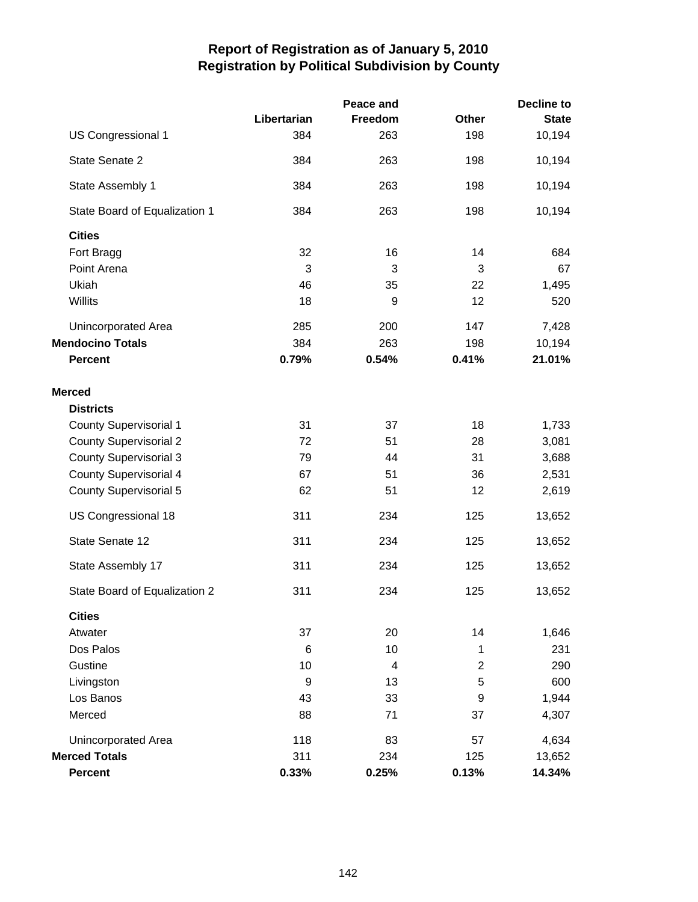|                               |             | Peace and |                  | <b>Decline to</b> |
|-------------------------------|-------------|-----------|------------------|-------------------|
|                               | Libertarian | Freedom   | <b>Other</b>     | <b>State</b>      |
| US Congressional 1            | 384         | 263       | 198              | 10,194            |
| State Senate 2                | 384         | 263       | 198              | 10,194            |
| State Assembly 1              | 384         | 263       | 198              | 10,194            |
| State Board of Equalization 1 | 384         | 263       | 198              | 10,194            |
| <b>Cities</b>                 |             |           |                  |                   |
| Fort Bragg                    | 32          | 16        | 14               | 684               |
| Point Arena                   | 3           | 3         | 3                | 67                |
| Ukiah                         | 46          | 35        | 22               | 1,495             |
| Willits                       | 18          | 9         | 12               | 520               |
| Unincorporated Area           | 285         | 200       | 147              | 7,428             |
| <b>Mendocino Totals</b>       | 384         | 263       | 198              | 10,194            |
| <b>Percent</b>                | 0.79%       | 0.54%     | 0.41%            | 21.01%            |
| <b>Merced</b>                 |             |           |                  |                   |
| <b>Districts</b>              |             |           |                  |                   |
| <b>County Supervisorial 1</b> | 31          | 37        | 18               | 1,733             |
| <b>County Supervisorial 2</b> | 72          | 51        | 28               | 3,081             |
| <b>County Supervisorial 3</b> | 79          | 44        | 31               | 3,688             |
| <b>County Supervisorial 4</b> | 67          | 51        | 36               | 2,531             |
| <b>County Supervisorial 5</b> | 62          | 51        | 12               | 2,619             |
| US Congressional 18           | 311         | 234       | 125              | 13,652            |
| State Senate 12               | 311         | 234       | 125              | 13,652            |
| State Assembly 17             | 311         | 234       | 125              | 13,652            |
| State Board of Equalization 2 | 311         | 234       | 125              | 13,652            |
| <b>Cities</b>                 |             |           |                  |                   |
| Atwater                       | 37          | 20        | 14               | 1,646             |
| Dos Palos                     | 6           | 10        | 1                | 231               |
| Gustine                       | 10          | 4         | $\overline{2}$   | 290               |
| Livingston                    | 9           | 13        | 5                | 600               |
| Los Banos                     | 43          | 33        | $\boldsymbol{9}$ | 1,944             |
| Merced                        | 88          | 71        | 37               | 4,307             |
| Unincorporated Area           | 118         | 83        | 57               | 4,634             |
| <b>Merced Totals</b>          | 311         | 234       | 125              | 13,652            |
| <b>Percent</b>                | 0.33%       | 0.25%     | 0.13%            | 14.34%            |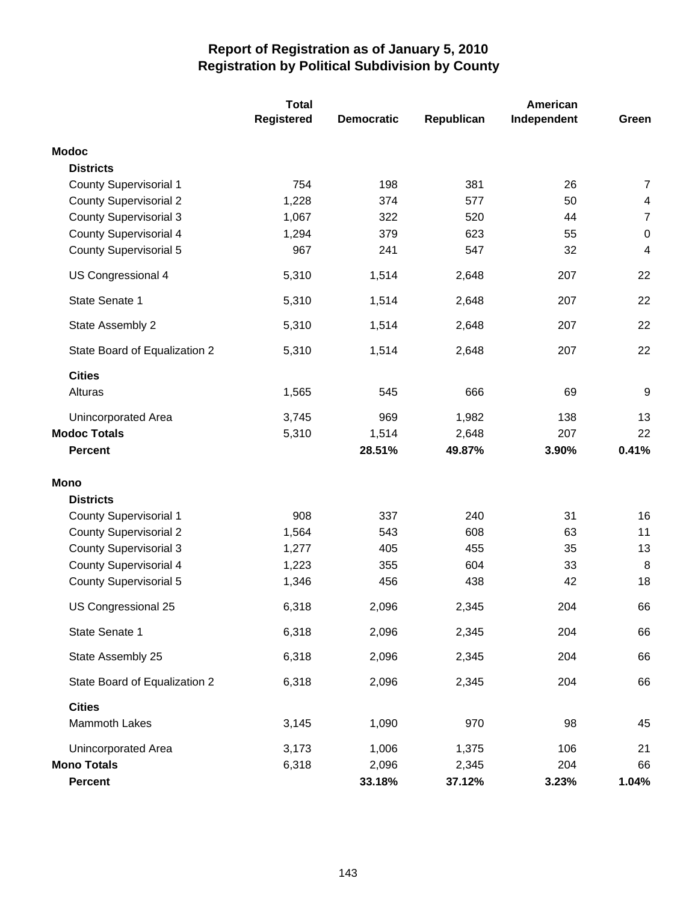|                               | <b>Total</b>      |                   |            | American    |                |  |
|-------------------------------|-------------------|-------------------|------------|-------------|----------------|--|
|                               | <b>Registered</b> | <b>Democratic</b> | Republican | Independent | Green          |  |
| <b>Modoc</b>                  |                   |                   |            |             |                |  |
| <b>Districts</b>              |                   |                   |            |             |                |  |
| <b>County Supervisorial 1</b> | 754               | 198               | 381        | 26          | $\overline{7}$ |  |
| <b>County Supervisorial 2</b> | 1,228             | 374               | 577        | 50          | 4              |  |
| <b>County Supervisorial 3</b> | 1,067             | 322               | 520        | 44          | $\overline{7}$ |  |
| <b>County Supervisorial 4</b> | 1,294             | 379               | 623        | 55          | $\pmb{0}$      |  |
| <b>County Supervisorial 5</b> | 967               | 241               | 547        | 32          | 4              |  |
| US Congressional 4            | 5,310             | 1,514             | 2,648      | 207         | 22             |  |
| State Senate 1                | 5,310             | 1,514             | 2,648      | 207         | 22             |  |
| State Assembly 2              | 5,310             | 1,514             | 2,648      | 207         | 22             |  |
| State Board of Equalization 2 | 5,310             | 1,514             | 2,648      | 207         | 22             |  |
| <b>Cities</b>                 |                   |                   |            |             |                |  |
| Alturas                       | 1,565             | 545               | 666        | 69          | 9              |  |
| Unincorporated Area           | 3,745             | 969               | 1,982      | 138         | 13             |  |
| <b>Modoc Totals</b>           | 5,310             | 1,514             | 2,648      | 207         | 22             |  |
| <b>Percent</b>                |                   | 28.51%            | 49.87%     | 3.90%       | 0.41%          |  |
| <b>Mono</b>                   |                   |                   |            |             |                |  |
| <b>Districts</b>              |                   |                   |            |             |                |  |
| <b>County Supervisorial 1</b> | 908               | 337               | 240        | 31          | 16             |  |
| <b>County Supervisorial 2</b> | 1,564             | 543               | 608        | 63          | 11             |  |
| <b>County Supervisorial 3</b> | 1,277             | 405               | 455        | 35          | 13             |  |
| <b>County Supervisorial 4</b> | 1,223             | 355               | 604        | 33          | 8              |  |
| <b>County Supervisorial 5</b> | 1,346             | 456               | 438        | 42          | 18             |  |
| US Congressional 25           | 6,318             | 2,096             | 2,345      | 204         | 66             |  |
| State Senate 1                | 6,318             | 2,096             | 2,345      | 204         | 66             |  |
| State Assembly 25             | 6,318             | 2,096             | 2,345      | 204         | 66             |  |
| State Board of Equalization 2 | 6,318             | 2,096             | 2,345      | 204         | 66             |  |
| <b>Cities</b>                 |                   |                   |            |             |                |  |
| Mammoth Lakes                 | 3,145             | 1,090             | 970        | 98          | 45             |  |
| Unincorporated Area           | 3,173             | 1,006             | 1,375      | 106         | 21             |  |
| <b>Mono Totals</b>            | 6,318             | 2,096             | 2,345      | 204         | 66             |  |
| <b>Percent</b>                |                   | 33.18%            | 37.12%     | 3.23%       | 1.04%          |  |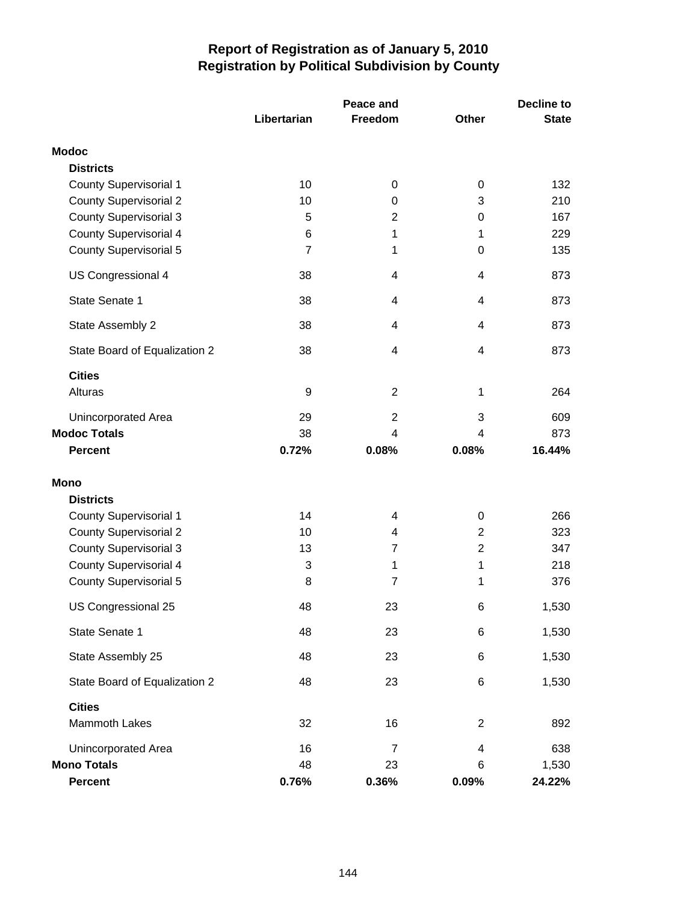|                               |                | Peace and      |                | Decline to   |  |
|-------------------------------|----------------|----------------|----------------|--------------|--|
|                               | Libertarian    | Freedom        | <b>Other</b>   | <b>State</b> |  |
| <b>Modoc</b>                  |                |                |                |              |  |
| <b>Districts</b>              |                |                |                |              |  |
| <b>County Supervisorial 1</b> | 10             | 0              | 0              | 132          |  |
| <b>County Supervisorial 2</b> | 10             | 0              | 3              | 210          |  |
| <b>County Supervisorial 3</b> | 5              | $\overline{c}$ | 0              | 167          |  |
| <b>County Supervisorial 4</b> | 6              | 1              | 1              | 229          |  |
| <b>County Supervisorial 5</b> | $\overline{7}$ | 1              | 0              | 135          |  |
| US Congressional 4            | 38             | 4              | 4              | 873          |  |
| State Senate 1                | 38             | 4              | 4              | 873          |  |
| State Assembly 2              | 38             | 4              | 4              | 873          |  |
| State Board of Equalization 2 | 38             | 4              | 4              | 873          |  |
| <b>Cities</b>                 |                |                |                |              |  |
| Alturas                       | 9              | $\overline{2}$ | 1              | 264          |  |
| Unincorporated Area           | 29             | $\overline{2}$ | 3              | 609          |  |
| <b>Modoc Totals</b>           | 38             | 4              | 4              | 873          |  |
| <b>Percent</b>                | 0.72%          | 0.08%          | 0.08%          | 16.44%       |  |
| Mono                          |                |                |                |              |  |
| <b>Districts</b>              |                |                |                |              |  |
| <b>County Supervisorial 1</b> | 14             | 4              | 0              | 266          |  |
| <b>County Supervisorial 2</b> | 10             | 4              | $\overline{2}$ | 323          |  |
| <b>County Supervisorial 3</b> | 13             | 7              | $\overline{2}$ | 347          |  |
| <b>County Supervisorial 4</b> | 3              | 1              | 1              | 218          |  |
| County Supervisorial 5        | 8              | 7              | 1              | 376          |  |
| US Congressional 25           | 48             | 23             | 6              | 1,530        |  |
| State Senate 1                | 48             | 23             | 6              | 1,530        |  |
| State Assembly 25             | 48             | 23             | 6              | 1,530        |  |
| State Board of Equalization 2 | 48             | 23             | 6              | 1,530        |  |
| <b>Cities</b>                 |                |                |                |              |  |
| Mammoth Lakes                 | 32             | 16             | $\overline{c}$ | 892          |  |
| Unincorporated Area           | 16             | 7              | 4              | 638          |  |
| <b>Mono Totals</b>            | 48             | 23             | 6              | 1,530        |  |
| Percent                       | 0.76%          | 0.36%          | 0.09%          | 24.22%       |  |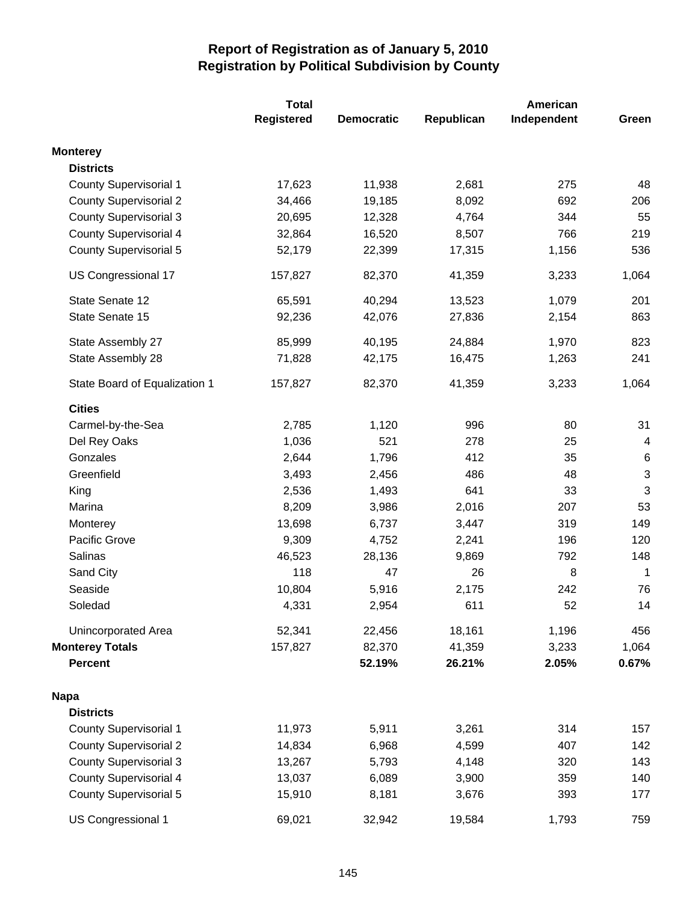|                               | <b>Total</b>      |                   |            |             |                |
|-------------------------------|-------------------|-------------------|------------|-------------|----------------|
|                               | <b>Registered</b> | <b>Democratic</b> | Republican | Independent | Green          |
| <b>Monterey</b>               |                   |                   |            |             |                |
| <b>Districts</b>              |                   |                   |            |             |                |
| <b>County Supervisorial 1</b> | 17,623            | 11,938            | 2,681      | 275         | 48             |
| <b>County Supervisorial 2</b> | 34,466            | 19,185            | 8,092      | 692         | 206            |
| <b>County Supervisorial 3</b> | 20,695            | 12,328            | 4,764      | 344         | 55             |
| <b>County Supervisorial 4</b> | 32,864            | 16,520            | 8,507      | 766         | 219            |
| <b>County Supervisorial 5</b> | 52,179            | 22,399            | 17,315     | 1,156       | 536            |
| US Congressional 17           | 157,827           | 82,370            | 41,359     | 3,233       | 1,064          |
| State Senate 12               | 65,591            | 40,294            | 13,523     | 1,079       | 201            |
| State Senate 15               | 92,236            | 42,076            | 27,836     | 2,154       | 863            |
| State Assembly 27             | 85,999            | 40,195            | 24,884     | 1,970       | 823            |
| State Assembly 28             | 71,828            | 42,175            | 16,475     | 1,263       | 241            |
| State Board of Equalization 1 | 157,827           | 82,370            | 41,359     | 3,233       | 1,064          |
| <b>Cities</b>                 |                   |                   |            |             |                |
| Carmel-by-the-Sea             | 2,785             | 1,120             | 996        | 80          | 31             |
| Del Rey Oaks                  | 1,036             | 521               | 278        | 25          | $\overline{4}$ |
| Gonzales                      | 2,644             | 1,796             | 412        | 35          | $\,6$          |
| Greenfield                    | 3,493             | 2,456             | 486        | 48          | 3              |
| King                          | 2,536             | 1,493             | 641        | 33          | 3              |
| Marina                        | 8,209             | 3,986             | 2,016      | 207         | 53             |
| Monterey                      | 13,698            | 6,737             | 3,447      | 319         | 149            |
| Pacific Grove                 | 9,309             | 4,752             | 2,241      | 196         | 120            |
| <b>Salinas</b>                | 46,523            | 28,136            | 9,869      | 792         | 148            |
| Sand City                     | 118               | 47                | 26         | 8           | $\mathbf{1}$   |
| Seaside                       | 10,804            | 5,916             | 2,175      | 242         | 76             |
| Soledad                       | 4,331             | 2,954             | 611        | 52          | 14             |
| Unincorporated Area           | 52,341            | 22,456            | 18,161     | 1,196       | 456            |
| <b>Monterey Totals</b>        | 157,827           | 82,370            | 41,359     | 3,233       | 1,064          |
| <b>Percent</b>                |                   | 52.19%            | 26.21%     | 2.05%       | 0.67%          |
| <b>Napa</b>                   |                   |                   |            |             |                |
| <b>Districts</b>              |                   |                   |            |             |                |
| County Supervisorial 1        | 11,973            | 5,911             | 3,261      | 314         | 157            |
| <b>County Supervisorial 2</b> | 14,834            | 6,968             | 4,599      | 407         | 142            |
| <b>County Supervisorial 3</b> | 13,267            | 5,793             | 4,148      | 320         | 143            |
| <b>County Supervisorial 4</b> | 13,037            | 6,089             | 3,900      | 359         | 140            |
| <b>County Supervisorial 5</b> | 15,910            | 8,181             | 3,676      | 393         | 177            |
| US Congressional 1            | 69,021            | 32,942            | 19,584     | 1,793       | 759            |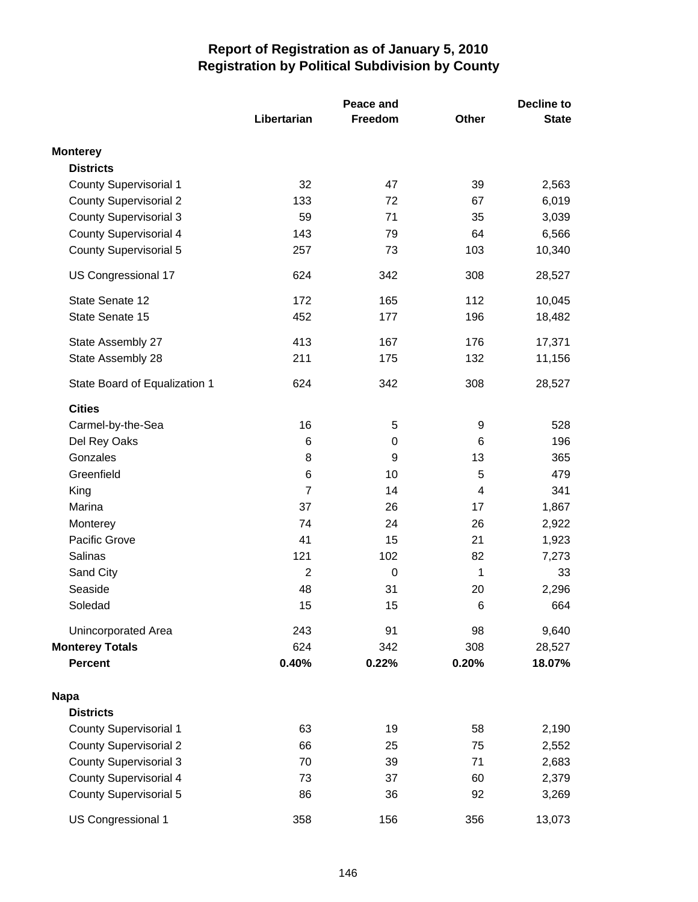|                               |                | Peace and | <b>Decline to</b> |              |
|-------------------------------|----------------|-----------|-------------------|--------------|
|                               | Libertarian    | Freedom   | Other             | <b>State</b> |
| <b>Monterey</b>               |                |           |                   |              |
| <b>Districts</b>              |                |           |                   |              |
| <b>County Supervisorial 1</b> | 32             | 47        | 39                | 2,563        |
| <b>County Supervisorial 2</b> | 133            | 72        | 67                | 6,019        |
| <b>County Supervisorial 3</b> | 59             | 71        | 35                | 3,039        |
| <b>County Supervisorial 4</b> | 143            | 79        | 64                | 6,566        |
| <b>County Supervisorial 5</b> | 257            | 73        | 103               | 10,340       |
| US Congressional 17           | 624            | 342       | 308               | 28,527       |
| State Senate 12               | 172            | 165       | 112               | 10,045       |
| State Senate 15               | 452            | 177       | 196               | 18,482       |
| State Assembly 27             | 413            | 167       | 176               | 17,371       |
| State Assembly 28             | 211            | 175       | 132               | 11,156       |
| State Board of Equalization 1 | 624            | 342       | 308               | 28,527       |
| <b>Cities</b>                 |                |           |                   |              |
| Carmel-by-the-Sea             | 16             | 5         | 9                 | 528          |
| Del Rey Oaks                  | 6              | 0         | 6                 | 196          |
| Gonzales                      | 8              | 9         | 13                | 365          |
| Greenfield                    | 6              | 10        | 5                 | 479          |
| King                          | $\overline{7}$ | 14        | 4                 | 341          |
| Marina                        | 37             | 26        | 17                | 1,867        |
| Monterey                      | 74             | 24        | 26                | 2,922        |
| Pacific Grove                 | 41             | 15        | 21                | 1,923        |
| Salinas                       | 121            | 102       | 82                | 7,273        |
| Sand City                     | $\overline{c}$ | 0         | 1                 | 33           |
| Seaside                       | 48             | 31        | 20                | 2,296        |
| Soledad                       | 15             | 15        | 6                 | 664          |
| Unincorporated Area           | 243            | 91        | 98                | 9,640        |
| <b>Monterey Totals</b>        | 624            | 342       | 308               | 28,527       |
| <b>Percent</b>                | 0.40%          | 0.22%     | 0.20%             | 18.07%       |
| <b>Napa</b>                   |                |           |                   |              |
| <b>Districts</b>              |                |           |                   |              |
| <b>County Supervisorial 1</b> | 63             | 19        | 58                | 2,190        |
| <b>County Supervisorial 2</b> | 66             | 25        | 75                | 2,552        |
| <b>County Supervisorial 3</b> | 70             | 39        | 71                | 2,683        |
| County Supervisorial 4        | 73             | 37        | 60                | 2,379        |
| <b>County Supervisorial 5</b> | 86             | 36        | 92                | 3,269        |
| US Congressional 1            | 358            | 156       | 356               | 13,073       |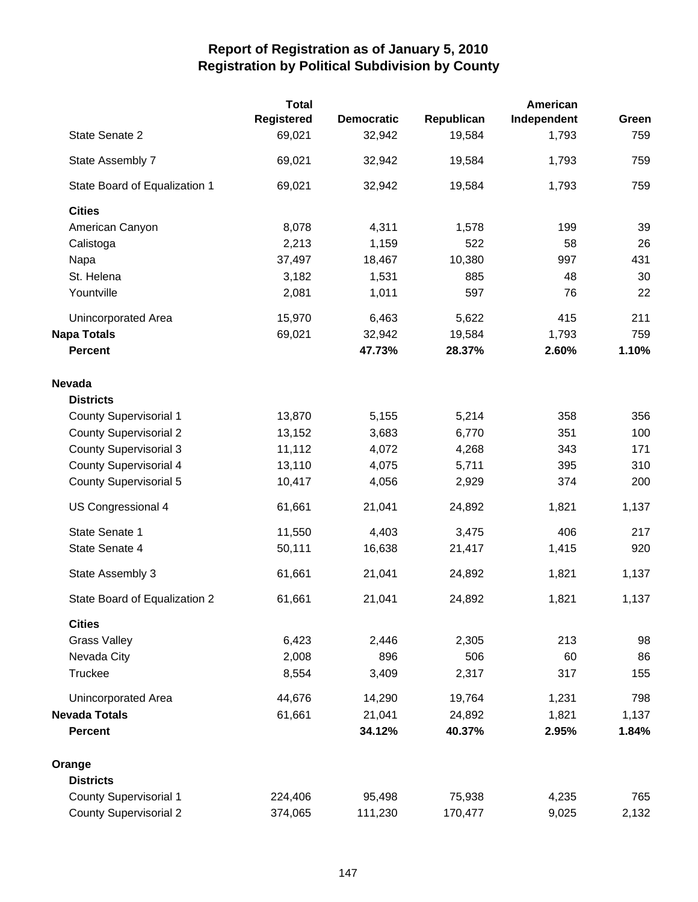|                               | <b>Total</b>      |                   |            |             |       |
|-------------------------------|-------------------|-------------------|------------|-------------|-------|
|                               | <b>Registered</b> | <b>Democratic</b> | Republican | Independent | Green |
| State Senate 2                | 69,021            | 32,942            | 19,584     | 1,793       | 759   |
| State Assembly 7              | 69,021            | 32,942            | 19,584     | 1,793       | 759   |
| State Board of Equalization 1 | 69,021            | 32,942            | 19,584     | 1,793       | 759   |
| <b>Cities</b>                 |                   |                   |            |             |       |
| American Canyon               | 8,078             | 4,311             | 1,578      | 199         | 39    |
| Calistoga                     | 2,213             | 1,159             | 522        | 58          | 26    |
| Napa                          | 37,497            | 18,467            | 10,380     | 997         | 431   |
| St. Helena                    | 3,182             | 1,531             | 885        | 48          | 30    |
| Yountville                    | 2,081             | 1,011             | 597        | 76          | 22    |
| Unincorporated Area           | 15,970            | 6,463             | 5,622      | 415         | 211   |
| <b>Napa Totals</b>            | 69,021            | 32,942            | 19,584     | 1,793       | 759   |
| <b>Percent</b>                |                   | 47.73%            | 28.37%     | 2.60%       | 1.10% |
| <b>Nevada</b>                 |                   |                   |            |             |       |
| <b>Districts</b>              |                   |                   |            |             |       |
| <b>County Supervisorial 1</b> | 13,870            | 5,155             | 5,214      | 358         | 356   |
| <b>County Supervisorial 2</b> | 13,152            | 3,683             | 6,770      | 351         | 100   |
| <b>County Supervisorial 3</b> | 11,112            | 4,072             | 4,268      | 343         | 171   |
| <b>County Supervisorial 4</b> | 13,110            | 4,075             | 5,711      | 395         | 310   |
| <b>County Supervisorial 5</b> | 10,417            | 4,056             | 2,929      | 374         | 200   |
| US Congressional 4            | 61,661            | 21,041            | 24,892     | 1,821       | 1,137 |
| State Senate 1                | 11,550            | 4,403             | 3,475      | 406         | 217   |
| State Senate 4                | 50,111            | 16,638            | 21,417     | 1,415       | 920   |
| State Assembly 3              | 61,661            | 21,041            | 24,892     | 1,821       | 1,137 |
| State Board of Equalization 2 | 61,661            | 21,041            | 24,892     | 1,821       | 1,137 |
| <b>Cities</b>                 |                   |                   |            |             |       |
| <b>Grass Valley</b>           | 6,423             | 2,446             | 2,305      | 213         | 98    |
| Nevada City                   | 2,008             | 896               | 506        | 60          | 86    |
| Truckee                       | 8,554             | 3,409             | 2,317      | 317         | 155   |
| Unincorporated Area           | 44,676            | 14,290            | 19,764     | 1,231       | 798   |
| <b>Nevada Totals</b>          | 61,661            | 21,041            | 24,892     | 1,821       | 1,137 |
| <b>Percent</b>                |                   | 34.12%            | 40.37%     | 2.95%       | 1.84% |
| Orange                        |                   |                   |            |             |       |
| <b>Districts</b>              |                   |                   |            |             |       |
| <b>County Supervisorial 1</b> | 224,406           | 95,498            | 75,938     | 4,235       | 765   |
| <b>County Supervisorial 2</b> | 374,065           | 111,230           | 170,477    | 9,025       | 2,132 |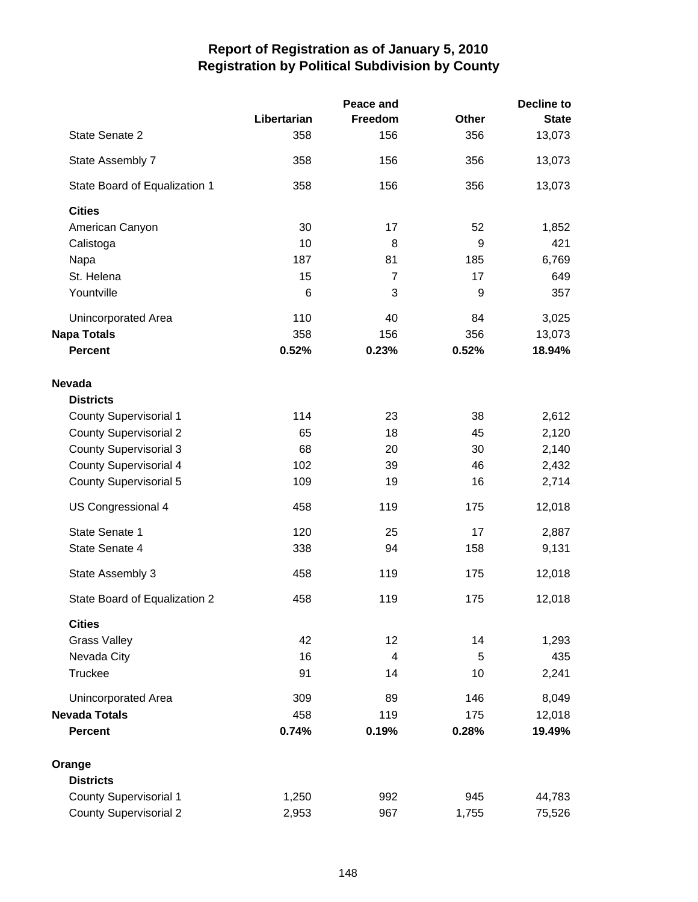|                               |             | Peace and      |       | <b>Decline to</b> |  |
|-------------------------------|-------------|----------------|-------|-------------------|--|
|                               | Libertarian | Freedom        | Other | <b>State</b>      |  |
| State Senate 2                | 358         | 156            | 356   | 13,073            |  |
| State Assembly 7              | 358         | 156            | 356   | 13,073            |  |
| State Board of Equalization 1 | 358         | 156            | 356   | 13,073            |  |
| <b>Cities</b>                 |             |                |       |                   |  |
| American Canyon               | 30          | 17             | 52    | 1,852             |  |
| Calistoga                     | 10          | 8              | 9     | 421               |  |
| Napa                          | 187         | 81             | 185   | 6,769             |  |
| St. Helena                    | 15          | $\overline{7}$ | 17    | 649               |  |
| Yountville                    | 6           | 3              | 9     | 357               |  |
| Unincorporated Area           | 110         | 40             | 84    | 3,025             |  |
| <b>Napa Totals</b>            | 358         | 156            | 356   | 13,073            |  |
| <b>Percent</b>                | 0.52%       | 0.23%          | 0.52% | 18.94%            |  |
| <b>Nevada</b>                 |             |                |       |                   |  |
| <b>Districts</b>              |             |                |       |                   |  |
| <b>County Supervisorial 1</b> | 114         | 23             | 38    | 2,612             |  |
| <b>County Supervisorial 2</b> | 65          | 18             | 45    | 2,120             |  |
| <b>County Supervisorial 3</b> | 68          | 20             | 30    | 2,140             |  |
| <b>County Supervisorial 4</b> | 102         | 39             | 46    | 2,432             |  |
| <b>County Supervisorial 5</b> | 109         | 19             | 16    | 2,714             |  |
| US Congressional 4            | 458         | 119            | 175   | 12,018            |  |
| State Senate 1                | 120         | 25             | 17    | 2,887             |  |
| State Senate 4                | 338         | 94             | 158   | 9,131             |  |
| State Assembly 3              | 458         | 119            | 175   | 12,018            |  |
|                               |             |                |       |                   |  |
| State Board of Equalization 2 | 458         | 119            | 175   | 12,018            |  |
| <b>Cities</b>                 |             |                |       |                   |  |
| <b>Grass Valley</b>           | 42          | 12             | 14    | 1,293             |  |
| Nevada City                   | 16          | 4              | 5     | 435               |  |
| Truckee                       | 91          | 14             | 10    | 2,241             |  |
| Unincorporated Area           | 309         | 89             | 146   | 8,049             |  |
| <b>Nevada Totals</b>          | 458         | 119            | 175   | 12,018            |  |
| <b>Percent</b>                | 0.74%       | 0.19%          | 0.28% | 19.49%            |  |
| Orange                        |             |                |       |                   |  |
| <b>Districts</b>              |             |                |       |                   |  |
| <b>County Supervisorial 1</b> | 1,250       | 992            | 945   | 44,783            |  |
| <b>County Supervisorial 2</b> | 2,953       | 967            | 1,755 | 75,526            |  |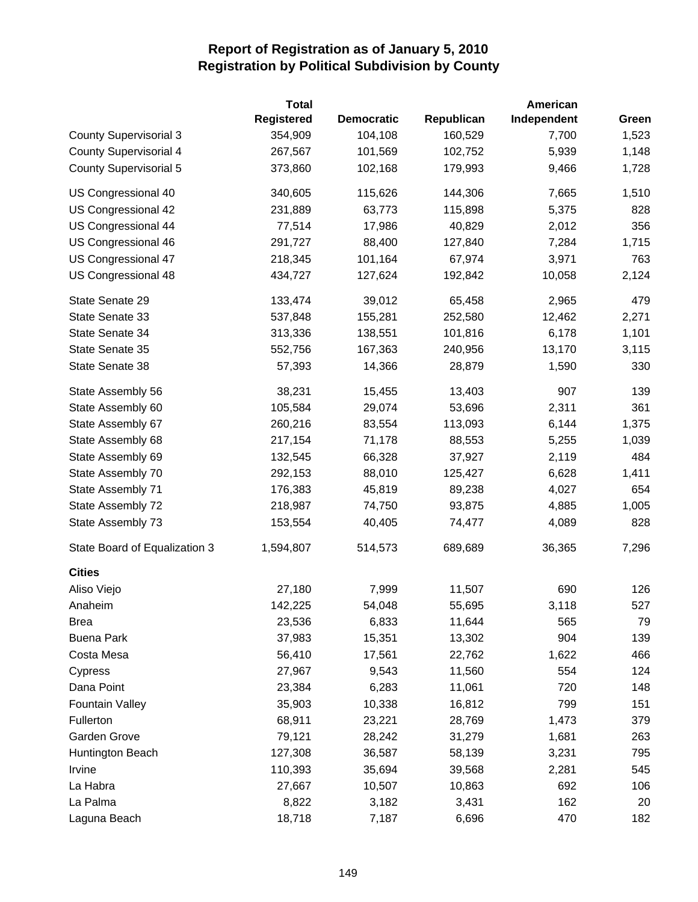|                               | <b>Total</b>      |                   |            | American    |       |
|-------------------------------|-------------------|-------------------|------------|-------------|-------|
|                               | <b>Registered</b> | <b>Democratic</b> | Republican | Independent | Green |
| <b>County Supervisorial 3</b> | 354,909           | 104,108           | 160,529    | 7,700       | 1,523 |
| <b>County Supervisorial 4</b> | 267,567           | 101,569           | 102,752    | 5,939       | 1,148 |
| <b>County Supervisorial 5</b> | 373,860           | 102,168           | 179,993    | 9,466       | 1,728 |
| US Congressional 40           | 340,605           | 115,626           | 144,306    | 7,665       | 1,510 |
| US Congressional 42           | 231,889           | 63,773            | 115,898    | 5,375       | 828   |
| US Congressional 44           | 77,514            | 17,986            | 40,829     | 2,012       | 356   |
| US Congressional 46           | 291,727           | 88,400            | 127,840    | 7,284       | 1,715 |
| US Congressional 47           | 218,345           | 101,164           | 67,974     | 3,971       | 763   |
| US Congressional 48           | 434,727           | 127,624           | 192,842    | 10,058      | 2,124 |
| State Senate 29               | 133,474           | 39,012            | 65,458     | 2,965       | 479   |
| State Senate 33               | 537,848           | 155,281           | 252,580    | 12,462      | 2,271 |
| State Senate 34               | 313,336           | 138,551           | 101,816    | 6,178       | 1,101 |
| State Senate 35               | 552,756           | 167,363           | 240,956    | 13,170      | 3,115 |
| State Senate 38               | 57,393            | 14,366            | 28,879     | 1,590       | 330   |
| State Assembly 56             | 38,231            | 15,455            | 13,403     | 907         | 139   |
| State Assembly 60             | 105,584           | 29,074            | 53,696     | 2,311       | 361   |
| State Assembly 67             | 260,216           | 83,554            | 113,093    | 6,144       | 1,375 |
| State Assembly 68             | 217,154           | 71,178            | 88,553     | 5,255       | 1,039 |
| State Assembly 69             | 132,545           | 66,328            | 37,927     | 2,119       | 484   |
| State Assembly 70             | 292,153           | 88,010            | 125,427    | 6,628       | 1,411 |
| State Assembly 71             | 176,383           | 45,819            | 89,238     | 4,027       | 654   |
| State Assembly 72             | 218,987           | 74,750            | 93,875     | 4,885       | 1,005 |
| State Assembly 73             | 153,554           | 40,405            | 74,477     | 4,089       | 828   |
| State Board of Equalization 3 | 1,594,807         | 514,573           | 689,689    | 36,365      | 7,296 |
| <b>Cities</b>                 |                   |                   |            |             |       |
| Aliso Viejo                   | 27,180            | 7,999             | 11,507     | 690         | 126   |
| Anaheim                       | 142,225           | 54,048            | 55,695     | 3,118       | 527   |
| <b>Brea</b>                   | 23,536            | 6,833             | 11,644     | 565         | 79    |
| <b>Buena Park</b>             | 37,983            | 15,351            | 13,302     | 904         | 139   |
| Costa Mesa                    | 56,410            | 17,561            | 22,762     | 1,622       | 466   |
| Cypress                       | 27,967            | 9,543             | 11,560     | 554         | 124   |
| Dana Point                    | 23,384            | 6,283             | 11,061     | 720         | 148   |
| <b>Fountain Valley</b>        | 35,903            | 10,338            | 16,812     | 799         | 151   |
| Fullerton                     | 68,911            | 23,221            | 28,769     | 1,473       | 379   |
| Garden Grove                  | 79,121            | 28,242            | 31,279     | 1,681       | 263   |
| Huntington Beach              | 127,308           | 36,587            | 58,139     | 3,231       | 795   |
| Irvine                        | 110,393           | 35,694            | 39,568     | 2,281       | 545   |
| La Habra                      | 27,667            | 10,507            | 10,863     | 692         | 106   |
| La Palma                      | 8,822             | 3,182             | 3,431      | 162         | 20    |
| Laguna Beach                  | 18,718            | 7,187             | 6,696      | 470         | 182   |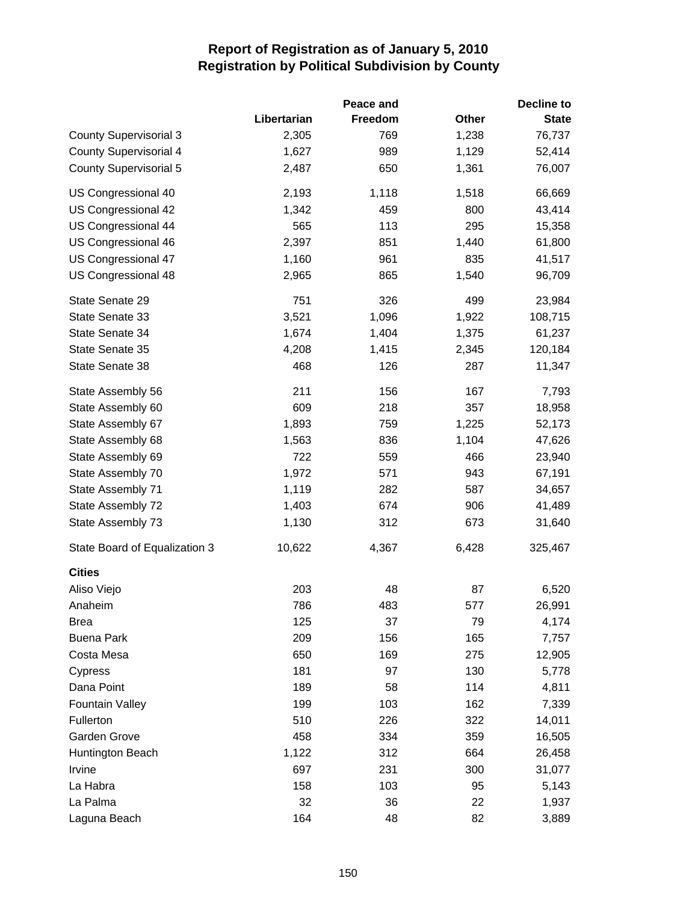|                               |             | Peace and |       | Decline to   |
|-------------------------------|-------------|-----------|-------|--------------|
|                               | Libertarian | Freedom   | Other | <b>State</b> |
| <b>County Supervisorial 3</b> | 2,305       | 769       | 1,238 | 76,737       |
| <b>County Supervisorial 4</b> | 1,627       | 989       | 1,129 | 52,414       |
| <b>County Supervisorial 5</b> | 2,487       | 650       | 1,361 | 76,007       |
| US Congressional 40           | 2,193       | 1,118     | 1,518 | 66,669       |
| US Congressional 42           | 1,342       | 459       | 800   | 43,414       |
| US Congressional 44           | 565         | 113       | 295   | 15,358       |
| US Congressional 46           | 2,397       | 851       | 1,440 | 61,800       |
| US Congressional 47           | 1,160       | 961       | 835   | 41,517       |
| US Congressional 48           | 2,965       | 865       | 1,540 | 96,709       |
| State Senate 29               | 751         | 326       | 499   | 23,984       |
| State Senate 33               | 3,521       | 1,096     | 1,922 | 108,715      |
| State Senate 34               | 1,674       | 1,404     | 1,375 | 61,237       |
| State Senate 35               | 4,208       | 1,415     | 2,345 | 120,184      |
| State Senate 38               | 468         | 126       | 287   | 11,347       |
| State Assembly 56             | 211         | 156       | 167   | 7,793        |
| State Assembly 60             | 609         | 218       | 357   | 18,958       |
| State Assembly 67             | 1,893       | 759       | 1,225 | 52,173       |
| State Assembly 68             | 1,563       | 836       | 1,104 | 47,626       |
| State Assembly 69             | 722         | 559       | 466   | 23,940       |
| State Assembly 70             | 1,972       | 571       | 943   | 67,191       |
| State Assembly 71             | 1,119       | 282       | 587   | 34,657       |
| State Assembly 72             | 1,403       | 674       | 906   | 41,489       |
| State Assembly 73             | 1,130       | 312       | 673   | 31,640       |
| State Board of Equalization 3 | 10,622      | 4,367     | 6,428 | 325,467      |
| <b>Cities</b>                 |             |           |       |              |
| Aliso Viejo                   | 203         | 48        | 87    | 6,520        |
| Anaheim                       | 786         | 483       | 577   | 26,991       |
| <b>Brea</b>                   | 125         | 37        | 79    | 4,174        |
| <b>Buena Park</b>             | 209         | 156       | 165   | 7,757        |
| Costa Mesa                    | 650         | 169       | 275   | 12,905       |
| Cypress                       | 181         | 97        | 130   | 5,778        |
| Dana Point                    | 189         | 58        | 114   | 4,811        |
| <b>Fountain Valley</b>        | 199         | 103       | 162   | 7,339        |
| Fullerton                     | 510         | 226       | 322   | 14,011       |
| Garden Grove                  | 458         | 334       | 359   | 16,505       |
| Huntington Beach              | 1,122       | 312       | 664   | 26,458       |
| Irvine                        | 697         | 231       | 300   | 31,077       |
| La Habra                      | 158         | 103       | 95    | 5,143        |
| La Palma                      | 32          | 36        | 22    | 1,937        |
| Laguna Beach                  | 164         | 48        | 82    | 3,889        |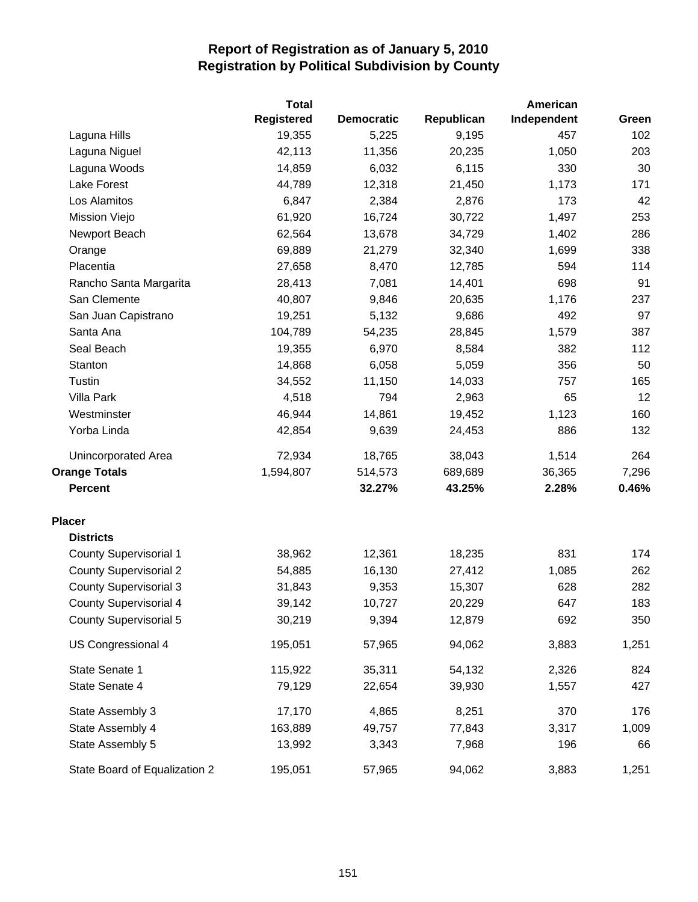|                               | <b>Total</b>      |                   | American   |             |       |
|-------------------------------|-------------------|-------------------|------------|-------------|-------|
|                               | <b>Registered</b> | <b>Democratic</b> | Republican | Independent | Green |
| Laguna Hills                  | 19,355            | 5,225             | 9,195      | 457         | 102   |
| Laguna Niguel                 | 42,113            | 11,356            | 20,235     | 1,050       | 203   |
| Laguna Woods                  | 14,859            | 6,032             | 6,115      | 330         | 30    |
| Lake Forest                   | 44,789            | 12,318            | 21,450     | 1,173       | 171   |
| Los Alamitos                  | 6,847             | 2,384             | 2,876      | 173         | 42    |
| Mission Viejo                 | 61,920            | 16,724            | 30,722     | 1,497       | 253   |
| Newport Beach                 | 62,564            | 13,678            | 34,729     | 1,402       | 286   |
| Orange                        | 69,889            | 21,279            | 32,340     | 1,699       | 338   |
| Placentia                     | 27,658            | 8,470             | 12,785     | 594         | 114   |
| Rancho Santa Margarita        | 28,413            | 7,081             | 14,401     | 698         | 91    |
| San Clemente                  | 40,807            | 9,846             | 20,635     | 1,176       | 237   |
| San Juan Capistrano           | 19,251            | 5,132             | 9,686      | 492         | 97    |
| Santa Ana                     | 104,789           | 54,235            | 28,845     | 1,579       | 387   |
| Seal Beach                    | 19,355            | 6,970             | 8,584      | 382         | 112   |
| Stanton                       | 14,868            | 6,058             | 5,059      | 356         | 50    |
| Tustin                        | 34,552            | 11,150            | 14,033     | 757         | 165   |
| <b>Villa Park</b>             | 4,518             | 794               | 2,963      | 65          | 12    |
| Westminster                   | 46,944            | 14,861            | 19,452     | 1,123       | 160   |
| Yorba Linda                   | 42,854            | 9,639             | 24,453     | 886         | 132   |
| Unincorporated Area           | 72,934            | 18,765            | 38,043     | 1,514       | 264   |
| <b>Orange Totals</b>          | 1,594,807         | 514,573           | 689,689    | 36,365      | 7,296 |
| <b>Percent</b>                |                   | 32.27%            | 43.25%     | 2.28%       | 0.46% |
| <b>Placer</b>                 |                   |                   |            |             |       |
| <b>Districts</b>              |                   |                   |            |             |       |
| <b>County Supervisorial 1</b> | 38,962            | 12,361            | 18,235     | 831         | 174   |
| <b>County Supervisorial 2</b> | 54,885            | 16,130            | 27,412     | 1,085       | 262   |
| <b>County Supervisorial 3</b> | 31,843            | 9,353             | 15,307     | 628         | 282   |
| <b>County Supervisorial 4</b> | 39,142            | 10,727            | 20,229     | 647         | 183   |
| <b>County Supervisorial 5</b> | 30,219            | 9,394             | 12,879     | 692         | 350   |
| US Congressional 4            | 195,051           | 57,965            | 94,062     | 3,883       | 1,251 |
| State Senate 1                | 115,922           | 35,311            | 54,132     | 2,326       | 824   |
| State Senate 4                | 79,129            | 22,654            | 39,930     | 1,557       | 427   |
| State Assembly 3              | 17,170            | 4,865             | 8,251      | 370         | 176   |
| State Assembly 4              | 163,889           | 49,757            | 77,843     | 3,317       | 1,009 |
| State Assembly 5              | 13,992            | 3,343             | 7,968      | 196         | 66    |
| State Board of Equalization 2 | 195,051           | 57,965            | 94,062     | 3,883       | 1,251 |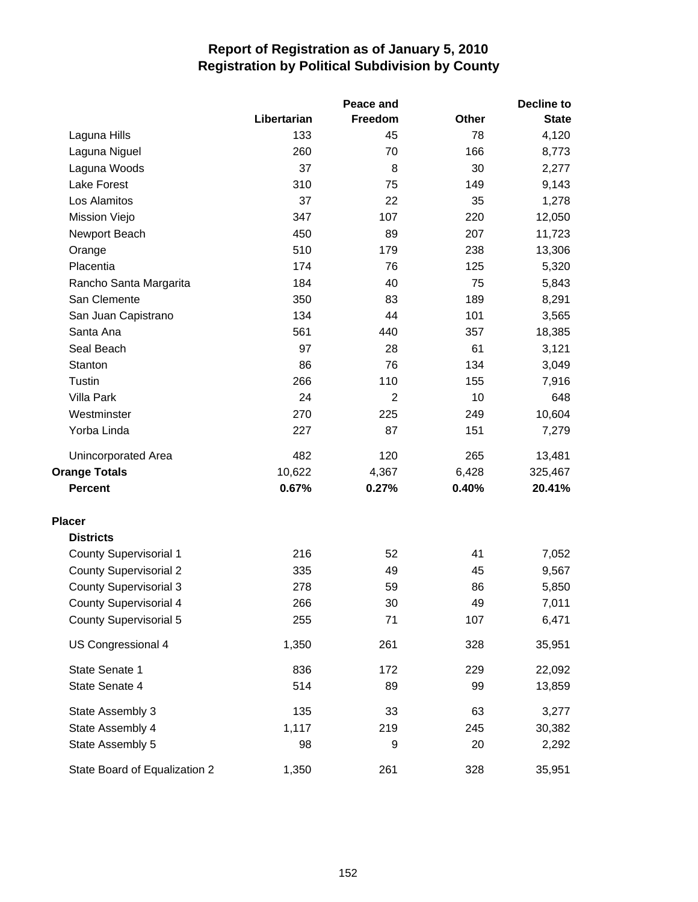|                               |             | Peace and      | <b>Decline to</b> |              |  |
|-------------------------------|-------------|----------------|-------------------|--------------|--|
|                               | Libertarian | Freedom        | <b>Other</b>      | <b>State</b> |  |
| Laguna Hills                  | 133         | 45             | 78                | 4,120        |  |
| Laguna Niguel                 | 260         | 70             | 166               | 8,773        |  |
| Laguna Woods                  | 37          | 8              | 30                | 2,277        |  |
| Lake Forest                   | 310         | 75             | 149               | 9,143        |  |
| Los Alamitos                  | 37          | 22             | 35                | 1,278        |  |
| Mission Viejo                 | 347         | 107            | 220               | 12,050       |  |
| Newport Beach                 | 450         | 89             | 207               | 11,723       |  |
| Orange                        | 510         | 179            | 238               | 13,306       |  |
| Placentia                     | 174         | 76             | 125               | 5,320        |  |
| Rancho Santa Margarita        | 184         | 40             | 75                | 5,843        |  |
| San Clemente                  | 350         | 83             | 189               | 8,291        |  |
| San Juan Capistrano           | 134         | 44             | 101               | 3,565        |  |
| Santa Ana                     | 561         | 440            | 357               | 18,385       |  |
| Seal Beach                    | 97          | 28             | 61                | 3,121        |  |
| Stanton                       | 86          | 76             | 134               | 3,049        |  |
| Tustin                        | 266         | 110            | 155               | 7,916        |  |
| <b>Villa Park</b>             | 24          | $\overline{2}$ | 10                | 648          |  |
| Westminster                   | 270         | 225            | 249               | 10,604       |  |
| Yorba Linda                   | 227         | 87             | 151               | 7,279        |  |
| Unincorporated Area           | 482         | 120            | 265               | 13,481       |  |
| <b>Orange Totals</b>          | 10,622      | 4,367          | 6,428             | 325,467      |  |
| <b>Percent</b>                | 0.67%       | 0.27%          | 0.40%             | 20.41%       |  |
| <b>Placer</b>                 |             |                |                   |              |  |
| <b>Districts</b>              |             |                |                   |              |  |
| <b>County Supervisorial 1</b> | 216         | 52             | 41                | 7,052        |  |
| <b>County Supervisorial 2</b> | 335         | 49             | 45                | 9,567        |  |
| <b>County Supervisorial 3</b> | 278         | 59             | 86                | 5,850        |  |
| <b>County Supervisorial 4</b> | 266         | 30             | 49                | 7,011        |  |
| <b>County Supervisorial 5</b> | 255         | 71             | 107               | 6,471        |  |
| US Congressional 4            | 1,350       | 261            | 328               | 35,951       |  |
| State Senate 1                | 836         | 172            | 229               | 22,092       |  |
| State Senate 4                | 514         | 89             | 99                | 13,859       |  |
| State Assembly 3              | 135         | 33             | 63                | 3,277        |  |
| State Assembly 4              | 1,117       | 219            | 245               | 30,382       |  |
| State Assembly 5              | 98          | 9              | 20                | 2,292        |  |
| State Board of Equalization 2 | 1,350       | 261            | 328               | 35,951       |  |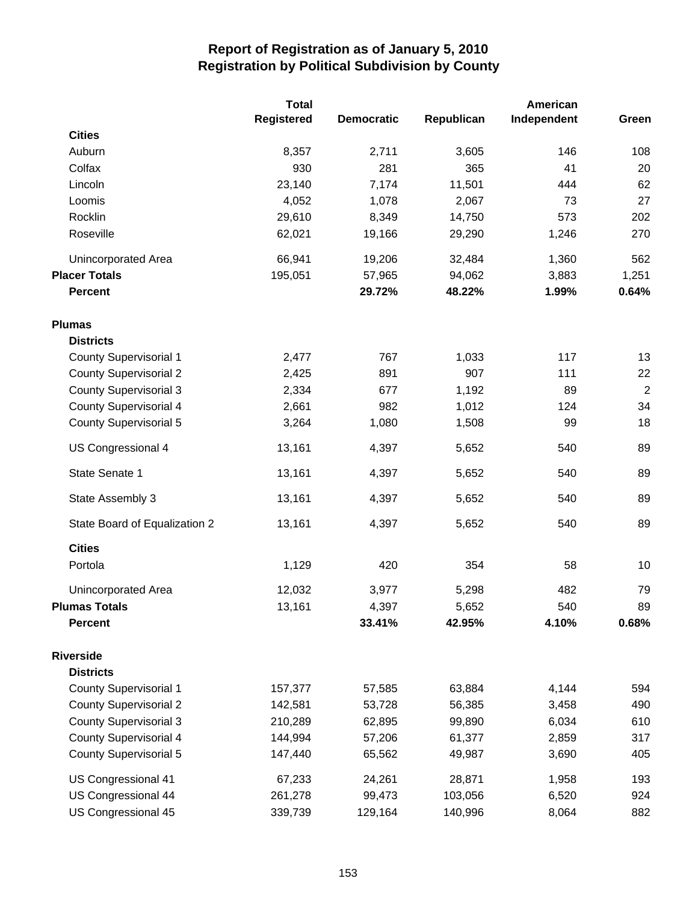|                               | <b>Total</b> |                   |            | American    |            |
|-------------------------------|--------------|-------------------|------------|-------------|------------|
|                               | Registered   | <b>Democratic</b> | Republican | Independent | Green      |
| <b>Cities</b>                 |              |                   |            |             |            |
| Auburn                        | 8,357        | 2,711             | 3,605      | 146         | 108        |
| Colfax                        | 930          | 281               | 365        | 41          | 20         |
| Lincoln                       | 23,140       | 7,174             | 11,501     | 444         | 62         |
| Loomis                        | 4,052        | 1,078             | 2,067      | 73          | 27         |
| Rocklin                       | 29,610       | 8,349             | 14,750     | 573         | 202        |
| Roseville                     | 62,021       | 19,166            | 29,290     | 1,246       | 270        |
| <b>Unincorporated Area</b>    | 66,941       | 19,206            | 32,484     | 1,360       | 562        |
| <b>Placer Totals</b>          | 195,051      | 57,965            | 94,062     | 3,883       | 1,251      |
| <b>Percent</b>                |              | 29.72%            | 48.22%     | 1.99%       | 0.64%      |
| <b>Plumas</b>                 |              |                   |            |             |            |
| <b>Districts</b>              |              |                   |            |             |            |
| <b>County Supervisorial 1</b> | 2,477        | 767               | 1,033      | 117         | 13         |
| <b>County Supervisorial 2</b> | 2,425        | 891               | 907        | 111         | 22         |
| <b>County Supervisorial 3</b> | 2,334        | 677               | 1,192      | 89          | $\sqrt{2}$ |
| <b>County Supervisorial 4</b> | 2,661        | 982               | 1,012      | 124         | 34         |
| <b>County Supervisorial 5</b> | 3,264        | 1,080             | 1,508      | 99          | 18         |
| US Congressional 4            | 13,161       | 4,397             | 5,652      | 540         | 89         |
| State Senate 1                | 13,161       | 4,397             | 5,652      | 540         | 89         |
| State Assembly 3              | 13,161       | 4,397             | 5,652      | 540         | 89         |
| State Board of Equalization 2 | 13,161       | 4,397             | 5,652      | 540         | 89         |
| <b>Cities</b>                 |              |                   |            |             |            |
| Portola                       | 1,129        | 420               | 354        | 58          | 10         |
| Unincorporated Area           | 12,032       | 3,977             | 5,298      | 482         | 79         |
| <b>Plumas Totals</b>          | 13,161       | 4,397             | 5,652      | 540         | 89         |
| <b>Percent</b>                |              | 33.41%            | 42.95%     | 4.10%       | 0.68%      |
| <b>Riverside</b>              |              |                   |            |             |            |
| <b>Districts</b>              |              |                   |            |             |            |
| <b>County Supervisorial 1</b> | 157,377      | 57,585            | 63,884     | 4,144       | 594        |
| <b>County Supervisorial 2</b> | 142,581      | 53,728            | 56,385     | 3,458       | 490        |
| <b>County Supervisorial 3</b> | 210,289      | 62,895            | 99,890     | 6,034       | 610        |
| <b>County Supervisorial 4</b> | 144,994      | 57,206            | 61,377     | 2,859       | 317        |
| <b>County Supervisorial 5</b> | 147,440      | 65,562            | 49,987     | 3,690       | 405        |
| US Congressional 41           | 67,233       | 24,261            | 28,871     | 1,958       | 193        |
| US Congressional 44           | 261,278      | 99,473            | 103,056    | 6,520       | 924        |
| US Congressional 45           | 339,739      | 129,164           | 140,996    | 8,064       | 882        |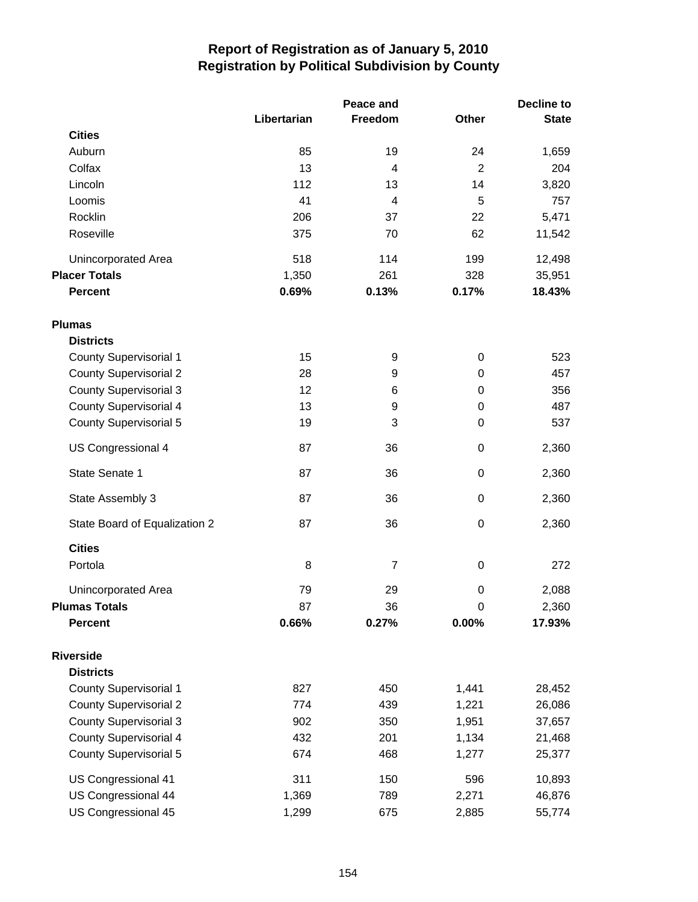|                               |             | Peace and               |                | <b>Decline to</b> |  |
|-------------------------------|-------------|-------------------------|----------------|-------------------|--|
|                               | Libertarian | Freedom                 | Other          | <b>State</b>      |  |
| <b>Cities</b>                 |             |                         |                |                   |  |
| Auburn                        | 85          | 19                      | 24             | 1,659             |  |
| Colfax                        | 13          | 4                       | $\overline{2}$ | 204               |  |
| Lincoln                       | 112         | 13                      | 14             | 3,820             |  |
| Loomis                        | 41          | $\overline{\mathbf{4}}$ | 5              | 757               |  |
| Rocklin                       | 206         | 37                      | 22             | 5,471             |  |
| Roseville                     | 375         | 70                      | 62             | 11,542            |  |
| <b>Unincorporated Area</b>    | 518         | 114                     | 199            | 12,498            |  |
| <b>Placer Totals</b>          | 1,350       | 261                     | 328            | 35,951            |  |
| <b>Percent</b>                | 0.69%       | 0.13%                   | 0.17%          | 18.43%            |  |
| <b>Plumas</b>                 |             |                         |                |                   |  |
| <b>Districts</b>              |             |                         |                |                   |  |
| <b>County Supervisorial 1</b> | 15          | 9                       | $\pmb{0}$      | 523               |  |
| <b>County Supervisorial 2</b> | 28          | 9                       | $\pmb{0}$      | 457               |  |
| <b>County Supervisorial 3</b> | 12          | 6                       | 0              | 356               |  |
| <b>County Supervisorial 4</b> | 13          | 9                       | $\pmb{0}$      | 487               |  |
| <b>County Supervisorial 5</b> | 19          | 3                       | 0              | 537               |  |
| US Congressional 4            | 87          | 36                      | $\pmb{0}$      | 2,360             |  |
| State Senate 1                | 87          | 36                      | $\pmb{0}$      | 2,360             |  |
| State Assembly 3              | 87          | 36                      | $\pmb{0}$      | 2,360             |  |
| State Board of Equalization 2 | 87          | 36                      | $\pmb{0}$      | 2,360             |  |
| <b>Cities</b>                 |             |                         |                |                   |  |
| Portola                       | 8           | 7                       | $\pmb{0}$      | 272               |  |
| Unincorporated Area           | 79          | 29                      | $\mathbf 0$    | 2,088             |  |
| <b>Plumas Totals</b>          | 87          | 36                      | $\mathbf 0$    | 2,360             |  |
| <b>Percent</b>                | 0.66%       | 0.27%                   | 0.00%          | 17.93%            |  |
| <b>Riverside</b>              |             |                         |                |                   |  |
| <b>Districts</b>              |             |                         |                |                   |  |
| <b>County Supervisorial 1</b> | 827         | 450                     | 1,441          | 28,452            |  |
| <b>County Supervisorial 2</b> | 774         | 439                     | 1,221          | 26,086            |  |
| <b>County Supervisorial 3</b> | 902         | 350                     | 1,951          | 37,657            |  |
| County Supervisorial 4        | 432         | 201                     | 1,134          | 21,468            |  |
| <b>County Supervisorial 5</b> | 674         | 468                     | 1,277          | 25,377            |  |
| US Congressional 41           | 311         | 150                     | 596            | 10,893            |  |
| <b>US Congressional 44</b>    | 1,369       | 789                     | 2,271          | 46,876            |  |
| US Congressional 45           | 1,299       | 675                     | 2,885          | 55,774            |  |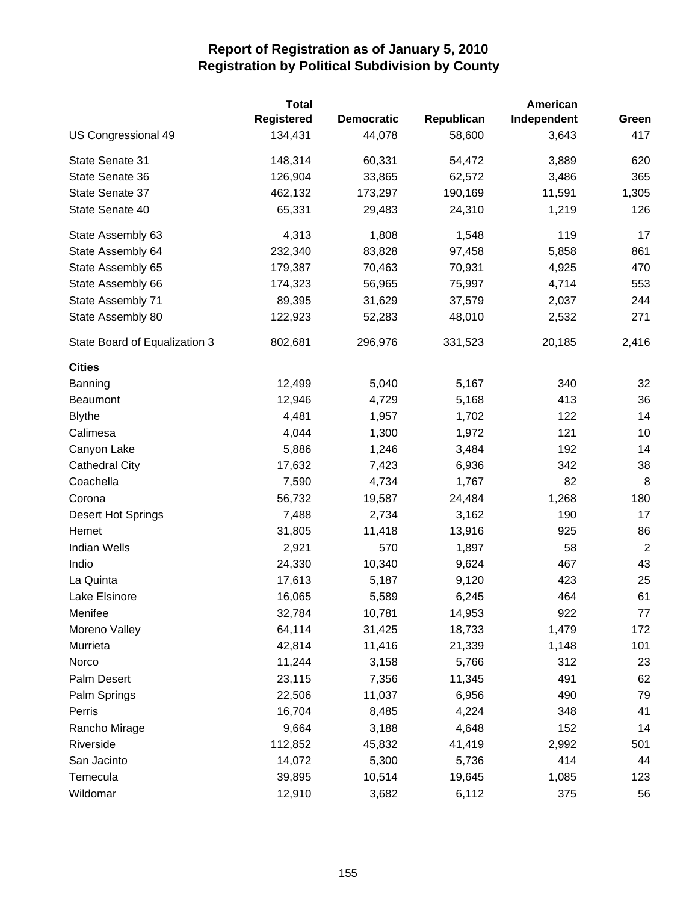|                               | <b>Total</b>      |                   |            | American    |                |
|-------------------------------|-------------------|-------------------|------------|-------------|----------------|
|                               | <b>Registered</b> | <b>Democratic</b> | Republican | Independent | Green          |
| US Congressional 49           | 134,431           | 44,078            | 58,600     | 3,643       | 417            |
| State Senate 31               | 148,314           | 60,331            | 54,472     | 3,889       | 620            |
| State Senate 36               | 126,904           | 33,865            | 62,572     | 3,486       | 365            |
| State Senate 37               | 462,132           | 173,297           | 190,169    | 11,591      | 1,305          |
| State Senate 40               | 65,331            | 29,483            | 24,310     | 1,219       | 126            |
| State Assembly 63             | 4,313             | 1,808             | 1,548      | 119         | 17             |
| State Assembly 64             | 232,340           | 83,828            | 97,458     | 5,858       | 861            |
| State Assembly 65             | 179,387           | 70,463            | 70,931     | 4,925       | 470            |
| State Assembly 66             | 174,323           | 56,965            | 75,997     | 4,714       | 553            |
| State Assembly 71             | 89,395            | 31,629            | 37,579     | 2,037       | 244            |
| State Assembly 80             | 122,923           | 52,283            | 48,010     | 2,532       | 271            |
| State Board of Equalization 3 | 802,681           | 296,976           | 331,523    | 20,185      | 2,416          |
| <b>Cities</b>                 |                   |                   |            |             |                |
| Banning                       | 12,499            | 5,040             | 5,167      | 340         | 32             |
| Beaumont                      | 12,946            | 4,729             | 5,168      | 413         | 36             |
| <b>Blythe</b>                 | 4,481             | 1,957             | 1,702      | 122         | 14             |
| Calimesa                      | 4,044             | 1,300             | 1,972      | 121         | 10             |
| Canyon Lake                   | 5,886             | 1,246             | 3,484      | 192         | 14             |
| <b>Cathedral City</b>         | 17,632            | 7,423             | 6,936      | 342         | 38             |
| Coachella                     | 7,590             | 4,734             | 1,767      | 82          | 8              |
| Corona                        | 56,732            | 19,587            | 24,484     | 1,268       | 180            |
| Desert Hot Springs            | 7,488             | 2,734             | 3,162      | 190         | 17             |
| Hemet                         | 31,805            | 11,418            | 13,916     | 925         | 86             |
| <b>Indian Wells</b>           | 2,921             | 570               | 1,897      | 58          | $\overline{2}$ |
| Indio                         | 24,330            | 10,340            | 9,624      | 467         | 43             |
| La Quinta                     | 17,613            | 5,187             | 9,120      | 423         | 25             |
| Lake Elsinore                 | 16,065            | 5,589             | 6,245      | 464         | 61             |
| Menifee                       | 32,784            | 10,781            | 14,953     | 922         | 77             |
| Moreno Valley                 | 64,114            | 31,425            | 18,733     | 1,479       | 172            |
| Murrieta                      | 42,814            | 11,416            | 21,339     | 1,148       | 101            |
| Norco                         | 11,244            | 3,158             | 5,766      | 312         | 23             |
| Palm Desert                   | 23,115            | 7,356             | 11,345     | 491         | 62             |
| Palm Springs                  | 22,506            | 11,037            | 6,956      | 490         | 79             |
| Perris                        | 16,704            | 8,485             | 4,224      | 348         | 41             |
| Rancho Mirage                 | 9,664             | 3,188             | 4,648      | 152         | 14             |
| Riverside                     | 112,852           | 45,832            | 41,419     | 2,992       | 501            |
| San Jacinto                   | 14,072            | 5,300             | 5,736      | 414         | 44             |
| Temecula                      | 39,895            | 10,514            | 19,645     | 1,085       | 123            |
| Wildomar                      | 12,910            | 3,682             | 6,112      | 375         | 56             |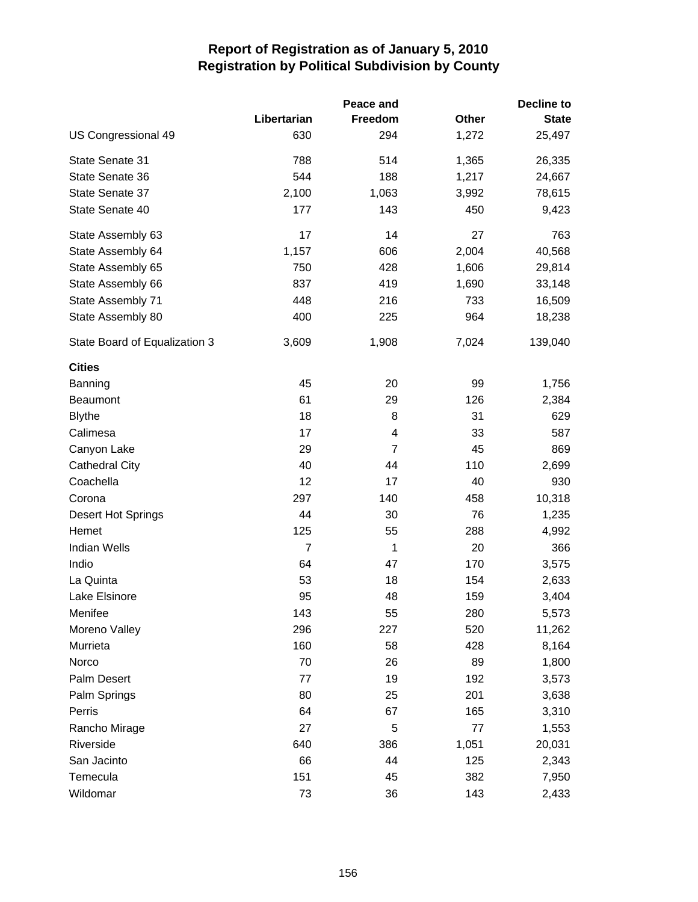|                               |             | Peace and | <b>Decline to</b> |              |  |
|-------------------------------|-------------|-----------|-------------------|--------------|--|
|                               | Libertarian | Freedom   | Other             | <b>State</b> |  |
| US Congressional 49           | 630         | 294       | 1,272             | 25,497       |  |
| State Senate 31               | 788         | 514       | 1,365             | 26,335       |  |
| State Senate 36               | 544         | 188       | 1,217             | 24,667       |  |
| State Senate 37               | 2,100       | 1,063     | 3,992             | 78,615       |  |
| State Senate 40               | 177         | 143       | 450               | 9,423        |  |
| State Assembly 63             | 17          | 14        | 27                | 763          |  |
| State Assembly 64             | 1,157       | 606       | 2,004             | 40,568       |  |
| State Assembly 65             | 750         | 428       | 1,606             | 29,814       |  |
| State Assembly 66             | 837         | 419       | 1,690             | 33,148       |  |
| State Assembly 71             | 448         | 216       | 733               | 16,509       |  |
| State Assembly 80             | 400         | 225       | 964               | 18,238       |  |
| State Board of Equalization 3 | 3,609       | 1,908     | 7,024             | 139,040      |  |
| <b>Cities</b>                 |             |           |                   |              |  |
| Banning                       | 45          | 20        | 99                | 1,756        |  |
| <b>Beaumont</b>               | 61          | 29        | 126               | 2,384        |  |
| <b>Blythe</b>                 | 18          | 8         | 31                | 629          |  |
| Calimesa                      | 17          | 4         | 33                | 587          |  |
| Canyon Lake                   | 29          | 7         | 45                | 869          |  |
| <b>Cathedral City</b>         | 40          | 44        | 110               | 2,699        |  |
| Coachella                     | 12          | 17        | 40                | 930          |  |
| Corona                        | 297         | 140       | 458               | 10,318       |  |
| Desert Hot Springs            | 44          | 30        | 76                | 1,235        |  |
| Hemet                         | 125         | 55        | 288               | 4,992        |  |
| <b>Indian Wells</b>           | 7           | 1         | 20                | 366          |  |
| Indio                         | 64          | 47        | 170               | 3,575        |  |
| La Quinta                     | 53          | 18        | 154               | 2,633        |  |
| Lake Elsinore                 | 95          | 48        | 159               | 3,404        |  |
| Menifee                       | 143         | 55        | 280               | 5,573        |  |
| Moreno Valley                 | 296         | 227       | 520               | 11,262       |  |
| Murrieta                      | 160         | 58        | 428               | 8,164        |  |
| Norco                         | 70          | 26        | 89                | 1,800        |  |
| Palm Desert                   | 77          | 19        | 192               | 3,573        |  |
| Palm Springs                  | 80          | 25        | 201               | 3,638        |  |
| Perris                        | 64          | 67        | 165               | 3,310        |  |
| Rancho Mirage                 | 27          | 5         | 77                | 1,553        |  |
| Riverside                     | 640         | 386       | 1,051             | 20,031       |  |
| San Jacinto                   | 66          | 44        | 125               | 2,343        |  |
| Temecula                      | 151         | 45        | 382               | 7,950        |  |
| Wildomar                      | 73          | 36        | 143               | 2,433        |  |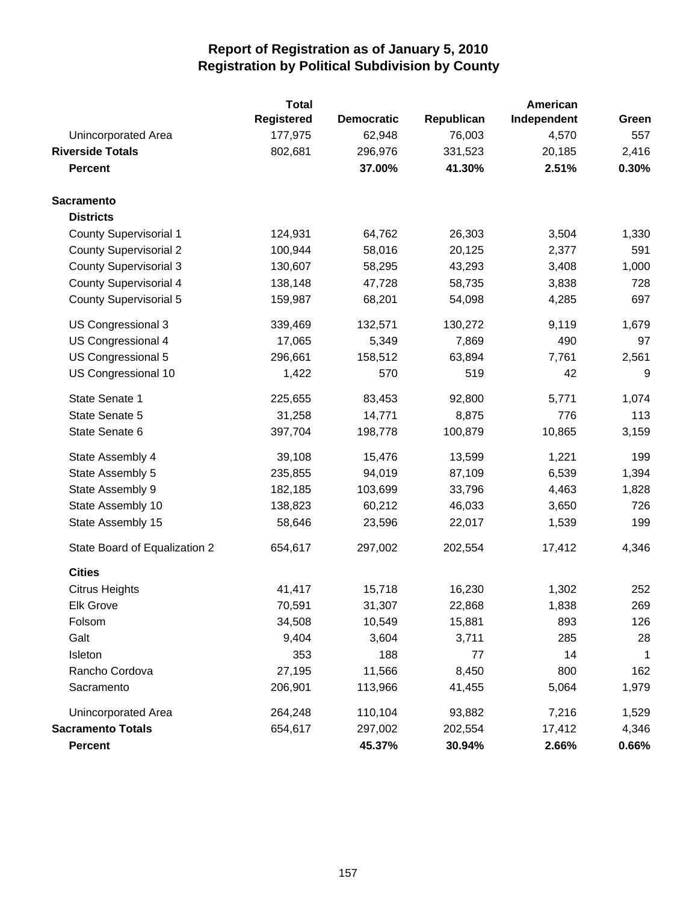|                               | <b>Total</b>      |                   |            | American    |             |
|-------------------------------|-------------------|-------------------|------------|-------------|-------------|
|                               | <b>Registered</b> | <b>Democratic</b> | Republican | Independent | Green       |
| Unincorporated Area           | 177,975           | 62,948            | 76,003     | 4,570       | 557         |
| <b>Riverside Totals</b>       | 802,681           | 296,976           | 331,523    | 20,185      | 2,416       |
| <b>Percent</b>                |                   | 37.00%            | 41.30%     | 2.51%       | 0.30%       |
| <b>Sacramento</b>             |                   |                   |            |             |             |
| <b>Districts</b>              |                   |                   |            |             |             |
| County Supervisorial 1        | 124,931           | 64,762            | 26,303     | 3,504       | 1,330       |
| <b>County Supervisorial 2</b> | 100,944           | 58,016            | 20,125     | 2,377       | 591         |
| <b>County Supervisorial 3</b> | 130,607           | 58,295            | 43,293     | 3,408       | 1,000       |
| <b>County Supervisorial 4</b> | 138,148           | 47,728            | 58,735     | 3,838       | 728         |
| <b>County Supervisorial 5</b> | 159,987           | 68,201            | 54,098     | 4,285       | 697         |
| US Congressional 3            | 339,469           | 132,571           | 130,272    | 9,119       | 1,679       |
| US Congressional 4            | 17,065            | 5,349             | 7,869      | 490         | 97          |
| US Congressional 5            | 296,661           | 158,512           | 63,894     | 7,761       | 2,561       |
| US Congressional 10           | 1,422             | 570               | 519        | 42          | 9           |
| State Senate 1                | 225,655           | 83,453            | 92,800     | 5,771       | 1,074       |
| State Senate 5                | 31,258            | 14,771            | 8,875      | 776         | 113         |
| State Senate 6                | 397,704           | 198,778           | 100,879    | 10,865      | 3,159       |
| State Assembly 4              | 39,108            | 15,476            | 13,599     | 1,221       | 199         |
| State Assembly 5              | 235,855           | 94,019            | 87,109     | 6,539       | 1,394       |
| State Assembly 9              | 182,185           | 103,699           | 33,796     | 4,463       | 1,828       |
| State Assembly 10             | 138,823           | 60,212            | 46,033     | 3,650       | 726         |
| State Assembly 15             | 58,646            | 23,596            | 22,017     | 1,539       | 199         |
| State Board of Equalization 2 | 654,617           | 297,002           | 202,554    | 17,412      | 4,346       |
| <b>Cities</b>                 |                   |                   |            |             |             |
| <b>Citrus Heights</b>         | 41,417            | 15,718            | 16,230     | 1,302       | 252         |
| <b>Elk Grove</b>              | 70,591            | 31,307            | 22,868     | 1,838       | 269         |
| Folsom                        | 34,508            | 10,549            | 15,881     | 893         | 126         |
| Galt                          | 9,404             | 3,604             | 3,711      | 285         | 28          |
| Isleton                       | 353               | 188               | 77         | 14          | $\mathbf 1$ |
| Rancho Cordova                | 27,195            | 11,566            | 8,450      | 800         | 162         |
| Sacramento                    | 206,901           | 113,966           | 41,455     | 5,064       | 1,979       |
| Unincorporated Area           | 264,248           | 110,104           | 93,882     | 7,216       | 1,529       |
| <b>Sacramento Totals</b>      | 654,617           | 297,002           | 202,554    | 17,412      | 4,346       |
| <b>Percent</b>                |                   | 45.37%            | 30.94%     | 2.66%       | 0.66%       |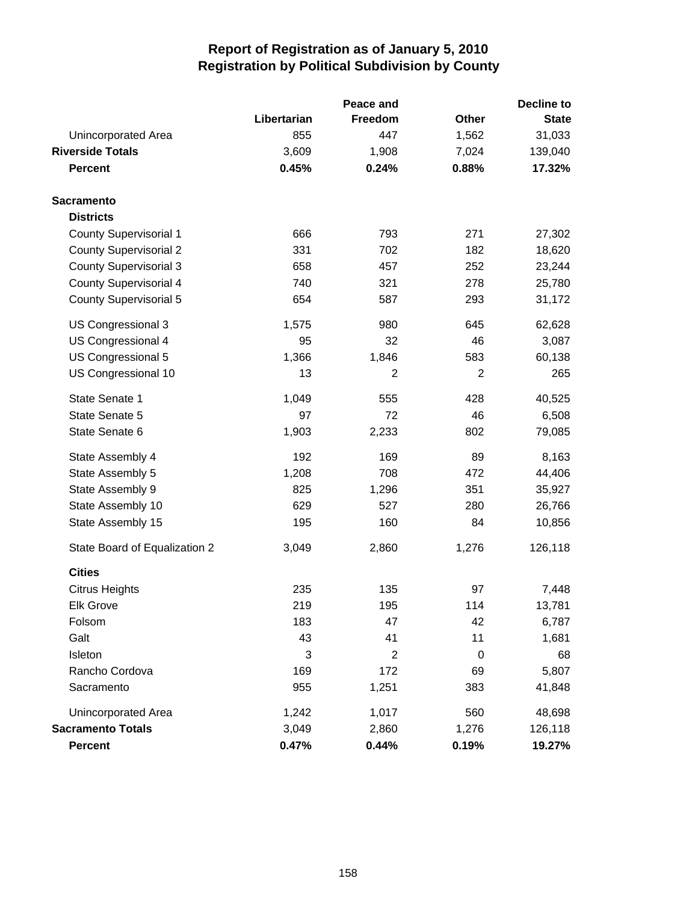|                               | Peace and   |                |                | <b>Decline to</b> |  |
|-------------------------------|-------------|----------------|----------------|-------------------|--|
|                               | Libertarian | Freedom        | Other          | <b>State</b>      |  |
| Unincorporated Area           | 855         | 447            | 1,562          | 31,033            |  |
| <b>Riverside Totals</b>       | 3,609       | 1,908          | 7,024          | 139,040           |  |
| <b>Percent</b>                | 0.45%       | 0.24%          | 0.88%          | 17.32%            |  |
| <b>Sacramento</b>             |             |                |                |                   |  |
| <b>Districts</b>              |             |                |                |                   |  |
| <b>County Supervisorial 1</b> | 666         | 793            | 271            | 27,302            |  |
| <b>County Supervisorial 2</b> | 331         | 702            | 182            | 18,620            |  |
| <b>County Supervisorial 3</b> | 658         | 457            | 252            | 23,244            |  |
| <b>County Supervisorial 4</b> | 740         | 321            | 278            | 25,780            |  |
| <b>County Supervisorial 5</b> | 654         | 587            | 293            | 31,172            |  |
| US Congressional 3            | 1,575       | 980            | 645            | 62,628            |  |
| US Congressional 4            | 95          | 32             | 46             | 3,087             |  |
| US Congressional 5            | 1,366       | 1,846          | 583            | 60,138            |  |
| US Congressional 10           | 13          | $\overline{c}$ | $\overline{2}$ | 265               |  |
| State Senate 1                | 1,049       | 555            | 428            | 40,525            |  |
| State Senate 5                | 97          | 72             | 46             | 6,508             |  |
| State Senate 6                | 1,903       | 2,233          | 802            | 79,085            |  |
| State Assembly 4              | 192         | 169            | 89             | 8,163             |  |
| State Assembly 5              | 1,208       | 708            | 472            | 44,406            |  |
| State Assembly 9              | 825         | 1,296          | 351            | 35,927            |  |
| State Assembly 10             | 629         | 527            | 280            | 26,766            |  |
| State Assembly 15             | 195         | 160            | 84             | 10,856            |  |
| State Board of Equalization 2 | 3,049       | 2,860          | 1,276          | 126,118           |  |
| <b>Cities</b>                 |             |                |                |                   |  |
| <b>Citrus Heights</b>         | 235         | 135            | 97             | 7,448             |  |
| <b>Elk Grove</b>              | 219         | 195            | 114            | 13,781            |  |
| Folsom                        | 183         | 47             | 42             | 6,787             |  |
| Galt                          | 43          | 41             | 11             | 1,681             |  |
| Isleton                       | 3           | $\overline{2}$ | 0              | 68                |  |
| Rancho Cordova                | 169         | 172            | 69             | 5,807             |  |
| Sacramento                    | 955         | 1,251          | 383            | 41,848            |  |
| Unincorporated Area           | 1,242       | 1,017          | 560            | 48,698            |  |
| <b>Sacramento Totals</b>      | 3,049       | 2,860          | 1,276          | 126,118           |  |
| <b>Percent</b>                | 0.47%       | 0.44%          | 0.19%          | 19.27%            |  |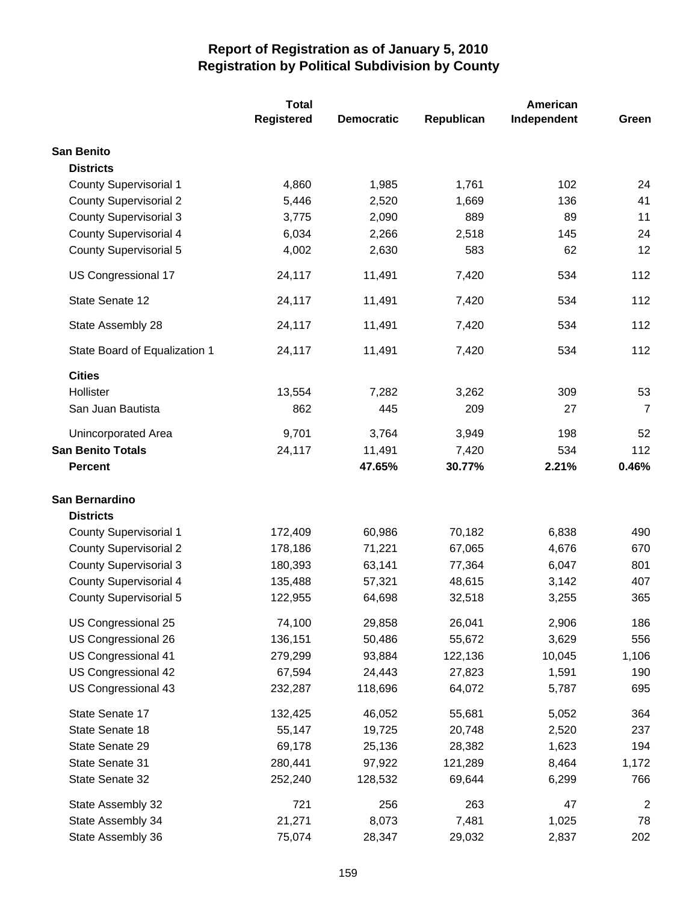|                               | <b>Total</b>      |                   |            | American    |                         |
|-------------------------------|-------------------|-------------------|------------|-------------|-------------------------|
|                               | <b>Registered</b> | <b>Democratic</b> | Republican | Independent | Green                   |
| <b>San Benito</b>             |                   |                   |            |             |                         |
| <b>Districts</b>              |                   |                   |            |             |                         |
| <b>County Supervisorial 1</b> | 4,860             | 1,985             | 1,761      | 102         | 24                      |
| <b>County Supervisorial 2</b> | 5,446             | 2,520             | 1,669      | 136         | 41                      |
| <b>County Supervisorial 3</b> | 3,775             | 2,090             | 889        | 89          | 11                      |
| <b>County Supervisorial 4</b> | 6,034             | 2,266             | 2,518      | 145         | 24                      |
| County Supervisorial 5        | 4,002             | 2,630             | 583        | 62          | 12                      |
| US Congressional 17           | 24,117            | 11,491            | 7,420      | 534         | 112                     |
| State Senate 12               | 24,117            | 11,491            | 7,420      | 534         | 112                     |
| State Assembly 28             | 24,117            | 11,491            | 7,420      | 534         | 112                     |
| State Board of Equalization 1 | 24,117            | 11,491            | 7,420      | 534         | 112                     |
| <b>Cities</b>                 |                   |                   |            |             |                         |
| Hollister                     | 13,554            | 7,282             | 3,262      | 309         | 53                      |
| San Juan Bautista             | 862               | 445               | 209        | 27          | $\overline{7}$          |
| Unincorporated Area           | 9,701             | 3,764             | 3,949      | 198         | 52                      |
| <b>San Benito Totals</b>      | 24,117            | 11,491            | 7,420      | 534         | 112                     |
| <b>Percent</b>                |                   | 47.65%            | 30.77%     | 2.21%       | 0.46%                   |
| San Bernardino                |                   |                   |            |             |                         |
| <b>Districts</b>              |                   |                   |            |             |                         |
| <b>County Supervisorial 1</b> | 172,409           | 60,986            | 70,182     | 6,838       | 490                     |
| <b>County Supervisorial 2</b> | 178,186           | 71,221            | 67,065     | 4,676       | 670                     |
| <b>County Supervisorial 3</b> | 180,393           | 63,141            | 77,364     | 6,047       | 801                     |
| <b>County Supervisorial 4</b> | 135,488           | 57,321            | 48,615     | 3,142       | 407                     |
| <b>County Supervisorial 5</b> | 122,955           | 64,698            | 32,518     | 3,255       | 365                     |
| US Congressional 25           | 74,100            | 29,858            | 26,041     | 2,906       | 186                     |
| US Congressional 26           | 136,151           | 50,486            | 55,672     | 3,629       | 556                     |
| US Congressional 41           | 279,299           | 93,884            | 122,136    | 10,045      | 1,106                   |
| US Congressional 42           | 67,594            | 24,443            | 27,823     | 1,591       | 190                     |
| US Congressional 43           | 232,287           | 118,696           | 64,072     | 5,787       | 695                     |
| State Senate 17               | 132,425           | 46,052            | 55,681     | 5,052       | 364                     |
| State Senate 18               | 55,147            | 19,725            | 20,748     | 2,520       | 237                     |
| State Senate 29               | 69,178            | 25,136            | 28,382     | 1,623       | 194                     |
| State Senate 31               | 280,441           | 97,922            | 121,289    | 8,464       | 1,172                   |
| State Senate 32               | 252,240           | 128,532           | 69,644     | 6,299       | 766                     |
| State Assembly 32             | 721               | 256               | 263        | 47          | $\overline{\mathbf{c}}$ |
| State Assembly 34             | 21,271            | 8,073             | 7,481      | 1,025       | 78                      |
| State Assembly 36             | 75,074            | 28,347            | 29,032     | 2,837       | 202                     |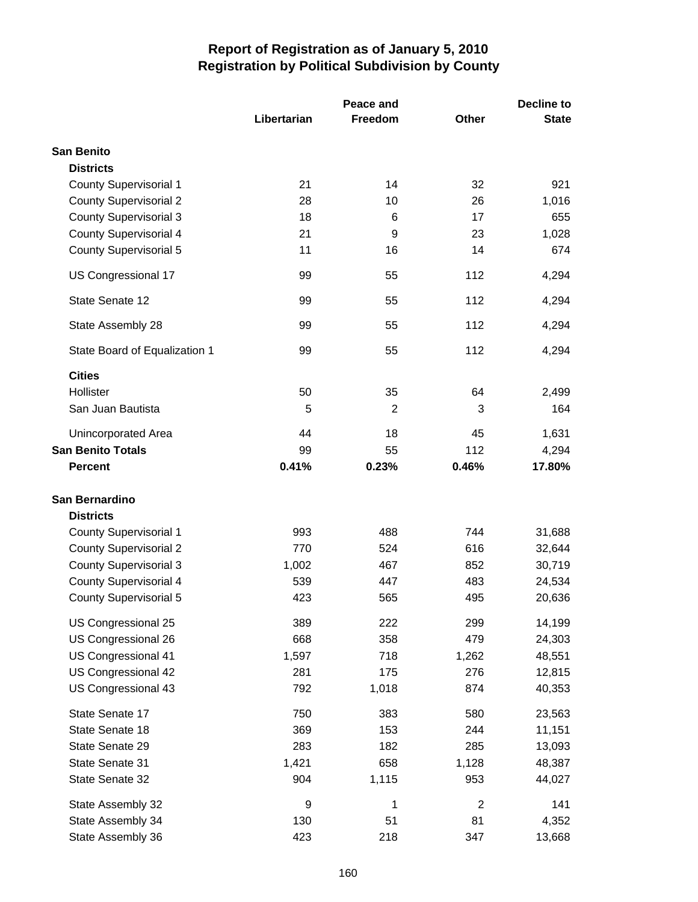|                               |             | Peace and | <b>Decline to</b> |              |
|-------------------------------|-------------|-----------|-------------------|--------------|
|                               | Libertarian | Freedom   | <b>Other</b>      | <b>State</b> |
| <b>San Benito</b>             |             |           |                   |              |
| <b>Districts</b>              |             |           |                   |              |
| <b>County Supervisorial 1</b> | 21          | 14        | 32                | 921          |
| <b>County Supervisorial 2</b> | 28          | 10        | 26                | 1,016        |
| <b>County Supervisorial 3</b> | 18          | 6         | 17                | 655          |
| <b>County Supervisorial 4</b> | 21          | 9         | 23                | 1,028        |
| <b>County Supervisorial 5</b> | 11          | 16        | 14                | 674          |
| US Congressional 17           | 99          | 55        | 112               | 4,294        |
| State Senate 12               | 99          | 55        | 112               | 4,294        |
| State Assembly 28             | 99          | 55        | 112               | 4,294        |
| State Board of Equalization 1 | 99          | 55        | 112               | 4,294        |
| <b>Cities</b>                 |             |           |                   |              |
| Hollister                     | 50          | 35        | 64                | 2,499        |
| San Juan Bautista             | 5           | 2         | 3                 | 164          |
| Unincorporated Area           | 44          | 18        | 45                | 1,631        |
| <b>San Benito Totals</b>      | 99          | 55        | 112               | 4,294        |
| <b>Percent</b>                | 0.41%       | 0.23%     | 0.46%             | 17.80%       |
| San Bernardino                |             |           |                   |              |
| <b>Districts</b>              |             |           |                   |              |
| County Supervisorial 1        | 993         | 488       | 744               | 31,688       |
| <b>County Supervisorial 2</b> | 770         | 524       | 616               | 32,644       |
| <b>County Supervisorial 3</b> | 1,002       | 467       | 852               | 30,719       |
| <b>County Supervisorial 4</b> | 539         | 447       | 483               | 24,534       |
| <b>County Supervisorial 5</b> | 423         | 565       | 495               | 20,636       |
| US Congressional 25           | 389         | 222       | 299               | 14,199       |
| US Congressional 26           | 668         | 358       | 479               | 24,303       |
| US Congressional 41           | 1,597       | 718       | 1,262             | 48,551       |
| US Congressional 42           | 281         | 175       | 276               | 12,815       |
| US Congressional 43           | 792         | 1,018     | 874               | 40,353       |
| State Senate 17               | 750         | 383       | 580               | 23,563       |
| State Senate 18               | 369         | 153       | 244               | 11,151       |
| State Senate 29               | 283         | 182       | 285               | 13,093       |
| State Senate 31               | 1,421       | 658       | 1,128             | 48,387       |
| State Senate 32               | 904         | 1,115     | 953               | 44,027       |
| State Assembly 32             | 9           | 1         | $\mathbf{2}$      | 141          |
| State Assembly 34             | 130         | 51        | 81                | 4,352        |
| State Assembly 36             | 423         | 218       | 347               | 13,668       |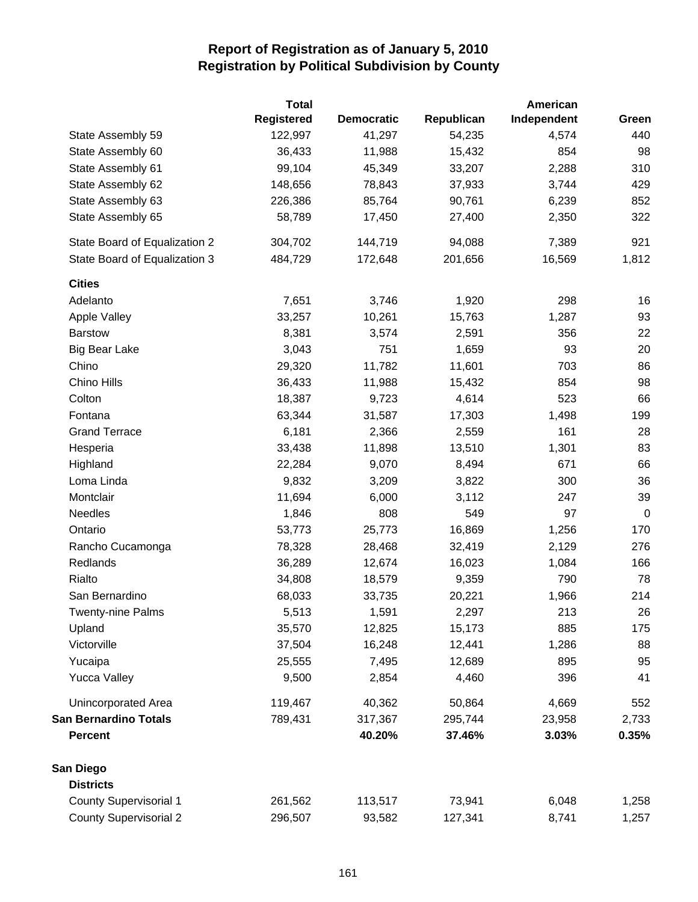|                               | <b>Total</b>      |                   |            | American    |             |
|-------------------------------|-------------------|-------------------|------------|-------------|-------------|
|                               | <b>Registered</b> | <b>Democratic</b> | Republican | Independent | Green       |
| State Assembly 59             | 122,997           | 41,297            | 54,235     | 4,574       | 440         |
| State Assembly 60             | 36,433            | 11,988            | 15,432     | 854         | 98          |
| State Assembly 61             | 99,104            | 45,349            | 33,207     | 2,288       | 310         |
| State Assembly 62             | 148,656           | 78,843            | 37,933     | 3,744       | 429         |
| State Assembly 63             | 226,386           | 85,764            | 90,761     | 6,239       | 852         |
| State Assembly 65             | 58,789            | 17,450            | 27,400     | 2,350       | 322         |
| State Board of Equalization 2 | 304,702           | 144,719           | 94,088     | 7,389       | 921         |
| State Board of Equalization 3 | 484,729           | 172,648           | 201,656    | 16,569      | 1,812       |
| <b>Cities</b>                 |                   |                   |            |             |             |
| Adelanto                      | 7,651             | 3,746             | 1,920      | 298         | 16          |
| Apple Valley                  | 33,257            | 10,261            | 15,763     | 1,287       | 93          |
| <b>Barstow</b>                | 8,381             | 3,574             | 2,591      | 356         | 22          |
| <b>Big Bear Lake</b>          | 3,043             | 751               | 1,659      | 93          | 20          |
| Chino                         | 29,320            | 11,782            | 11,601     | 703         | 86          |
| Chino Hills                   | 36,433            | 11,988            | 15,432     | 854         | 98          |
| Colton                        | 18,387            | 9,723             | 4,614      | 523         | 66          |
| Fontana                       | 63,344            | 31,587            | 17,303     | 1,498       | 199         |
| <b>Grand Terrace</b>          | 6,181             | 2,366             | 2,559      | 161         | 28          |
| Hesperia                      | 33,438            | 11,898            | 13,510     | 1,301       | 83          |
| Highland                      | 22,284            | 9,070             | 8,494      | 671         | 66          |
| Loma Linda                    | 9,832             | 3,209             | 3,822      | 300         | 36          |
| Montclair                     | 11,694            | 6,000             | 3,112      | 247         | 39          |
| Needles                       | 1,846             | 808               | 549        | 97          | $\mathbf 0$ |
| Ontario                       | 53,773            | 25,773            | 16,869     | 1,256       | 170         |
| Rancho Cucamonga              | 78,328            | 28,468            | 32,419     | 2,129       | 276         |
| Redlands                      | 36,289            | 12,674            | 16,023     | 1,084       | 166         |
| Rialto                        | 34,808            | 18,579            | 9,359      | 790         | 78          |
| San Bernardino                | 68,033            | 33,735            | 20,221     | 1,966       | 214         |
| <b>Twenty-nine Palms</b>      | 5,513             | 1,591             | 2,297      | 213         | 26          |
| Upland                        | 35,570            | 12,825            | 15,173     | 885         | 175         |
| Victorville                   | 37,504            | 16,248            | 12,441     | 1,286       | 88          |
| Yucaipa                       | 25,555            | 7,495             | 12,689     | 895         | 95          |
| <b>Yucca Valley</b>           | 9,500             | 2,854             | 4,460      | 396         | 41          |
| <b>Unincorporated Area</b>    | 119,467           | 40,362            | 50,864     | 4,669       | 552         |
| <b>San Bernardino Totals</b>  | 789,431           | 317,367           | 295,744    | 23,958      | 2,733       |
| <b>Percent</b>                |                   | 40.20%            | 37.46%     | 3.03%       | 0.35%       |
| San Diego                     |                   |                   |            |             |             |
| <b>Districts</b>              |                   |                   |            |             |             |
| <b>County Supervisorial 1</b> | 261,562           | 113,517           | 73,941     | 6,048       | 1,258       |
| <b>County Supervisorial 2</b> | 296,507           | 93,582            | 127,341    | 8,741       | 1,257       |
|                               |                   |                   |            |             |             |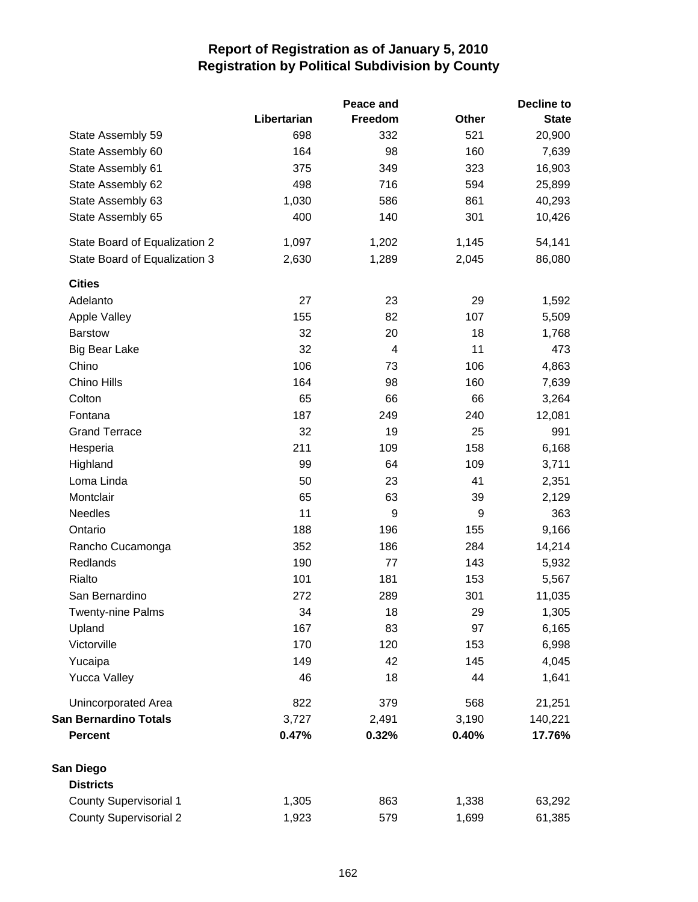|                               |             | Peace and | <b>Decline to</b> |              |  |
|-------------------------------|-------------|-----------|-------------------|--------------|--|
|                               | Libertarian | Freedom   | <b>Other</b>      | <b>State</b> |  |
| State Assembly 59             | 698         | 332       | 521               | 20,900       |  |
| State Assembly 60             | 164         | 98        | 160               | 7,639        |  |
| State Assembly 61             | 375         | 349       | 323               | 16,903       |  |
| State Assembly 62             | 498         | 716       | 594               | 25,899       |  |
| State Assembly 63             | 1,030       | 586       | 861               | 40,293       |  |
| State Assembly 65             | 400         | 140       | 301               | 10,426       |  |
| State Board of Equalization 2 | 1,097       | 1,202     | 1,145             | 54,141       |  |
| State Board of Equalization 3 | 2,630       | 1,289     | 2,045             | 86,080       |  |
| <b>Cities</b>                 |             |           |                   |              |  |
| Adelanto                      | 27          | 23        | 29                | 1,592        |  |
| Apple Valley                  | 155         | 82        | 107               | 5,509        |  |
| <b>Barstow</b>                | 32          | 20        | 18                | 1,768        |  |
| <b>Big Bear Lake</b>          | 32          | 4         | 11                | 473          |  |
| Chino                         | 106         | 73        | 106               | 4,863        |  |
| Chino Hills                   | 164         | 98        | 160               | 7,639        |  |
| Colton                        | 65          | 66        | 66                | 3,264        |  |
| Fontana                       | 187         | 249       | 240               | 12,081       |  |
| <b>Grand Terrace</b>          | 32          | 19        | 25                | 991          |  |
| Hesperia                      | 211         | 109       | 158               | 6,168        |  |
| Highland                      | 99          | 64        | 109               | 3,711        |  |
| Loma Linda                    | 50          | 23        | 41                | 2,351        |  |
| Montclair                     | 65          | 63        | 39                | 2,129        |  |
| Needles                       | 11          | 9         | 9                 | 363          |  |
| Ontario                       | 188         | 196       | 155               | 9,166        |  |
| Rancho Cucamonga              | 352         | 186       | 284               | 14,214       |  |
| Redlands                      | 190         | 77        | 143               | 5,932        |  |
| Rialto                        | 101         | 181       | 153               | 5,567        |  |
| San Bernardino                | 272         | 289       | 301               | 11,035       |  |
| <b>Twenty-nine Palms</b>      | 34          | 18        | 29                | 1,305        |  |
| Upland                        | 167         | 83        | 97                | 6,165        |  |
| Victorville                   | 170         | 120       | 153               | 6,998        |  |
| Yucaipa                       | 149         | 42        | 145               | 4,045        |  |
| <b>Yucca Valley</b>           | 46          | 18        | 44                | 1,641        |  |
| Unincorporated Area           | 822         | 379       | 568               | 21,251       |  |
| <b>San Bernardino Totals</b>  | 3,727       | 2,491     | 3,190             | 140,221      |  |
| Percent                       | 0.47%       | 0.32%     | 0.40%             | 17.76%       |  |
| San Diego                     |             |           |                   |              |  |
| <b>Districts</b>              |             |           |                   |              |  |
| <b>County Supervisorial 1</b> | 1,305       | 863       | 1,338             | 63,292       |  |
| <b>County Supervisorial 2</b> | 1,923       | 579       | 1,699             | 61,385       |  |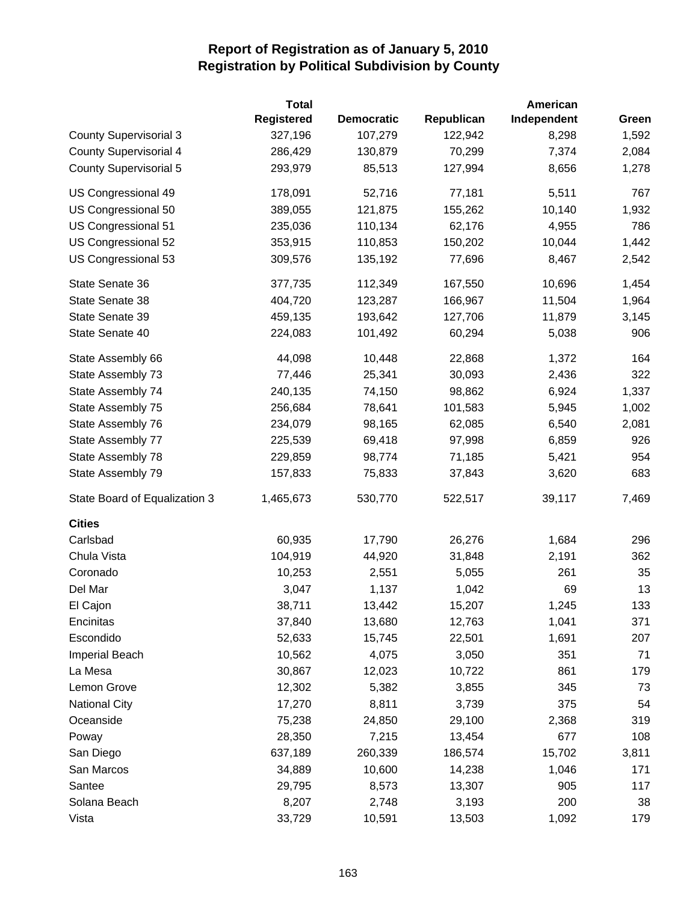|                               | <b>Total</b>      |                   |            | American    |       |
|-------------------------------|-------------------|-------------------|------------|-------------|-------|
|                               | <b>Registered</b> | <b>Democratic</b> | Republican | Independent | Green |
| <b>County Supervisorial 3</b> | 327,196           | 107,279           | 122,942    | 8,298       | 1,592 |
| <b>County Supervisorial 4</b> | 286,429           | 130,879           | 70,299     | 7,374       | 2,084 |
| <b>County Supervisorial 5</b> | 293,979           | 85,513            | 127,994    | 8,656       | 1,278 |
| US Congressional 49           | 178,091           | 52,716            | 77,181     | 5,511       | 767   |
| US Congressional 50           | 389,055           | 121,875           | 155,262    | 10,140      | 1,932 |
| US Congressional 51           | 235,036           | 110,134           | 62,176     | 4,955       | 786   |
| US Congressional 52           | 353,915           | 110,853           | 150,202    | 10,044      | 1,442 |
| US Congressional 53           | 309,576           | 135,192           | 77,696     | 8,467       | 2,542 |
| State Senate 36               | 377,735           | 112,349           | 167,550    | 10,696      | 1,454 |
| State Senate 38               | 404,720           | 123,287           | 166,967    | 11,504      | 1,964 |
| State Senate 39               | 459,135           | 193,642           | 127,706    | 11,879      | 3,145 |
| State Senate 40               | 224,083           | 101,492           | 60,294     | 5,038       | 906   |
| State Assembly 66             | 44,098            | 10,448            | 22,868     | 1,372       | 164   |
| State Assembly 73             | 77,446            | 25,341            | 30,093     | 2,436       | 322   |
| State Assembly 74             | 240,135           | 74,150            | 98,862     | 6,924       | 1,337 |
| State Assembly 75             | 256,684           | 78,641            | 101,583    | 5,945       | 1,002 |
| State Assembly 76             | 234,079           | 98,165            | 62,085     | 6,540       | 2,081 |
| State Assembly 77             | 225,539           | 69,418            | 97,998     | 6,859       | 926   |
| State Assembly 78             | 229,859           | 98,774            | 71,185     | 5,421       | 954   |
| State Assembly 79             | 157,833           | 75,833            | 37,843     | 3,620       | 683   |
| State Board of Equalization 3 | 1,465,673         | 530,770           | 522,517    | 39,117      | 7,469 |
| <b>Cities</b>                 |                   |                   |            |             |       |
| Carlsbad                      | 60,935            | 17,790            | 26,276     | 1,684       | 296   |
| Chula Vista                   | 104,919           | 44,920            | 31,848     | 2,191       | 362   |
| Coronado                      | 10,253            | 2,551             | 5,055      | 261         | 35    |
| Del Mar                       | 3,047             | 1,137             | 1,042      | 69          | 13    |
| El Cajon                      | 38,711            | 13,442            | 15,207     | 1,245       | 133   |
| Encinitas                     | 37,840            | 13,680            | 12,763     | 1,041       | 371   |
| Escondido                     | 52,633            | 15,745            | 22,501     | 1,691       | 207   |
| Imperial Beach                | 10,562            | 4,075             | 3,050      | 351         | 71    |
| La Mesa                       | 30,867            | 12,023            | 10,722     | 861         | 179   |
| Lemon Grove                   | 12,302            | 5,382             | 3,855      | 345         | 73    |
| <b>National City</b>          | 17,270            | 8,811             | 3,739      | 375         | 54    |
| Oceanside                     | 75,238            | 24,850            | 29,100     | 2,368       | 319   |
| Poway                         | 28,350            | 7,215             | 13,454     | 677         | 108   |
| San Diego                     | 637,189           | 260,339           | 186,574    | 15,702      | 3,811 |
| San Marcos                    | 34,889            | 10,600            | 14,238     | 1,046       | 171   |
| Santee                        | 29,795            | 8,573             | 13,307     | 905         | 117   |
| Solana Beach                  | 8,207             | 2,748             | 3,193      | 200         | 38    |
| Vista                         | 33,729            | 10,591            | 13,503     | 1,092       | 179   |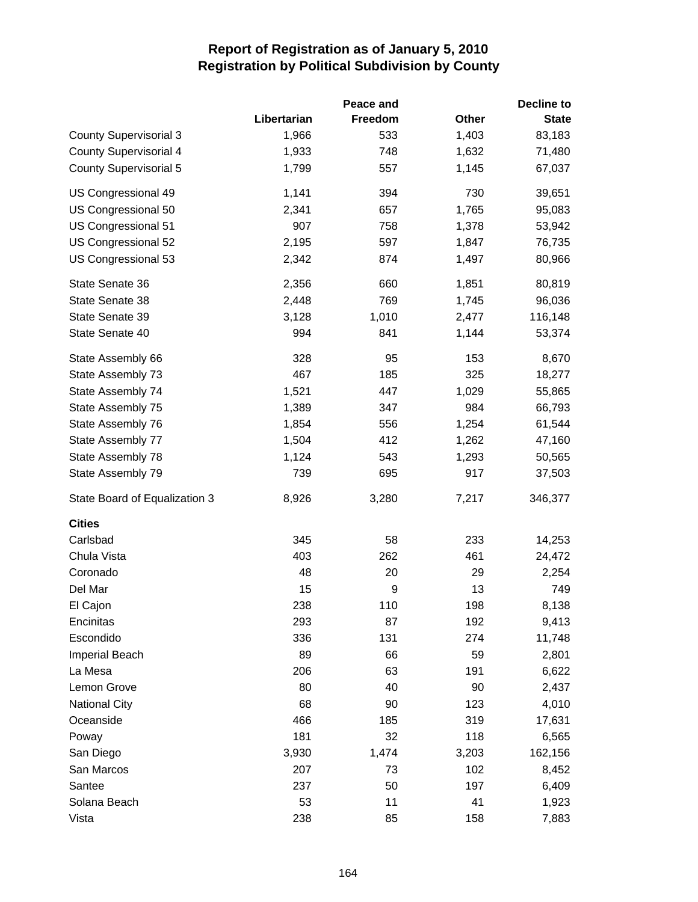|                               |             | Peace and |       | Decline to   |
|-------------------------------|-------------|-----------|-------|--------------|
|                               | Libertarian | Freedom   | Other | <b>State</b> |
| <b>County Supervisorial 3</b> | 1,966       | 533       | 1,403 | 83,183       |
| <b>County Supervisorial 4</b> | 1,933       | 748       | 1,632 | 71,480       |
| <b>County Supervisorial 5</b> | 1,799       | 557       | 1,145 | 67,037       |
| US Congressional 49           | 1,141       | 394       | 730   | 39,651       |
| US Congressional 50           | 2,341       | 657       | 1,765 | 95,083       |
| US Congressional 51           | 907         | 758       | 1,378 | 53,942       |
| US Congressional 52           | 2,195       | 597       | 1,847 | 76,735       |
| US Congressional 53           | 2,342       | 874       | 1,497 | 80,966       |
| State Senate 36               | 2,356       | 660       | 1,851 | 80,819       |
| State Senate 38               | 2,448       | 769       | 1,745 | 96,036       |
| State Senate 39               | 3,128       | 1,010     | 2,477 | 116,148      |
| State Senate 40               | 994         | 841       | 1,144 | 53,374       |
| State Assembly 66             | 328         | 95        | 153   | 8,670        |
| State Assembly 73             | 467         | 185       | 325   | 18,277       |
| State Assembly 74             | 1,521       | 447       | 1,029 | 55,865       |
| State Assembly 75             | 1,389       | 347       | 984   | 66,793       |
| State Assembly 76             | 1,854       | 556       | 1,254 | 61,544       |
| State Assembly 77             | 1,504       | 412       | 1,262 | 47,160       |
| State Assembly 78             | 1,124       | 543       | 1,293 | 50,565       |
| State Assembly 79             | 739         | 695       | 917   | 37,503       |
| State Board of Equalization 3 | 8,926       | 3,280     | 7,217 | 346,377      |
| <b>Cities</b>                 |             |           |       |              |
| Carlsbad                      | 345         | 58        | 233   | 14,253       |
| Chula Vista                   | 403         | 262       | 461   | 24,472       |
| Coronado                      | 48          | 20        | 29    | 2,254        |
| Del Mar                       | 15          | 9         | 13    | 749          |
| El Cajon                      | 238         | 110       | 198   | 8,138        |
| Encinitas                     | 293         | 87        | 192   | 9,413        |
| Escondido                     | 336         | 131       | 274   | 11,748       |
| Imperial Beach                | 89          | 66        | 59    | 2,801        |
| La Mesa                       | 206         | 63        | 191   | 6,622        |
| Lemon Grove                   | 80          | 40        | 90    | 2,437        |
| <b>National City</b>          | 68          | 90        | 123   | 4,010        |
| Oceanside                     | 466         | 185       | 319   | 17,631       |
| Poway                         | 181         | 32        | 118   | 6,565        |
| San Diego                     | 3,930       | 1,474     | 3,203 | 162,156      |
| San Marcos                    | 207         | 73        | 102   | 8,452        |
| Santee                        | 237         | 50        | 197   | 6,409        |
| Solana Beach                  | 53          | 11        | 41    | 1,923        |
| Vista                         | 238         | 85        | 158   | 7,883        |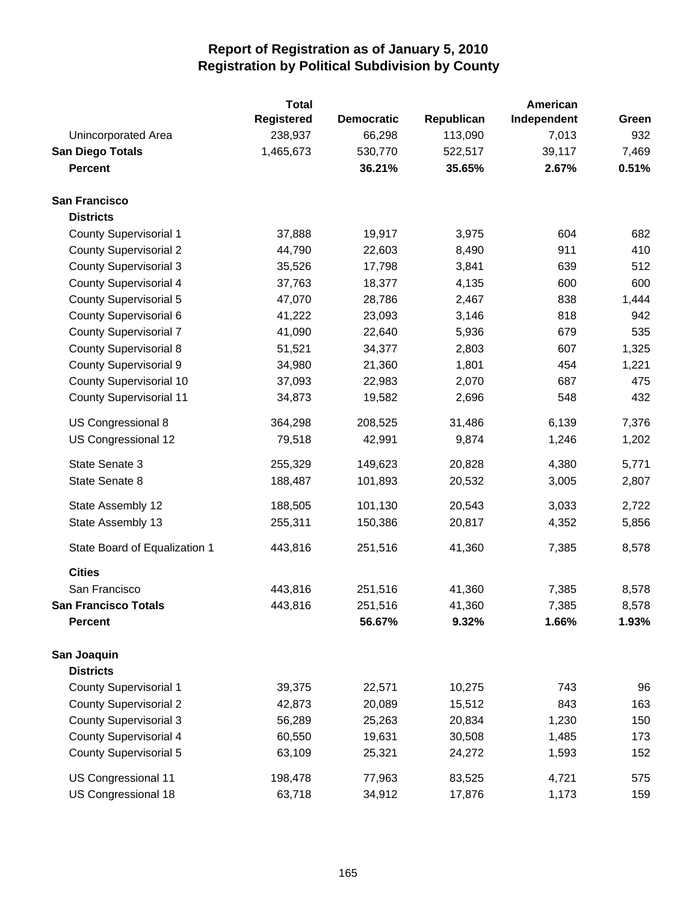|                                | <b>Total</b> |                   |            | American    |       |
|--------------------------------|--------------|-------------------|------------|-------------|-------|
|                                | Registered   | <b>Democratic</b> | Republican | Independent | Green |
| Unincorporated Area            | 238,937      | 66,298            | 113,090    | 7,013       | 932   |
| <b>San Diego Totals</b>        | 1,465,673    | 530,770           | 522,517    | 39,117      | 7,469 |
| <b>Percent</b>                 |              | 36.21%            | 35.65%     | 2.67%       | 0.51% |
| <b>San Francisco</b>           |              |                   |            |             |       |
| <b>Districts</b>               |              |                   |            |             |       |
| <b>County Supervisorial 1</b>  | 37,888       | 19,917            | 3,975      | 604         | 682   |
| <b>County Supervisorial 2</b>  | 44,790       | 22,603            | 8,490      | 911         | 410   |
| <b>County Supervisorial 3</b>  | 35,526       | 17,798            | 3,841      | 639         | 512   |
| <b>County Supervisorial 4</b>  | 37,763       | 18,377            | 4,135      | 600         | 600   |
| <b>County Supervisorial 5</b>  | 47,070       | 28,786            | 2,467      | 838         | 1,444 |
| <b>County Supervisorial 6</b>  | 41,222       | 23,093            | 3,146      | 818         | 942   |
| <b>County Supervisorial 7</b>  | 41,090       | 22,640            | 5,936      | 679         | 535   |
| <b>County Supervisorial 8</b>  | 51,521       | 34,377            | 2,803      | 607         | 1,325 |
| <b>County Supervisorial 9</b>  | 34,980       | 21,360            | 1,801      | 454         | 1,221 |
| County Supervisorial 10        | 37,093       | 22,983            | 2,070      | 687         | 475   |
| <b>County Supervisorial 11</b> | 34,873       | 19,582            | 2,696      | 548         | 432   |
| US Congressional 8             | 364,298      | 208,525           | 31,486     | 6,139       | 7,376 |
| US Congressional 12            | 79,518       | 42,991            | 9,874      | 1,246       | 1,202 |
| State Senate 3                 | 255,329      | 149,623           | 20,828     | 4,380       | 5,771 |
| State Senate 8                 | 188,487      | 101,893           | 20,532     | 3,005       | 2,807 |
| State Assembly 12              | 188,505      | 101,130           | 20,543     | 3,033       | 2,722 |
| State Assembly 13              | 255,311      | 150,386           | 20,817     | 4,352       | 5,856 |
| State Board of Equalization 1  | 443,816      | 251,516           | 41,360     | 7,385       | 8,578 |
| <b>Cities</b>                  |              |                   |            |             |       |
| San Francisco                  | 443,816      | 251,516           | 41,360     | 7,385       | 8,578 |
| <b>San Francisco Totals</b>    | 443,816      | 251,516           | 41,360     | 7,385       | 8,578 |
| <b>Percent</b>                 |              | 56.67%            | 9.32%      | 1.66%       | 1.93% |
| San Joaquin                    |              |                   |            |             |       |
| <b>Districts</b>               |              |                   |            |             |       |
| County Supervisorial 1         | 39,375       | 22,571            | 10,275     | 743         | 96    |
| <b>County Supervisorial 2</b>  | 42,873       | 20,089            | 15,512     | 843         | 163   |
| <b>County Supervisorial 3</b>  | 56,289       | 25,263            | 20,834     | 1,230       | 150   |
| <b>County Supervisorial 4</b>  | 60,550       | 19,631            | 30,508     | 1,485       | 173   |
| <b>County Supervisorial 5</b>  | 63,109       | 25,321            | 24,272     | 1,593       | 152   |
| US Congressional 11            | 198,478      | 77,963            | 83,525     | 4,721       | 575   |
| US Congressional 18            | 63,718       | 34,912            | 17,876     | 1,173       | 159   |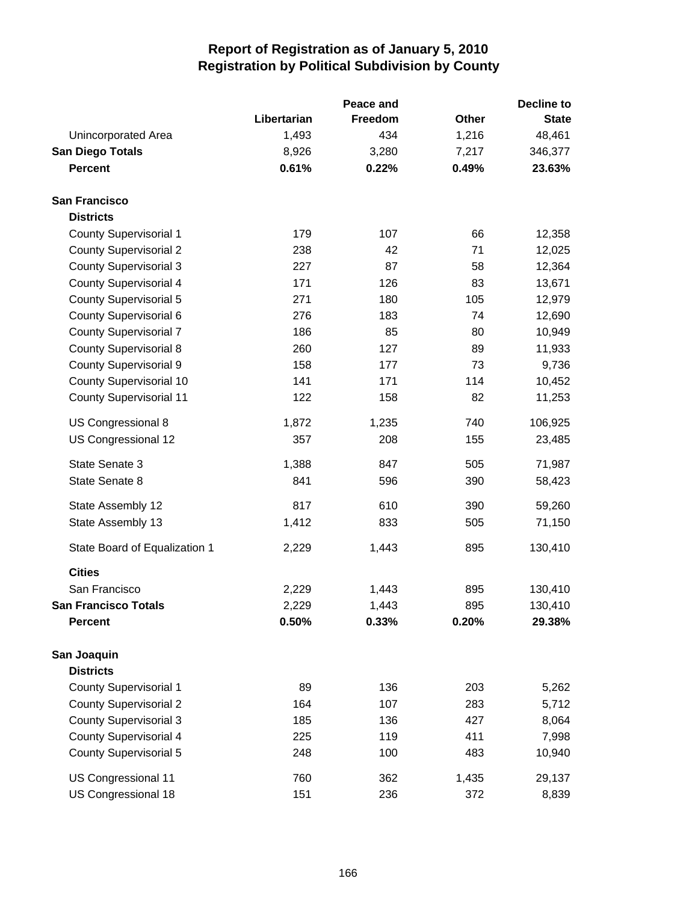|                                |             | Peace and |       | <b>Decline to</b> |
|--------------------------------|-------------|-----------|-------|-------------------|
|                                | Libertarian | Freedom   | Other | <b>State</b>      |
| Unincorporated Area            | 1,493       | 434       | 1,216 | 48,461            |
| <b>San Diego Totals</b>        | 8,926       | 3,280     | 7,217 | 346,377           |
| <b>Percent</b>                 | 0.61%       | 0.22%     | 0.49% | 23.63%            |
| <b>San Francisco</b>           |             |           |       |                   |
| <b>Districts</b>               |             |           |       |                   |
| <b>County Supervisorial 1</b>  | 179         | 107       | 66    | 12,358            |
| <b>County Supervisorial 2</b>  | 238         | 42        | 71    | 12,025            |
| <b>County Supervisorial 3</b>  | 227         | 87        | 58    | 12,364            |
| <b>County Supervisorial 4</b>  | 171         | 126       | 83    | 13,671            |
| <b>County Supervisorial 5</b>  | 271         | 180       | 105   | 12,979            |
| <b>County Supervisorial 6</b>  | 276         | 183       | 74    | 12,690            |
| <b>County Supervisorial 7</b>  | 186         | 85        | 80    | 10,949            |
| <b>County Supervisorial 8</b>  | 260         | 127       | 89    | 11,933            |
| <b>County Supervisorial 9</b>  | 158         | 177       | 73    | 9,736             |
| County Supervisorial 10        | 141         | 171       | 114   | 10,452            |
| <b>County Supervisorial 11</b> | 122         | 158       | 82    | 11,253            |
| US Congressional 8             | 1,872       | 1,235     | 740   | 106,925           |
| US Congressional 12            | 357         | 208       | 155   | 23,485            |
| State Senate 3                 | 1,388       | 847       | 505   | 71,987            |
| State Senate 8                 | 841         | 596       | 390   | 58,423            |
| State Assembly 12              | 817         | 610       | 390   | 59,260            |
| State Assembly 13              | 1,412       | 833       | 505   | 71,150            |
| State Board of Equalization 1  | 2,229       | 1,443     | 895   | 130,410           |
| <b>Cities</b>                  |             |           |       |                   |
| San Francisco                  | 2,229       | 1,443     | 895   | 130,410           |
| <b>San Francisco Totals</b>    | 2,229       | 1,443     | 895   | 130,410           |
| <b>Percent</b>                 | 0.50%       | 0.33%     | 0.20% | 29.38%            |
| San Joaquin                    |             |           |       |                   |
| <b>Districts</b>               |             |           |       |                   |
| <b>County Supervisorial 1</b>  | 89          | 136       | 203   | 5,262             |
| <b>County Supervisorial 2</b>  | 164         | 107       | 283   | 5,712             |
| <b>County Supervisorial 3</b>  | 185         | 136       | 427   | 8,064             |
| <b>County Supervisorial 4</b>  | 225         | 119       | 411   | 7,998             |
| <b>County Supervisorial 5</b>  | 248         | 100       | 483   | 10,940            |
| US Congressional 11            | 760         | 362       | 1,435 | 29,137            |
| US Congressional 18            | 151         | 236       | 372   | 8,839             |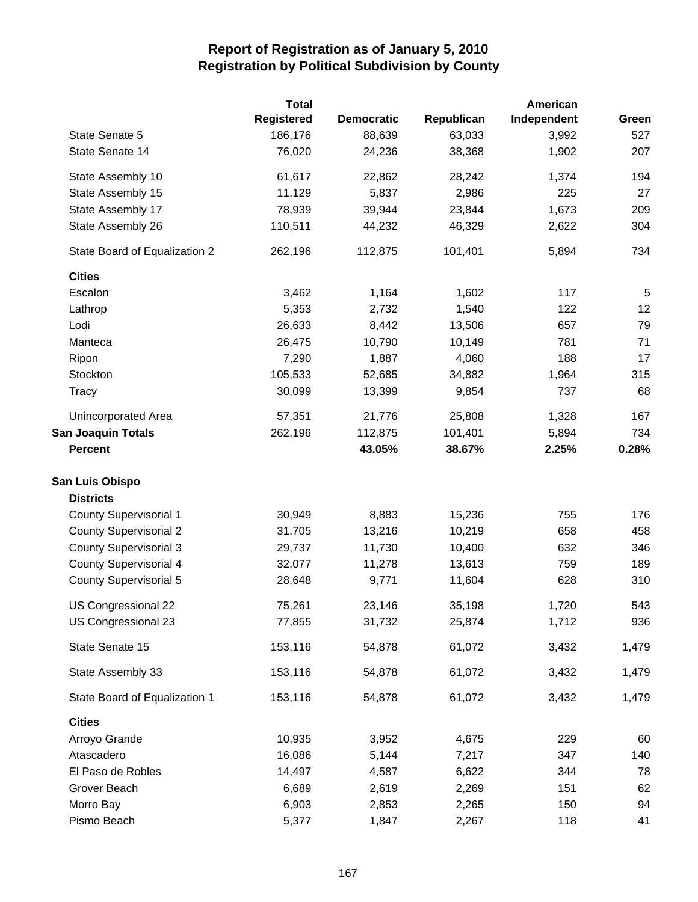|                               | <b>Total</b>      |                   |            | American    |                |
|-------------------------------|-------------------|-------------------|------------|-------------|----------------|
|                               | <b>Registered</b> | <b>Democratic</b> | Republican | Independent | Green          |
| State Senate 5                | 186,176           | 88,639            | 63,033     | 3,992       | 527            |
| State Senate 14               | 76,020            | 24,236            | 38,368     | 1,902       | 207            |
| State Assembly 10             | 61,617            | 22,862            | 28,242     | 1,374       | 194            |
| State Assembly 15             | 11,129            | 5,837             | 2,986      | 225         | 27             |
| State Assembly 17             | 78,939            | 39,944            | 23,844     | 1,673       | 209            |
| State Assembly 26             | 110,511           | 44,232            | 46,329     | 2,622       | 304            |
| State Board of Equalization 2 | 262,196           | 112,875           | 101,401    | 5,894       | 734            |
| <b>Cities</b>                 |                   |                   |            |             |                |
| Escalon                       | 3,462             | 1,164             | 1,602      | 117         | $\overline{5}$ |
| Lathrop                       | 5,353             | 2,732             | 1,540      | 122         | 12             |
| Lodi                          | 26,633            | 8,442             | 13,506     | 657         | 79             |
| Manteca                       | 26,475            | 10,790            | 10,149     | 781         | 71             |
| Ripon                         | 7,290             | 1,887             | 4,060      | 188         | 17             |
| Stockton                      | 105,533           | 52,685            | 34,882     | 1,964       | 315            |
| Tracy                         | 30,099            | 13,399            | 9,854      | 737         | 68             |
| Unincorporated Area           | 57,351            | 21,776            | 25,808     | 1,328       | 167            |
| <b>San Joaquin Totals</b>     | 262,196           | 112,875           | 101,401    | 5,894       | 734            |
| <b>Percent</b>                |                   | 43.05%            | 38.67%     | 2.25%       | 0.28%          |
| San Luis Obispo               |                   |                   |            |             |                |
| <b>Districts</b>              |                   |                   |            |             |                |
| <b>County Supervisorial 1</b> | 30,949            | 8,883             | 15,236     | 755         | 176            |
| <b>County Supervisorial 2</b> | 31,705            | 13,216            | 10,219     | 658         | 458            |
| <b>County Supervisorial 3</b> | 29,737            | 11,730            | 10,400     | 632         | 346            |
| <b>County Supervisorial 4</b> | 32,077            | 11,278            | 13,613     | 759         | 189            |
| <b>County Supervisorial 5</b> | 28,648            | 9,771             | 11,604     | 628         | 310            |
| US Congressional 22           | 75,261            | 23,146            | 35,198     | 1,720       | 543            |
| US Congressional 23           | 77,855            | 31,732            | 25,874     | 1,712       | 936            |
| State Senate 15               | 153,116           | 54,878            | 61,072     | 3,432       | 1,479          |
| State Assembly 33             | 153,116           | 54,878            | 61,072     | 3,432       | 1,479          |
| State Board of Equalization 1 | 153,116           | 54,878            | 61,072     | 3,432       | 1,479          |
| <b>Cities</b>                 |                   |                   |            |             |                |
| Arroyo Grande                 | 10,935            | 3,952             | 4,675      | 229         | 60             |
| Atascadero                    | 16,086            | 5,144             | 7,217      | 347         | 140            |
| El Paso de Robles             | 14,497            | 4,587             | 6,622      | 344         | 78             |
| Grover Beach                  | 6,689             | 2,619             | 2,269      | 151         | 62             |
| Morro Bay                     | 6,903             | 2,853             | 2,265      | 150         | 94             |
| Pismo Beach                   | 5,377             | 1,847             | 2,267      | 118         | 41             |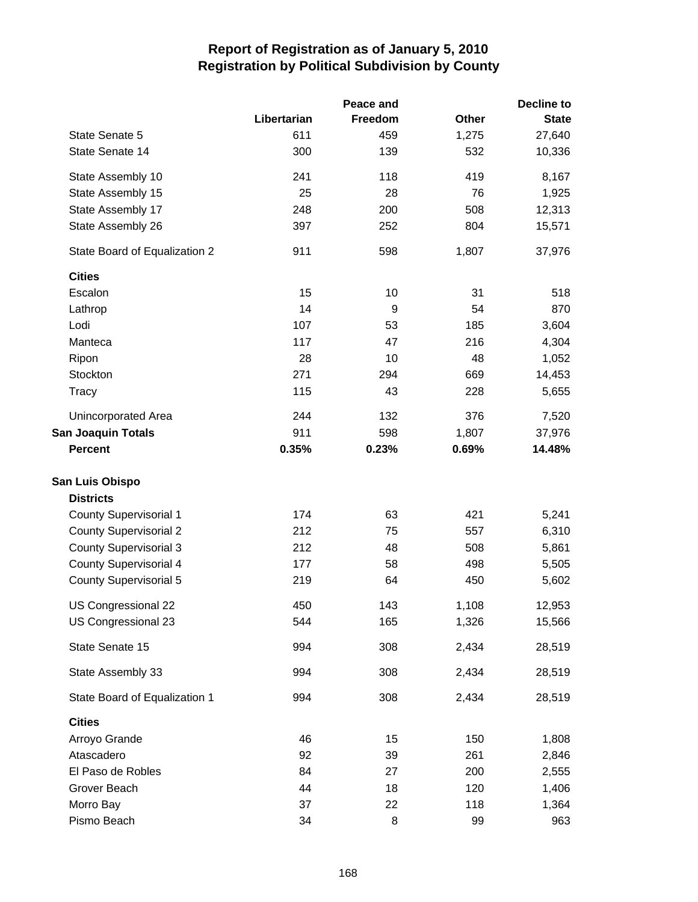|                               |             | Peace and |              | Decline to   |
|-------------------------------|-------------|-----------|--------------|--------------|
|                               | Libertarian | Freedom   | <b>Other</b> | <b>State</b> |
| State Senate 5                | 611         | 459       | 1,275        | 27,640       |
| State Senate 14               | 300         | 139       | 532          | 10,336       |
| State Assembly 10             | 241         | 118       | 419          | 8,167        |
| State Assembly 15             | 25          | 28        | 76           | 1,925        |
| State Assembly 17             | 248         | 200       | 508          | 12,313       |
| State Assembly 26             | 397         | 252       | 804          | 15,571       |
| State Board of Equalization 2 | 911         | 598       | 1,807        | 37,976       |
| <b>Cities</b>                 |             |           |              |              |
| Escalon                       | 15          | 10        | 31           | 518          |
| Lathrop                       | 14          | 9         | 54           | 870          |
| Lodi                          | 107         | 53        | 185          | 3,604        |
| Manteca                       | 117         | 47        | 216          | 4,304        |
| Ripon                         | 28          | 10        | 48           | 1,052        |
| Stockton                      | 271         | 294       | 669          | 14,453       |
| Tracy                         | 115         | 43        | 228          | 5,655        |
| Unincorporated Area           | 244         | 132       | 376          | 7,520        |
| <b>San Joaquin Totals</b>     | 911         | 598       | 1,807        | 37,976       |
| <b>Percent</b>                | 0.35%       | 0.23%     | 0.69%        | 14.48%       |
| San Luis Obispo               |             |           |              |              |
| <b>Districts</b>              |             |           |              |              |
| <b>County Supervisorial 1</b> | 174         | 63        | 421          | 5,241        |
| <b>County Supervisorial 2</b> | 212         | 75        | 557          | 6,310        |
| <b>County Supervisorial 3</b> | 212         | 48        | 508          | 5,861        |
| <b>County Supervisorial 4</b> | 177         | 58        | 498          | 5,505        |
| <b>County Supervisorial 5</b> | 219         | 64        | 450          | 5,602        |
| US Congressional 22           | 450         | 143       | 1,108        | 12,953       |
| US Congressional 23           | 544         | 165       | 1,326        | 15,566       |
| State Senate 15               | 994         | 308       | 2,434        | 28,519       |
| State Assembly 33             | 994         | 308       | 2,434        | 28,519       |
| State Board of Equalization 1 | 994         | 308       | 2,434        | 28,519       |
| <b>Cities</b>                 |             |           |              |              |
| Arroyo Grande                 | 46          | 15        | 150          | 1,808        |
| Atascadero                    | 92          | 39        | 261          | 2,846        |
| El Paso de Robles             | 84          | 27        | 200          | 2,555        |
| Grover Beach                  | 44          | 18        | 120          | 1,406        |
| Morro Bay                     | 37          | 22        | 118          | 1,364        |
| Pismo Beach                   | 34          | 8         | 99           | 963          |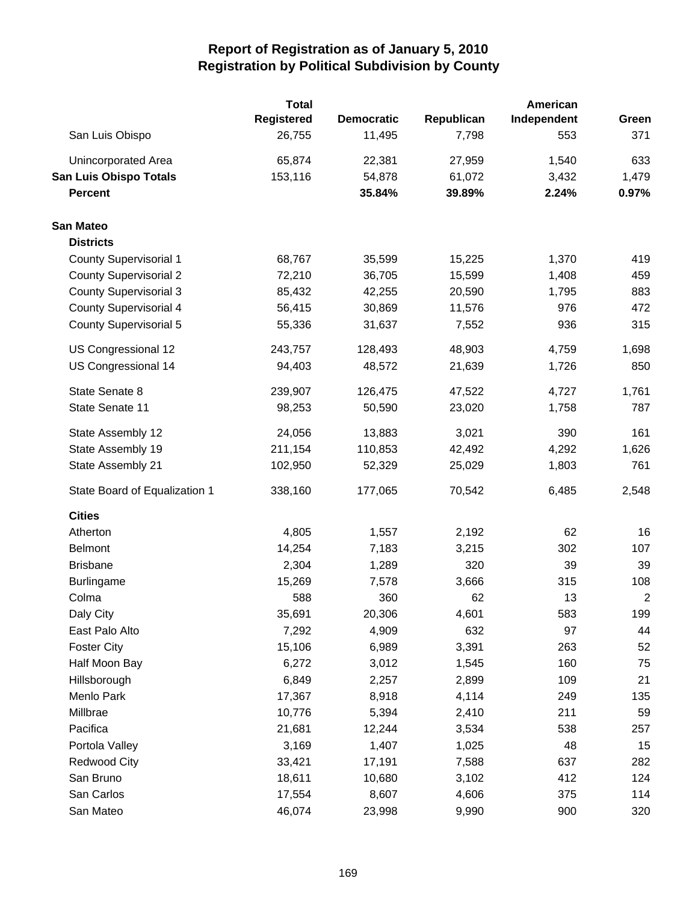|                               | <b>Total</b> |                   |            | American    |                |  |
|-------------------------------|--------------|-------------------|------------|-------------|----------------|--|
|                               | Registered   | <b>Democratic</b> | Republican | Independent | Green          |  |
| San Luis Obispo               | 26,755       | 11,495            | 7,798      | 553         | 371            |  |
| Unincorporated Area           | 65,874       | 22,381            | 27,959     | 1,540       | 633            |  |
| <b>San Luis Obispo Totals</b> | 153,116      | 54,878            | 61,072     | 3,432       | 1,479          |  |
| <b>Percent</b>                |              | 35.84%            | 39.89%     | 2.24%       | 0.97%          |  |
| <b>San Mateo</b>              |              |                   |            |             |                |  |
| <b>Districts</b>              |              |                   |            |             |                |  |
| <b>County Supervisorial 1</b> | 68,767       | 35,599            | 15,225     | 1,370       | 419            |  |
| <b>County Supervisorial 2</b> | 72,210       | 36,705            | 15,599     | 1,408       | 459            |  |
| <b>County Supervisorial 3</b> | 85,432       | 42,255            | 20,590     | 1,795       | 883            |  |
| <b>County Supervisorial 4</b> | 56,415       | 30,869            | 11,576     | 976         | 472            |  |
| <b>County Supervisorial 5</b> | 55,336       | 31,637            | 7,552      | 936         | 315            |  |
| US Congressional 12           | 243,757      | 128,493           | 48,903     | 4,759       | 1,698          |  |
| US Congressional 14           | 94,403       | 48,572            | 21,639     | 1,726       | 850            |  |
| State Senate 8                | 239,907      | 126,475           | 47,522     | 4,727       | 1,761          |  |
| State Senate 11               | 98,253       | 50,590            | 23,020     | 1,758       | 787            |  |
| State Assembly 12             | 24,056       | 13,883            | 3,021      | 390         | 161            |  |
| State Assembly 19             | 211,154      | 110,853           | 42,492     | 4,292       | 1,626          |  |
| State Assembly 21             | 102,950      | 52,329            | 25,029     | 1,803       | 761            |  |
| State Board of Equalization 1 | 338,160      | 177,065           | 70,542     | 6,485       | 2,548          |  |
| <b>Cities</b>                 |              |                   |            |             |                |  |
| Atherton                      | 4,805        | 1,557             | 2,192      | 62          | 16             |  |
| <b>Belmont</b>                | 14,254       | 7,183             | 3,215      | 302         | 107            |  |
| <b>Brisbane</b>               | 2,304        | 1,289             | 320        | 39          | 39             |  |
| <b>Burlingame</b>             | 15,269       | 7,578             | 3,666      | 315         | 108            |  |
| Colma                         | 588          | 360               | 62         | 13          | $\overline{c}$ |  |
| Daly City                     | 35,691       | 20,306            | 4,601      | 583         | 199            |  |
| East Palo Alto                | 7,292        | 4,909             | 632        | 97          | 44             |  |
| <b>Foster City</b>            | 15,106       | 6,989             | 3,391      | 263         | 52             |  |
| Half Moon Bay                 | 6,272        | 3,012             | 1,545      | 160         | 75             |  |
| Hillsborough                  | 6,849        | 2,257             | 2,899      | 109         | 21             |  |
| Menlo Park                    | 17,367       | 8,918             | 4,114      | 249         | 135            |  |
| Millbrae                      | 10,776       | 5,394             | 2,410      | 211         | 59             |  |
| Pacifica                      | 21,681       | 12,244            | 3,534      | 538         | 257            |  |
| Portola Valley                | 3,169        | 1,407             | 1,025      | 48          | 15             |  |
| <b>Redwood City</b>           | 33,421       | 17,191            | 7,588      | 637         | 282            |  |
| San Bruno                     | 18,611       | 10,680            | 3,102      | 412         | 124            |  |
| San Carlos                    | 17,554       | 8,607             | 4,606      | 375         | 114            |  |
| San Mateo                     | 46,074       | 23,998            | 9,990      | 900         | 320            |  |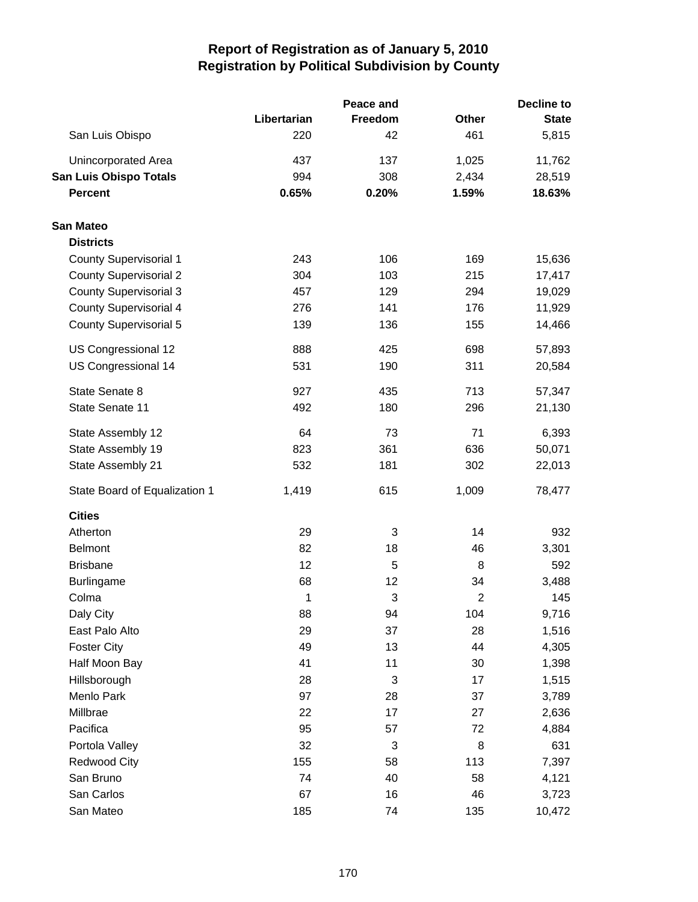|                               |             | Peace and | <b>Decline to</b> |              |  |
|-------------------------------|-------------|-----------|-------------------|--------------|--|
|                               | Libertarian | Freedom   | <b>Other</b>      | <b>State</b> |  |
| San Luis Obispo               | 220         | 42        | 461               | 5,815        |  |
| Unincorporated Area           | 437         | 137       | 1,025             | 11,762       |  |
| <b>San Luis Obispo Totals</b> | 994         | 308       | 2,434             | 28,519       |  |
| <b>Percent</b>                | 0.65%       | 0.20%     | 1.59%             | 18.63%       |  |
| San Mateo                     |             |           |                   |              |  |
| <b>Districts</b>              |             |           |                   |              |  |
| <b>County Supervisorial 1</b> | 243         | 106       | 169               | 15,636       |  |
| <b>County Supervisorial 2</b> | 304         | 103       | 215               | 17,417       |  |
| <b>County Supervisorial 3</b> | 457         | 129       | 294               | 19,029       |  |
| <b>County Supervisorial 4</b> | 276         | 141       | 176               | 11,929       |  |
| <b>County Supervisorial 5</b> | 139         | 136       | 155               | 14,466       |  |
| US Congressional 12           | 888         | 425       | 698               | 57,893       |  |
| US Congressional 14           | 531         | 190       | 311               | 20,584       |  |
| State Senate 8                | 927         | 435       | 713               | 57,347       |  |
| State Senate 11               | 492         | 180       | 296               | 21,130       |  |
| State Assembly 12             | 64          | 73        | 71                | 6,393        |  |
| State Assembly 19             | 823         | 361       | 636               | 50,071       |  |
| State Assembly 21             | 532         | 181       | 302               | 22,013       |  |
| State Board of Equalization 1 | 1,419       | 615       | 1,009             | 78,477       |  |
| <b>Cities</b>                 |             |           |                   |              |  |
| Atherton                      | 29          | 3         | 14                | 932          |  |
| <b>Belmont</b>                | 82          | 18        | 46                | 3,301        |  |
| <b>Brisbane</b>               | 12          | 5         | 8                 | 592          |  |
| <b>Burlingame</b>             | 68          | 12        | 34                | 3,488        |  |
| Colma                         | 1           | 3         | $\overline{2}$    | 145          |  |
| Daly City                     | 88          | 94        | 104               | 9,716        |  |
| East Palo Alto                | 29          | 37        | 28                | 1,516        |  |
| <b>Foster City</b>            | 49          | 13        | 44                | 4,305        |  |
| Half Moon Bay                 | 41          | 11        | 30                | 1,398        |  |
| Hillsborough                  | 28          | 3         | 17                | 1,515        |  |
| Menlo Park                    | 97          | 28        | 37                | 3,789        |  |
| Millbrae                      | 22          | 17        | 27                | 2,636        |  |
| Pacifica                      | 95          | 57        | 72                | 4,884        |  |
| Portola Valley                | 32          | 3         | 8                 | 631          |  |
| <b>Redwood City</b>           | 155         | 58        | 113               | 7,397        |  |
| San Bruno                     | 74          | 40        | 58                | 4,121        |  |
| San Carlos                    | 67          | 16        | 46                | 3,723        |  |
| San Mateo                     | 185         | 74        | 135               | 10,472       |  |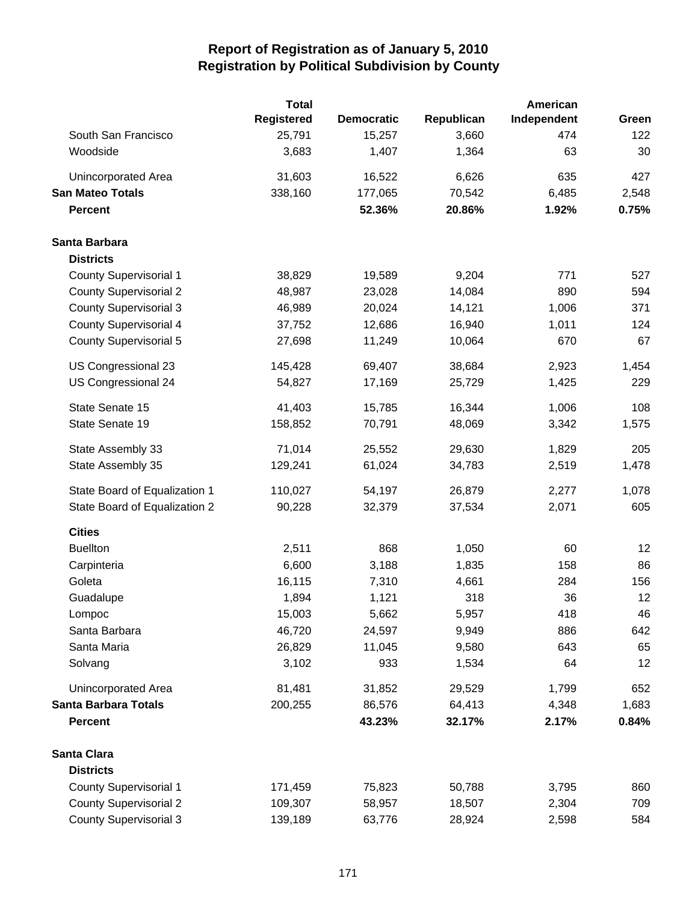|                               | <b>Total</b>      |                   |            | American    |       |
|-------------------------------|-------------------|-------------------|------------|-------------|-------|
|                               | <b>Registered</b> | <b>Democratic</b> | Republican | Independent | Green |
| South San Francisco           | 25,791            | 15,257            | 3,660      | 474         | 122   |
| Woodside                      | 3,683             | 1,407             | 1,364      | 63          | 30    |
| Unincorporated Area           | 31,603            | 16,522            | 6,626      | 635         | 427   |
| <b>San Mateo Totals</b>       | 338,160           | 177,065           | 70,542     | 6,485       | 2,548 |
| <b>Percent</b>                |                   | 52.36%            | 20.86%     | 1.92%       | 0.75% |
| Santa Barbara                 |                   |                   |            |             |       |
| <b>Districts</b>              |                   |                   |            |             |       |
| <b>County Supervisorial 1</b> | 38,829            | 19,589            | 9,204      | 771         | 527   |
| <b>County Supervisorial 2</b> | 48,987            | 23,028            | 14,084     | 890         | 594   |
| <b>County Supervisorial 3</b> | 46,989            | 20,024            | 14,121     | 1,006       | 371   |
| <b>County Supervisorial 4</b> | 37,752            | 12,686            | 16,940     | 1,011       | 124   |
| <b>County Supervisorial 5</b> | 27,698            | 11,249            | 10,064     | 670         | 67    |
| US Congressional 23           | 145,428           | 69,407            | 38,684     | 2,923       | 1,454 |
| US Congressional 24           | 54,827            | 17,169            | 25,729     | 1,425       | 229   |
| State Senate 15               | 41,403            | 15,785            | 16,344     | 1,006       | 108   |
| State Senate 19               | 158,852           | 70,791            | 48,069     | 3,342       | 1,575 |
| State Assembly 33             | 71,014            | 25,552            | 29,630     | 1,829       | 205   |
| State Assembly 35             | 129,241           | 61,024            | 34,783     | 2,519       | 1,478 |
| State Board of Equalization 1 | 110,027           | 54,197            | 26,879     | 2,277       | 1,078 |
| State Board of Equalization 2 | 90,228            | 32,379            | 37,534     | 2,071       | 605   |
| <b>Cities</b>                 |                   |                   |            |             |       |
| <b>Buellton</b>               | 2,511             | 868               | 1,050      | 60          | 12    |
| Carpinteria                   | 6,600             | 3,188             | 1,835      | 158         | 86    |
| Goleta                        | 16,115            | 7,310             | 4,661      | 284         | 156   |
| Guadalupe                     | 1,894             | 1,121             | 318        | 36          | 12    |
| Lompoc                        | 15,003            | 5,662             | 5,957      | 418         | 46    |
| Santa Barbara                 | 46,720            | 24,597            | 9,949      | 886         | 642   |
| Santa Maria                   | 26,829            | 11,045            | 9,580      | 643         | 65    |
| Solvang                       | 3,102             | 933               | 1,534      | 64          | 12    |
| Unincorporated Area           | 81,481            | 31,852            | 29,529     | 1,799       | 652   |
| <b>Santa Barbara Totals</b>   | 200,255           | 86,576            | 64,413     | 4,348       | 1,683 |
| <b>Percent</b>                |                   | 43.23%            | 32.17%     | 2.17%       | 0.84% |
| <b>Santa Clara</b>            |                   |                   |            |             |       |
| <b>Districts</b>              |                   |                   |            |             |       |
| <b>County Supervisorial 1</b> | 171,459           | 75,823            | 50,788     | 3,795       | 860   |
| <b>County Supervisorial 2</b> | 109,307           | 58,957            | 18,507     | 2,304       | 709   |
| <b>County Supervisorial 3</b> | 139,189           | 63,776            | 28,924     | 2,598       | 584   |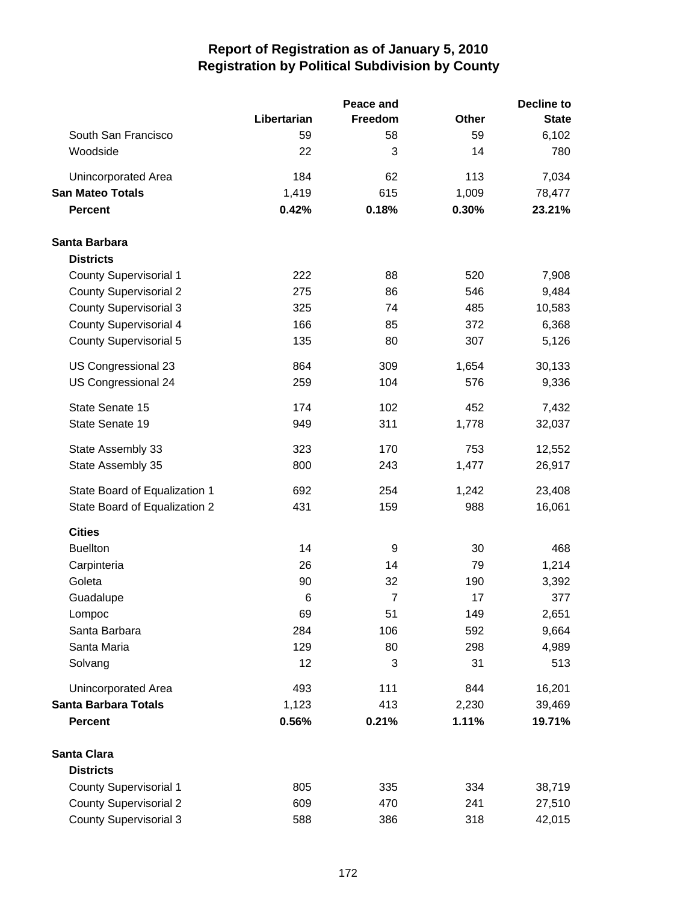|                               | Peace and   | <b>Decline to</b> |              |              |
|-------------------------------|-------------|-------------------|--------------|--------------|
|                               | Libertarian | Freedom           | <b>Other</b> | <b>State</b> |
| South San Francisco           | 59          | 58                | 59           | 6,102        |
| Woodside                      | 22          | 3                 | 14           | 780          |
| Unincorporated Area           | 184         | 62                | 113          | 7,034        |
| <b>San Mateo Totals</b>       | 1,419       | 615               | 1,009        | 78,477       |
| <b>Percent</b>                | 0.42%       | 0.18%             | 0.30%        | 23.21%       |
| Santa Barbara                 |             |                   |              |              |
| <b>Districts</b>              |             |                   |              |              |
| <b>County Supervisorial 1</b> | 222         | 88                | 520          | 7,908        |
| <b>County Supervisorial 2</b> | 275         | 86                | 546          | 9,484        |
| <b>County Supervisorial 3</b> | 325         | 74                | 485          | 10,583       |
| <b>County Supervisorial 4</b> | 166         | 85                | 372          | 6,368        |
| <b>County Supervisorial 5</b> | 135         | 80                | 307          | 5,126        |
| US Congressional 23           | 864         | 309               | 1,654        | 30,133       |
| US Congressional 24           | 259         | 104               | 576          | 9,336        |
| State Senate 15               | 174         | 102               | 452          | 7,432        |
| State Senate 19               | 949         | 311               | 1,778        | 32,037       |
| State Assembly 33             | 323         | 170               | 753          | 12,552       |
| State Assembly 35             | 800         | 243               | 1,477        | 26,917       |
| State Board of Equalization 1 | 692         | 254               | 1,242        | 23,408       |
| State Board of Equalization 2 | 431         | 159               | 988          | 16,061       |
| <b>Cities</b>                 |             |                   |              |              |
| <b>Buellton</b>               | 14          | 9                 | 30           | 468          |
| Carpinteria                   | 26          | 14                | 79           | 1,214        |
| Goleta                        | 90          | 32                | 190          | 3,392        |
| Guadalupe                     | 6           | $\overline{7}$    | 17           | 377          |
| Lompoc                        | 69          | 51                | 149          | 2,651        |
| Santa Barbara                 | 284         | 106               | 592          | 9,664        |
| Santa Maria                   | 129         | 80                | 298          | 4,989        |
| Solvang                       | 12          | 3                 | 31           | 513          |
| Unincorporated Area           | 493         | 111               | 844          | 16,201       |
| Santa Barbara Totals          | 1,123       | 413               | 2,230        | 39,469       |
| <b>Percent</b>                | 0.56%       | 0.21%             | 1.11%        | 19.71%       |
| Santa Clara                   |             |                   |              |              |
| <b>Districts</b>              |             |                   |              |              |
| <b>County Supervisorial 1</b> | 805         | 335               | 334          | 38,719       |
| <b>County Supervisorial 2</b> | 609         | 470               | 241          | 27,510       |
| <b>County Supervisorial 3</b> | 588         | 386               | 318          | 42,015       |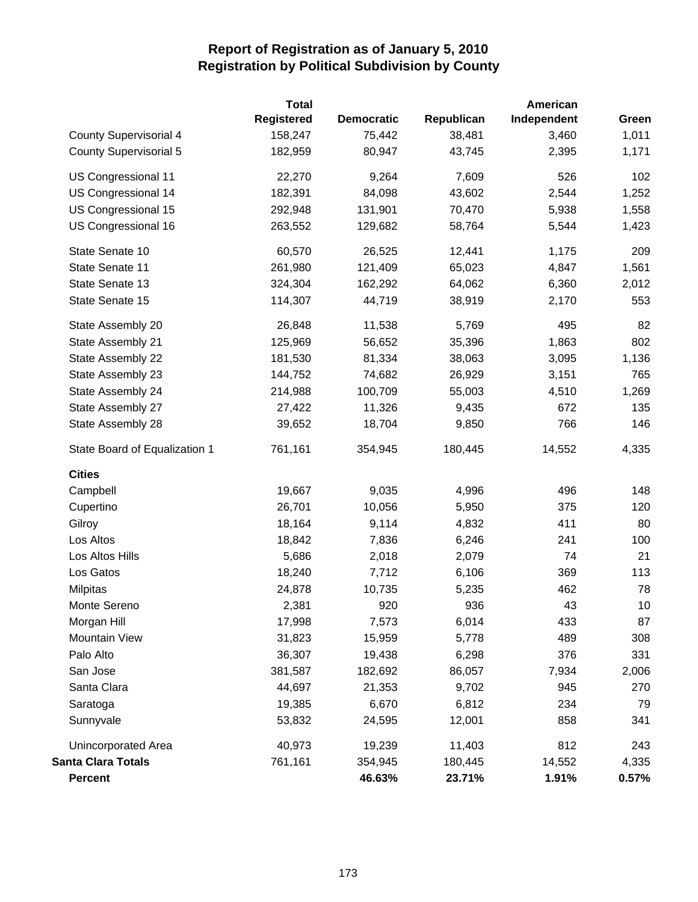|                               | <b>Total</b>      |                   |            | American    |       |  |
|-------------------------------|-------------------|-------------------|------------|-------------|-------|--|
|                               | <b>Registered</b> | <b>Democratic</b> | Republican | Independent | Green |  |
| County Supervisorial 4        | 158,247           | 75,442            | 38,481     | 3,460       | 1,011 |  |
| <b>County Supervisorial 5</b> | 182,959           | 80,947            | 43,745     | 2,395       | 1,171 |  |
| US Congressional 11           | 22,270            | 9,264             | 7,609      | 526         | 102   |  |
| US Congressional 14           | 182,391           | 84,098            | 43,602     | 2,544       | 1,252 |  |
| US Congressional 15           | 292,948           | 131,901           | 70,470     | 5,938       | 1,558 |  |
| US Congressional 16           | 263,552           | 129,682           | 58,764     | 5,544       | 1,423 |  |
| State Senate 10               | 60,570            | 26,525            | 12,441     | 1,175       | 209   |  |
| State Senate 11               | 261,980           | 121,409           | 65,023     | 4,847       | 1,561 |  |
| State Senate 13               | 324,304           | 162,292           | 64,062     | 6,360       | 2,012 |  |
| State Senate 15               | 114,307           | 44,719            | 38,919     | 2,170       | 553   |  |
| State Assembly 20             | 26,848            | 11,538            | 5,769      | 495         | 82    |  |
| State Assembly 21             | 125,969           | 56,652            | 35,396     | 1,863       | 802   |  |
| State Assembly 22             | 181,530           | 81,334            | 38,063     | 3,095       | 1,136 |  |
| State Assembly 23             | 144,752           | 74,682            | 26,929     | 3,151       | 765   |  |
| State Assembly 24             | 214,988           | 100,709           | 55,003     | 4,510       | 1,269 |  |
| State Assembly 27             | 27,422            | 11,326            | 9,435      | 672         | 135   |  |
| State Assembly 28             | 39,652            | 18,704            | 9,850      | 766         | 146   |  |
| State Board of Equalization 1 | 761,161           | 354,945           | 180,445    | 14,552      | 4,335 |  |
| <b>Cities</b>                 |                   |                   |            |             |       |  |
| Campbell                      | 19,667            | 9,035             | 4,996      | 496         | 148   |  |
| Cupertino                     | 26,701            | 10,056            | 5,950      | 375         | 120   |  |
| Gilroy                        | 18,164            | 9,114             | 4,832      | 411         | 80    |  |
| Los Altos                     | 18,842            | 7,836             | 6,246      | 241         | 100   |  |
| Los Altos Hills               | 5,686             | 2,018             | 2,079      | 74          | 21    |  |
| Los Gatos                     | 18,240            | 7,712             | 6,106      | 369         | 113   |  |
| <b>Milpitas</b>               | 24,878            | 10,735            | 5,235      | 462         | 78    |  |
| Monte Sereno                  | 2,381             | 920               | 936        | 43          | 10    |  |
| Morgan Hill                   | 17,998            | 7,573             | 6,014      | 433         | 87    |  |
| Mountain View                 | 31,823            | 15,959            | 5,778      | 489         | 308   |  |
| Palo Alto                     | 36,307            | 19,438            | 6,298      | 376         | 331   |  |
| San Jose                      | 381,587           | 182,692           | 86,057     | 7,934       | 2,006 |  |
| Santa Clara                   | 44,697            | 21,353            | 9,702      | 945         | 270   |  |
| Saratoga                      | 19,385            | 6,670             | 6,812      | 234         | 79    |  |
| Sunnyvale                     | 53,832            | 24,595            | 12,001     | 858         | 341   |  |
| <b>Unincorporated Area</b>    | 40,973            | 19,239            | 11,403     | 812         | 243   |  |
| <b>Santa Clara Totals</b>     | 761,161           | 354,945           | 180,445    | 14,552      | 4,335 |  |
| <b>Percent</b>                |                   | 46.63%            | 23.71%     | 1.91%       | 0.57% |  |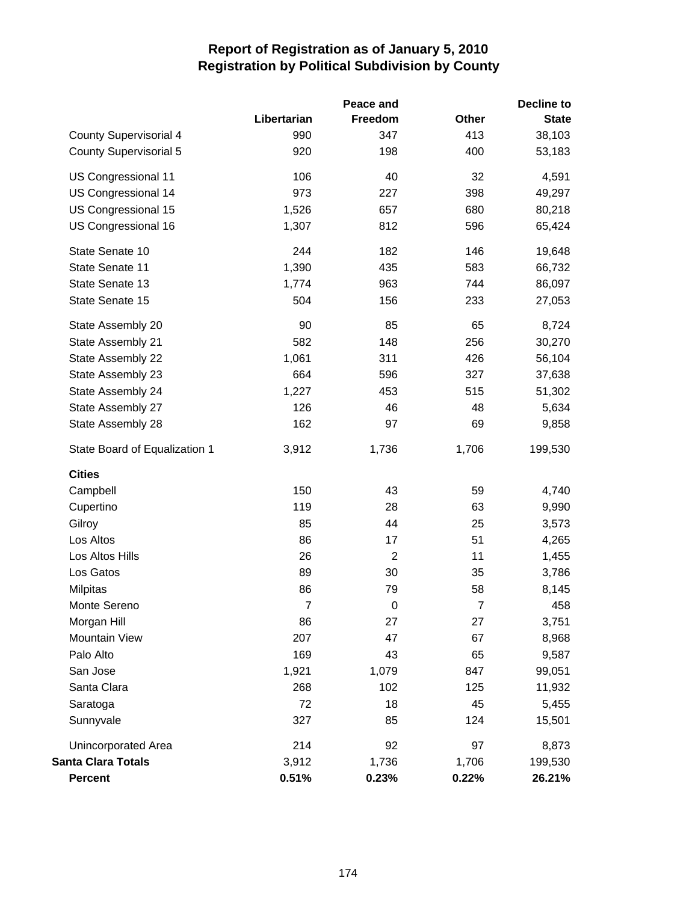| Peace and                     |                |                | Decline to     |              |  |
|-------------------------------|----------------|----------------|----------------|--------------|--|
|                               | Libertarian    | Freedom        | <b>Other</b>   | <b>State</b> |  |
| <b>County Supervisorial 4</b> | 990            | 347            | 413            | 38,103       |  |
| <b>County Supervisorial 5</b> | 920            | 198            | 400            | 53,183       |  |
| US Congressional 11           | 106            | 40             | 32             | 4,591        |  |
| US Congressional 14           | 973            | 227            | 398            | 49,297       |  |
| US Congressional 15           | 1,526          | 657            | 680            | 80,218       |  |
| US Congressional 16           | 1,307          | 812            | 596            | 65,424       |  |
| State Senate 10               | 244            | 182            | 146            | 19,648       |  |
| State Senate 11               | 1,390          | 435            | 583            | 66,732       |  |
| State Senate 13               | 1,774          | 963            | 744            | 86,097       |  |
| State Senate 15               | 504            | 156            | 233            | 27,053       |  |
| State Assembly 20             | 90             | 85             | 65             | 8,724        |  |
| State Assembly 21             | 582            | 148            | 256            | 30,270       |  |
| State Assembly 22             | 1,061          | 311            | 426            | 56,104       |  |
| State Assembly 23             | 664            | 596            | 327            | 37,638       |  |
| State Assembly 24             | 1,227          | 453            | 515            | 51,302       |  |
| State Assembly 27             | 126            | 46             | 48             | 5,634        |  |
| State Assembly 28             | 162            | 97             | 69             | 9,858        |  |
| State Board of Equalization 1 | 3,912          | 1,736          | 1,706          | 199,530      |  |
| <b>Cities</b>                 |                |                |                |              |  |
| Campbell                      | 150            | 43             | 59             | 4,740        |  |
| Cupertino                     | 119            | 28             | 63             | 9,990        |  |
| Gilroy                        | 85             | 44             | 25             | 3,573        |  |
| Los Altos                     | 86             | 17             | 51             | 4,265        |  |
| Los Altos Hills               | 26             | $\overline{2}$ | 11             | 1,455        |  |
| Los Gatos                     | 89             | 30             | 35             | 3,786        |  |
| Milpitas                      | 86             | 79             | 58             | 8,145        |  |
| Monte Sereno                  | $\overline{7}$ | $\mathbf 0$    | $\overline{7}$ | 458          |  |
| Morgan Hill                   | 86             | 27             | 27             | 3,751        |  |
| Mountain View                 | 207            | 47             | 67             | 8,968        |  |
| Palo Alto                     | 169            | 43             | 65             | 9,587        |  |
| San Jose                      | 1,921          | 1,079          | 847            | 99,051       |  |
| Santa Clara                   | 268            | 102            | 125            | 11,932       |  |
| Saratoga                      | 72             | 18             | 45             | 5,455        |  |
| Sunnyvale                     | 327            | 85             | 124            | 15,501       |  |
| <b>Unincorporated Area</b>    | 214            | 92             | 97             | 8,873        |  |
| <b>Santa Clara Totals</b>     | 3,912          | 1,736          | 1,706          | 199,530      |  |
| <b>Percent</b>                | 0.51%          | 0.23%          | 0.22%          | 26.21%       |  |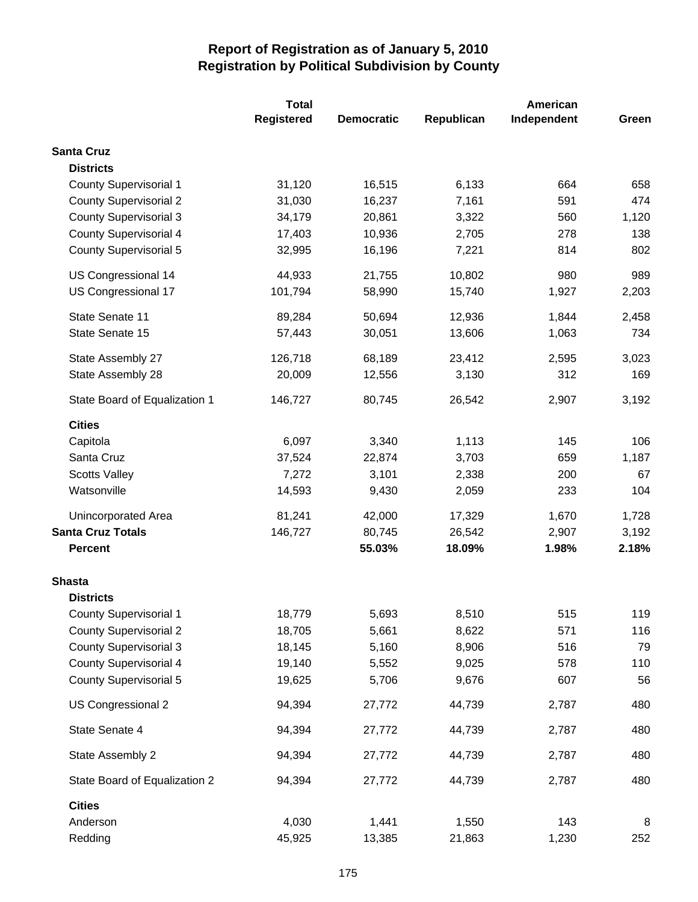|                               | <b>Total</b> |                   | American   |             |       |  |
|-------------------------------|--------------|-------------------|------------|-------------|-------|--|
|                               | Registered   | <b>Democratic</b> | Republican | Independent | Green |  |
| <b>Santa Cruz</b>             |              |                   |            |             |       |  |
| <b>Districts</b>              |              |                   |            |             |       |  |
| <b>County Supervisorial 1</b> | 31,120       | 16,515            | 6,133      | 664         | 658   |  |
| <b>County Supervisorial 2</b> | 31,030       | 16,237            | 7,161      | 591         | 474   |  |
| <b>County Supervisorial 3</b> | 34,179       | 20,861            | 3,322      | 560         | 1,120 |  |
| <b>County Supervisorial 4</b> | 17,403       | 10,936            | 2,705      | 278         | 138   |  |
| <b>County Supervisorial 5</b> | 32,995       | 16,196            | 7,221      | 814         | 802   |  |
| US Congressional 14           | 44,933       | 21,755            | 10,802     | 980         | 989   |  |
| US Congressional 17           | 101,794      | 58,990            | 15,740     | 1,927       | 2,203 |  |
| State Senate 11               | 89,284       | 50,694            | 12,936     | 1,844       | 2,458 |  |
| State Senate 15               | 57,443       | 30,051            | 13,606     | 1,063       | 734   |  |
| State Assembly 27             | 126,718      | 68,189            | 23,412     | 2,595       | 3,023 |  |
| State Assembly 28             | 20,009       | 12,556            | 3,130      | 312         | 169   |  |
| State Board of Equalization 1 | 146,727      | 80,745            | 26,542     | 2,907       | 3,192 |  |
| <b>Cities</b>                 |              |                   |            |             |       |  |
| Capitola                      | 6,097        | 3,340             | 1,113      | 145         | 106   |  |
| Santa Cruz                    | 37,524       | 22,874            | 3,703      | 659         | 1,187 |  |
| <b>Scotts Valley</b>          | 7,272        | 3,101             | 2,338      | 200         | 67    |  |
| Watsonville                   | 14,593       | 9,430             | 2,059      | 233         | 104   |  |
| Unincorporated Area           | 81,241       | 42,000            | 17,329     | 1,670       | 1,728 |  |
| <b>Santa Cruz Totals</b>      | 146,727      | 80,745            | 26,542     | 2,907       | 3,192 |  |
| <b>Percent</b>                |              | 55.03%            | 18.09%     | 1.98%       | 2.18% |  |
| <b>Shasta</b>                 |              |                   |            |             |       |  |
| <b>Districts</b>              |              |                   |            |             |       |  |
| <b>County Supervisorial 1</b> | 18,779       | 5,693             | 8,510      | 515         | 119   |  |
| <b>County Supervisorial 2</b> | 18,705       | 5,661             | 8,622      | 571         | 116   |  |
| <b>County Supervisorial 3</b> | 18,145       | 5,160             | 8,906      | 516         | 79    |  |
| <b>County Supervisorial 4</b> | 19,140       | 5,552             | 9,025      | 578         | 110   |  |
| <b>County Supervisorial 5</b> | 19,625       | 5,706             | 9,676      | 607         | 56    |  |
| US Congressional 2            | 94,394       | 27,772            | 44,739     | 2,787       | 480   |  |
| State Senate 4                | 94,394       | 27,772            | 44,739     | 2,787       | 480   |  |
| State Assembly 2              | 94,394       | 27,772            | 44,739     | 2,787       | 480   |  |
| State Board of Equalization 2 | 94,394       | 27,772            | 44,739     | 2,787       | 480   |  |
| <b>Cities</b>                 |              |                   |            |             |       |  |
| Anderson                      | 4,030        | 1,441             | 1,550      | 143         | 8     |  |
| Redding                       | 45,925       | 13,385            | 21,863     | 1,230       | 252   |  |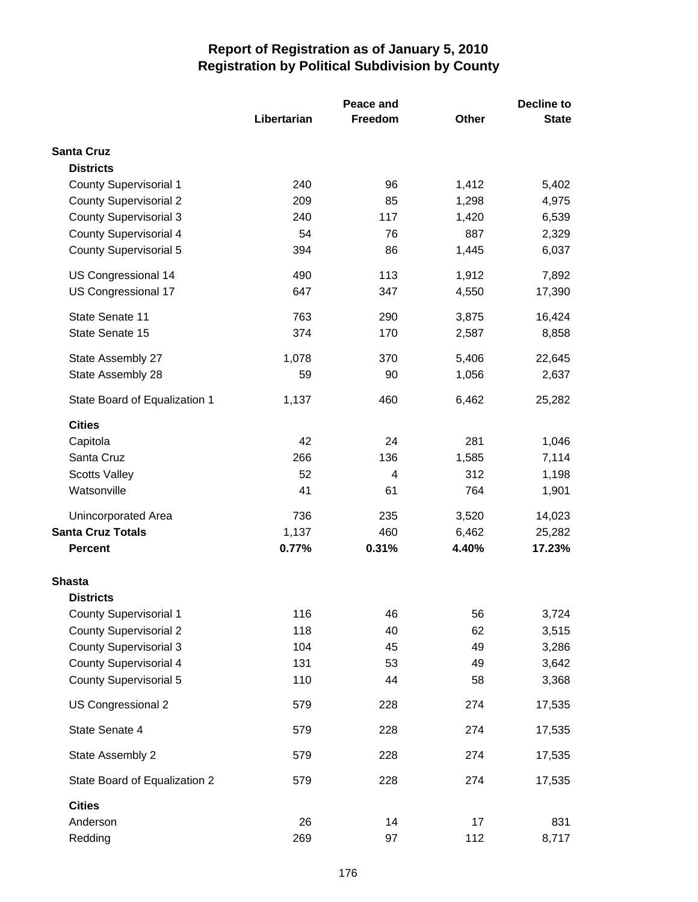|                               |             | Peace and      | <b>Decline to</b> |              |
|-------------------------------|-------------|----------------|-------------------|--------------|
|                               | Libertarian | Freedom        | <b>Other</b>      | <b>State</b> |
| <b>Santa Cruz</b>             |             |                |                   |              |
| <b>Districts</b>              |             |                |                   |              |
| <b>County Supervisorial 1</b> | 240         | 96             | 1,412             | 5,402        |
| <b>County Supervisorial 2</b> | 209         | 85             | 1,298             | 4,975        |
| County Supervisorial 3        | 240         | 117            | 1,420             | 6,539        |
| <b>County Supervisorial 4</b> | 54          | 76             | 887               | 2,329        |
| <b>County Supervisorial 5</b> | 394         | 86             | 1,445             | 6,037        |
| US Congressional 14           | 490         | 113            | 1,912             | 7,892        |
| US Congressional 17           | 647         | 347            | 4,550             | 17,390       |
| State Senate 11               | 763         | 290            | 3,875             | 16,424       |
| State Senate 15               | 374         | 170            | 2,587             | 8,858        |
| State Assembly 27             | 1,078       | 370            | 5,406             | 22,645       |
| State Assembly 28             | 59          | 90             | 1,056             | 2,637        |
| State Board of Equalization 1 | 1,137       | 460            | 6,462             | 25,282       |
| <b>Cities</b>                 |             |                |                   |              |
| Capitola                      | 42          | 24             | 281               | 1,046        |
| Santa Cruz                    | 266         | 136            | 1,585             | 7,114        |
| <b>Scotts Valley</b>          | 52          | $\overline{4}$ | 312               | 1,198        |
| Watsonville                   | 41          | 61             | 764               | 1,901        |
| Unincorporated Area           | 736         | 235            | 3,520             | 14,023       |
| <b>Santa Cruz Totals</b>      | 1,137       | 460            | 6,462             | 25,282       |
| <b>Percent</b>                | 0.77%       | 0.31%          | 4.40%             | 17.23%       |
| <b>Shasta</b>                 |             |                |                   |              |
| <b>Districts</b>              |             |                |                   |              |
| <b>County Supervisorial 1</b> | 116         | 46             | 56                | 3,724        |
| <b>County Supervisorial 2</b> | 118         | 40             | 62                | 3,515        |
| <b>County Supervisorial 3</b> | 104         | 45             | 49                | 3,286        |
| <b>County Supervisorial 4</b> | 131         | 53             | 49                | 3,642        |
| <b>County Supervisorial 5</b> | 110         | 44             | 58                | 3,368        |
| US Congressional 2            | 579         | 228            | 274               | 17,535       |
| State Senate 4                | 579         | 228            | 274               | 17,535       |
| State Assembly 2              | 579         | 228            | 274               | 17,535       |
| State Board of Equalization 2 | 579         | 228            | 274               | 17,535       |
| <b>Cities</b>                 |             |                |                   |              |
| Anderson                      | 26          | 14             | 17                | 831          |
| Redding                       | 269         | 97             | 112               | 8,717        |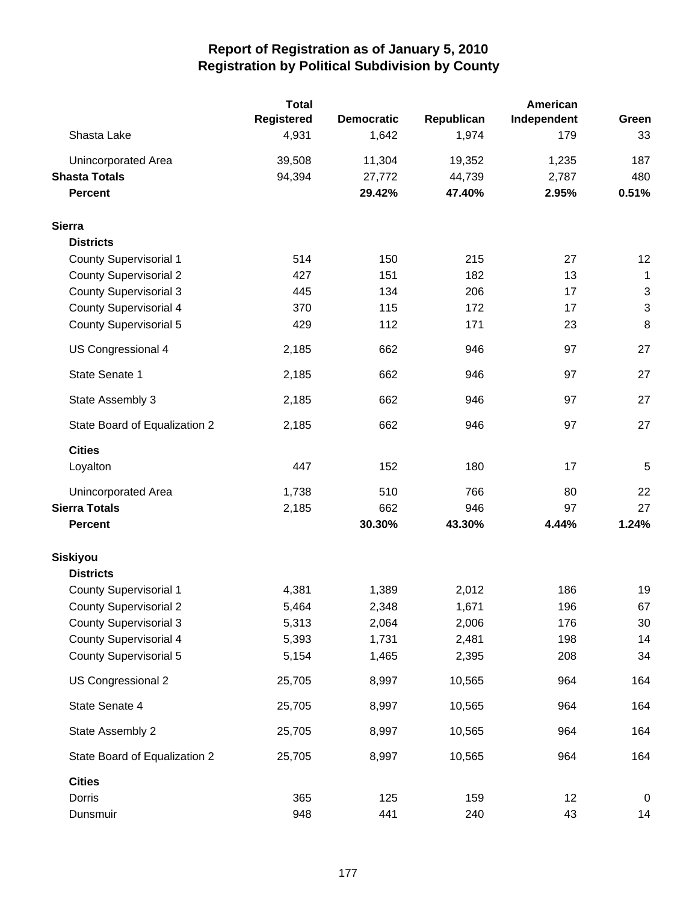|                               | <b>Total</b><br><b>Registered</b> | <b>Democratic</b> | Republican | American<br>Independent | Green                     |
|-------------------------------|-----------------------------------|-------------------|------------|-------------------------|---------------------------|
| Shasta Lake                   | 4,931                             | 1,642             | 1,974      | 179                     | 33                        |
| Unincorporated Area           | 39,508                            | 11,304            | 19,352     | 1,235                   | 187                       |
| <b>Shasta Totals</b>          | 94,394                            | 27,772            | 44,739     | 2,787                   | 480                       |
| <b>Percent</b>                |                                   | 29.42%            | 47.40%     | 2.95%                   | 0.51%                     |
| <b>Sierra</b>                 |                                   |                   |            |                         |                           |
| <b>Districts</b>              |                                   |                   |            |                         |                           |
| County Supervisorial 1        | 514                               | 150               | 215        | 27                      | 12                        |
| <b>County Supervisorial 2</b> | 427                               | 151               | 182        | 13                      | $\mathbf{1}$              |
| <b>County Supervisorial 3</b> | 445                               | 134               | 206        | 17                      | $\ensuremath{\mathsf{3}}$ |
| <b>County Supervisorial 4</b> | 370                               | 115               | 172        | 17                      | $\ensuremath{\mathsf{3}}$ |
| <b>County Supervisorial 5</b> | 429                               | 112               | 171        | 23                      | 8                         |
| US Congressional 4            | 2,185                             | 662               | 946        | 97                      | 27                        |
| State Senate 1                | 2,185                             | 662               | 946        | 97                      | 27                        |
| State Assembly 3              | 2,185                             | 662               | 946        | 97                      | 27                        |
| State Board of Equalization 2 | 2,185                             | 662               | 946        | 97                      | 27                        |
| <b>Cities</b>                 |                                   |                   |            |                         |                           |
| Loyalton                      | 447                               | 152               | 180        | 17                      | 5                         |
| Unincorporated Area           | 1,738                             | 510               | 766        | 80                      | 22                        |
| <b>Sierra Totals</b>          | 2,185                             | 662               | 946        | 97                      | 27                        |
| <b>Percent</b>                |                                   | 30.30%            | 43.30%     | 4.44%                   | 1.24%                     |
| Siskiyou                      |                                   |                   |            |                         |                           |
| <b>Districts</b>              |                                   |                   |            |                         |                           |
| <b>County Supervisorial 1</b> | 4,381                             | 1,389             | 2,012      | 186                     | 19                        |
| <b>County Supervisorial 2</b> | 5,464                             | 2,348             | 1,671      | 196                     | 67                        |
| <b>County Supervisorial 3</b> | 5,313                             | 2,064             | 2,006      | 176                     | 30                        |
| <b>County Supervisorial 4</b> | 5,393                             | 1,731             | 2,481      | 198                     | 14                        |
| <b>County Supervisorial 5</b> | 5,154                             | 1,465             | 2,395      | 208                     | 34                        |
| US Congressional 2            | 25,705                            | 8,997             | 10,565     | 964                     | 164                       |
| State Senate 4                | 25,705                            | 8,997             | 10,565     | 964                     | 164                       |
| State Assembly 2              | 25,705                            | 8,997             | 10,565     | 964                     | 164                       |
| State Board of Equalization 2 | 25,705                            | 8,997             | 10,565     | 964                     | 164                       |
| <b>Cities</b>                 |                                   |                   |            |                         |                           |
| Dorris                        | 365                               | 125               | 159        | 12                      | 0                         |
| Dunsmuir                      | 948                               | 441               | 240        | 43                      | 14                        |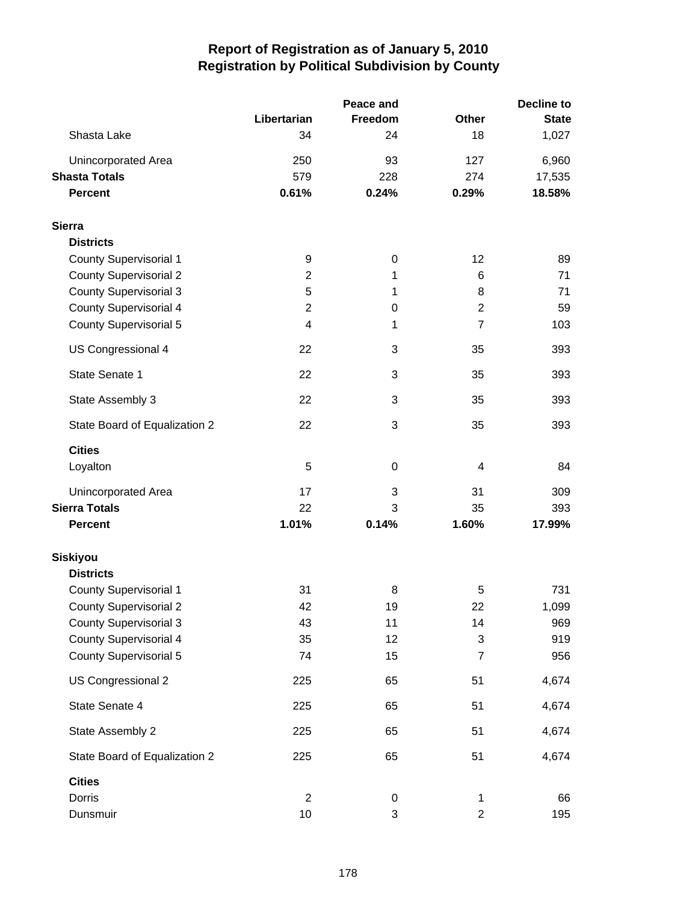|                               |                | Peace and   | <b>Decline to</b> |              |  |
|-------------------------------|----------------|-------------|-------------------|--------------|--|
|                               | Libertarian    | Freedom     | <b>Other</b>      | <b>State</b> |  |
| Shasta Lake                   | 34             | 24          | 18                | 1,027        |  |
| Unincorporated Area           | 250            | 93          | 127               | 6,960        |  |
| <b>Shasta Totals</b>          | 579            | 228         | 274               | 17,535       |  |
| <b>Percent</b>                | 0.61%          | 0.24%       | 0.29%             | 18.58%       |  |
| <b>Sierra</b>                 |                |             |                   |              |  |
| <b>Districts</b>              |                |             |                   |              |  |
| <b>County Supervisorial 1</b> | 9              | $\mathbf 0$ | 12                | 89           |  |
| <b>County Supervisorial 2</b> | $\overline{c}$ | 1           | 6                 | 71           |  |
| <b>County Supervisorial 3</b> | 5              | 1           | 8                 | 71           |  |
| <b>County Supervisorial 4</b> | $\overline{c}$ | 0           | $\overline{2}$    | 59           |  |
| <b>County Supervisorial 5</b> | 4              | 1           | $\overline{7}$    | 103          |  |
| US Congressional 4            | 22             | 3           | 35                | 393          |  |
| State Senate 1                | 22             | 3           | 35                | 393          |  |
| State Assembly 3              | 22             | 3           | 35                | 393          |  |
| State Board of Equalization 2 | 22             | 3           | 35                | 393          |  |
| <b>Cities</b>                 |                |             |                   |              |  |
| Loyalton                      | 5              | $\mathbf 0$ | 4                 | 84           |  |
| Unincorporated Area           | 17             | 3           | 31                | 309          |  |
| <b>Sierra Totals</b>          | 22             | 3           | 35                | 393          |  |
| <b>Percent</b>                | 1.01%          | 0.14%       | 1.60%             | 17.99%       |  |
| <b>Siskiyou</b>               |                |             |                   |              |  |
| <b>Districts</b>              |                |             |                   |              |  |
| <b>County Supervisorial 1</b> | 31             | 8           | 5                 | 731          |  |
| <b>County Supervisorial 2</b> | 42             | 19          | 22                | 1,099        |  |
| <b>County Supervisorial 3</b> | 43             | 11          | 14                | 969          |  |
| <b>County Supervisorial 4</b> | 35             | 12          | 3                 | 919          |  |
| <b>County Supervisorial 5</b> | 74             | 15          | 7                 | 956          |  |
| US Congressional 2            | 225            | 65          | 51                | 4,674        |  |
| State Senate 4                | 225            | 65          | 51                | 4,674        |  |
| State Assembly 2              | 225            | 65          | 51                | 4,674        |  |
| State Board of Equalization 2 | 225            | 65          | 51                | 4,674        |  |
| <b>Cities</b>                 |                |             |                   |              |  |
| Dorris                        | $\overline{2}$ | 0           | 1                 | 66           |  |
| Dunsmuir                      | 10             | 3           | $\overline{c}$    | 195          |  |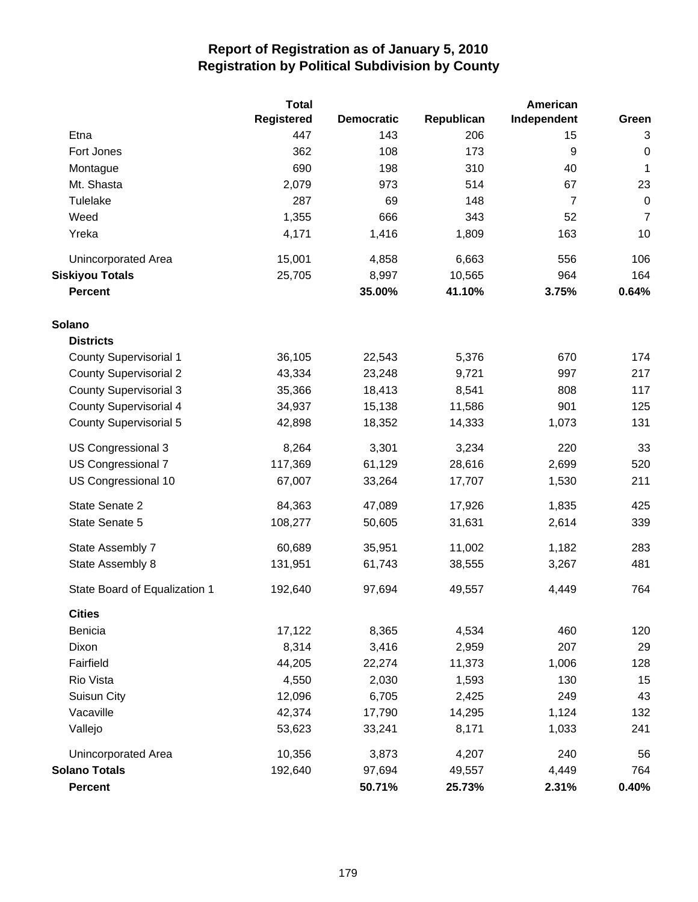|                               | <b>Total</b>      |                   |            | American       |                |
|-------------------------------|-------------------|-------------------|------------|----------------|----------------|
|                               | <b>Registered</b> | <b>Democratic</b> | Republican | Independent    | Green          |
| Etna                          | 447               | 143               | 206        | 15             | 3              |
| Fort Jones                    | 362               | 108               | 173        | 9              | $\pmb{0}$      |
| Montague                      | 690               | 198               | 310        | 40             | 1              |
| Mt. Shasta                    | 2,079             | 973               | 514        | 67             | 23             |
| Tulelake                      | 287               | 69                | 148        | $\overline{7}$ | $\mathbf 0$    |
| Weed                          | 1,355             | 666               | 343        | 52             | $\overline{7}$ |
| Yreka                         | 4,171             | 1,416             | 1,809      | 163            | 10             |
| Unincorporated Area           | 15,001            | 4,858             | 6,663      | 556            | 106            |
| <b>Siskiyou Totals</b>        | 25,705            | 8,997             | 10,565     | 964            | 164            |
| <b>Percent</b>                |                   | 35.00%            | 41.10%     | 3.75%          | 0.64%          |
| Solano                        |                   |                   |            |                |                |
| <b>Districts</b>              |                   |                   |            |                |                |
| <b>County Supervisorial 1</b> | 36,105            | 22,543            | 5,376      | 670            | 174            |
| <b>County Supervisorial 2</b> | 43,334            | 23,248            | 9,721      | 997            | 217            |
| <b>County Supervisorial 3</b> | 35,366            | 18,413            | 8,541      | 808            | 117            |
| <b>County Supervisorial 4</b> | 34,937            | 15,138            | 11,586     | 901            | 125            |
| <b>County Supervisorial 5</b> | 42,898            | 18,352            | 14,333     | 1,073          | 131            |
| US Congressional 3            | 8,264             | 3,301             | 3,234      | 220            | 33             |
| US Congressional 7            | 117,369           | 61,129            | 28,616     | 2,699          | 520            |
| US Congressional 10           | 67,007            | 33,264            | 17,707     | 1,530          | 211            |
| State Senate 2                | 84,363            | 47,089            | 17,926     | 1,835          | 425            |
| State Senate 5                | 108,277           | 50,605            | 31,631     | 2,614          | 339            |
| State Assembly 7              | 60,689            | 35,951            | 11,002     | 1,182          | 283            |
| State Assembly 8              | 131,951           | 61,743            | 38,555     | 3,267          | 481            |
| State Board of Equalization 1 | 192,640           | 97,694            | 49,557     | 4,449          | 764            |
| <b>Cities</b>                 |                   |                   |            |                |                |
| Benicia                       | 17,122            | 8,365             | 4,534      | 460            | 120            |
| Dixon                         | 8,314             | 3,416             | 2,959      | 207            | 29             |
| Fairfield                     | 44,205            | 22,274            | 11,373     | 1,006          | 128            |
| Rio Vista                     | 4,550             | 2,030             | 1,593      | 130            | 15             |
| Suisun City                   | 12,096            | 6,705             | 2,425      | 249            | 43             |
| Vacaville                     | 42,374            | 17,790            | 14,295     | 1,124          | 132            |
| Vallejo                       | 53,623            | 33,241            | 8,171      | 1,033          | 241            |
| Unincorporated Area           | 10,356            | 3,873             | 4,207      | 240            | 56             |
| <b>Solano Totals</b>          | 192,640           | 97,694            | 49,557     | 4,449          | 764            |
| <b>Percent</b>                |                   | 50.71%            | 25.73%     | 2.31%          | 0.40%          |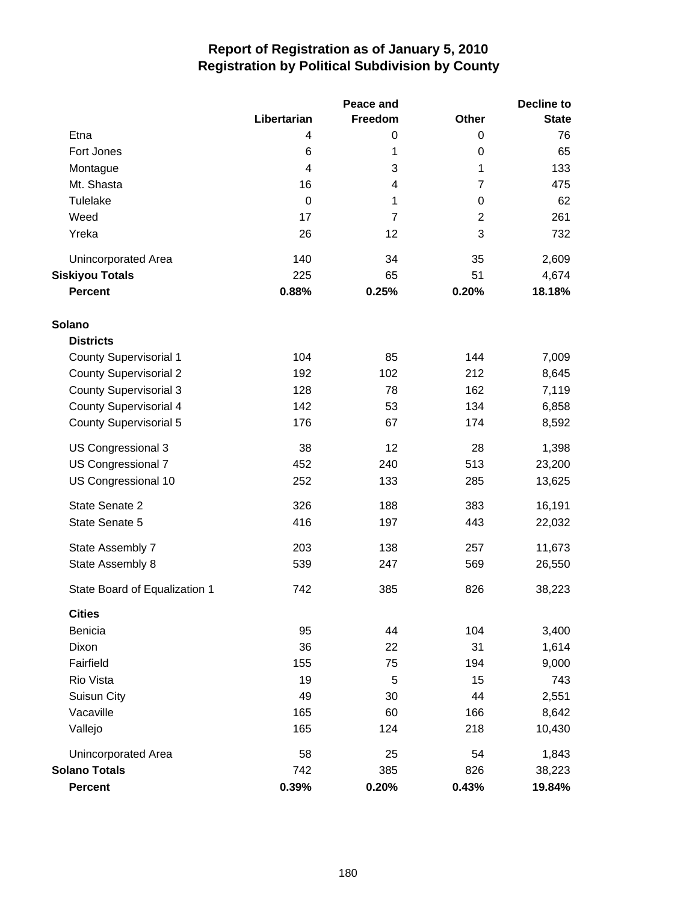|                               |                         | Peace and | <b>Decline to</b> |              |  |
|-------------------------------|-------------------------|-----------|-------------------|--------------|--|
|                               | Libertarian             | Freedom   | <b>Other</b>      | <b>State</b> |  |
| Etna                          | 4                       | 0         | 0                 | 76           |  |
| Fort Jones                    | 6                       | 1         | 0                 | 65           |  |
| Montague                      | $\overline{\mathbf{4}}$ | 3         | 1                 | 133          |  |
| Mt. Shasta                    | 16                      | 4         | 7                 | 475          |  |
| Tulelake                      | 0                       | 1         | $\pmb{0}$         | 62           |  |
| Weed                          | 17                      | 7         | $\overline{2}$    | 261          |  |
| Yreka                         | 26                      | 12        | 3                 | 732          |  |
| Unincorporated Area           | 140                     | 34        | 35                | 2,609        |  |
| <b>Siskiyou Totals</b>        | 225                     | 65        | 51                | 4,674        |  |
| <b>Percent</b>                | 0.88%                   | 0.25%     | 0.20%             | 18.18%       |  |
| <b>Solano</b>                 |                         |           |                   |              |  |
| <b>Districts</b>              |                         |           |                   |              |  |
| <b>County Supervisorial 1</b> | 104                     | 85        | 144               | 7,009        |  |
| <b>County Supervisorial 2</b> | 192                     | 102       | 212               | 8,645        |  |
| <b>County Supervisorial 3</b> | 128                     | 78        | 162               | 7,119        |  |
| <b>County Supervisorial 4</b> | 142                     | 53        | 134               | 6,858        |  |
| County Supervisorial 5        | 176                     | 67        | 174               | 8,592        |  |
| US Congressional 3            | 38                      | 12        | 28                | 1,398        |  |
| US Congressional 7            | 452                     | 240       | 513               | 23,200       |  |
| US Congressional 10           | 252                     | 133       | 285               | 13,625       |  |
| State Senate 2                | 326                     | 188       | 383               | 16,191       |  |
| State Senate 5                | 416                     | 197       | 443               | 22,032       |  |
| State Assembly 7              | 203                     | 138       | 257               | 11,673       |  |
| State Assembly 8              | 539                     | 247       | 569               | 26,550       |  |
| State Board of Equalization 1 | 742                     | 385       | 826               | 38,223       |  |
| <b>Cities</b>                 |                         |           |                   |              |  |
| <b>Benicia</b>                | 95                      | 44        | 104               | 3,400        |  |
| Dixon                         | 36                      | 22        | 31                | 1,614        |  |
| Fairfield                     | 155                     | 75        | 194               | 9,000        |  |
| Rio Vista                     | 19                      | 5         | 15                | 743          |  |
| Suisun City                   | 49                      | 30        | 44                | 2,551        |  |
| Vacaville                     | 165                     | 60        | 166               | 8,642        |  |
| Vallejo                       | 165                     | 124       | 218               | 10,430       |  |
| Unincorporated Area           | 58                      | 25        | 54                | 1,843        |  |
| <b>Solano Totals</b>          | 742                     | 385       | 826               | 38,223       |  |
| <b>Percent</b>                | 0.39%                   | 0.20%     | 0.43%             | 19.84%       |  |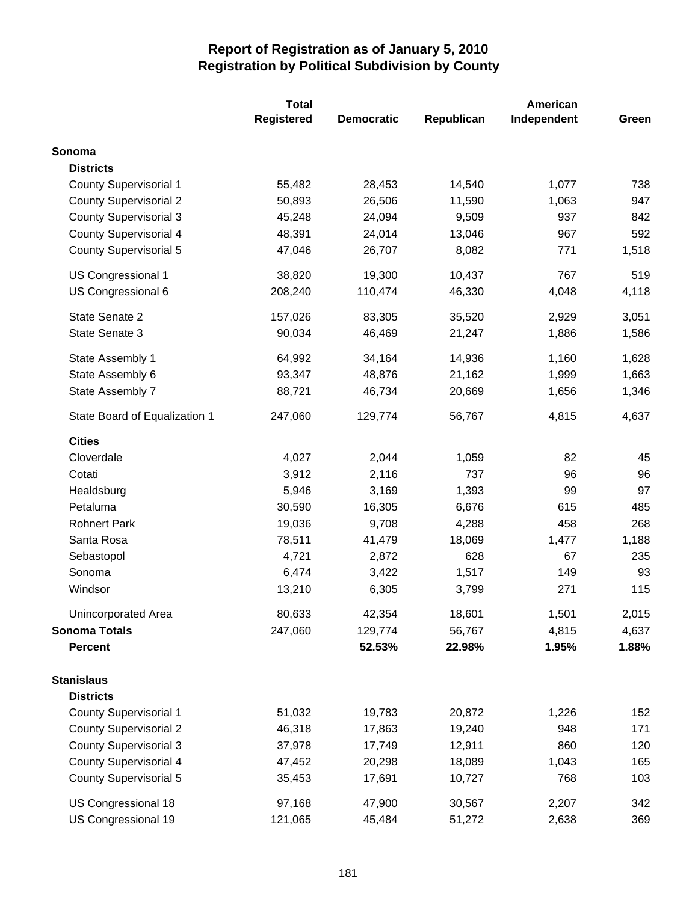|                               | <b>Total</b> |                   |            | American    |       |
|-------------------------------|--------------|-------------------|------------|-------------|-------|
|                               | Registered   | <b>Democratic</b> | Republican | Independent | Green |
| Sonoma                        |              |                   |            |             |       |
| <b>Districts</b>              |              |                   |            |             |       |
| <b>County Supervisorial 1</b> | 55,482       | 28,453            | 14,540     | 1,077       | 738   |
| <b>County Supervisorial 2</b> | 50,893       | 26,506            | 11,590     | 1,063       | 947   |
| <b>County Supervisorial 3</b> | 45,248       | 24,094            | 9,509      | 937         | 842   |
| County Supervisorial 4        | 48,391       | 24,014            | 13,046     | 967         | 592   |
| <b>County Supervisorial 5</b> | 47,046       | 26,707            | 8,082      | 771         | 1,518 |
| US Congressional 1            | 38,820       | 19,300            | 10,437     | 767         | 519   |
| US Congressional 6            | 208,240      | 110,474           | 46,330     | 4,048       | 4,118 |
| State Senate 2                | 157,026      | 83,305            | 35,520     | 2,929       | 3,051 |
| State Senate 3                | 90,034       | 46,469            | 21,247     | 1,886       | 1,586 |
| State Assembly 1              | 64,992       | 34,164            | 14,936     | 1,160       | 1,628 |
| State Assembly 6              | 93,347       | 48,876            | 21,162     | 1,999       | 1,663 |
| State Assembly 7              | 88,721       | 46,734            | 20,669     | 1,656       | 1,346 |
| State Board of Equalization 1 | 247,060      | 129,774           | 56,767     | 4,815       | 4,637 |
| <b>Cities</b>                 |              |                   |            |             |       |
| Cloverdale                    | 4,027        | 2,044             | 1,059      | 82          | 45    |
| Cotati                        | 3,912        | 2,116             | 737        | 96          | 96    |
| Healdsburg                    | 5,946        | 3,169             | 1,393      | 99          | 97    |
| Petaluma                      | 30,590       | 16,305            | 6,676      | 615         | 485   |
| <b>Rohnert Park</b>           | 19,036       | 9,708             | 4,288      | 458         | 268   |
| Santa Rosa                    | 78,511       | 41,479            | 18,069     | 1,477       | 1,188 |
| Sebastopol                    | 4,721        | 2,872             | 628        | 67          | 235   |
| Sonoma                        | 6,474        | 3,422             | 1,517      | 149         | 93    |
| Windsor                       | 13,210       | 6,305             | 3,799      | 271         | 115   |
| Unincorporated Area           | 80,633       | 42,354            | 18,601     | 1,501       | 2,015 |
| <b>Sonoma Totals</b>          | 247,060      | 129,774           | 56,767     | 4,815       | 4,637 |
| <b>Percent</b>                |              | 52.53%            | 22.98%     | 1.95%       | 1.88% |
| <b>Stanislaus</b>             |              |                   |            |             |       |
| <b>Districts</b>              |              |                   |            |             |       |
| <b>County Supervisorial 1</b> | 51,032       | 19,783            | 20,872     | 1,226       | 152   |
| <b>County Supervisorial 2</b> | 46,318       | 17,863            | 19,240     | 948         | 171   |
| <b>County Supervisorial 3</b> | 37,978       | 17,749            | 12,911     | 860         | 120   |
| County Supervisorial 4        | 47,452       | 20,298            | 18,089     | 1,043       | 165   |
| <b>County Supervisorial 5</b> | 35,453       | 17,691            | 10,727     | 768         | 103   |
| US Congressional 18           | 97,168       | 47,900            | 30,567     | 2,207       | 342   |
| US Congressional 19           | 121,065      | 45,484            | 51,272     | 2,638       | 369   |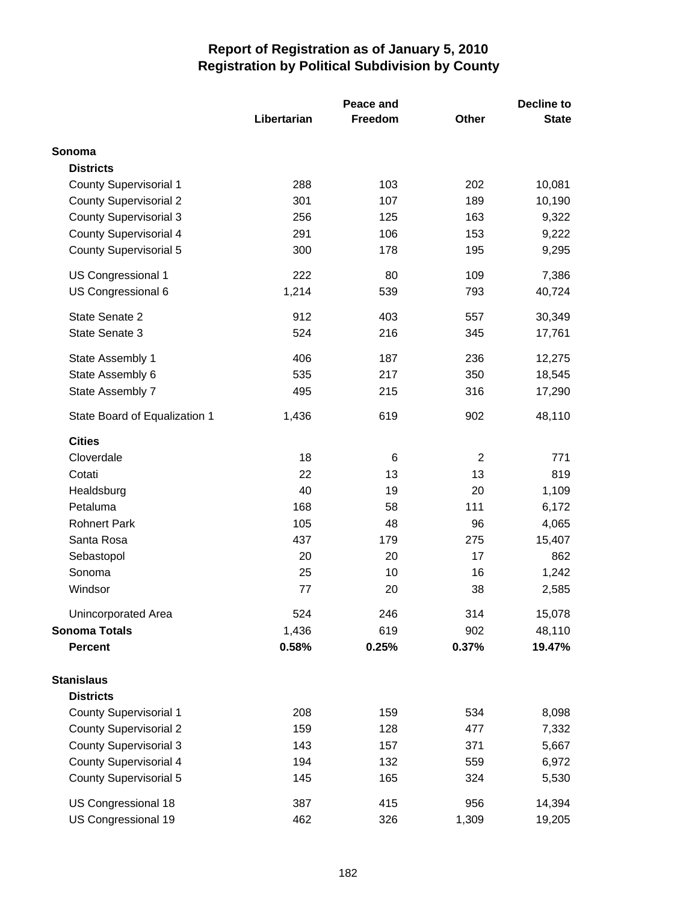|                               |             | Peace and |                | <b>Decline to</b> |  |
|-------------------------------|-------------|-----------|----------------|-------------------|--|
|                               | Libertarian | Freedom   | <b>Other</b>   | <b>State</b>      |  |
| Sonoma                        |             |           |                |                   |  |
| <b>Districts</b>              |             |           |                |                   |  |
| <b>County Supervisorial 1</b> | 288         | 103       | 202            | 10,081            |  |
| <b>County Supervisorial 2</b> | 301         | 107       | 189            | 10,190            |  |
| <b>County Supervisorial 3</b> | 256         | 125       | 163            | 9,322             |  |
| <b>County Supervisorial 4</b> | 291         | 106       | 153            | 9,222             |  |
| <b>County Supervisorial 5</b> | 300         | 178       | 195            | 9,295             |  |
| US Congressional 1            | 222         | 80        | 109            | 7,386             |  |
| US Congressional 6            | 1,214       | 539       | 793            | 40,724            |  |
| State Senate 2                | 912         | 403       | 557            | 30,349            |  |
| State Senate 3                | 524         | 216       | 345            | 17,761            |  |
| State Assembly 1              | 406         | 187       | 236            | 12,275            |  |
| State Assembly 6              | 535         | 217       | 350            | 18,545            |  |
| State Assembly 7              | 495         | 215       | 316            | 17,290            |  |
| State Board of Equalization 1 | 1,436       | 619       | 902            | 48,110            |  |
| <b>Cities</b>                 |             |           |                |                   |  |
| Cloverdale                    | 18          | 6         | $\overline{2}$ | 771               |  |
| Cotati                        | 22          | 13        | 13             | 819               |  |
| Healdsburg                    | 40          | 19        | 20             | 1,109             |  |
| Petaluma                      | 168         | 58        | 111            | 6,172             |  |
| <b>Rohnert Park</b>           | 105         | 48        | 96             | 4,065             |  |
| Santa Rosa                    | 437         | 179       | 275            | 15,407            |  |
| Sebastopol                    | 20          | 20        | 17             | 862               |  |
| Sonoma                        | 25          | 10        | 16             | 1,242             |  |
| Windsor                       | 77          | 20        | 38             | 2,585             |  |
| Unincorporated Area           | 524         | 246       | 314            | 15,078            |  |
| <b>Sonoma Totals</b>          | 1,436       | 619       | 902            | 48,110            |  |
| <b>Percent</b>                | 0.58%       | 0.25%     | 0.37%          | 19.47%            |  |
| <b>Stanislaus</b>             |             |           |                |                   |  |
| <b>Districts</b>              |             |           |                |                   |  |
| <b>County Supervisorial 1</b> | 208         | 159       | 534            | 8,098             |  |
| <b>County Supervisorial 2</b> | 159         | 128       | 477            | 7,332             |  |
| <b>County Supervisorial 3</b> | 143         | 157       | 371            | 5,667             |  |
| <b>County Supervisorial 4</b> | 194         | 132       | 559            | 6,972             |  |
| <b>County Supervisorial 5</b> | 145         | 165       | 324            | 5,530             |  |
| US Congressional 18           | 387         | 415       | 956            | 14,394            |  |
| US Congressional 19           | 462         | 326       | 1,309          | 19,205            |  |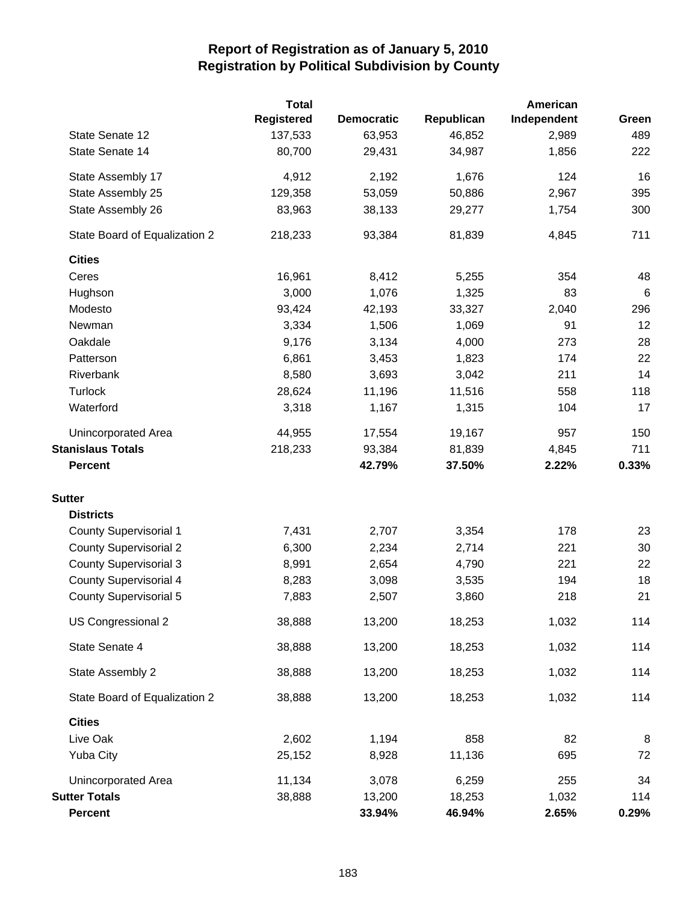|                               | <b>Total</b>      |                   |            | American    |       |
|-------------------------------|-------------------|-------------------|------------|-------------|-------|
|                               | <b>Registered</b> | <b>Democratic</b> | Republican | Independent | Green |
| State Senate 12               | 137,533           | 63,953            | 46,852     | 2,989       | 489   |
| State Senate 14               | 80,700            | 29,431            | 34,987     | 1,856       | 222   |
| State Assembly 17             | 4,912             | 2,192             | 1,676      | 124         | 16    |
| State Assembly 25             | 129,358           | 53,059            | 50,886     | 2,967       | 395   |
| State Assembly 26             | 83,963            | 38,133            | 29,277     | 1,754       | 300   |
| State Board of Equalization 2 | 218,233           | 93,384            | 81,839     | 4,845       | 711   |
| <b>Cities</b>                 |                   |                   |            |             |       |
| Ceres                         | 16,961            | 8,412             | 5,255      | 354         | 48    |
| Hughson                       | 3,000             | 1,076             | 1,325      | 83          | $\,6$ |
| Modesto                       | 93,424            | 42,193            | 33,327     | 2,040       | 296   |
| Newman                        | 3,334             | 1,506             | 1,069      | 91          | 12    |
| Oakdale                       | 9,176             | 3,134             | 4,000      | 273         | 28    |
| Patterson                     | 6,861             | 3,453             | 1,823      | 174         | 22    |
| Riverbank                     | 8,580             | 3,693             | 3,042      | 211         | 14    |
| Turlock                       | 28,624            | 11,196            | 11,516     | 558         | 118   |
| Waterford                     | 3,318             | 1,167             | 1,315      | 104         | 17    |
| Unincorporated Area           | 44,955            | 17,554            | 19,167     | 957         | 150   |
| <b>Stanislaus Totals</b>      | 218,233           | 93,384            | 81,839     | 4,845       | 711   |
| <b>Percent</b>                |                   | 42.79%            | 37.50%     | 2.22%       | 0.33% |
| <b>Sutter</b>                 |                   |                   |            |             |       |
| <b>Districts</b>              |                   |                   |            |             |       |
| <b>County Supervisorial 1</b> | 7,431             | 2,707             | 3,354      | 178         | 23    |
| <b>County Supervisorial 2</b> | 6,300             | 2,234             | 2,714      | 221         | 30    |
| <b>County Supervisorial 3</b> | 8,991             | 2,654             | 4,790      | 221         | 22    |
| <b>County Supervisorial 4</b> | 8,283             | 3,098             | 3,535      | 194         | 18    |
| <b>County Supervisorial 5</b> | 7,883             | 2,507             | 3,860      | 218         | 21    |
| US Congressional 2            | 38,888            | 13,200            | 18,253     | 1,032       | 114   |
| State Senate 4                | 38,888            | 13,200            | 18,253     | 1,032       | 114   |
| State Assembly 2              | 38,888            | 13,200            | 18,253     | 1,032       | 114   |
| State Board of Equalization 2 | 38,888            | 13,200            | 18,253     | 1,032       | 114   |
| <b>Cities</b>                 |                   |                   |            |             |       |
| Live Oak                      | 2,602             | 1,194             | 858        | 82          | 8     |
| <b>Yuba City</b>              | 25,152            | 8,928             | 11,136     | 695         | 72    |
| Unincorporated Area           | 11,134            | 3,078             | 6,259      | 255         | 34    |
| <b>Sutter Totals</b>          | 38,888            | 13,200            | 18,253     | 1,032       | 114   |
| <b>Percent</b>                |                   | 33.94%            | 46.94%     | 2.65%       | 0.29% |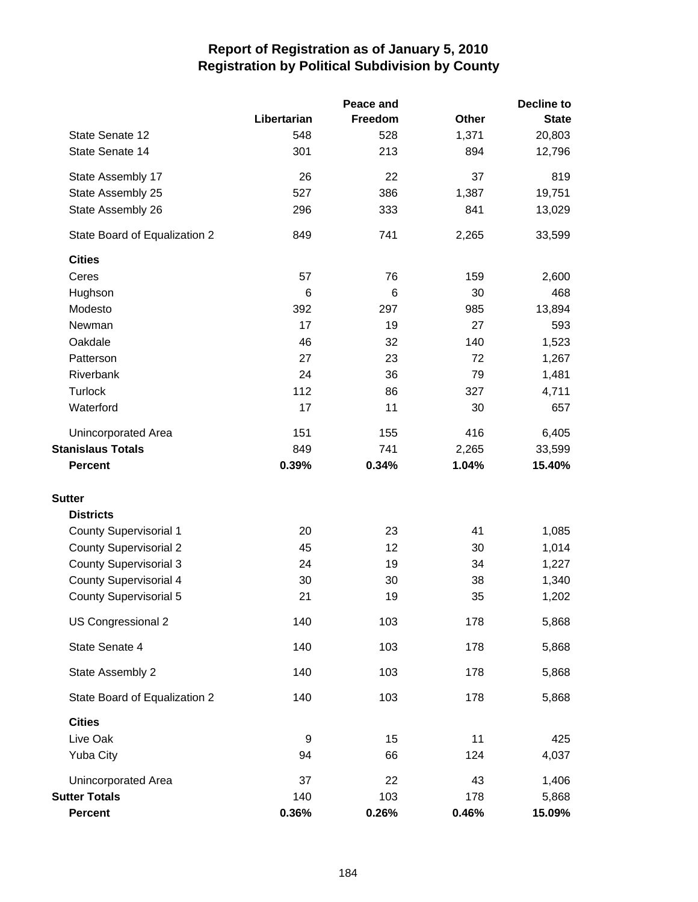|                               |             | Peace and | Decline to   |              |  |
|-------------------------------|-------------|-----------|--------------|--------------|--|
|                               | Libertarian | Freedom   | <b>Other</b> | <b>State</b> |  |
| State Senate 12               | 548         | 528       | 1,371        | 20,803       |  |
| State Senate 14               | 301         | 213       | 894          | 12,796       |  |
| State Assembly 17             | 26          | 22        | 37           | 819          |  |
| State Assembly 25             | 527         | 386       | 1,387        | 19,751       |  |
| State Assembly 26             | 296         | 333       | 841          | 13,029       |  |
| State Board of Equalization 2 | 849         | 741       | 2,265        | 33,599       |  |
| <b>Cities</b>                 |             |           |              |              |  |
| Ceres                         | 57          | 76        | 159          | 2,600        |  |
| Hughson                       | 6           | 6         | 30           | 468          |  |
| Modesto                       | 392         | 297       | 985          | 13,894       |  |
| Newman                        | 17          | 19        | 27           | 593          |  |
| Oakdale                       | 46          | 32        | 140          | 1,523        |  |
| Patterson                     | 27          | 23        | 72           | 1,267        |  |
| Riverbank                     | 24          | 36        | 79           | 1,481        |  |
| <b>Turlock</b>                | 112         | 86        | 327          | 4,711        |  |
| Waterford                     | 17          | 11        | 30           | 657          |  |
| Unincorporated Area           | 151         | 155       | 416          | 6,405        |  |
| <b>Stanislaus Totals</b>      | 849         | 741       | 2,265        | 33,599       |  |
| <b>Percent</b>                | 0.39%       | 0.34%     | 1.04%        | 15.40%       |  |
| <b>Sutter</b>                 |             |           |              |              |  |
| <b>Districts</b>              |             |           |              |              |  |
| <b>County Supervisorial 1</b> | 20          | 23        | 41           | 1,085        |  |
| <b>County Supervisorial 2</b> | 45          | 12        | 30           | 1,014        |  |
| <b>County Supervisorial 3</b> | 24          | 19        | 34           | 1,227        |  |
| <b>County Supervisorial 4</b> | 30          | 30        | 38           | 1,340        |  |
| <b>County Supervisorial 5</b> | 21          | 19        | 35           | 1,202        |  |
| US Congressional 2            | 140         | 103       | 178          | 5,868        |  |
| State Senate 4                | 140         | 103       | 178          | 5,868        |  |
| State Assembly 2              | 140         | 103       | 178          | 5,868        |  |
| State Board of Equalization 2 | 140         | 103       | 178          | 5,868        |  |
| <b>Cities</b>                 |             |           |              |              |  |
| Live Oak                      | 9           | 15        | 11           | 425          |  |
| <b>Yuba City</b>              | 94          | 66        | 124          | 4,037        |  |
| Unincorporated Area           | 37          | 22        | 43           | 1,406        |  |
| <b>Sutter Totals</b>          | 140         | 103       | 178          | 5,868        |  |
| <b>Percent</b>                | 0.36%       | 0.26%     | 0.46%        | 15.09%       |  |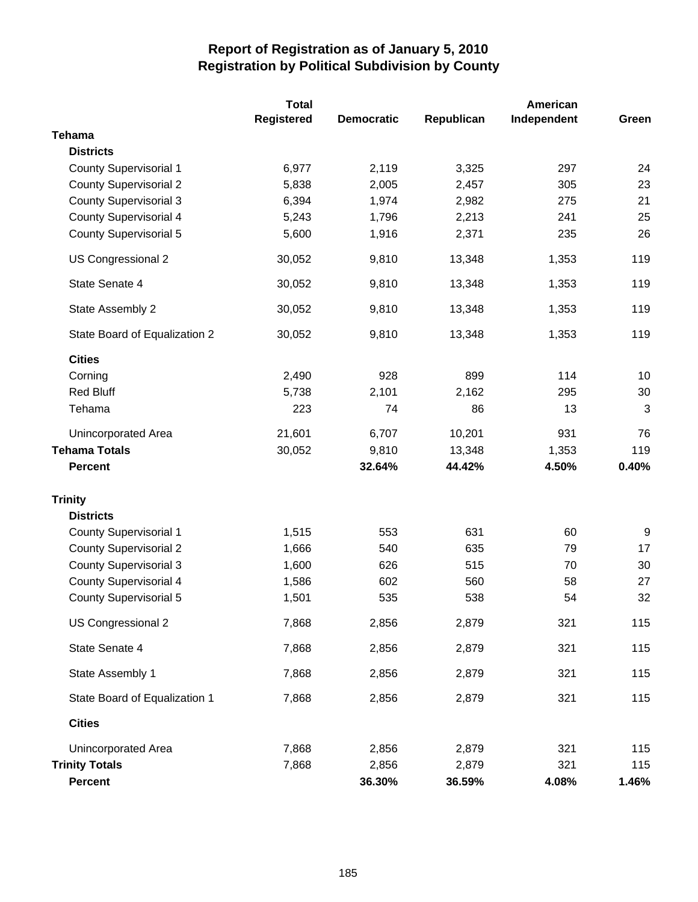|                               | <b>Total</b>      |                   |            | American    |              |  |
|-------------------------------|-------------------|-------------------|------------|-------------|--------------|--|
|                               | <b>Registered</b> | <b>Democratic</b> | Republican | Independent | Green        |  |
| <b>Tehama</b>                 |                   |                   |            |             |              |  |
| <b>Districts</b>              |                   |                   |            |             |              |  |
| <b>County Supervisorial 1</b> | 6,977             | 2,119             | 3,325      | 297         | 24           |  |
| <b>County Supervisorial 2</b> | 5,838             | 2,005             | 2,457      | 305         | 23           |  |
| <b>County Supervisorial 3</b> | 6,394             | 1,974             | 2,982      | 275         | 21           |  |
| <b>County Supervisorial 4</b> | 5,243             | 1,796             | 2,213      | 241         | 25           |  |
| <b>County Supervisorial 5</b> | 5,600             | 1,916             | 2,371      | 235         | 26           |  |
| US Congressional 2            | 30,052            | 9,810             | 13,348     | 1,353       | 119          |  |
| State Senate 4                | 30,052            | 9,810             | 13,348     | 1,353       | 119          |  |
| State Assembly 2              | 30,052            | 9,810             | 13,348     | 1,353       | 119          |  |
| State Board of Equalization 2 | 30,052            | 9,810             | 13,348     | 1,353       | 119          |  |
| <b>Cities</b>                 |                   |                   |            |             |              |  |
| Corning                       | 2,490             | 928               | 899        | 114         | 10           |  |
| <b>Red Bluff</b>              | 5,738             | 2,101             | 2,162      | 295         | 30           |  |
| Tehama                        | 223               | 74                | 86         | 13          | $\mathbf{3}$ |  |
| Unincorporated Area           | 21,601            | 6,707             | 10,201     | 931         | 76           |  |
| <b>Tehama Totals</b>          | 30,052            | 9,810             | 13,348     | 1,353       | 119          |  |
| <b>Percent</b>                |                   | 32.64%            | 44.42%     | 4.50%       | 0.40%        |  |
| <b>Trinity</b>                |                   |                   |            |             |              |  |
| <b>Districts</b>              |                   |                   |            |             |              |  |
| <b>County Supervisorial 1</b> | 1,515             | 553               | 631        | 60          | 9            |  |
| <b>County Supervisorial 2</b> | 1,666             | 540               | 635        | 79          | 17           |  |
| <b>County Supervisorial 3</b> | 1,600             | 626               | 515        | 70          | 30           |  |
| <b>County Supervisorial 4</b> | 1,586             | 602               | 560        | 58          | 27           |  |
| <b>County Supervisorial 5</b> | 1,501             | 535               | 538        | 54          | 32           |  |
| US Congressional 2            | 7,868             | 2,856             | 2,879      | 321         | 115          |  |
| State Senate 4                | 7,868             | 2,856             | 2,879      | 321         | 115          |  |
| State Assembly 1              | 7,868             | 2,856             | 2,879      | 321         | 115          |  |
| State Board of Equalization 1 | 7,868             | 2,856             | 2,879      | 321         | 115          |  |
| <b>Cities</b>                 |                   |                   |            |             |              |  |
| Unincorporated Area           | 7,868             | 2,856             | 2,879      | 321         | 115          |  |
| <b>Trinity Totals</b>         | 7,868             | 2,856             | 2,879      | 321         | 115          |  |
| <b>Percent</b>                |                   | 36.30%            | 36.59%     | 4.08%       | 1.46%        |  |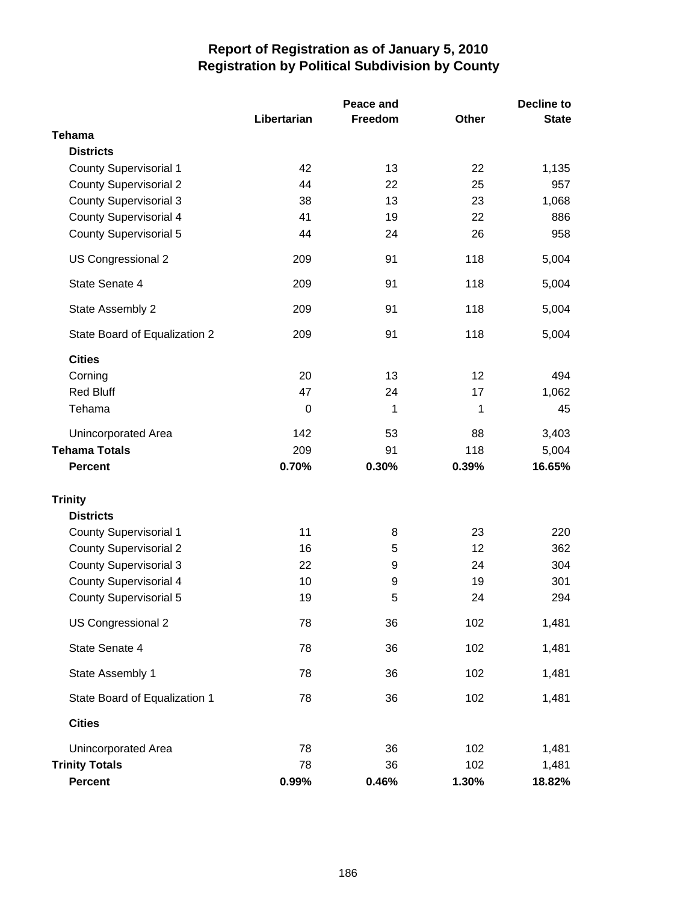|                               | Libertarian | Peace and<br>Freedom | Other | <b>Decline to</b><br><b>State</b> |
|-------------------------------|-------------|----------------------|-------|-----------------------------------|
| <b>Tehama</b>                 |             |                      |       |                                   |
| <b>Districts</b>              |             |                      |       |                                   |
| <b>County Supervisorial 1</b> | 42          | 13                   | 22    | 1,135                             |
| <b>County Supervisorial 2</b> | 44          | 22                   | 25    | 957                               |
| <b>County Supervisorial 3</b> | 38          | 13                   | 23    | 1,068                             |
| <b>County Supervisorial 4</b> | 41          | 19                   | 22    | 886                               |
| <b>County Supervisorial 5</b> | 44          | 24                   | 26    | 958                               |
| US Congressional 2            | 209         | 91                   | 118   | 5,004                             |
| State Senate 4                | 209         | 91                   | 118   | 5,004                             |
| State Assembly 2              | 209         | 91                   | 118   | 5,004                             |
| State Board of Equalization 2 | 209         | 91                   | 118   | 5,004                             |
| <b>Cities</b>                 |             |                      |       |                                   |
| Corning                       | 20          | 13                   | 12    | 494                               |
| <b>Red Bluff</b>              | 47          | 24                   | 17    | 1,062                             |
| Tehama                        | $\mathbf 0$ | 1                    | 1     | 45                                |
| Unincorporated Area           | 142         | 53                   | 88    | 3,403                             |
| <b>Tehama Totals</b>          | 209         | 91                   | 118   | 5,004                             |
| <b>Percent</b>                | 0.70%       | 0.30%                | 0.39% | 16.65%                            |
| <b>Trinity</b>                |             |                      |       |                                   |
| <b>Districts</b>              |             |                      |       |                                   |
| <b>County Supervisorial 1</b> | 11          | 8                    | 23    | 220                               |
| <b>County Supervisorial 2</b> | 16          | 5                    | 12    | 362                               |
| <b>County Supervisorial 3</b> | 22          | 9                    | 24    | 304                               |
| <b>County Supervisorial 4</b> | 10          | $\boldsymbol{9}$     | 19    | 301                               |
| <b>County Supervisorial 5</b> | 19          | 5                    | 24    | 294                               |
| US Congressional 2            | 78          | 36                   | 102   | 1,481                             |
| State Senate 4                | 78          | 36                   | 102   | 1,481                             |
| State Assembly 1              | 78          | 36                   | 102   | 1,481                             |
| State Board of Equalization 1 | 78          | 36                   | 102   | 1,481                             |
| <b>Cities</b>                 |             |                      |       |                                   |
| Unincorporated Area           | 78          | 36                   | 102   | 1,481                             |
| <b>Trinity Totals</b>         | 78          | 36                   | 102   | 1,481                             |
| <b>Percent</b>                | 0.99%       | 0.46%                | 1.30% | 18.82%                            |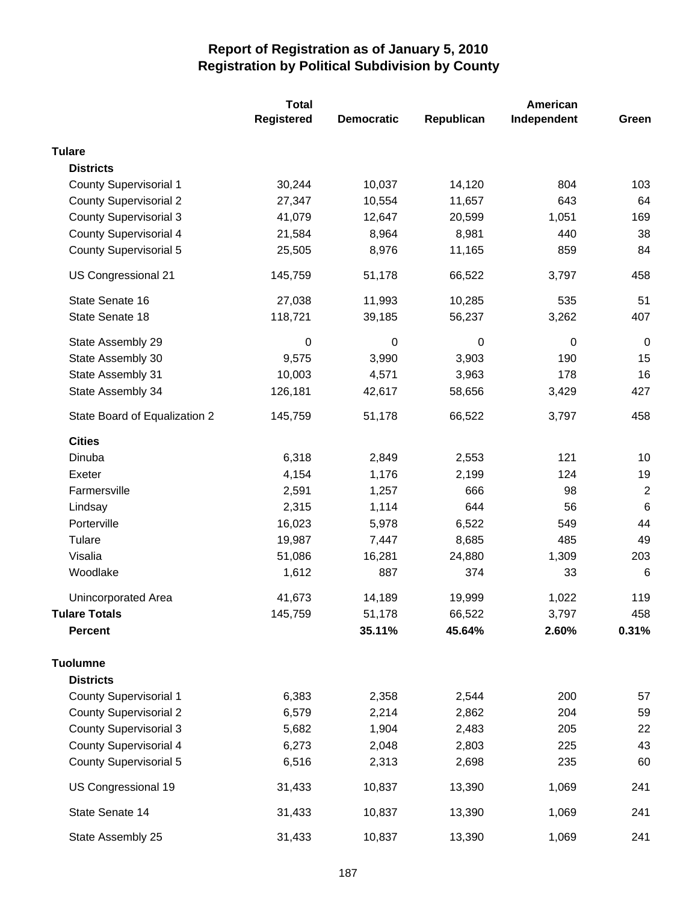|                               | <b>Total</b>      |                   | American    |             |                 |  |
|-------------------------------|-------------------|-------------------|-------------|-------------|-----------------|--|
|                               | <b>Registered</b> | <b>Democratic</b> | Republican  | Independent | Green           |  |
| <b>Tulare</b>                 |                   |                   |             |             |                 |  |
| <b>Districts</b>              |                   |                   |             |             |                 |  |
| <b>County Supervisorial 1</b> | 30,244            | 10,037            | 14,120      | 804         | 103             |  |
| <b>County Supervisorial 2</b> | 27,347            | 10,554            | 11,657      | 643         | 64              |  |
| <b>County Supervisorial 3</b> | 41,079            | 12,647            | 20,599      | 1,051       | 169             |  |
| <b>County Supervisorial 4</b> | 21,584            | 8,964             | 8,981       | 440         | 38              |  |
| <b>County Supervisorial 5</b> | 25,505            | 8,976             | 11,165      | 859         | 84              |  |
| US Congressional 21           | 145,759           | 51,178            | 66,522      | 3,797       | 458             |  |
| State Senate 16               | 27,038            | 11,993            | 10,285      | 535         | 51              |  |
| State Senate 18               | 118,721           | 39,185            | 56,237      | 3,262       | 407             |  |
| State Assembly 29             | 0                 | $\mathbf 0$       | $\mathbf 0$ | 0           | $\pmb{0}$       |  |
| State Assembly 30             | 9,575             | 3,990             | 3,903       | 190         | 15              |  |
| State Assembly 31             | 10,003            | 4,571             | 3,963       | 178         | 16              |  |
| State Assembly 34             | 126,181           | 42,617            | 58,656      | 3,429       | 427             |  |
| State Board of Equalization 2 | 145,759           | 51,178            | 66,522      | 3,797       | 458             |  |
| <b>Cities</b>                 |                   |                   |             |             |                 |  |
| Dinuba                        | 6,318             | 2,849             | 2,553       | 121         | 10              |  |
| Exeter                        | 4,154             | 1,176             | 2,199       | 124         | 19              |  |
| Farmersville                  | 2,591             | 1,257             | 666         | 98          | $\overline{2}$  |  |
| Lindsay                       | 2,315             | 1,114             | 644         | 56          | $6\phantom{1}6$ |  |
| Porterville                   | 16,023            | 5,978             | 6,522       | 549         | 44              |  |
| Tulare                        | 19,987            | 7,447             | 8,685       | 485         | 49              |  |
| Visalia                       | 51,086            | 16,281            | 24,880      | 1,309       | 203             |  |
| Woodlake                      | 1,612             | 887               | 374         | 33          | $\,6$           |  |
| <b>Unincorporated Area</b>    | 41,673            | 14,189            | 19,999      | 1,022       | 119             |  |
| <b>Tulare Totals</b>          | 145,759           | 51,178            | 66,522      | 3,797       | 458             |  |
| Percent                       |                   | 35.11%            | 45.64%      | 2.60%       | 0.31%           |  |
| <b>Tuolumne</b>               |                   |                   |             |             |                 |  |
| <b>Districts</b>              |                   |                   |             |             |                 |  |
| <b>County Supervisorial 1</b> | 6,383             | 2,358             | 2,544       | 200         | 57              |  |
| <b>County Supervisorial 2</b> | 6,579             | 2,214             | 2,862       | 204         | 59              |  |
| <b>County Supervisorial 3</b> | 5,682             | 1,904             | 2,483       | 205         | 22              |  |
| <b>County Supervisorial 4</b> | 6,273             | 2,048             | 2,803       | 225         | 43              |  |
| <b>County Supervisorial 5</b> | 6,516             | 2,313             | 2,698       | 235         | 60              |  |
| US Congressional 19           | 31,433            | 10,837            | 13,390      | 1,069       | 241             |  |
| State Senate 14               | 31,433            | 10,837            | 13,390      | 1,069       | 241             |  |
| State Assembly 25             | 31,433            | 10,837            | 13,390      | 1,069       | 241             |  |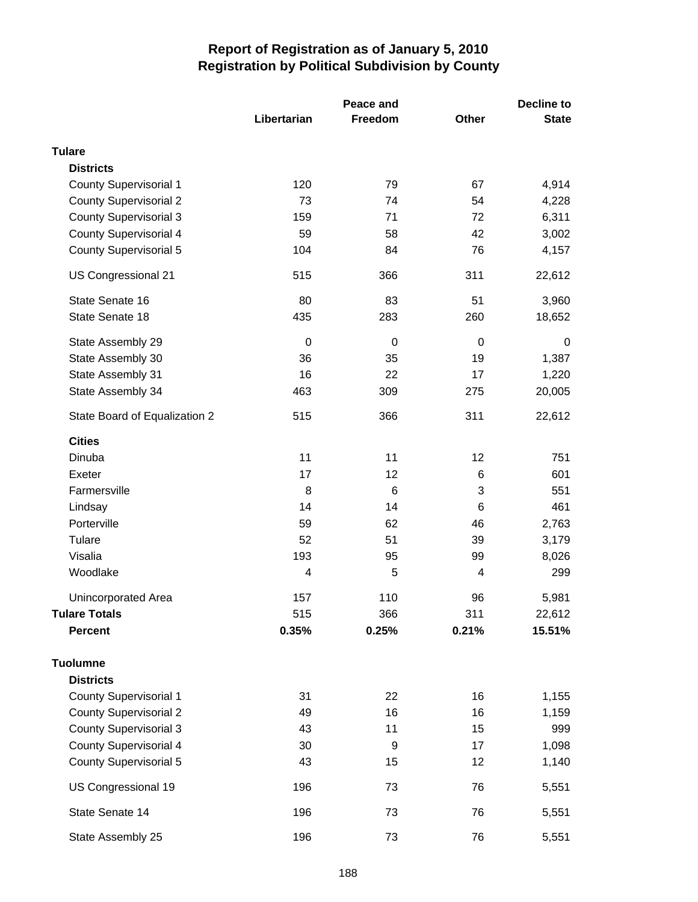|                               |             | Peace and   | <b>Decline to</b> |              |  |
|-------------------------------|-------------|-------------|-------------------|--------------|--|
|                               | Libertarian | Freedom     | <b>Other</b>      | <b>State</b> |  |
| <b>Tulare</b>                 |             |             |                   |              |  |
| <b>Districts</b>              |             |             |                   |              |  |
| <b>County Supervisorial 1</b> | 120         | 79          | 67                | 4,914        |  |
| <b>County Supervisorial 2</b> | 73          | 74          | 54                | 4,228        |  |
| <b>County Supervisorial 3</b> | 159         | 71          | 72                | 6,311        |  |
| <b>County Supervisorial 4</b> | 59          | 58          | 42                | 3,002        |  |
| <b>County Supervisorial 5</b> | 104         | 84          | 76                | 4,157        |  |
| US Congressional 21           | 515         | 366         | 311               | 22,612       |  |
| State Senate 16               | 80          | 83          | 51                | 3,960        |  |
| State Senate 18               | 435         | 283         | 260               | 18,652       |  |
| State Assembly 29             | 0           | $\mathbf 0$ | 0                 | $\mathbf 0$  |  |
| State Assembly 30             | 36          | 35          | 19                | 1,387        |  |
| State Assembly 31             | 16          | 22          | 17                | 1,220        |  |
| State Assembly 34             | 463         | 309         | 275               | 20,005       |  |
| State Board of Equalization 2 | 515         | 366         | 311               | 22,612       |  |
| <b>Cities</b>                 |             |             |                   |              |  |
| Dinuba                        | 11          | 11          | 12                | 751          |  |
| Exeter                        | 17          | 12          | 6                 | 601          |  |
| Farmersville                  | 8           | 6           | 3                 | 551          |  |
| Lindsay                       | 14          | 14          | $6\phantom{1}6$   | 461          |  |
| Porterville                   | 59          | 62          | 46                | 2,763        |  |
| Tulare                        | 52          | 51          | 39                | 3,179        |  |
| Visalia                       | 193         | 95          | 99                | 8,026        |  |
| Woodlake                      | 4           | 5           | 4                 | 299          |  |
| Unincorporated Area           | 157         | 110         | 96                | 5,981        |  |
| <b>Tulare Totals</b>          | 515         | 366         | 311               | 22,612       |  |
| <b>Percent</b>                | 0.35%       | 0.25%       | 0.21%             | 15.51%       |  |
| <b>Tuolumne</b>               |             |             |                   |              |  |
| <b>Districts</b>              |             |             |                   |              |  |
| <b>County Supervisorial 1</b> | 31          | 22          | 16                | 1,155        |  |
| <b>County Supervisorial 2</b> | 49          | 16          | 16                | 1,159        |  |
| <b>County Supervisorial 3</b> | 43          | 11          | 15                | 999          |  |
| <b>County Supervisorial 4</b> | 30          | 9           | 17                | 1,098        |  |
| <b>County Supervisorial 5</b> | 43          | 15          | 12                | 1,140        |  |
| US Congressional 19           | 196         | 73          | 76                | 5,551        |  |
| State Senate 14               | 196         | 73          | 76                | 5,551        |  |
| State Assembly 25             | 196         | 73          | 76                | 5,551        |  |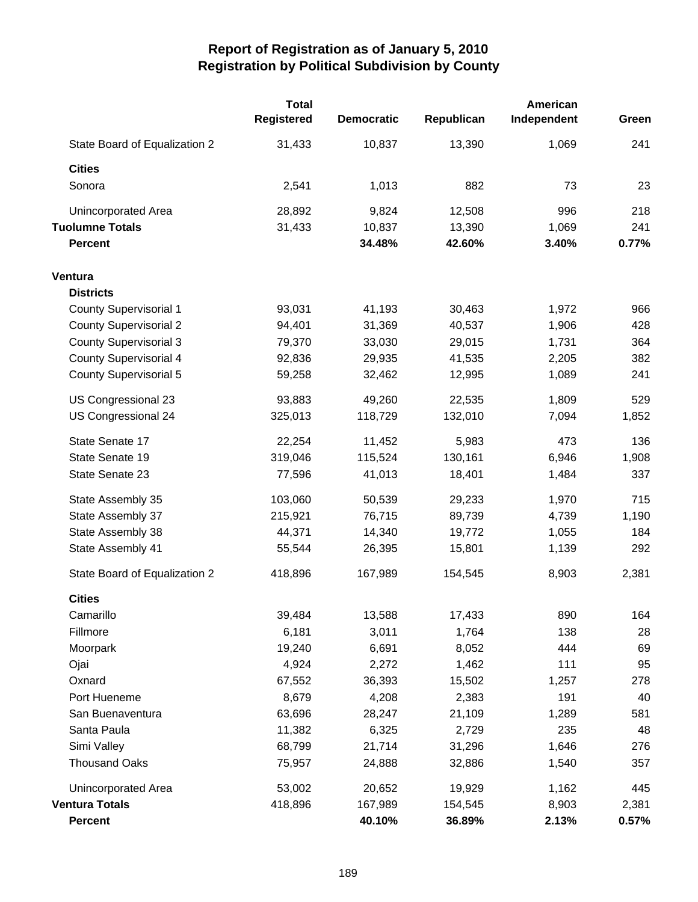|                               | <b>Total</b><br><b>Registered</b> | <b>Democratic</b> | Republican | American<br>Independent | Green |
|-------------------------------|-----------------------------------|-------------------|------------|-------------------------|-------|
| State Board of Equalization 2 | 31,433                            | 10,837            | 13,390     | 1,069                   | 241   |
| <b>Cities</b>                 |                                   |                   |            |                         |       |
| Sonora                        | 2,541                             | 1,013             | 882        | 73                      | 23    |
| Unincorporated Area           | 28,892                            | 9,824             | 12,508     | 996                     | 218   |
| <b>Tuolumne Totals</b>        | 31,433                            | 10,837            | 13,390     | 1,069                   | 241   |
| <b>Percent</b>                |                                   | 34.48%            | 42.60%     | 3.40%                   | 0.77% |
| Ventura                       |                                   |                   |            |                         |       |
| <b>Districts</b>              |                                   |                   |            |                         |       |
| <b>County Supervisorial 1</b> | 93,031                            | 41,193            | 30,463     | 1,972                   | 966   |
| <b>County Supervisorial 2</b> | 94,401                            | 31,369            | 40,537     | 1,906                   | 428   |
| <b>County Supervisorial 3</b> | 79,370                            | 33,030            | 29,015     | 1,731                   | 364   |
| <b>County Supervisorial 4</b> | 92,836                            | 29,935            | 41,535     | 2,205                   | 382   |
| <b>County Supervisorial 5</b> | 59,258                            | 32,462            | 12,995     | 1,089                   | 241   |
| US Congressional 23           | 93,883                            | 49,260            | 22,535     | 1,809                   | 529   |
| US Congressional 24           | 325,013                           | 118,729           | 132,010    | 7,094                   | 1,852 |
| State Senate 17               | 22,254                            | 11,452            | 5,983      | 473                     | 136   |
| State Senate 19               | 319,046                           | 115,524           | 130,161    | 6,946                   | 1,908 |
| State Senate 23               | 77,596                            | 41,013            | 18,401     | 1,484                   | 337   |
| State Assembly 35             | 103,060                           | 50,539            | 29,233     | 1,970                   | 715   |
| State Assembly 37             | 215,921                           | 76,715            | 89,739     | 4,739                   | 1,190 |
| State Assembly 38             | 44,371                            | 14,340            | 19,772     | 1,055                   | 184   |
| State Assembly 41             | 55,544                            | 26,395            | 15,801     | 1,139                   | 292   |
| State Board of Equalization 2 | 418,896                           | 167,989           | 154,545    | 8,903                   | 2,381 |
| <b>Cities</b>                 |                                   |                   |            |                         |       |
| Camarillo                     | 39,484                            | 13,588            | 17,433     | 890                     | 164   |
| Fillmore                      | 6,181                             | 3,011             | 1,764      | 138                     | 28    |
| Moorpark                      | 19,240                            | 6,691             | 8,052      | 444                     | 69    |
| Ojai                          | 4,924                             | 2,272             | 1,462      | 111                     | 95    |
| Oxnard                        | 67,552                            | 36,393            | 15,502     | 1,257                   | 278   |
| Port Hueneme                  | 8,679                             | 4,208             | 2,383      | 191                     | 40    |
| San Buenaventura              | 63,696                            | 28,247            | 21,109     | 1,289                   | 581   |
| Santa Paula                   | 11,382                            | 6,325             | 2,729      | 235                     | 48    |
| Simi Valley                   | 68,799                            | 21,714            | 31,296     | 1,646                   | 276   |
| <b>Thousand Oaks</b>          | 75,957                            | 24,888            | 32,886     | 1,540                   | 357   |
| Unincorporated Area           | 53,002                            | 20,652            | 19,929     | 1,162                   | 445   |
| <b>Ventura Totals</b>         | 418,896                           | 167,989           | 154,545    | 8,903                   | 2,381 |
| <b>Percent</b>                |                                   | 40.10%            | 36.89%     | 2.13%                   | 0.57% |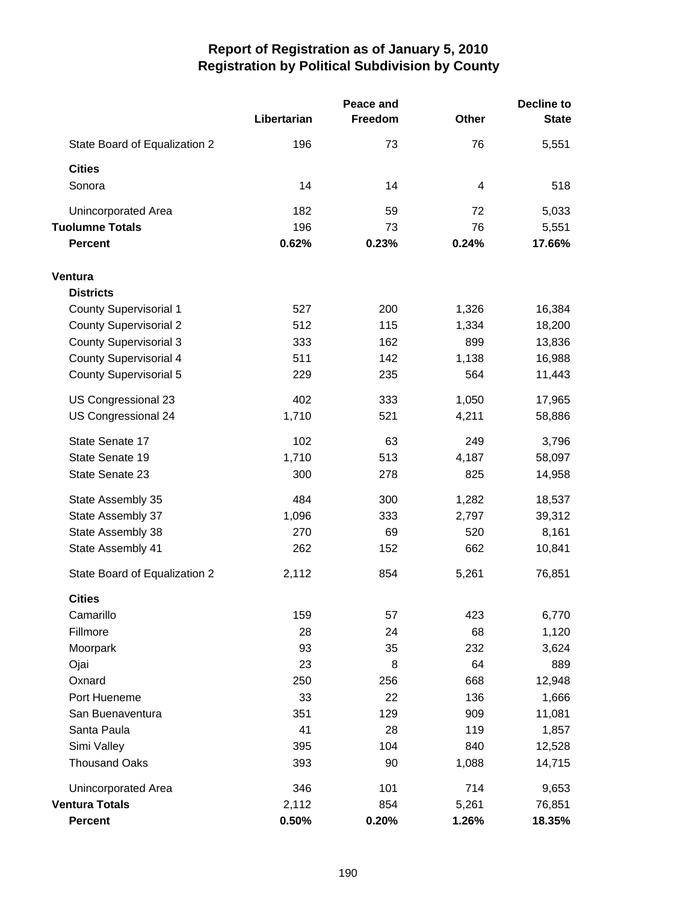|                               |             | Peace and |       | <b>Decline to</b> |  |
|-------------------------------|-------------|-----------|-------|-------------------|--|
|                               | Libertarian | Freedom   | Other | <b>State</b>      |  |
| State Board of Equalization 2 | 196         | 73        | 76    | 5,551             |  |
| <b>Cities</b>                 |             |           |       |                   |  |
| Sonora                        | 14          | 14        | 4     | 518               |  |
| Unincorporated Area           | 182         | 59        | 72    | 5,033             |  |
| <b>Tuolumne Totals</b>        | 196         | 73        | 76    | 5,551             |  |
| <b>Percent</b>                | 0.62%       | 0.23%     | 0.24% | 17.66%            |  |
| Ventura                       |             |           |       |                   |  |
| <b>Districts</b>              |             |           |       |                   |  |
| County Supervisorial 1        | 527         | 200       | 1,326 | 16,384            |  |
| <b>County Supervisorial 2</b> | 512         | 115       | 1,334 | 18,200            |  |
| <b>County Supervisorial 3</b> | 333         | 162       | 899   | 13,836            |  |
| <b>County Supervisorial 4</b> | 511         | 142       | 1,138 | 16,988            |  |
| County Supervisorial 5        | 229         | 235       | 564   | 11,443            |  |
| US Congressional 23           | 402         | 333       | 1,050 | 17,965            |  |
| US Congressional 24           | 1,710       | 521       | 4,211 | 58,886            |  |
| State Senate 17               | 102         | 63        | 249   | 3,796             |  |
| State Senate 19               | 1,710       | 513       | 4,187 | 58,097            |  |
| State Senate 23               | 300         | 278       | 825   | 14,958            |  |
| State Assembly 35             | 484         | 300       | 1,282 | 18,537            |  |
| State Assembly 37             | 1,096       | 333       | 2,797 | 39,312            |  |
| State Assembly 38             | 270         | 69        | 520   | 8,161             |  |
| State Assembly 41             | 262         | 152       | 662   | 10,841            |  |
| State Board of Equalization 2 | 2,112       | 854       | 5,261 | 76,851            |  |
| <b>Cities</b>                 |             |           |       |                   |  |
| Camarillo                     | 159         | 57        | 423   | 6,770             |  |
| Fillmore                      | 28          | 24        | 68    | 1,120             |  |
| Moorpark                      | 93          | 35        | 232   | 3,624             |  |
| Ojai                          | 23          | 8         | 64    | 889               |  |
| Oxnard                        | 250         | 256       | 668   | 12,948            |  |
| Port Hueneme                  | 33          | 22        | 136   | 1,666             |  |
| San Buenaventura              | 351         | 129       | 909   | 11,081            |  |
| Santa Paula                   | 41          | 28        | 119   | 1,857             |  |
| Simi Valley                   | 395         | 104       | 840   | 12,528            |  |
| <b>Thousand Oaks</b>          | 393         | 90        | 1,088 | 14,715            |  |
| Unincorporated Area           | 346         | 101       | 714   | 9,653             |  |
| <b>Ventura Totals</b>         | 2,112       | 854       | 5,261 | 76,851            |  |
| <b>Percent</b>                | 0.50%       | 0.20%     | 1.26% | 18.35%            |  |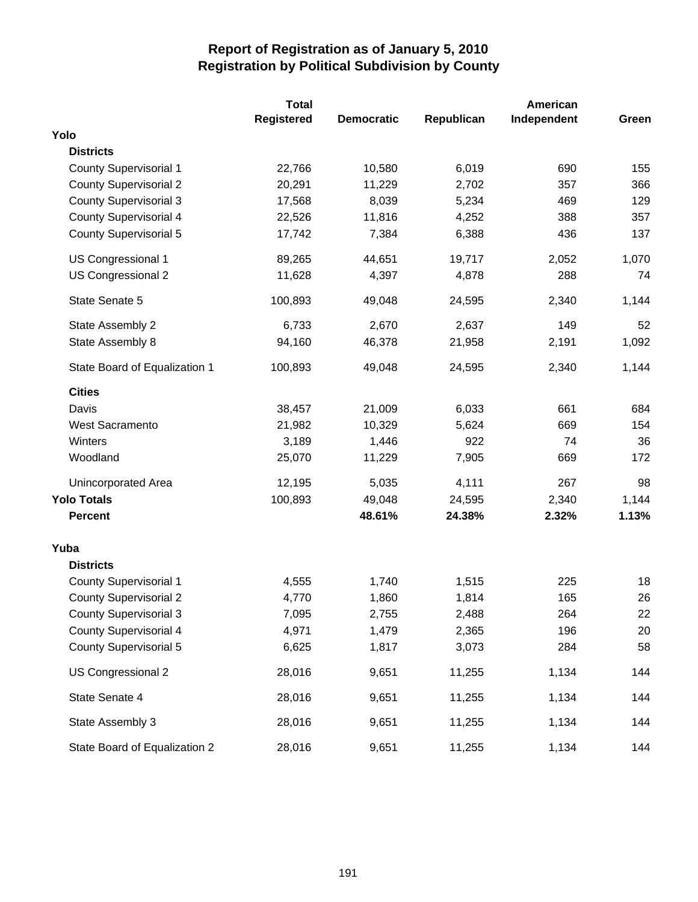|                               | <b>Total</b>      |                   | American   |             |       |
|-------------------------------|-------------------|-------------------|------------|-------------|-------|
|                               | <b>Registered</b> | <b>Democratic</b> | Republican | Independent | Green |
| Yolo                          |                   |                   |            |             |       |
| <b>Districts</b>              |                   |                   |            |             |       |
| <b>County Supervisorial 1</b> | 22,766            | 10,580            | 6,019      | 690         | 155   |
| <b>County Supervisorial 2</b> | 20,291            | 11,229            | 2,702      | 357         | 366   |
| <b>County Supervisorial 3</b> | 17,568            | 8,039             | 5,234      | 469         | 129   |
| County Supervisorial 4        | 22,526            | 11,816            | 4,252      | 388         | 357   |
| <b>County Supervisorial 5</b> | 17,742            | 7,384             | 6,388      | 436         | 137   |
| US Congressional 1            | 89,265            | 44,651            | 19,717     | 2,052       | 1,070 |
| US Congressional 2            | 11,628            | 4,397             | 4,878      | 288         | 74    |
| State Senate 5                | 100,893           | 49,048            | 24,595     | 2,340       | 1,144 |
| State Assembly 2              | 6,733             | 2,670             | 2,637      | 149         | 52    |
| State Assembly 8              | 94,160            | 46,378            | 21,958     | 2,191       | 1,092 |
| State Board of Equalization 1 | 100,893           | 49,048            | 24,595     | 2,340       | 1,144 |
| <b>Cities</b>                 |                   |                   |            |             |       |
| Davis                         | 38,457            | 21,009            | 6,033      | 661         | 684   |
| West Sacramento               | 21,982            | 10,329            | 5,624      | 669         | 154   |
| Winters                       | 3,189             | 1,446             | 922        | 74          | 36    |
| Woodland                      | 25,070            | 11,229            | 7,905      | 669         | 172   |
| Unincorporated Area           | 12,195            | 5,035             | 4,111      | 267         | 98    |
| <b>Yolo Totals</b>            | 100,893           | 49,048            | 24,595     | 2,340       | 1,144 |
| <b>Percent</b>                |                   | 48.61%            | 24.38%     | 2.32%       | 1.13% |
| Yuba                          |                   |                   |            |             |       |
| <b>Districts</b>              |                   |                   |            |             |       |
| <b>County Supervisorial 1</b> | 4,555             | 1,740             | 1,515      | 225         | 18    |
| <b>County Supervisorial 2</b> | 4,770             | 1,860             | 1,814      | 165         | 26    |
| <b>County Supervisorial 3</b> | 7,095             | 2,755             | 2,488      | 264         | 22    |
| <b>County Supervisorial 4</b> | 4,971             | 1,479             | 2,365      | 196         | 20    |
| <b>County Supervisorial 5</b> | 6,625             | 1,817             | 3,073      | 284         | 58    |
| US Congressional 2            | 28,016            | 9,651             | 11,255     | 1,134       | 144   |
| State Senate 4                | 28,016            | 9,651             | 11,255     | 1,134       | 144   |
| State Assembly 3              | 28,016            | 9,651             | 11,255     | 1,134       | 144   |
| State Board of Equalization 2 | 28,016            | 9,651             | 11,255     | 1,134       | 144   |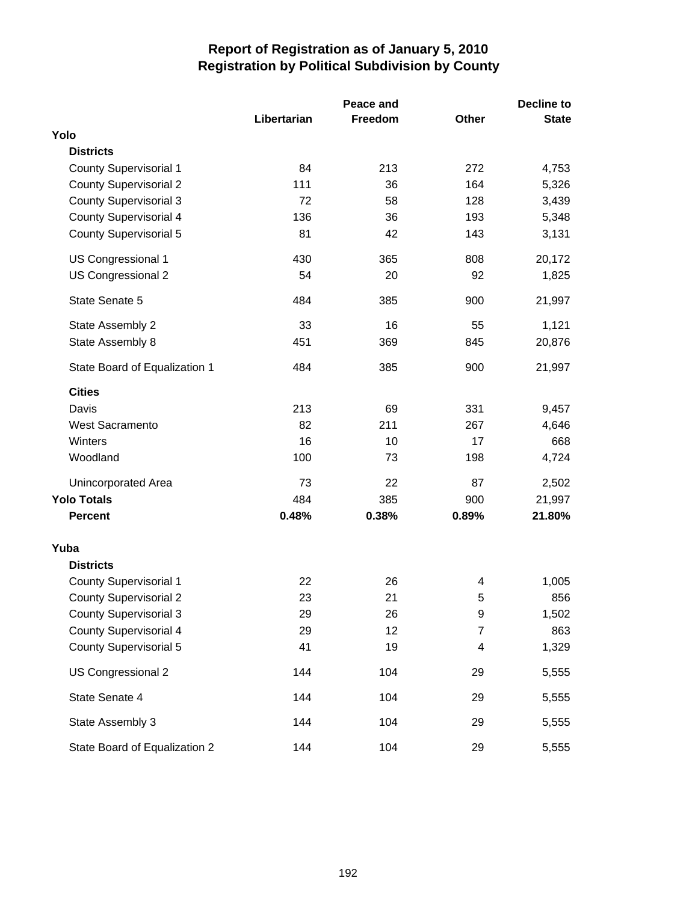|                               |             | Peace and |              | <b>Decline to</b> |
|-------------------------------|-------------|-----------|--------------|-------------------|
|                               | Libertarian | Freedom   | <b>Other</b> | <b>State</b>      |
| Yolo                          |             |           |              |                   |
| <b>Districts</b>              |             |           |              |                   |
| <b>County Supervisorial 1</b> | 84          | 213       | 272          | 4,753             |
| <b>County Supervisorial 2</b> | 111         | 36        | 164          | 5,326             |
| <b>County Supervisorial 3</b> | 72          | 58        | 128          | 3,439             |
| <b>County Supervisorial 4</b> | 136         | 36        | 193          | 5,348             |
| <b>County Supervisorial 5</b> | 81          | 42        | 143          | 3,131             |
| US Congressional 1            | 430         | 365       | 808          | 20,172            |
| US Congressional 2            | 54          | 20        | 92           | 1,825             |
| State Senate 5                | 484         | 385       | 900          | 21,997            |
| State Assembly 2              | 33          | 16        | 55           | 1,121             |
| State Assembly 8              | 451         | 369       | 845          | 20,876            |
| State Board of Equalization 1 | 484         | 385       | 900          | 21,997            |
| <b>Cities</b>                 |             |           |              |                   |
| Davis                         | 213         | 69        | 331          | 9,457             |
| <b>West Sacramento</b>        | 82          | 211       | 267          | 4,646             |
| Winters                       | 16          | 10        | 17           | 668               |
| Woodland                      | 100         | 73        | 198          | 4,724             |
| Unincorporated Area           | 73          | 22        | 87           | 2,502             |
| <b>Yolo Totals</b>            | 484         | 385       | 900          | 21,997            |
| <b>Percent</b>                | 0.48%       | 0.38%     | 0.89%        | 21.80%            |
| Yuba                          |             |           |              |                   |
| <b>Districts</b>              |             |           |              |                   |
| <b>County Supervisorial 1</b> | 22          | 26        | 4            | 1,005             |
| <b>County Supervisorial 2</b> | 23          | 21        | 5            | 856               |
| County Supervisorial 3        | 29          | 26        | 9            | 1,502             |
| <b>County Supervisorial 4</b> | 29          | 12        | 7            | 863               |
| <b>County Supervisorial 5</b> | 41          | 19        | 4            | 1,329             |
| US Congressional 2            | 144         | 104       | 29           | 5,555             |
| State Senate 4                | 144         | 104       | 29           | 5,555             |
| State Assembly 3              | 144         | 104       | 29           | 5,555             |
| State Board of Equalization 2 | 144         | 104       | 29           | 5,555             |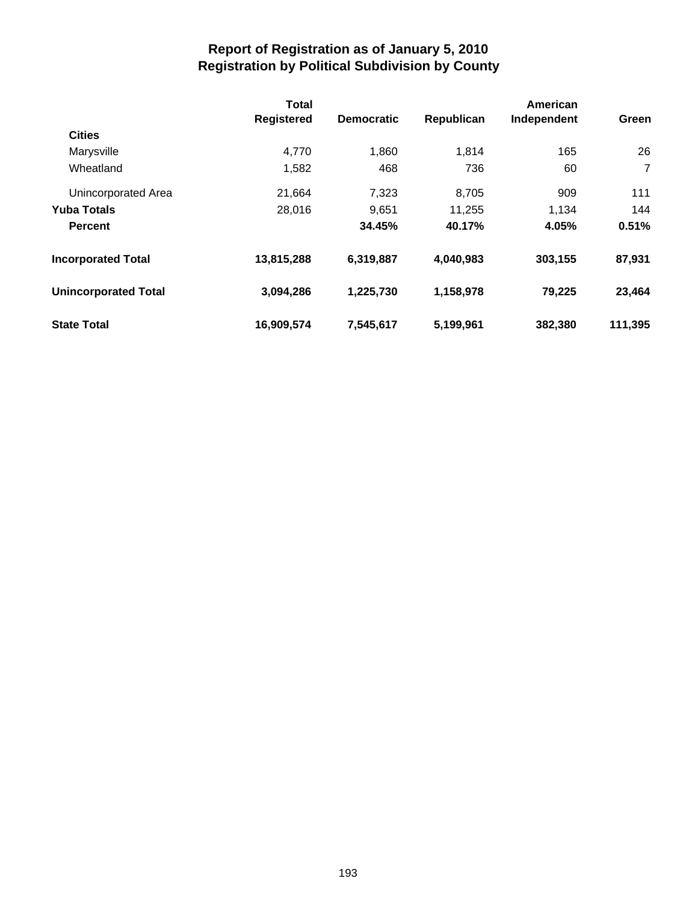|                             | <b>Total</b><br><b>Registered</b> | <b>Democratic</b> | Republican | American<br>Independent | Green   |
|-----------------------------|-----------------------------------|-------------------|------------|-------------------------|---------|
| <b>Cities</b>               |                                   |                   |            |                         |         |
| Marysville                  | 4,770                             | 1,860             | 1.814      | 165                     | 26      |
| Wheatland                   | 1,582                             | 468               | 736        | 60                      | 7       |
| Unincorporated Area         | 21,664                            | 7,323             | 8,705      | 909                     | 111     |
| <b>Yuba Totals</b>          | 28,016                            | 9,651             | 11,255     | 1,134                   | 144     |
| <b>Percent</b>              |                                   | 34.45%            | 40.17%     | 4.05%                   | 0.51%   |
| <b>Incorporated Total</b>   | 13,815,288                        | 6,319,887         | 4,040,983  | 303,155                 | 87,931  |
| <b>Unincorporated Total</b> | 3,094,286                         | 1,225,730         | 1,158,978  | 79,225                  | 23,464  |
| <b>State Total</b>          | 16,909,574                        | 7,545,617         | 5,199,961  | 382,380                 | 111,395 |